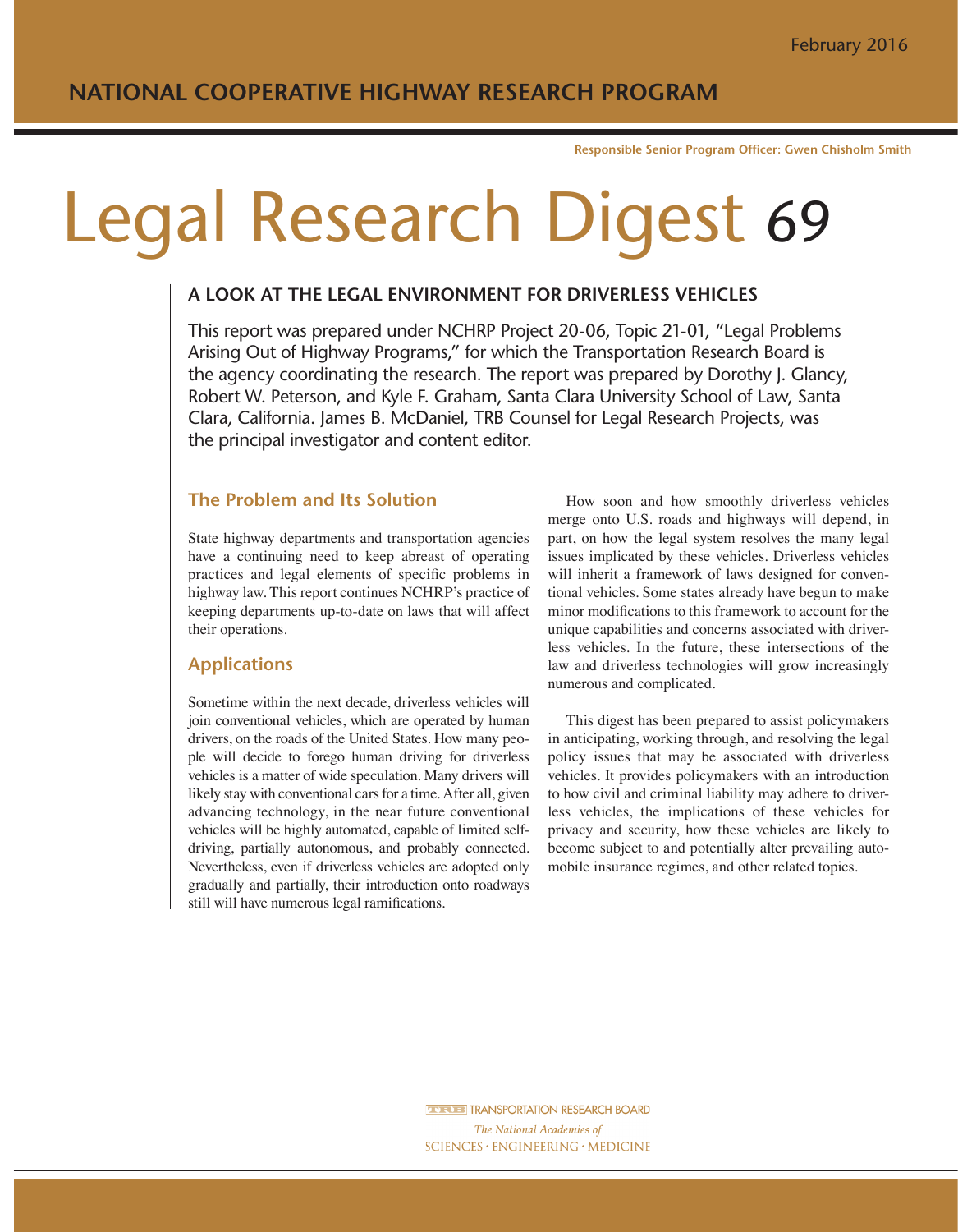**Responsible Senior Program Officer: Gwen Chisholm Smith**

# Legal Research Digest 69

## **A LOOK AT THE LEGAL ENVIRONMENT FOR DRIVERLESS VEHICLES**

This report was prepared under NCHRP Project 20-06, Topic 21-01, "Legal Problems Arising Out of Highway Programs," for which the Transportation Research Board is the agency coordinating the research. The report was prepared by Dorothy J. Glancy, Robert W. Peterson, and Kyle F. Graham, Santa Clara University School of Law, Santa Clara, California. James B. McDaniel, TRB Counsel for Legal Research Projects, was the principal investigator and content editor.

# **The Problem and Its Solution**

State highway departments and transportation agencies have a continuing need to keep abreast of operating practices and legal elements of specific problems in highway law. This report continues NCHRP's practice of keeping departments up-to-date on laws that will affect their operations.

# **Applications**

Sometime within the next decade, driverless vehicles will join conventional vehicles, which are operated by human drivers, on the roads of the United States. How many people will decide to forego human driving for driverless vehicles is a matter of wide speculation. Many drivers will likely stay with conventional cars for a time. After all, given advancing technology, in the near future conventional vehicles will be highly automated, capable of limited selfdriving, partially autonomous, and probably connected. Nevertheless, even if driverless vehicles are adopted only gradually and partially, their introduction onto roadways still will have numerous legal ramifications.

How soon and how smoothly driverless vehicles merge onto U.S. roads and highways will depend, in part, on how the legal system resolves the many legal issues implicated by these vehicles. Driverless vehicles will inherit a framework of laws designed for conventional vehicles. Some states already have begun to make minor modifications to this framework to account for the unique capabilities and concerns associated with driverless vehicles. In the future, these intersections of the law and driverless technologies will grow increasingly numerous and complicated.

This digest has been prepared to assist policymakers in anticipating, working through, and resolving the legal policy issues that may be associated with driverless vehicles. It provides policymakers with an introduction to how civil and criminal liability may adhere to driverless vehicles, the implications of these vehicles for privacy and security, how these vehicles are likely to become subject to and potentially alter prevailing automobile insurance regimes, and other related topics.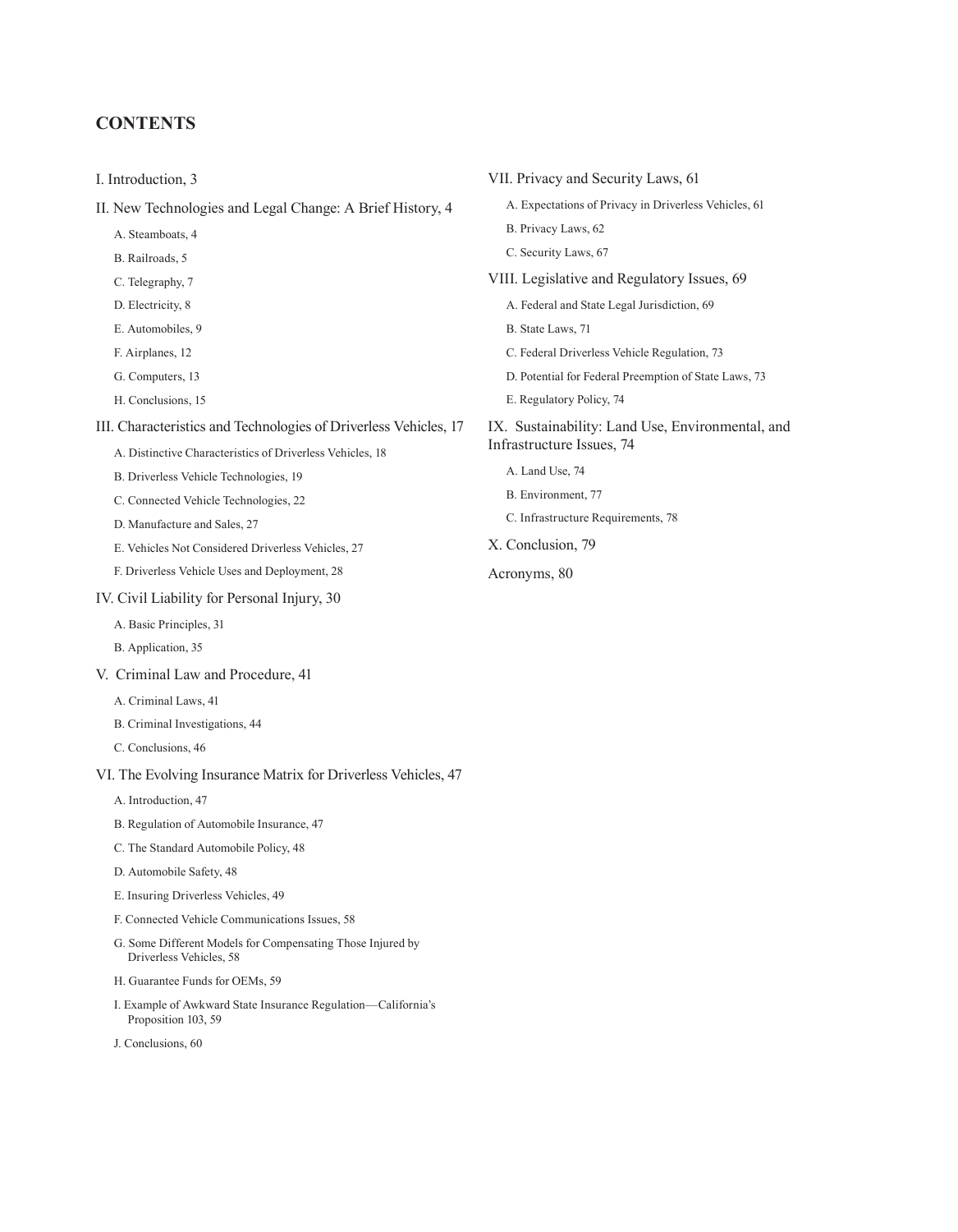# **CONTENTS**

I. Introduction, 3

- II. New Technologies and Legal Change: A Brief History, 4
	- A. Steamboats, 4
	- B. Railroads, 5
	- C. Telegraphy, 7
	- D. Electricity, 8
	- E. Automobiles, 9
	- F. Airplanes, 12
	- G. Computers, 13
	- H. Conclusions, 15

III. Characteristics and Technologies of Driverless Vehicles, 17

- A. Distinctive Characteristics of Driverless Vehicles, 18
- B. Driverless Vehicle Technologies, 19
- C. Connected Vehicle Technologies, 22
- D. Manufacture and Sales, 27
- E. Vehicles Not Considered Driverless Vehicles, 27
- F. Driverless Vehicle Uses and Deployment, 28
- IV. Civil Liability for Personal Injury, 30
	- A. Basic Principles, 31
	- B. Application, 35
- V. Criminal Law and Procedure, 41
	- A. Criminal Laws, 41
	- B. Criminal Investigations, 44
	- C. Conclusions, 46
- VI. The Evolving Insurance Matrix for Driverless Vehicles, 47
	- A. Introduction, 47
	- B. Regulation of Automobile Insurance, 47
	- C. The Standard Automobile Policy, 48
	- D. Automobile Safety, 48
	- E. Insuring Driverless Vehicles, 49
	- F. Connected Vehicle Communications Issues, 58
	- G. Some Different Models for Compensating Those Injured by Driverless Vehicles, 58
	- H. Guarantee Funds for OEMs, 59
	- I. Example of Awkward State Insurance Regulation—California's Proposition 103, 59
	- J. Conclusions, 60
- VII. Privacy and Security Laws, 61 A. Expectations of Privacy in Driverless Vehicles, 61 B. Privacy Laws, 62 C. Security Laws, 67 VIII. Legislative and Regulatory Issues, 69 A. Federal and State Legal Jurisdiction, 69 B. State Laws, 71 C. Federal Driverless Vehicle Regulation, 73 D. Potential for Federal Preemption of State Laws, 73 E. Regulatory Policy, 74 IX. Sustainability: Land Use, Environmental, and Infrastructure Issues, 74 A. Land Use, 74 B. Environment, 77
	- C. Infrastructure Requirements, 78
- X. Conclusion, 79
- Acronyms, 80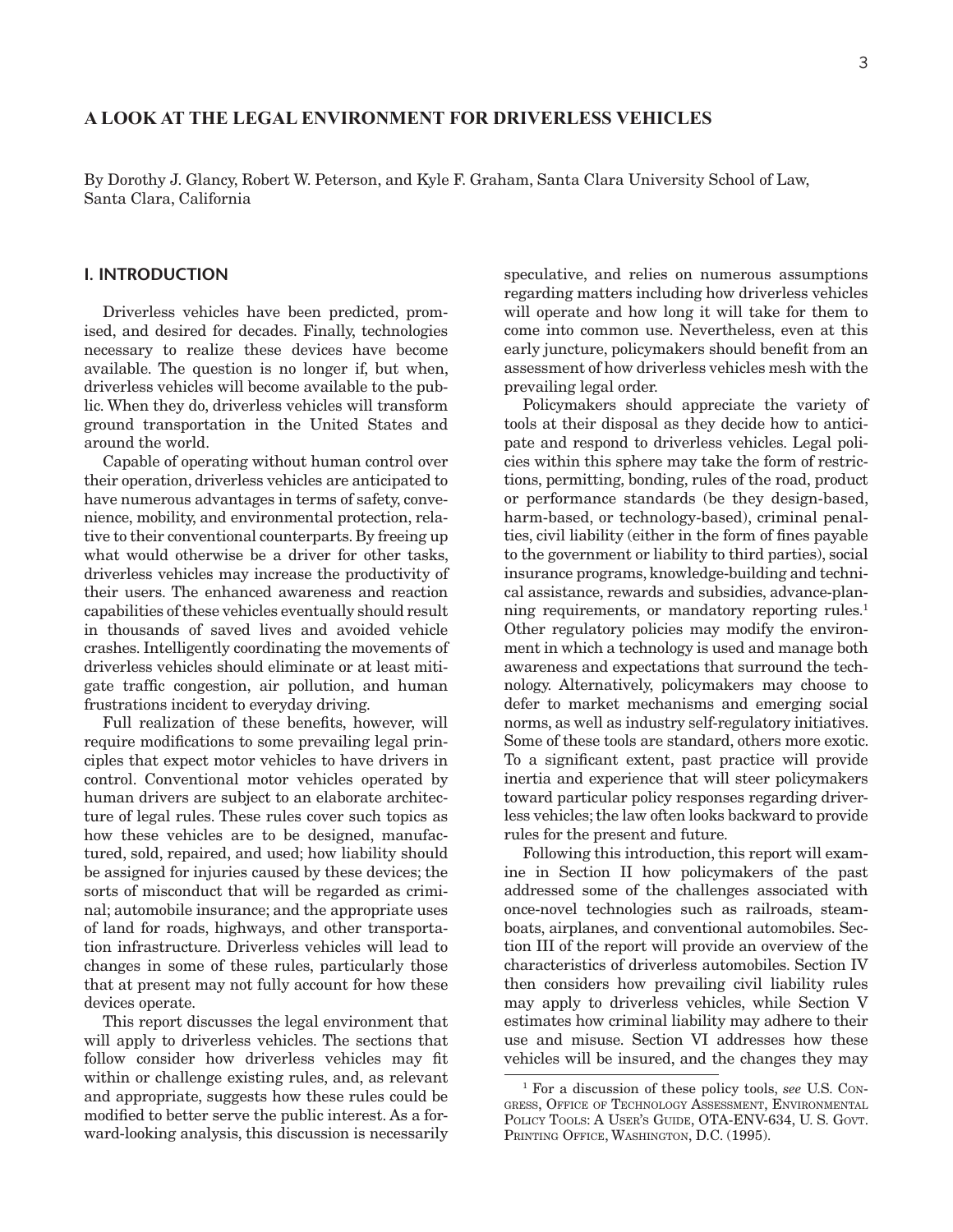## **A LOOK AT THE LEGAL ENVIRONMENT FOR DRIVERLESS VEHICLES**

By Dorothy J. Glancy, Robert W. Peterson, and Kyle F. Graham, Santa Clara University School of Law, Santa Clara, California

## **I. INTRODUCTION**

Driverless vehicles have been predicted, promised, and desired for decades. Finally, technologies necessary to realize these devices have become available. The question is no longer if, but when, driverless vehicles will become available to the public. When they do, driverless vehicles will transform ground transportation in the United States and around the world.

Capable of operating without human control over their operation, driverless vehicles are anticipated to have numerous advantages in terms of safety, convenience, mobility, and environmental protection, relative to their conventional counterparts. By freeing up what would otherwise be a driver for other tasks, driverless vehicles may increase the productivity of their users. The enhanced awareness and reaction capabilities of these vehicles eventually should result in thousands of saved lives and avoided vehicle crashes. Intelligently coordinating the movements of driverless vehicles should eliminate or at least mitigate traffic congestion, air pollution, and human frustrations incident to everyday driving.

Full realization of these benefits, however, will require modifications to some prevailing legal principles that expect motor vehicles to have drivers in control. Conventional motor vehicles operated by human drivers are subject to an elaborate architecture of legal rules. These rules cover such topics as how these vehicles are to be designed, manufactured, sold, repaired, and used; how liability should be assigned for injuries caused by these devices; the sorts of misconduct that will be regarded as criminal; automobile insurance; and the appropriate uses of land for roads, highways, and other transportation infrastructure. Driverless vehicles will lead to changes in some of these rules, particularly those that at present may not fully account for how these devices operate.

This report discusses the legal environment that will apply to driverless vehicles. The sections that follow consider how driverless vehicles may fit within or challenge existing rules, and, as relevant and appropriate, suggests how these rules could be modified to better serve the public interest. As a forward-looking analysis, this discussion is necessarily

speculative, and relies on numerous assumptions regarding matters including how driverless vehicles will operate and how long it will take for them to come into common use. Nevertheless, even at this early juncture, policymakers should benefit from an assessment of how driverless vehicles mesh with the prevailing legal order.

Policymakers should appreciate the variety of tools at their disposal as they decide how to anticipate and respond to driverless vehicles. Legal policies within this sphere may take the form of restrictions, permitting, bonding, rules of the road, product or performance standards (be they design-based, harm-based, or technology-based), criminal penalties, civil liability (either in the form of fines payable to the government or liability to third parties), social insurance programs, knowledge-building and technical assistance, rewards and subsidies, advance-planning requirements, or mandatory reporting rules.<sup>1</sup> Other regulatory policies may modify the environment in which a technology is used and manage both awareness and expectations that surround the technology. Alternatively, policymakers may choose to defer to market mechanisms and emerging social norms, as well as industry self-regulatory initiatives. Some of these tools are standard, others more exotic. To a significant extent, past practice will provide inertia and experience that will steer policymakers toward particular policy responses regarding driverless vehicles; the law often looks backward to provide rules for the present and future.

Following this introduction, this report will examine in Section II how policymakers of the past addressed some of the challenges associated with once-novel technologies such as railroads, steamboats, airplanes, and conventional automobiles. Section III of the report will provide an overview of the characteristics of driverless automobiles. Section IV then considers how prevailing civil liability rules may apply to driverless vehicles, while Section V estimates how criminal liability may adhere to their use and misuse. Section VI addresses how these vehicles will be insured, and the changes they may

<sup>1</sup> For a discussion of these policy tools, *see* U.S. Congress, Office of Technology Assessment, Environmental POLICY TOOLS: A USER'S GUIDE, OTA-ENV-634, U. S. GOVT. PRINTING OFFICE, WASHINGTON, D.C. (1995).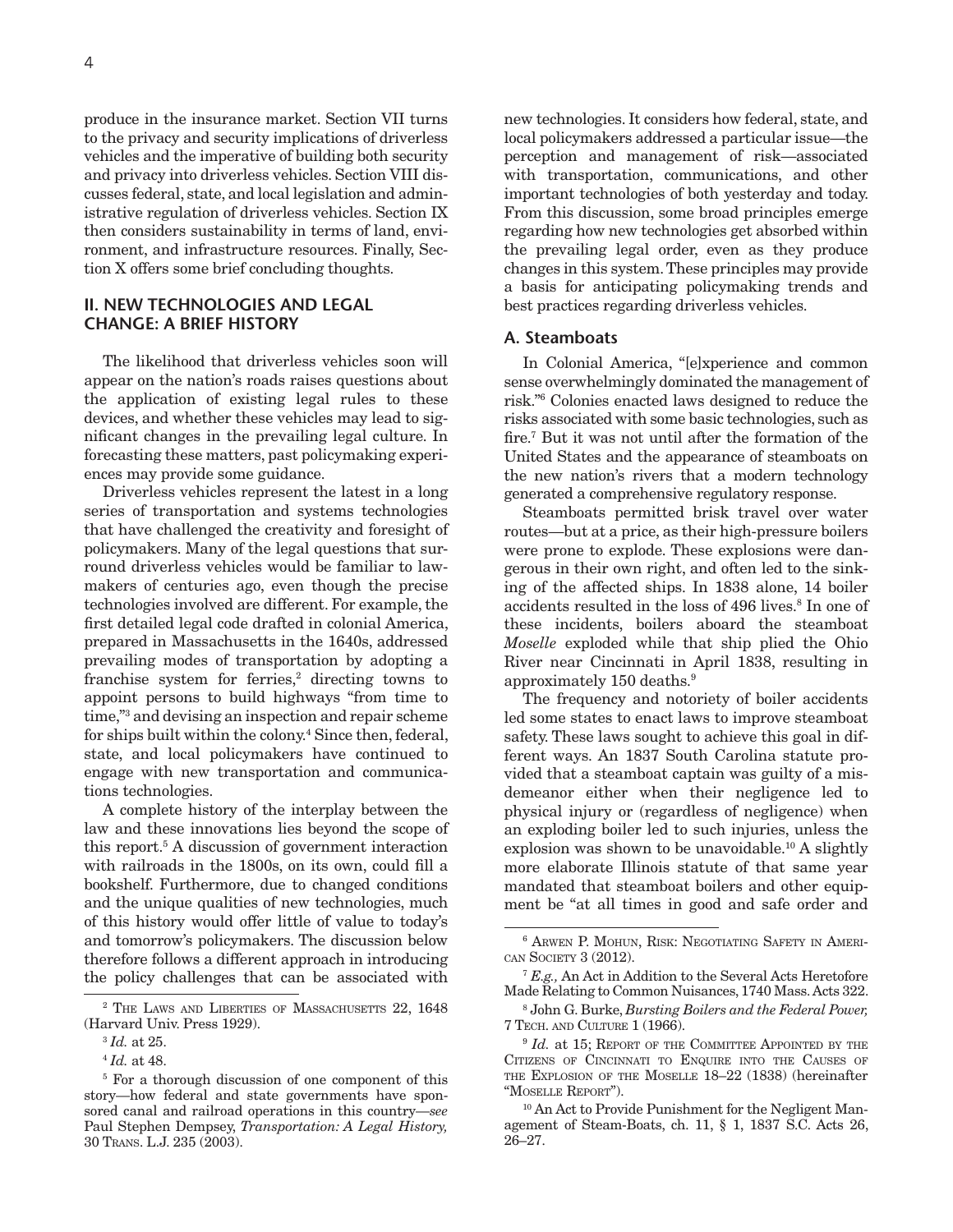produce in the insurance market. Section VII turns to the privacy and security implications of driverless vehicles and the imperative of building both security and privacy into driverless vehicles. Section VIII discusses federal, state, and local legislation and administrative regulation of driverless vehicles. Section IX then considers sustainability in terms of land, environment, and infrastructure resources. Finally, Section X offers some brief concluding thoughts.

## **II. NEW TECHNOLOGIES AND LEGAL CHANGE: A BRIEF HISTORY**

The likelihood that driverless vehicles soon will appear on the nation's roads raises questions about the application of existing legal rules to these devices, and whether these vehicles may lead to significant changes in the prevailing legal culture. In forecasting these matters, past policymaking experiences may provide some guidance.

Driverless vehicles represent the latest in a long series of transportation and systems technologies that have challenged the creativity and foresight of policymakers. Many of the legal questions that surround driverless vehicles would be familiar to lawmakers of centuries ago, even though the precise technologies involved are different. For example, the first detailed legal code drafted in colonial America, prepared in Massachusetts in the 1640s, addressed prevailing modes of transportation by adopting a franchise system for ferries,<sup>2</sup> directing towns to appoint persons to build highways "from time to time,"3 and devising an inspection and repair scheme for ships built within the colony.<sup>4</sup> Since then, federal, state, and local policymakers have continued to engage with new transportation and communications technologies.

A complete history of the interplay between the law and these innovations lies beyond the scope of this report.5 A discussion of government interaction with railroads in the 1800s, on its own, could fill a bookshelf. Furthermore, due to changed conditions and the unique qualities of new technologies, much of this history would offer little of value to today's and tomorrow's policymakers. The discussion below therefore follows a different approach in introducing the policy challenges that can be associated with

new technologies. It considers how federal, state, and local policymakers addressed a particular issue—the perception and management of risk—associated with transportation, communications, and other important technologies of both yesterday and today. From this discussion, some broad principles emerge regarding how new technologies get absorbed within the prevailing legal order, even as they produce changes in this system. These principles may provide a basis for anticipating policymaking trends and best practices regarding driverless vehicles.

## **A. Steamboats**

In Colonial America, "[e]xperience and common sense overwhelmingly dominated the management of risk."6 Colonies enacted laws designed to reduce the risks associated with some basic technologies, such as fire.7 But it was not until after the formation of the United States and the appearance of steamboats on the new nation's rivers that a modern technology generated a comprehensive regulatory response.

Steamboats permitted brisk travel over water routes—but at a price, as their high-pressure boilers were prone to explode. These explosions were dangerous in their own right, and often led to the sinking of the affected ships. In 1838 alone, 14 boiler accidents resulted in the loss of 496 lives.<sup>8</sup> In one of these incidents, boilers aboard the steamboat *Moselle* exploded while that ship plied the Ohio River near Cincinnati in April 1838, resulting in approximately 150 deaths.<sup>9</sup>

The frequency and notoriety of boiler accidents led some states to enact laws to improve steamboat safety. These laws sought to achieve this goal in different ways. An 1837 South Carolina statute provided that a steamboat captain was guilty of a misdemeanor either when their negligence led to physical injury or (regardless of negligence) when an exploding boiler led to such injuries, unless the explosion was shown to be unavoidable.10 A slightly more elaborate Illinois statute of that same year mandated that steamboat boilers and other equipment be "at all times in good and safe order and

<sup>&</sup>lt;sup>2</sup> THE LAWS AND LIBERTIES OF MASSACHUSETTS 22, 1648 (Harvard Univ. Press 1929).

<sup>3</sup> *Id.* at 25.

<sup>4</sup> *Id.* at 48.

<sup>&</sup>lt;sup>5</sup> For a thorough discussion of one component of this story—how federal and state governments have sponsored canal and railroad operations in this country—*see* Paul Stephen Dempsey, *Transportation: A Legal History,* 30 Trans. L.J. 235 (2003).

<sup>6</sup> Arwen P. Mohun, Risk: Negotiating Safety in American Society 3 (2012).

<sup>7</sup> *E.g.,* An Act in Addition to the Several Acts Heretofore Made Relating to Common Nuisances, 1740 Mass. Acts 322.

<sup>8</sup> John G. Burke, *Bursting Boilers and the Federal Power,*  7 Tech. and Culture 1 (1966).

<sup>&</sup>lt;sup>9</sup> *Id.* at 15; REPORT OF THE COMMITTEE APPOINTED BY THE Citizens of Cincinnati to Enquire into the Causes of the Explosion of the Moselle 18–22 (1838) (hereinafter "MOSELLE REPORT").

<sup>&</sup>lt;sup>10</sup> An Act to Provide Punishment for the Negligent Management of Steam-Boats, ch. 11, § 1, 1837 S.C. Acts 26, 26–27.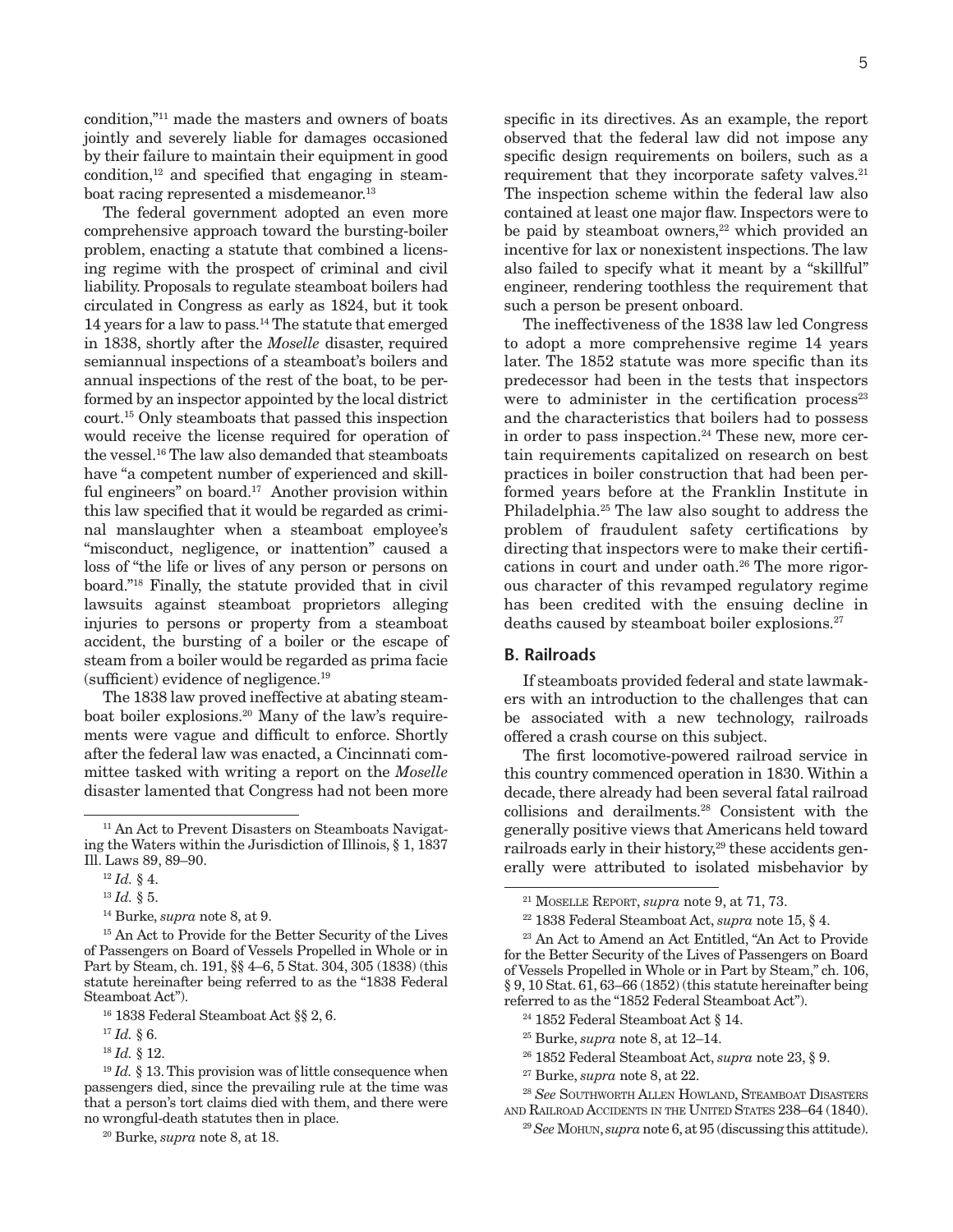condition,"11 made the masters and owners of boats jointly and severely liable for damages occasioned by their failure to maintain their equipment in good condition, $^{12}$  and specified that engaging in steamboat racing represented a misdemeanor.<sup>13</sup>

The federal government adopted an even more comprehensive approach toward the bursting-boiler problem, enacting a statute that combined a licensing regime with the prospect of criminal and civil liability. Proposals to regulate steamboat boilers had circulated in Congress as early as 1824, but it took 14 years for a law to pass.14 The statute that emerged in 1838, shortly after the *Moselle* disaster, required semiannual inspections of a steamboat's boilers and annual inspections of the rest of the boat, to be performed by an inspector appointed by the local district court.15 Only steamboats that passed this inspection would receive the license required for operation of the vessel.16 The law also demanded that steamboats have "a competent number of experienced and skillful engineers" on board.<sup>17</sup> Another provision within this law specified that it would be regarded as criminal manslaughter when a steamboat employee's "misconduct, negligence, or inattention" caused a loss of "the life or lives of any person or persons on board."18 Finally, the statute provided that in civil lawsuits against steamboat proprietors alleging injuries to persons or property from a steamboat accident, the bursting of a boiler or the escape of steam from a boiler would be regarded as prima facie (sufficient) evidence of negligence.19

The 1838 law proved ineffective at abating steamboat boiler explosions.20 Many of the law's requirements were vague and difficult to enforce. Shortly after the federal law was enacted, a Cincinnati committee tasked with writing a report on the *Moselle* disaster lamented that Congress had not been more

<sup>15</sup> An Act to Provide for the Better Security of the Lives of Passengers on Board of Vessels Propelled in Whole or in Part by Steam, ch. 191, §§ 4–6, 5 Stat. 304, 305 (1838) (this statute hereinafter being referred to as the "1838 Federal Steamboat Act").

20 Burke, *supra* note 8, at 18.

5

specific in its directives. As an example, the report observed that the federal law did not impose any specific design requirements on boilers, such as a requirement that they incorporate safety valves.<sup>21</sup> The inspection scheme within the federal law also contained at least one major flaw. Inspectors were to be paid by steamboat owners,<sup>22</sup> which provided an incentive for lax or nonexistent inspections. The law also failed to specify what it meant by a "skillful" engineer, rendering toothless the requirement that such a person be present onboard.

The ineffectiveness of the 1838 law led Congress to adopt a more comprehensive regime 14 years later. The 1852 statute was more specific than its predecessor had been in the tests that inspectors were to administer in the certification process $23$ and the characteristics that boilers had to possess in order to pass inspection.<sup>24</sup> These new, more certain requirements capitalized on research on best practices in boiler construction that had been performed years before at the Franklin Institute in Philadelphia.25 The law also sought to address the problem of fraudulent safety certifications by directing that inspectors were to make their certifications in court and under oath.<sup>26</sup> The more rigorous character of this revamped regulatory regime has been credited with the ensuing decline in deaths caused by steamboat boiler explosions.<sup>27</sup>

#### **B. Railroads**

If steamboats provided federal and state lawmakers with an introduction to the challenges that can be associated with a new technology, railroads offered a crash course on this subject.

The first locomotive-powered railroad service in this country commenced operation in 1830. Within a decade, there already had been several fatal railroad collisions and derailments.28 Consistent with the generally positive views that Americans held toward railroads early in their history,<sup>29</sup> these accidents generally were attributed to isolated misbehavior by

26 1852 Federal Steamboat Act, *supra* note 23, § 9.

<sup>&</sup>lt;sup>11</sup> An Act to Prevent Disasters on Steamboats Navigating the Waters within the Jurisdiction of Illinois, § 1, 1837 Ill. Laws 89, 89–90.

<sup>12</sup> *Id.* § 4.

<sup>13</sup> *Id.* § 5.

<sup>14</sup> Burke, *supra* note 8, at 9.

<sup>16 1838</sup> Federal Steamboat Act §§ 2, 6.

<sup>17</sup> *Id.* § 6.

<sup>18</sup> *Id.* § 12.

 $19$  *Id.* § 13. This provision was of little consequence when passengers died, since the prevailing rule at the time was that a person's tort claims died with them, and there were no wrongful-death statutes then in place.

<sup>21</sup> Moselle Report, *supra* note 9, at 71, 73.

<sup>22 1838</sup> Federal Steamboat Act, *supra* note 15, § 4.

<sup>23</sup> An Act to Amend an Act Entitled, "An Act to Provide for the Better Security of the Lives of Passengers on Board of Vessels Propelled in Whole or in Part by Steam," ch. 106, § 9, 10 Stat. 61, 63–66 (1852) (this statute hereinafter being referred to as the "1852 Federal Steamboat Act").

<sup>&</sup>lt;sup>24</sup> 1852 Federal Steamboat Act § 14.

<sup>25</sup> Burke, *supra* note 8, at 12–14.

<sup>27</sup> Burke, *supra* note 8, at 22.

<sup>28</sup> *See* Southworth Allen Howland, Steamboat Disasters and Railroad Accidents in the United States 238–64 (1840).

<sup>&</sup>lt;sup>29</sup> See Mo<sub>HUN</sub>, *supra* note 6, at 95 (discussing this attitude).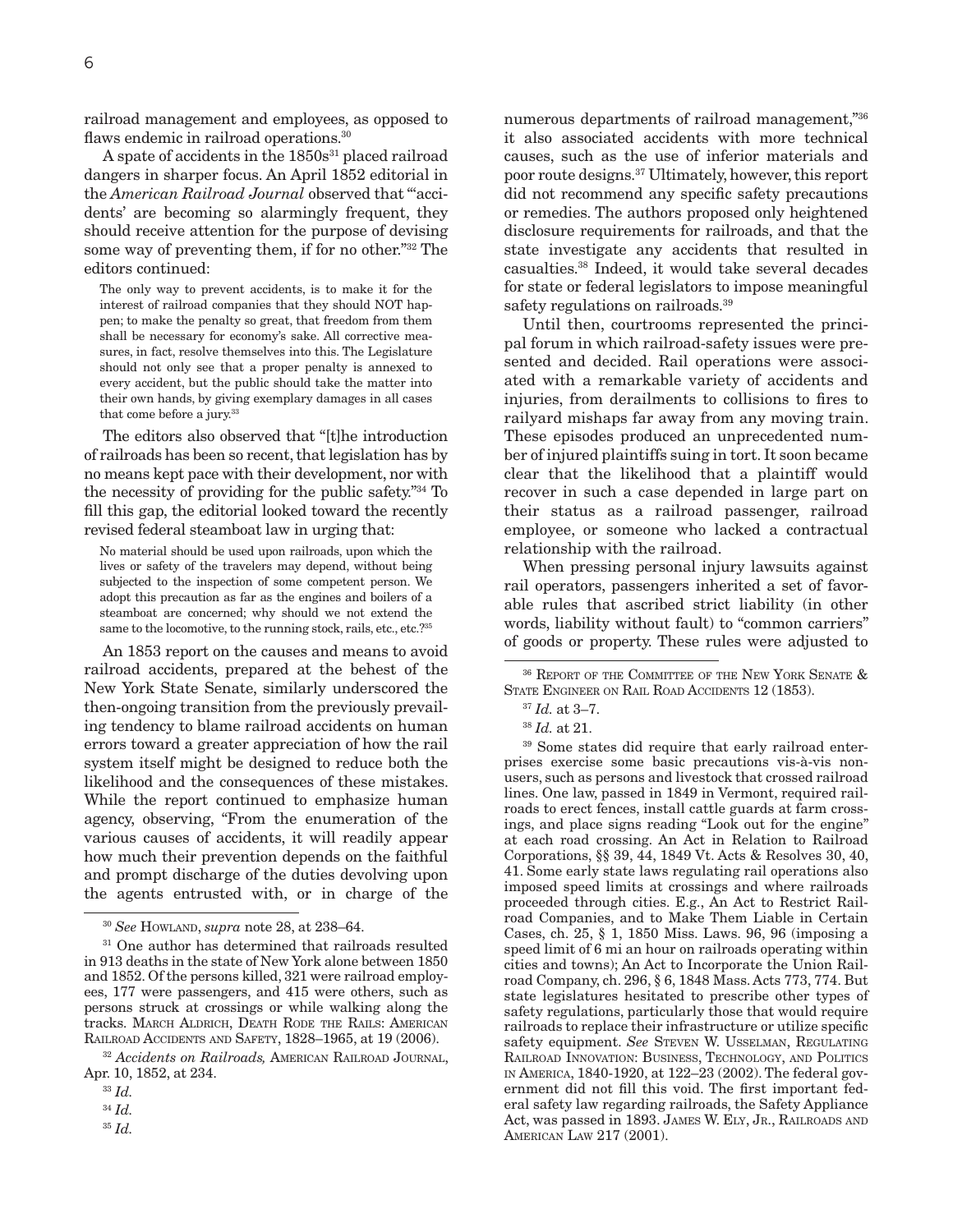railroad management and employees, as opposed to flaws endemic in railroad operations.<sup>30</sup>

A spate of accidents in the  $1850s^{31}$  placed railroad dangers in sharper focus. An April 1852 editorial in the *American Railroad Journal* observed that "'accidents' are becoming so alarmingly frequent, they should receive attention for the purpose of devising some way of preventing them, if for no other."32 The editors continued:

The only way to prevent accidents, is to make it for the interest of railroad companies that they should NOT happen; to make the penalty so great, that freedom from them shall be necessary for economy's sake. All corrective measures, in fact, resolve themselves into this. The Legislature should not only see that a proper penalty is annexed to every accident, but the public should take the matter into their own hands, by giving exemplary damages in all cases that come before a jury.<sup>33</sup>

The editors also observed that "[t]he introduction of railroads has been so recent, that legislation has by no means kept pace with their development, nor with the necessity of providing for the public safety."34 To fill this gap, the editorial looked toward the recently revised federal steamboat law in urging that:

No material should be used upon railroads, upon which the lives or safety of the travelers may depend, without being subjected to the inspection of some competent person. We adopt this precaution as far as the engines and boilers of a steamboat are concerned; why should we not extend the same to the locomotive, to the running stock, rails, etc., etc.?<sup>35</sup>

An 1853 report on the causes and means to avoid railroad accidents, prepared at the behest of the New York State Senate, similarly underscored the then-ongoing transition from the previously prevailing tendency to blame railroad accidents on human errors toward a greater appreciation of how the rail system itself might be designed to reduce both the likelihood and the consequences of these mistakes. While the report continued to emphasize human agency, observing, "From the enumeration of the various causes of accidents, it will readily appear how much their prevention depends on the faithful and prompt discharge of the duties devolving upon the agents entrusted with, or in charge of the

<sup>32</sup> *Accidents on Railroads,* American Railroad Journal, Apr. 10, 1852, at 234.

numerous departments of railroad management,"36 it also associated accidents with more technical causes, such as the use of inferior materials and poor route designs.37 Ultimately, however, this report did not recommend any specific safety precautions or remedies. The authors proposed only heightened disclosure requirements for railroads, and that the state investigate any accidents that resulted in casualties.38 Indeed, it would take several decades for state or federal legislators to impose meaningful safety regulations on railroads.<sup>39</sup>

Until then, courtrooms represented the principal forum in which railroad-safety issues were presented and decided. Rail operations were associated with a remarkable variety of accidents and injuries, from derailments to collisions to fires to railyard mishaps far away from any moving train. These episodes produced an unprecedented number of injured plaintiffs suing in tort. It soon became clear that the likelihood that a plaintiff would recover in such a case depended in large part on their status as a railroad passenger, railroad employee, or someone who lacked a contractual relationship with the railroad.

When pressing personal injury lawsuits against rail operators, passengers inherited a set of favorable rules that ascribed strict liability (in other words, liability without fault) to "common carriers" of goods or property. These rules were adjusted to

39 Some states did require that early railroad enterprises exercise some basic precautions vis-à-vis nonusers, such as persons and livestock that crossed railroad lines. One law, passed in 1849 in Vermont, required railroads to erect fences, install cattle guards at farm crossings, and place signs reading "Look out for the engine" at each road crossing. An Act in Relation to Railroad Corporations, §§ 39, 44, 1849 Vt. Acts & Resolves 30, 40, 41. Some early state laws regulating rail operations also imposed speed limits at crossings and where railroads proceeded through cities. E.g., An Act to Restrict Railroad Companies, and to Make Them Liable in Certain Cases, ch. 25, § 1, 1850 Miss. Laws. 96, 96 (imposing a speed limit of 6 mi an hour on railroads operating within cities and towns); An Act to Incorporate the Union Railroad Company, ch. 296, § 6, 1848 Mass. Acts 773, 774. But state legislatures hesitated to prescribe other types of safety regulations, particularly those that would require railroads to replace their infrastructure or utilize specific safety equipment. See STEVEN W. USSELMAN, REGULATING Railroad Innovation: Business, Technology, and Politics in America, 1840-1920, at 122–23 (2002). The federal government did not fill this void. The first important federal safety law regarding railroads, the Safety Appliance Act, was passed in 1893. JAMES W. ELY, JR., RAILROADS AND American Law 217 (2001).

<sup>30</sup> *See* Howland, *supra* note 28, at 238–64.

<sup>31</sup> One author has determined that railroads resulted in 913 deaths in the state of New York alone between 1850 and 1852. Of the persons killed, 321 were railroad employees, 177 were passengers, and 415 were others, such as persons struck at crossings or while walking along the tracks. March Aldrich, Death Rode the Rails: American Railroad Accidents and Safety, 1828–1965, at 19 (2006).

<sup>33</sup> *Id.*

<sup>34</sup> *Id.*

<sup>35</sup> *Id.*

 $^{36}$  REPORT OF THE COMMITTEE OF THE NEW YORK SENATE  $\&$ STATE ENGINEER ON RAIL ROAD ACCIDENTS 12 (1853).

<sup>37</sup> *Id.* at 3–7.

<sup>38</sup> *Id.* at 21.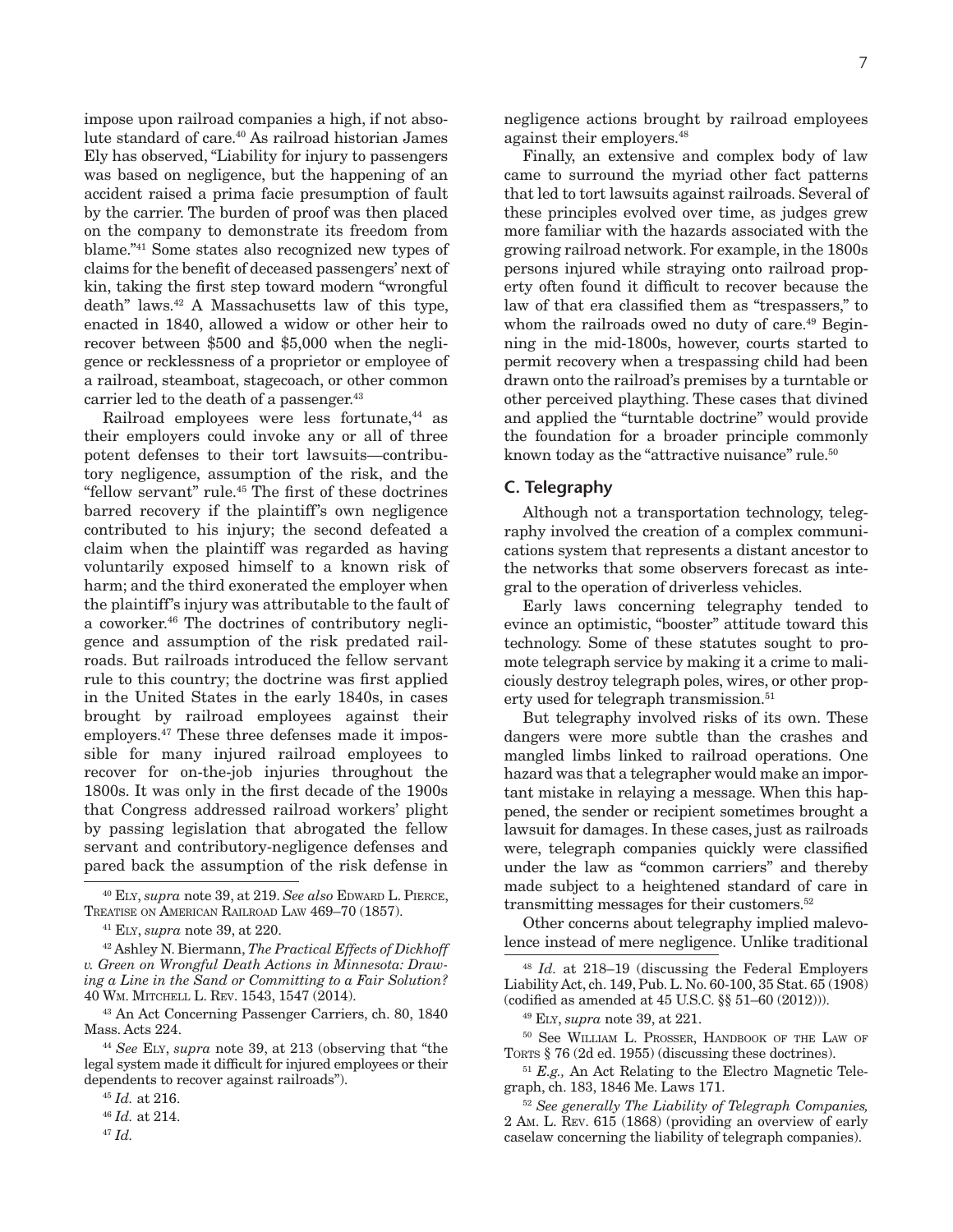impose upon railroad companies a high, if not absolute standard of care.<sup>40</sup> As railroad historian James Ely has observed, "Liability for injury to passengers was based on negligence, but the happening of an accident raised a prima facie presumption of fault by the carrier. The burden of proof was then placed on the company to demonstrate its freedom from blame."41 Some states also recognized new types of claims for the benefit of deceased passengers' next of kin, taking the first step toward modern "wrongful

death" laws.42 A Massachusetts law of this type, enacted in 1840, allowed a widow or other heir to recover between \$500 and \$5,000 when the negligence or recklessness of a proprietor or employee of a railroad, steamboat, stagecoach, or other common carrier led to the death of a passenger.<sup>43</sup>

Railroad employees were less fortunate,<sup>44</sup> as their employers could invoke any or all of three potent defenses to their tort lawsuits—contributory negligence, assumption of the risk, and the "fellow servant" rule.45 The first of these doctrines barred recovery if the plaintiff's own negligence contributed to his injury; the second defeated a claim when the plaintiff was regarded as having voluntarily exposed himself to a known risk of harm; and the third exonerated the employer when the plaintiff's injury was attributable to the fault of a coworker.46 The doctrines of contributory negligence and assumption of the risk predated railroads. But railroads introduced the fellow servant rule to this country; the doctrine was first applied in the United States in the early 1840s, in cases brought by railroad employees against their employers.47 These three defenses made it impossible for many injured railroad employees to recover for on-the-job injuries throughout the 1800s. It was only in the first decade of the 1900s that Congress addressed railroad workers' plight by passing legislation that abrogated the fellow servant and contributory-negligence defenses and pared back the assumption of the risk defense in

42 Ashley N. Biermann, *The Practical Effects of Dickhoff v. Green on Wrongful Death Actions in Minnesota: Drawing a Line in the Sand or Committing to a Fair Solution?* 40 Wm. Mitchell L. Rev. 1543, 1547 (2014).

43 An Act Concerning Passenger Carriers, ch. 80, 1840 Mass. Acts 224.

<sup>44</sup> *See* Ely, *supra* note 39, at 213 (observing that "the legal system made it difficult for injured employees or their dependents to recover against railroads").

<sup>47</sup> *Id.*

negligence actions brought by railroad employees against their employers.48

Finally, an extensive and complex body of law came to surround the myriad other fact patterns that led to tort lawsuits against railroads. Several of these principles evolved over time, as judges grew more familiar with the hazards associated with the growing railroad network. For example, in the 1800s persons injured while straying onto railroad property often found it difficult to recover because the law of that era classified them as "trespassers," to whom the railroads owed no duty of care.<sup>49</sup> Beginning in the mid-1800s, however, courts started to permit recovery when a trespassing child had been drawn onto the railroad's premises by a turntable or other perceived plaything. These cases that divined and applied the "turntable doctrine" would provide the foundation for a broader principle commonly known today as the "attractive nuisance" rule.<sup>50</sup>

## **C. Telegraphy**

Although not a transportation technology, telegraphy involved the creation of a complex communications system that represents a distant ancestor to the networks that some observers forecast as integral to the operation of driverless vehicles.

Early laws concerning telegraphy tended to evince an optimistic, "booster" attitude toward this technology. Some of these statutes sought to promote telegraph service by making it a crime to maliciously destroy telegraph poles, wires, or other property used for telegraph transmission.<sup>51</sup>

But telegraphy involved risks of its own. These dangers were more subtle than the crashes and mangled limbs linked to railroad operations. One hazard was that a telegrapher would make an important mistake in relaying a message. When this happened, the sender or recipient sometimes brought a lawsuit for damages. In these cases, just as railroads were, telegraph companies quickly were classified under the law as "common carriers" and thereby made subject to a heightened standard of care in transmitting messages for their customers.52

Other concerns about telegraphy implied malevolence instead of mere negligence. Unlike traditional

<sup>49</sup> Ely, *supra* note 39, at 221.

50 See William L. Prosser, Handbook of the Law of TORTS § 76 (2d ed. 1955) (discussing these doctrines).

<sup>51</sup> *E.g.,* An Act Relating to the Electro Magnetic Telegraph, ch. 183, 1846 Me. Laws 171.

<sup>52</sup> *See generally The Liability of Telegraph Companies,*  2 Am. L. Rev. 615 (1868) (providing an overview of early caselaw concerning the liability of telegraph companies).

<sup>40</sup> Ely, *supra* note 39, at 219. *See also* Edward L. Pierce, Treatise on American Railroad Law 469–70 (1857).

<sup>41</sup> Ely, *supra* note 39, at 220.

<sup>45</sup> *Id.* at 216.

<sup>46</sup> *Id.* at 214.

<sup>48</sup> *Id.* at 218–19 (discussing the Federal Employers Liability Act, ch. 149, Pub. L. No. 60-100, 35 Stat. 65 (1908) (codified as amended at 45 U.S.C. §§ 51–60 (2012))).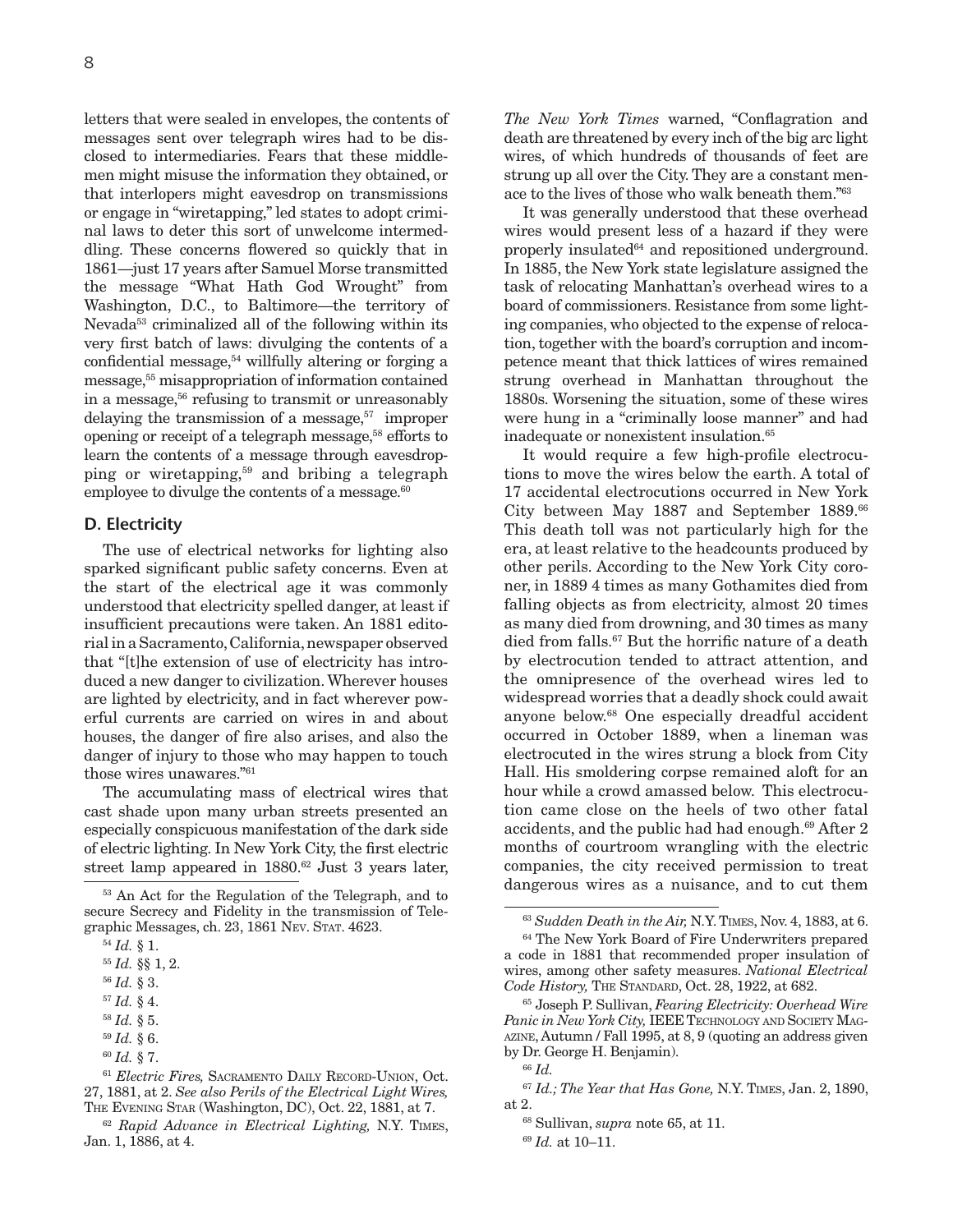letters that were sealed in envelopes, the contents of messages sent over telegraph wires had to be disclosed to intermediaries. Fears that these middlemen might misuse the information they obtained, or that interlopers might eavesdrop on transmissions or engage in "wiretapping," led states to adopt criminal laws to deter this sort of unwelcome intermeddling. These concerns flowered so quickly that in 1861—just 17 years after Samuel Morse transmitted the message "What Hath God Wrought" from Washington, D.C., to Baltimore—the territory of Nevada53 criminalized all of the following within its very first batch of laws: divulging the contents of a confidential message, $54$  willfully altering or forging a message,55 misappropriation of information contained in a message,<sup>56</sup> refusing to transmit or unreasonably delaying the transmission of a message, $57$  improper opening or receipt of a telegraph message,<sup>58</sup> efforts to learn the contents of a message through eavesdropping or wiretapping,<sup>59</sup> and bribing a telegraph employee to divulge the contents of a message. $60$ 

#### **D. Electricity**

The use of electrical networks for lighting also sparked significant public safety concerns. Even at the start of the electrical age it was commonly understood that electricity spelled danger, at least if insufficient precautions were taken. An 1881 editorial in a Sacramento, California, newspaper observed that "[t]he extension of use of electricity has introduced a new danger to civilization. Wherever houses are lighted by electricity, and in fact wherever powerful currents are carried on wires in and about houses, the danger of fire also arises, and also the danger of injury to those who may happen to touch those wires unawares."61

The accumulating mass of electrical wires that cast shade upon many urban streets presented an especially conspicuous manifestation of the dark side of electric lighting. In New York City, the first electric street lamp appeared in 1880.<sup>62</sup> Just 3 years later, *The New York Times* warned, "Conflagration and death are threatened by every inch of the big arc light wires, of which hundreds of thousands of feet are strung up all over the City. They are a constant menace to the lives of those who walk beneath them."63

It was generally understood that these overhead wires would present less of a hazard if they were properly insulated<sup>64</sup> and repositioned underground. In 1885, the New York state legislature assigned the task of relocating Manhattan's overhead wires to a board of commissioners. Resistance from some lighting companies, who objected to the expense of relocation, together with the board's corruption and incompetence meant that thick lattices of wires remained strung overhead in Manhattan throughout the 1880s. Worsening the situation, some of these wires were hung in a "criminally loose manner" and had inadequate or nonexistent insulation.<sup>65</sup>

It would require a few high-profile electrocutions to move the wires below the earth. A total of 17 accidental electrocutions occurred in New York City between May 1887 and September 1889.66 This death toll was not particularly high for the era, at least relative to the headcounts produced by other perils. According to the New York City coroner, in 1889 4 times as many Gothamites died from falling objects as from electricity, almost 20 times as many died from drowning, and 30 times as many died from falls.<sup>67</sup> But the horrific nature of a death by electrocution tended to attract attention, and the omnipresence of the overhead wires led to widespread worries that a deadly shock could await anyone below.68 One especially dreadful accident occurred in October 1889, when a lineman was electrocuted in the wires strung a block from City Hall. His smoldering corpse remained aloft for an hour while a crowd amassed below. This electrocution came close on the heels of two other fatal accidents, and the public had had enough.<sup>69</sup> After 2 months of courtroom wrangling with the electric companies, the city received permission to treat dangerous wires as a nuisance, and to cut them

<sup>53</sup> An Act for the Regulation of the Telegraph, and to secure Secrecy and Fidelity in the transmission of Telegraphic Messages, ch.  $23$ ,  $1861$  Nev. Stat.  $4623$ .

<sup>54</sup> *Id.* § 1.

<sup>55</sup> *Id.* §§ 1, 2.

<sup>56</sup> *Id.* § 3.

<sup>57</sup> *Id.* § 4.

<sup>58</sup> *Id.* § 5.

<sup>59</sup> *Id.* § 6.

<sup>60</sup> *Id.* § 7.

<sup>61</sup> *Electric Fires,* Sacramento Daily Record-Union, Oct. 27, 1881, at 2. *See also Perils of the Electrical Light Wires,*  The Evening Star (Washington, DC), Oct. 22, 1881, at 7.

<sup>62</sup> *Rapid Advance in Electrical Lighting,* N.Y. Times, Jan. 1, 1886, at 4.

<sup>63</sup> *Sudden Death in the Air,* N.Y. Times, Nov. 4, 1883, at 6.

<sup>64</sup> The New York Board of Fire Underwriters prepared a code in 1881 that recommended proper insulation of wires, among other safety measures. *National Electrical Code History,* The Standard, Oct. 28, 1922, at 682.

<sup>65</sup> Joseph P. Sullivan, *Fearing Electricity: Overhead Wire Panic in New York City,* IEEE Technology and Society Magazine, Autumn / Fall 1995, at 8, 9 (quoting an address given by Dr. George H. Benjamin).

<sup>66</sup> *Id.*

<sup>67</sup> *Id.; The Year that Has Gone,* N.Y. Times, Jan. 2, 1890, at 2.

<sup>68</sup> Sullivan, *supra* note 65, at 11.

<sup>69</sup> *Id.* at 10–11.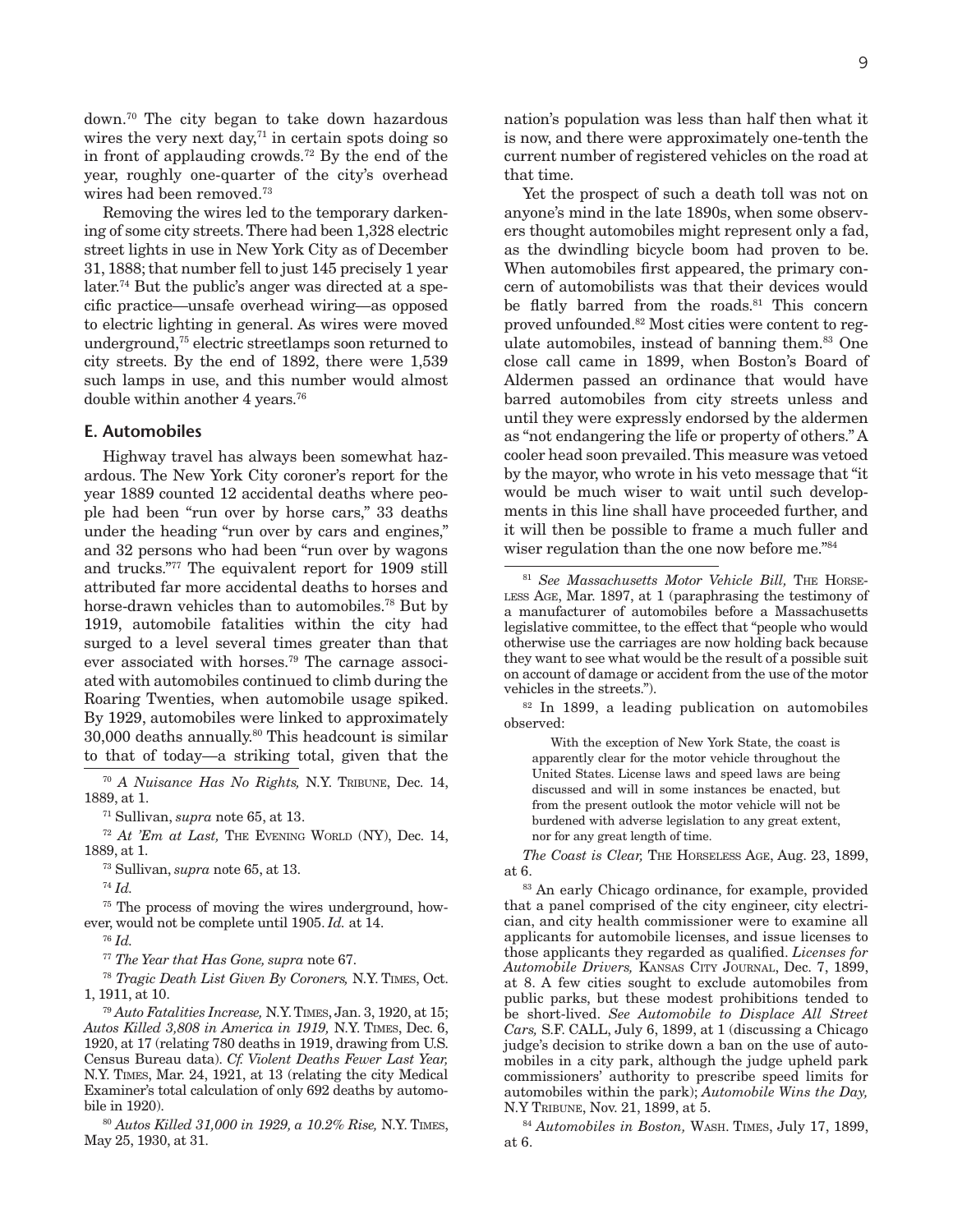down.70 The city began to take down hazardous wires the very next day, $71$  in certain spots doing so in front of applauding crowds.<sup>72</sup> By the end of the year, roughly one-quarter of the city's overhead wires had been removed.73

Removing the wires led to the temporary darkening of some city streets. There had been 1,328 electric street lights in use in New York City as of December 31, 1888; that number fell to just 145 precisely 1 year later.74 But the public's anger was directed at a specific practice—unsafe overhead wiring—as opposed to electric lighting in general. As wires were moved underground,75 electric streetlamps soon returned to city streets. By the end of 1892, there were 1,539 such lamps in use, and this number would almost double within another 4 years.76

#### **E. Automobiles**

Highway travel has always been somewhat hazardous. The New York City coroner's report for the year 1889 counted 12 accidental deaths where people had been "run over by horse cars," 33 deaths under the heading "run over by cars and engines," and 32 persons who had been "run over by wagons and trucks."77 The equivalent report for 1909 still attributed far more accidental deaths to horses and horse-drawn vehicles than to automobiles.<sup>78</sup> But by 1919, automobile fatalities within the city had surged to a level several times greater than that ever associated with horses.79 The carnage associated with automobiles continued to climb during the Roaring Twenties, when automobile usage spiked. By 1929, automobiles were linked to approximately  $30,000$  deaths annually.<sup>80</sup> This headcount is similar to that of today—a striking total, given that the

<sup>70</sup> *A Nuisance Has No Rights,* N.Y. Tribune, Dec. 14, 1889, at 1.

71 Sullivan, *supra* note 65, at 13.

<sup>72</sup> *At 'Em at Last,* The Evening World (NY), Dec. 14, 1889, at 1.

73 Sullivan, *supra* note 65, at 13.

<sup>74</sup> *Id.* 

75 The process of moving the wires underground, however, would not be complete until 1905. *Id.* at 14.

<sup>76</sup> *Id.*

<sup>77</sup> *The Year that Has Gone, supra* note 67.

<sup>78</sup> *Tragic Death List Given By Coroners,* N.Y. Times, Oct. 1, 1911, at 10.

<sup>79</sup> *Auto Fatalities Increase,* N.Y. Times, Jan. 3, 1920, at 15; *Autos Killed 3,808 in America in 1919,* N.Y. Times, Dec. 6, 1920, at 17 (relating 780 deaths in 1919, drawing from U.S. Census Bureau data). *Cf. Violent Deaths Fewer Last Year,*  N.Y. Times, Mar. 24, 1921, at 13 (relating the city Medical Examiner's total calculation of only 692 deaths by automobile in 1920).

<sup>80</sup> *Autos Killed 31,000 in 1929, a 10.2% Rise,* N.Y. Times, May 25, 1930, at 31.

nation's population was less than half then what it is now, and there were approximately one-tenth the current number of registered vehicles on the road at that time.

Yet the prospect of such a death toll was not on anyone's mind in the late 1890s, when some observers thought automobiles might represent only a fad, as the dwindling bicycle boom had proven to be. When automobiles first appeared, the primary concern of automobilists was that their devices would be flatly barred from the roads.<sup>81</sup> This concern proved unfounded.82 Most cities were content to regulate automobiles, instead of banning them.<sup>83</sup> One close call came in 1899, when Boston's Board of Aldermen passed an ordinance that would have barred automobiles from city streets unless and until they were expressly endorsed by the aldermen as "not endangering the life or property of others." A cooler head soon prevailed. This measure was vetoed by the mayor, who wrote in his veto message that "it would be much wiser to wait until such developments in this line shall have proceeded further, and it will then be possible to frame a much fuller and wiser regulation than the one now before me."84

<sup>82</sup> In 1899, a leading publication on automobiles observed:

With the exception of New York State, the coast is apparently clear for the motor vehicle throughout the United States. License laws and speed laws are being discussed and will in some instances be enacted, but from the present outlook the motor vehicle will not be burdened with adverse legislation to any great extent, nor for any great length of time.

*The Coast is Clear,* The Horseless Age, Aug. 23, 1899, at 6.

<sup>83</sup> An early Chicago ordinance, for example, provided that a panel comprised of the city engineer, city electrician, and city health commissioner were to examine all applicants for automobile licenses, and issue licenses to those applicants they regarded as qualified. *Licenses for Automobile Drivers,* Kansas City Journal, Dec. 7, 1899, at 8. A few cities sought to exclude automobiles from public parks, but these modest prohibitions tended to be short-lived. *See Automobile to Displace All Street Cars,* S.F. CALL, July 6, 1899, at 1 (discussing a Chicago judge's decision to strike down a ban on the use of automobiles in a city park, although the judge upheld park commissioners' authority to prescribe speed limits for automobiles within the park); *Automobile Wins the Day,* N.Y Tribune, Nov. 21, 1899, at 5.

<sup>84</sup> *Automobiles in Boston,* Wash. Times, July 17, 1899, at 6.

<sup>81</sup> *See Massachusetts Motor Vehicle Bill,* The Horseless Age, Mar. 1897, at 1 (paraphrasing the testimony of a manufacturer of automobiles before a Massachusetts legislative committee, to the effect that "people who would otherwise use the carriages are now holding back because they want to see what would be the result of a possible suit on account of damage or accident from the use of the motor vehicles in the streets.").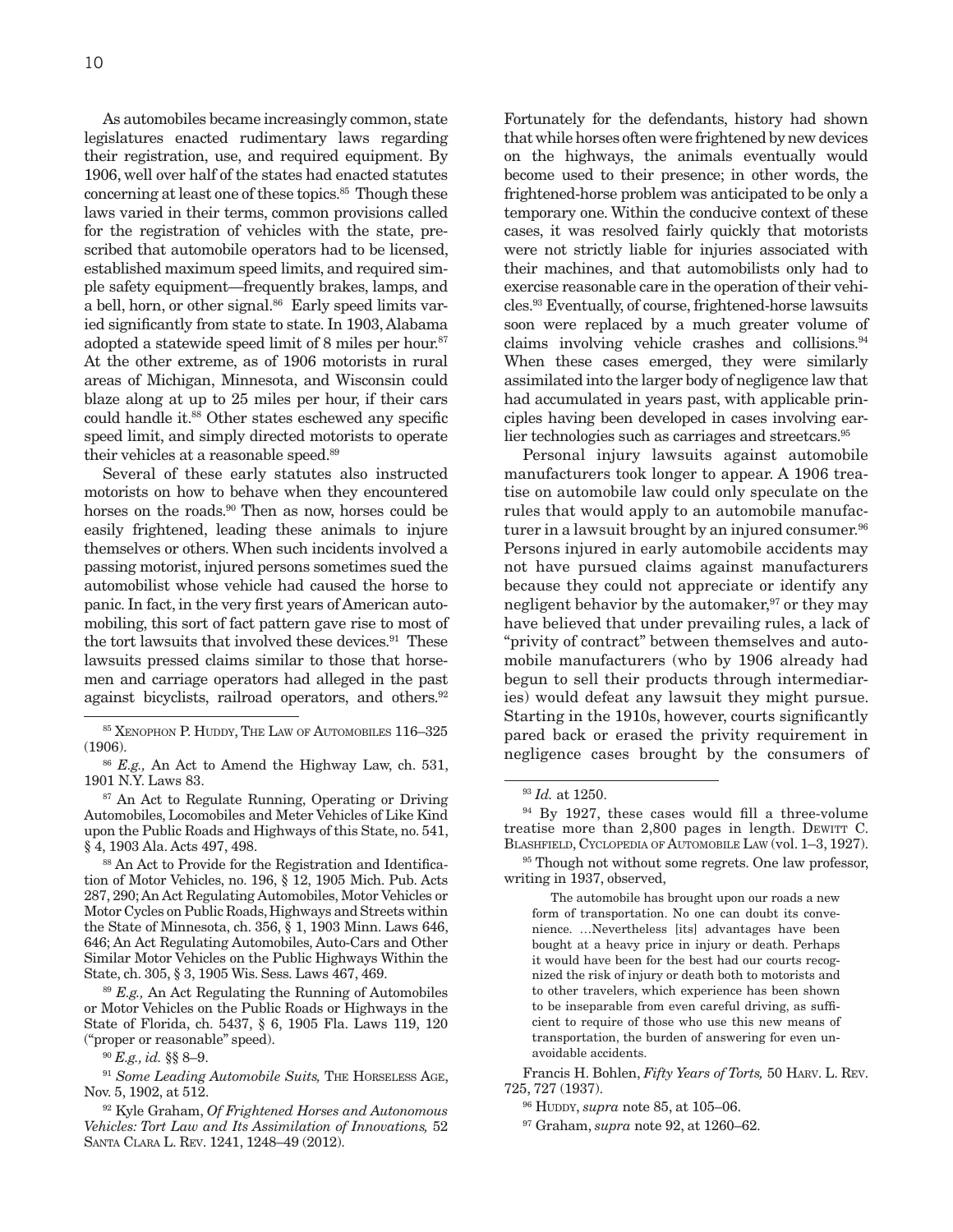As automobiles became increasingly common, state legislatures enacted rudimentary laws regarding their registration, use, and required equipment. By 1906, well over half of the states had enacted statutes concerning at least one of these topics.<sup>85</sup> Though these laws varied in their terms, common provisions called for the registration of vehicles with the state, prescribed that automobile operators had to be licensed, established maximum speed limits, and required simple safety equipment—frequently brakes, lamps, and a bell, horn, or other signal.<sup>86</sup> Early speed limits varied significantly from state to state. In 1903, Alabama adopted a statewide speed limit of 8 miles per hour.<sup>87</sup> At the other extreme, as of 1906 motorists in rural areas of Michigan, Minnesota, and Wisconsin could blaze along at up to 25 miles per hour, if their cars could handle it.<sup>88</sup> Other states eschewed any specific speed limit, and simply directed motorists to operate their vehicles at a reasonable speed.89

Several of these early statutes also instructed motorists on how to behave when they encountered horses on the roads.<sup>90</sup> Then as now, horses could be easily frightened, leading these animals to injure themselves or others. When such incidents involved a passing motorist, injured persons sometimes sued the automobilist whose vehicle had caused the horse to panic. In fact, in the very first years of American automobiling, this sort of fact pattern gave rise to most of the tort lawsuits that involved these devices.<sup>91</sup> These lawsuits pressed claims similar to those that horsemen and carriage operators had alleged in the past against bicyclists, railroad operators, and others.<sup>92</sup>

<sup>91</sup> *Some Leading Automobile Suits,* The Horseless Age, Nov. 5, 1902, at 512.

Fortunately for the defendants, history had shown that while horses often were frightened by new devices on the highways, the animals eventually would become used to their presence; in other words, the frightened-horse problem was anticipated to be only a temporary one. Within the conducive context of these cases, it was resolved fairly quickly that motorists were not strictly liable for injuries associated with their machines, and that automobilists only had to exercise reasonable care in the operation of their vehicles.93 Eventually, of course, frightened-horse lawsuits soon were replaced by a much greater volume of claims involving vehicle crashes and collisions.<sup>94</sup> When these cases emerged, they were similarly assimilated into the larger body of negligence law that had accumulated in years past, with applicable principles having been developed in cases involving earlier technologies such as carriages and streetcars.<sup>95</sup>

Personal injury lawsuits against automobile manufacturers took longer to appear. A 1906 treatise on automobile law could only speculate on the rules that would apply to an automobile manufacturer in a lawsuit brought by an injured consumer.<sup>96</sup> Persons injured in early automobile accidents may not have pursued claims against manufacturers because they could not appreciate or identify any negligent behavior by the automaker, $97$  or they may have believed that under prevailing rules, a lack of "privity of contract" between themselves and automobile manufacturers (who by 1906 already had begun to sell their products through intermediaries) would defeat any lawsuit they might pursue. Starting in the 1910s, however, courts significantly pared back or erased the privity requirement in negligence cases brought by the consumers of

<sup>95</sup> Though not without some regrets. One law professor, writing in 1937, observed,

The automobile has brought upon our roads a new form of transportation. No one can doubt its convenience. …Nevertheless [its] advantages have been bought at a heavy price in injury or death. Perhaps it would have been for the best had our courts recognized the risk of injury or death both to motorists and to other travelers, which experience has been shown to be inseparable from even careful driving, as sufficient to require of those who use this new means of transportation, the burden of answering for even unavoidable accidents.

Francis H. Bohlen, *Fifty Years of Torts,* 50 Harv. L. Rev. 725, 727 (1937).

<sup>85</sup> Xenophon P. Huddy, The Law of Automobiles 116–325 (1906).

<sup>86</sup> *E.g.,* An Act to Amend the Highway Law, ch. 531, 1901 N.Y. Laws 83.

<sup>&</sup>lt;sup>87</sup> An Act to Regulate Running, Operating or Driving Automobiles, Locomobiles and Meter Vehicles of Like Kind upon the Public Roads and Highways of this State, no. 541, § 4, 1903 Ala. Acts 497, 498.

<sup>88</sup> An Act to Provide for the Registration and Identification of Motor Vehicles, no. 196, § 12, 1905 Mich. Pub. Acts 287, 290; An Act Regulating Automobiles, Motor Vehicles or Motor Cycles on Public Roads, Highways and Streets within the State of Minnesota, ch. 356, § 1, 1903 Minn. Laws 646, 646; An Act Regulating Automobiles, Auto-Cars and Other Similar Motor Vehicles on the Public Highways Within the State, ch. 305, § 3, 1905 Wis. Sess. Laws 467, 469.

<sup>89</sup> *E.g.,* An Act Regulating the Running of Automobiles or Motor Vehicles on the Public Roads or Highways in the State of Florida, ch. 5437, § 6, 1905 Fla. Laws 119, 120 ("proper or reasonable" speed).

<sup>90</sup> *E.g., id.* §§ 8–9.

<sup>92</sup> Kyle Graham, *Of Frightened Horses and Autonomous Vehicles: Tort Law and Its Assimilation of Innovations,* 52 Santa Clara L. Rev. 1241, 1248–49 (2012).

<sup>93</sup> *Id.* at 1250.

<sup>&</sup>lt;sup>94</sup> By 1927, these cases would fill a three-volume treatise more than  $2,800$  pages in length. DEWITT C. BLASHFIELD, CYCLOPEDIA OF AUTOMOBILE LAW (vol. 1-3, 1927).

<sup>&</sup>lt;sup>96</sup> HUDDY, *supra* note 85, at 105-06.

<sup>97</sup> Graham, *supra* note 92, at 1260–62.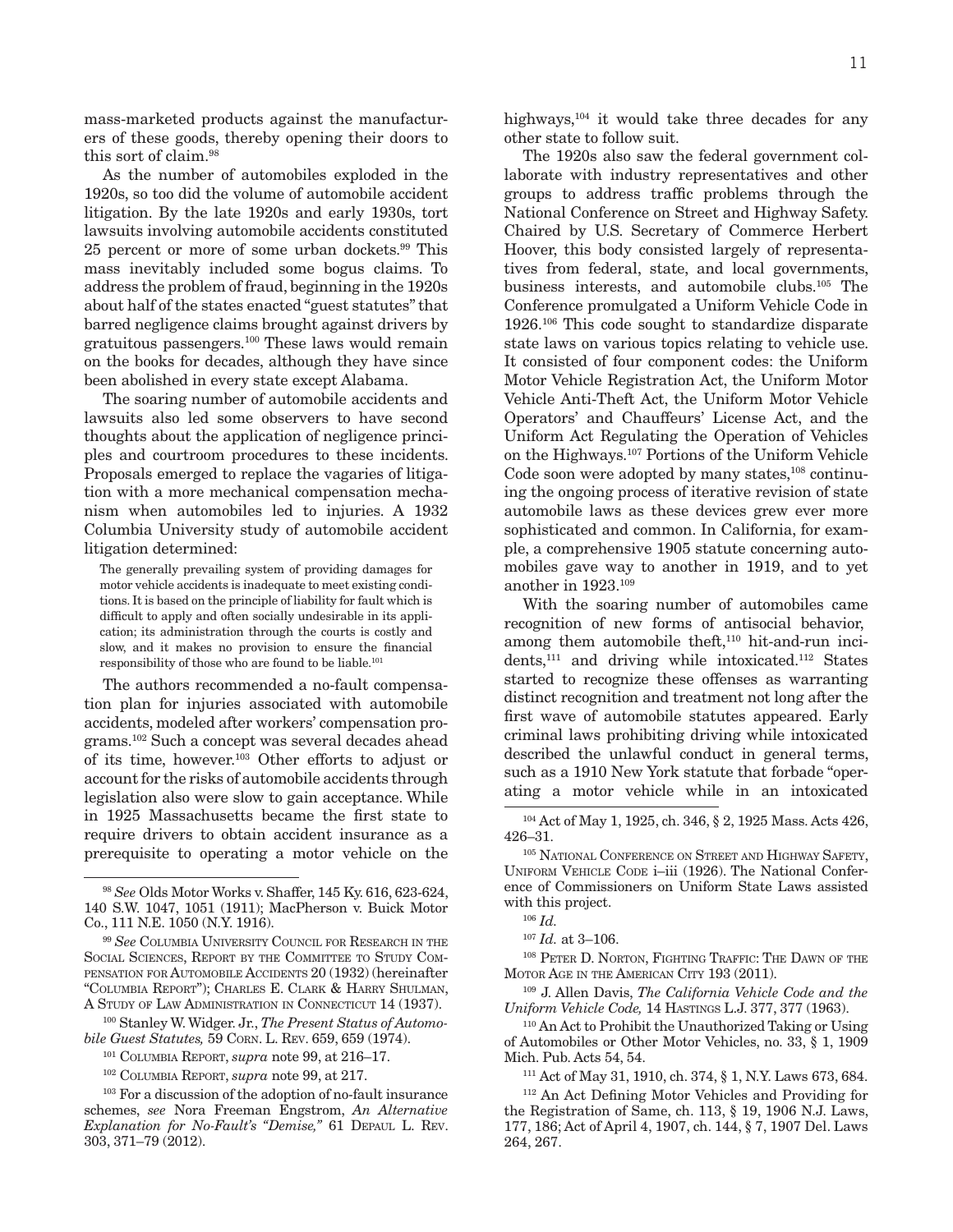mass-marketed products against the manufacturers of these goods, thereby opening their doors to this sort of claim.98

As the number of automobiles exploded in the 1920s, so too did the volume of automobile accident litigation. By the late 1920s and early 1930s, tort lawsuits involving automobile accidents constituted 25 percent or more of some urban dockets.99 This mass inevitably included some bogus claims. To address the problem of fraud, beginning in the 1920s about half of the states enacted "guest statutes" that barred negligence claims brought against drivers by gratuitous passengers.100 These laws would remain on the books for decades, although they have since been abolished in every state except Alabama.

The soaring number of automobile accidents and lawsuits also led some observers to have second thoughts about the application of negligence principles and courtroom procedures to these incidents. Proposals emerged to replace the vagaries of litigation with a more mechanical compensation mechanism when automobiles led to injuries. A 1932 Columbia University study of automobile accident litigation determined:

The generally prevailing system of providing damages for motor vehicle accidents is inadequate to meet existing conditions. It is based on the principle of liability for fault which is difficult to apply and often socially undesirable in its application; its administration through the courts is costly and slow, and it makes no provision to ensure the financial responsibility of those who are found to be liable.  $^{\rm 101}$ 

The authors recommended a no-fault compensation plan for injuries associated with automobile accidents, modeled after workers' compensation programs.102 Such a concept was several decades ahead of its time, however.103 Other efforts to adjust or account for the risks of automobile accidents through legislation also were slow to gain acceptance. While in 1925 Massachusetts became the first state to require drivers to obtain accident insurance as a prerequisite to operating a motor vehicle on the

100 Stanley W. Widger. Jr., *The Present Status of Automobile Guest Statutes,* 59 Corn. L. Rev. 659, 659 (1974).

highways,<sup>104</sup> it would take three decades for any other state to follow suit.

The 1920s also saw the federal government collaborate with industry representatives and other groups to address traffic problems through the National Conference on Street and Highway Safety. Chaired by U.S. Secretary of Commerce Herbert Hoover, this body consisted largely of representatives from federal, state, and local governments, business interests, and automobile clubs.105 The Conference promulgated a Uniform Vehicle Code in 1926.106 This code sought to standardize disparate state laws on various topics relating to vehicle use. It consisted of four component codes: the Uniform Motor Vehicle Registration Act, the Uniform Motor Vehicle Anti-Theft Act, the Uniform Motor Vehicle Operators' and Chauffeurs' License Act, and the Uniform Act Regulating the Operation of Vehicles on the Highways.107 Portions of the Uniform Vehicle Code soon were adopted by many states, $108$  continuing the ongoing process of iterative revision of state automobile laws as these devices grew ever more sophisticated and common. In California, for example, a comprehensive 1905 statute concerning automobiles gave way to another in 1919, and to yet another in 1923.109

With the soaring number of automobiles came recognition of new forms of antisocial behavior, among them automobile theft,<sup>110</sup> hit-and-run incidents,111 and driving while intoxicated.112 States started to recognize these offenses as warranting distinct recognition and treatment not long after the first wave of automobile statutes appeared. Early criminal laws prohibiting driving while intoxicated described the unlawful conduct in general terms, such as a 1910 New York statute that forbade "operating a motor vehicle while in an intoxicated

<sup>108</sup> Peter D. Norton, Fighting Traffic: The Dawn of the MOTOR AGE IN THE AMERICAN CITY 193 (2011).

109 J. Allen Davis, *The California Vehicle Code and the Uniform Vehicle Code,* 14 Hastings L.J. 377, 377 (1963).

110 An Act to Prohibit the Unauthorized Taking or Using of Automobiles or Other Motor Vehicles, no. 33, § 1, 1909 Mich. Pub. Acts 54, 54.

111 Act of May 31, 1910, ch. 374, § 1, N.Y. Laws 673, 684.

112 An Act Defining Motor Vehicles and Providing for the Registration of Same, ch. 113, § 19, 1906 N.J. Laws, 177, 186; Act of April 4, 1907, ch. 144, § 7, 1907 Del. Laws 264, 267.

<sup>98</sup> *See* Olds Motor Works v. Shaffer, 145 Ky. 616, 623-624, 140 S.W. 1047, 1051 (1911); MacPherson v. Buick Motor Co., 111 N.E. 1050 (N.Y. 1916).

<sup>99</sup> *See* Columbia University Council for Research in the SOCIAL SCIENCES, REPORT BY THE COMMITTEE TO STUDY COMpensation for Automobile Accidents 20 (1932) (hereinafter "Columbia Report"); Charles E. Clark & Harry Shulman, A Study of Law Administration in Connecticut 14 (1937).

<sup>101</sup> Columbia Report, *supra* note 99, at 216–17.

<sup>102</sup> Columbia Report, *supra* note 99, at 217.

<sup>103</sup> For a discussion of the adoption of no-fault insurance schemes, *see* Nora Freeman Engstrom, *An Alternative Explanation for No-Fault's "Demise,"* 61 Depaul L. Rev. 303, 371–79 (2012).

<sup>104</sup> Act of May 1, 1925, ch. 346, § 2, 1925 Mass. Acts 426, 426–31.

<sup>&</sup>lt;sup>105</sup> NATIONAL CONFERENCE ON STREET AND HIGHWAY SAFETY, Uniform Vehicle Code i–iii (1926). The National Conference of Commissioners on Uniform State Laws assisted with this project.

<sup>106</sup> *Id.*

 $\real^{107}$   $Id.$  at 3–106.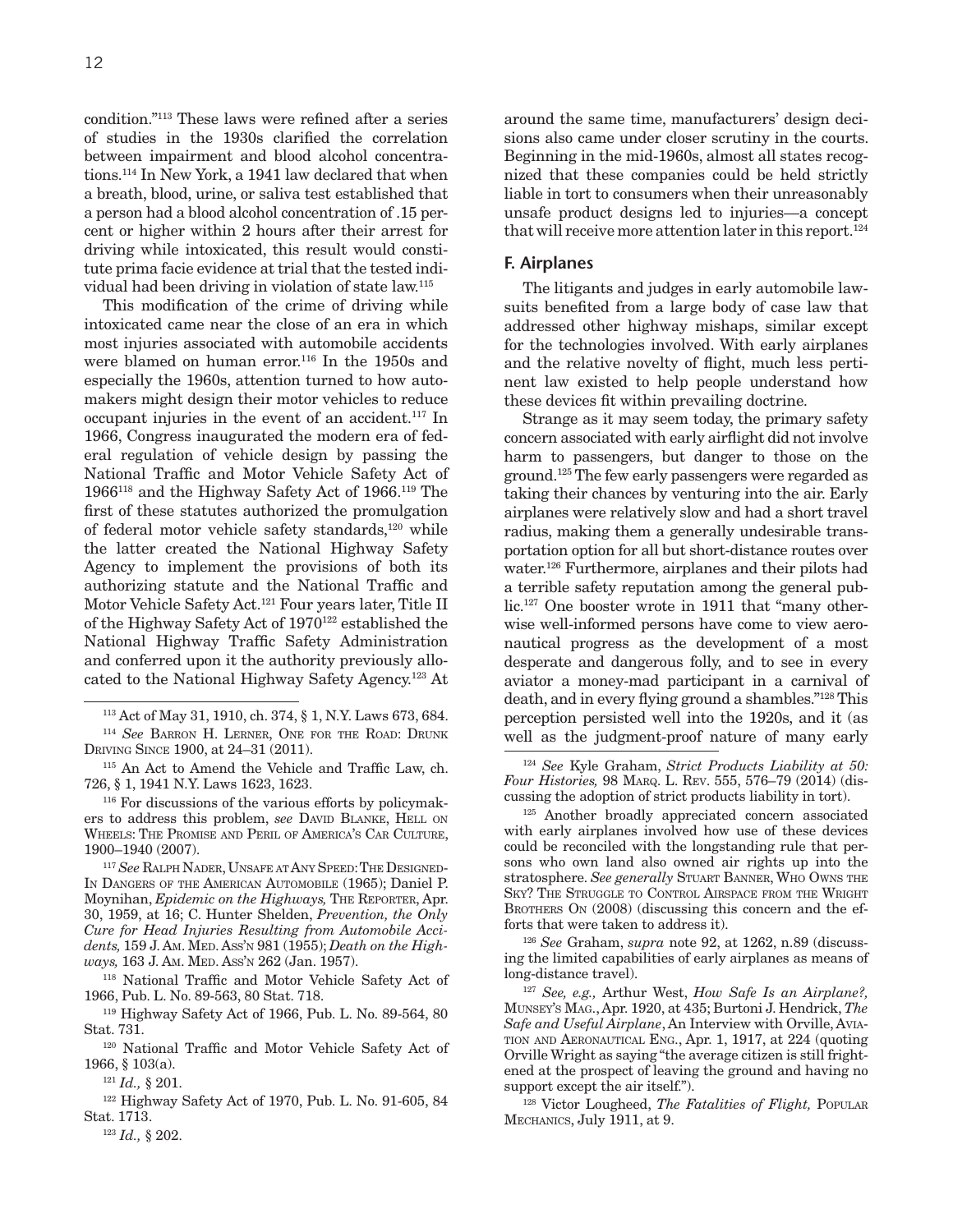condition."113 These laws were refined after a series of studies in the 1930s clarified the correlation between impairment and blood alcohol concentrations.114 In New York, a 1941 law declared that when a breath, blood, urine, or saliva test established that a person had a blood alcohol concentration of .15 percent or higher within 2 hours after their arrest for driving while intoxicated, this result would constitute prima facie evidence at trial that the tested indi-

vidual had been driving in violation of state law.115 This modification of the crime of driving while intoxicated came near the close of an era in which most injuries associated with automobile accidents were blamed on human error.<sup>116</sup> In the 1950s and especially the 1960s, attention turned to how automakers might design their motor vehicles to reduce occupant injuries in the event of an accident.117 In 1966, Congress inaugurated the modern era of federal regulation of vehicle design by passing the National Traffic and Motor Vehicle Safety Act of 1966118 and the Highway Safety Act of 1966.119 The first of these statutes authorized the promulgation of federal motor vehicle safety standards,<sup>120</sup> while the latter created the National Highway Safety Agency to implement the provisions of both its authorizing statute and the National Traffic and Motor Vehicle Safety Act.121 Four years later, Title II of the Highway Safety Act of 1970122 established the National Highway Traffic Safety Administration and conferred upon it the authority previously allocated to the National Highway Safety Agency.123 At

113 Act of May 31, 1910, ch. 374, § 1, N.Y. Laws 673, 684.

<sup>114</sup> *See* Barron H. Lerner, One for the Road: Drunk Driving Since 1900, at 24–31 (2011).

116 For discussions of the various efforts by policymakers to address this problem, see DAVID BLANKE, HELL ON Wheels: The Promise and Peril of America's Car Culture, 1900–1940 (2007).

<sup>117</sup> *See* Ralph Nader, Unsafe at Any Speed: The Designed-In Dangers of the American Automobile (1965); Daniel P. Moynihan, *Epidemic on the Highways,* The Reporter, Apr. 30, 1959, at 16; C. Hunter Shelden, *Prevention, the Only Cure for Head Injuries Resulting from Automobile Acci*dents, 159 J. Am. MED. Ass'n 981 (1955); *Death on the Highways*, 163 J. Am. MED. Ass'n 262 (Jan. 1957).

118 National Traffic and Motor Vehicle Safety Act of 1966, Pub. L. No. 89-563, 80 Stat. 718.

119 Highway Safety Act of 1966, Pub. L. No. 89-564, 80 Stat. 731.

120 National Traffic and Motor Vehicle Safety Act of 1966, § 103(a).

<sup>121</sup> *Id.,* § 201.

122 Highway Safety Act of 1970, Pub. L. No. 91-605, 84 Stat. 1713.

around the same time, manufacturers' design decisions also came under closer scrutiny in the courts. Beginning in the mid-1960s, almost all states recognized that these companies could be held strictly liable in tort to consumers when their unreasonably unsafe product designs led to injuries—a concept that will receive more attention later in this report.<sup>124</sup>

### **F. Airplanes**

The litigants and judges in early automobile lawsuits benefited from a large body of case law that addressed other highway mishaps, similar except for the technologies involved. With early airplanes and the relative novelty of flight, much less pertinent law existed to help people understand how these devices fit within prevailing doctrine.

Strange as it may seem today, the primary safety concern associated with early airflight did not involve harm to passengers, but danger to those on the ground.125 The few early passengers were regarded as taking their chances by venturing into the air. Early airplanes were relatively slow and had a short travel radius, making them a generally undesirable transportation option for all but short-distance routes over water.126 Furthermore, airplanes and their pilots had a terrible safety reputation among the general public.127 One booster wrote in 1911 that "many otherwise well-informed persons have come to view aeronautical progress as the development of a most desperate and dangerous folly, and to see in every aviator a money-mad participant in a carnival of death, and in every flying ground a shambles."128 This perception persisted well into the 1920s, and it (as well as the judgment-proof nature of many early

<sup>124</sup> *See* Kyle Graham, *Strict Products Liability at 50: Four Histories,* 98 Marq. L. Rev. 555, 576–79 (2014) (discussing the adoption of strict products liability in tort).

125 Another broadly appreciated concern associated with early airplanes involved how use of these devices could be reconciled with the longstanding rule that persons who own land also owned air rights up into the stratosphere. *See generally* Stuart Banner, Who Owns the SKY? THE STRUGGLE TO CONTROL AIRSPACE FROM THE WRIGHT BROTHERS ON (2008) (discussing this concern and the efforts that were taken to address it).

<sup>126</sup> *See* Graham, *supra* note 92, at 1262, n.89 (discussing the limited capabilities of early airplanes as means of long-distance travel).

<sup>127</sup> *See, e.g.,* Arthur West, *How Safe Is an Airplane?,*  Munsey's Mag., Apr. 1920, at 435; Burtoni J. Hendrick, *The Safe and Useful Airplane*, An Interview with Orville, Aviation and Aeronautical Eng., Apr. 1, 1917, at 224 (quoting Orville Wright as saying "the average citizen is still frightened at the prospect of leaving the ground and having no support except the air itself.").

128 Victor Lougheed, *The Fatalities of Flight,* Popular Mechanics, July 1911, at 9.

<sup>115</sup> An Act to Amend the Vehicle and Traffic Law, ch. 726, § 1, 1941 N.Y. Laws 1623, 1623.

<sup>123</sup> *Id.,* § 202.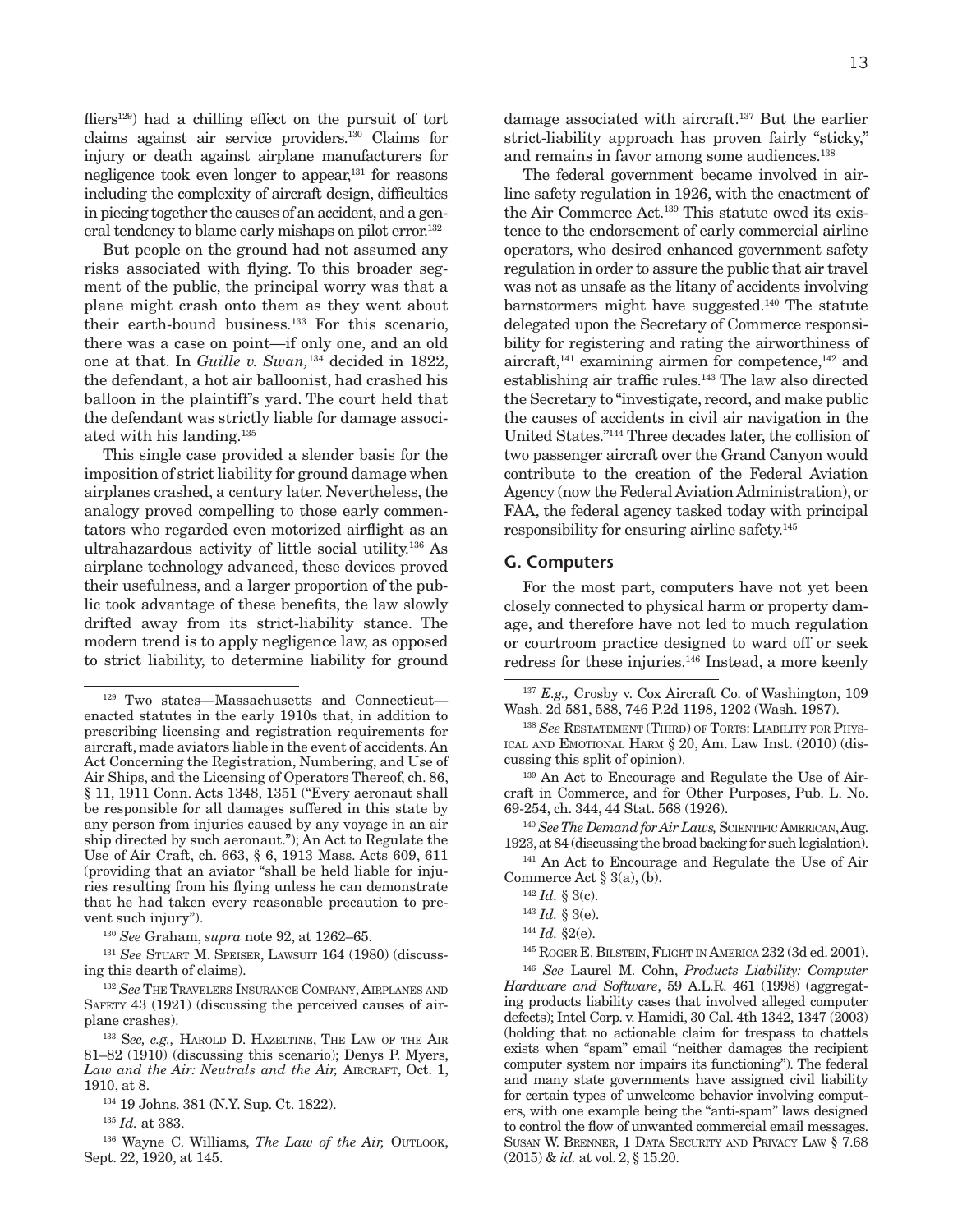fliers<sup>129</sup>) had a chilling effect on the pursuit of tort claims against air service providers.130 Claims for injury or death against airplane manufacturers for negligence took even longer to appear, $131$  for reasons including the complexity of aircraft design, difficulties in piecing together the causes of an accident, and a general tendency to blame early mishaps on pilot error.132

But people on the ground had not assumed any risks associated with flying. To this broader segment of the public, the principal worry was that a plane might crash onto them as they went about their earth-bound business.133 For this scenario, there was a case on point—if only one, and an old one at that. In *Guille v. Swan,*134 decided in 1822, the defendant, a hot air balloonist, had crashed his balloon in the plaintiff's yard. The court held that the defendant was strictly liable for damage associated with his landing.135

This single case provided a slender basis for the imposition of strict liability for ground damage when airplanes crashed, a century later. Nevertheless, the analogy proved compelling to those early commentators who regarded even motorized airflight as an ultrahazardous activity of little social utility.136 As airplane technology advanced, these devices proved their usefulness, and a larger proportion of the public took advantage of these benefits, the law slowly drifted away from its strict-liability stance. The modern trend is to apply negligence law, as opposed to strict liability, to determine liability for ground

damage associated with aircraft.137 But the earlier strict-liability approach has proven fairly "sticky," and remains in favor among some audiences.<sup>138</sup>

The federal government became involved in airline safety regulation in 1926, with the enactment of the Air Commerce Act.139 This statute owed its existence to the endorsement of early commercial airline operators, who desired enhanced government safety regulation in order to assure the public that air travel was not as unsafe as the litany of accidents involving barnstormers might have suggested.140 The statute delegated upon the Secretary of Commerce responsibility for registering and rating the airworthiness of aircraft, $141$  examining airmen for competence, $142$  and establishing air traffic rules.<sup>143</sup> The law also directed the Secretary to "investigate, record, and make public the causes of accidents in civil air navigation in the United States."144 Three decades later, the collision of two passenger aircraft over the Grand Canyon would contribute to the creation of the Federal Aviation Agency (now the Federal Aviation Administration), or FAA, the federal agency tasked today with principal responsibility for ensuring airline safety.145

## **G. Computers**

For the most part, computers have not yet been closely connected to physical harm or property damage, and therefore have not led to much regulation or courtroom practice designed to ward off or seek redress for these injuries.146 Instead, a more keenly

<sup>140</sup> *See The Demand for Air Laws,* Scientific American, Aug. 1923, at 84 (discussing the broad backing for such legislation).

141 An Act to Encourage and Regulate the Use of Air Commerce Act  $\S 3(a)$ , (b).

<sup>129</sup> Two states—Massachusetts and Connecticut enacted statutes in the early 1910s that, in addition to prescribing licensing and registration requirements for aircraft, made aviators liable in the event of accidents. An Act Concerning the Registration, Numbering, and Use of Air Ships, and the Licensing of Operators Thereof, ch. 86, § 11, 1911 Conn. Acts 1348, 1351 ("Every aeronaut shall be responsible for all damages suffered in this state by any person from injuries caused by any voyage in an air ship directed by such aeronaut."); An Act to Regulate the Use of Air Craft, ch. 663, § 6, 1913 Mass. Acts 609, 611 (providing that an aviator "shall be held liable for injuries resulting from his flying unless he can demonstrate that he had taken every reasonable precaution to prevent such injury").

<sup>130</sup> *See* Graham, *supra* note 92, at 1262–65.

<sup>&</sup>lt;sup>131</sup> See STUART M. SPEISER, LAWSUIT 164 (1980) (discussing this dearth of claims).

<sup>132</sup> *See* The Travelers Insurance Company, Airplanes and SAFETY 43 (1921) (discussing the perceived causes of airplane crashes).

<sup>133</sup> S*ee, e.g.,* Harold D. Hazeltine, The Law of the Air 81–82 (1910) (discussing this scenario); Denys P. Myers, Law and the Air: Neutrals and the Air, AIRCRAFT, Oct. 1, 1910, at 8.

<sup>134 19</sup> Johns. 381 (N.Y. Sup. Ct. 1822).

<sup>135</sup> *Id.* at 383.

<sup>136</sup> Wayne C. Williams, *The Law of the Air*, OUTLOOK, Sept. 22, 1920, at 145.

<sup>137</sup> *E.g.,* Crosby v. Cox Aircraft Co. of Washington, 109 Wash. 2d 581, 588, 746 P.2d 1198, 1202 (Wash. 1987).

<sup>138</sup> *See* Restatement (Third) of Torts: Liability for Physical and Emotional Harm § 20, Am. Law Inst. (2010) (discussing this split of opinion).

<sup>139</sup> An Act to Encourage and Regulate the Use of Aircraft in Commerce, and for Other Purposes, Pub. L. No. 69-254, ch. 344, 44 Stat. 568 (1926).

<sup>142</sup> *Id.* § 3(c).

<sup>143</sup> *Id.* § 3(e).

<sup>144</sup> *Id.* §2(e).

<sup>145</sup> Roger E. Bilstein, Flight in America 232 (3d ed. 2001).

<sup>146</sup> *See* Laurel M. Cohn, *Products Liability: Computer Hardware and Software*, 59 A.L.R. 461 (1998) (aggregating products liability cases that involved alleged computer defects); Intel Corp. v. Hamidi, 30 Cal. 4th 1342, 1347 (2003) (holding that no actionable claim for trespass to chattels exists when "spam" email "neither damages the recipient computer system nor impairs its functioning"). The federal and many state governments have assigned civil liability for certain types of unwelcome behavior involving computers, with one example being the "anti-spam" laws designed to control the flow of unwanted commercial email messages. Susan W. Brenner, 1 Data Security and Privacy Law § 7.68 (2015) & *id.* at vol. 2, § 15.20.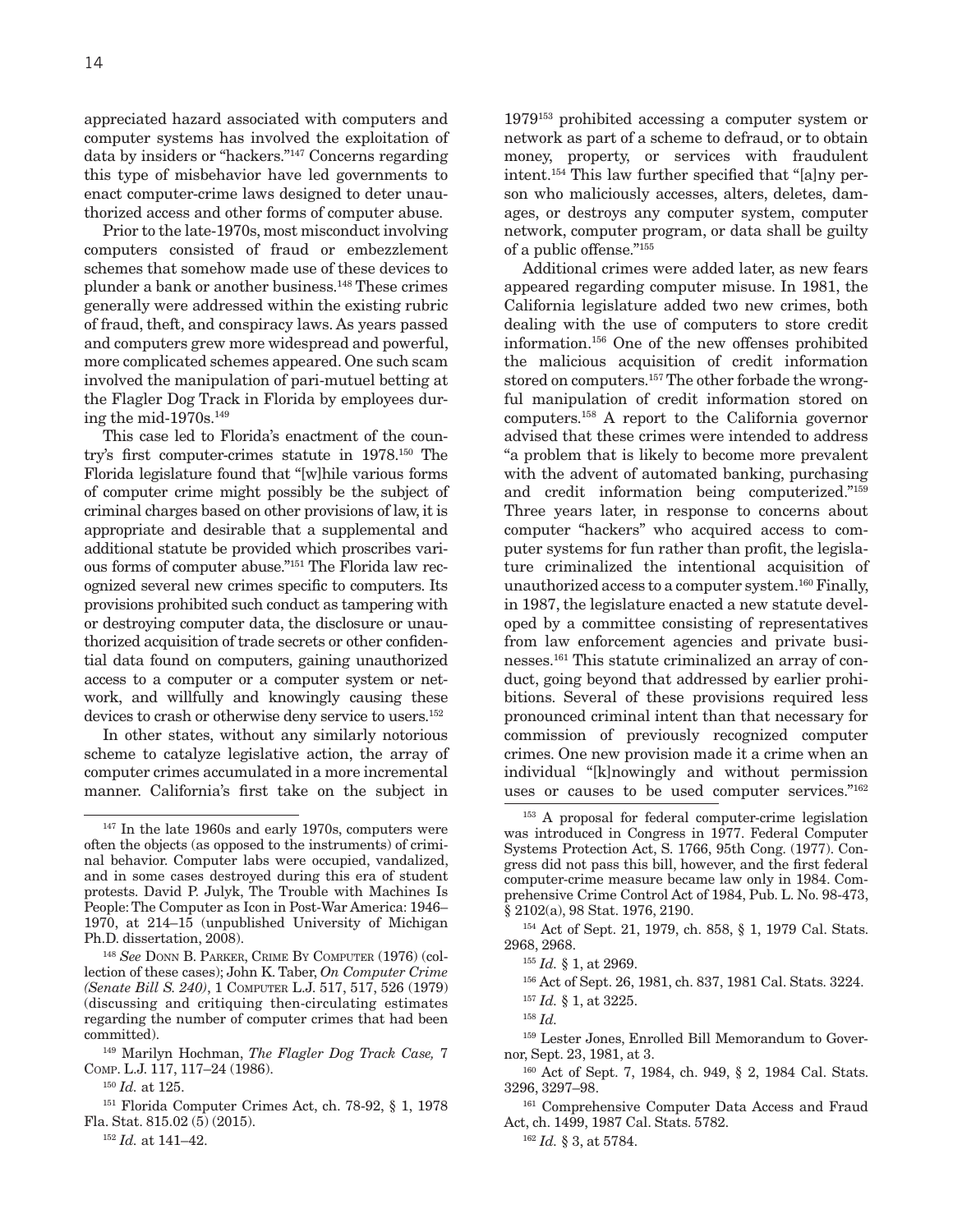appreciated hazard associated with computers and computer systems has involved the exploitation of data by insiders or "hackers."147 Concerns regarding this type of misbehavior have led governments to enact computer-crime laws designed to deter unauthorized access and other forms of computer abuse.

Prior to the late-1970s, most misconduct involving computers consisted of fraud or embezzlement schemes that somehow made use of these devices to plunder a bank or another business.148 These crimes generally were addressed within the existing rubric of fraud, theft, and conspiracy laws. As years passed and computers grew more widespread and powerful, more complicated schemes appeared. One such scam involved the manipulation of pari-mutuel betting at the Flagler Dog Track in Florida by employees during the mid-1970s. $149$ 

This case led to Florida's enactment of the country's first computer-crimes statute in 1978.150 The Florida legislature found that "[w]hile various forms of computer crime might possibly be the subject of criminal charges based on other provisions of law, it is appropriate and desirable that a supplemental and additional statute be provided which proscribes various forms of computer abuse."151 The Florida law recognized several new crimes specific to computers. Its provisions prohibited such conduct as tampering with or destroying computer data, the disclosure or unauthorized acquisition of trade secrets or other confidential data found on computers, gaining unauthorized access to a computer or a computer system or network, and willfully and knowingly causing these devices to crash or otherwise deny service to users.<sup>152</sup>

In other states, without any similarly notorious scheme to catalyze legislative action, the array of computer crimes accumulated in a more incremental manner. California's first take on the subject in

1979153 prohibited accessing a computer system or network as part of a scheme to defraud, or to obtain money, property, or services with fraudulent intent.154 This law further specified that "[a]ny person who maliciously accesses, alters, deletes, damages, or destroys any computer system, computer network, computer program, or data shall be guilty of a public offense."155

Additional crimes were added later, as new fears appeared regarding computer misuse. In 1981, the California legislature added two new crimes, both dealing with the use of computers to store credit information.156 One of the new offenses prohibited the malicious acquisition of credit information stored on computers.<sup>157</sup> The other forbade the wrongful manipulation of credit information stored on computers.158 A report to the California governor advised that these crimes were intended to address "a problem that is likely to become more prevalent with the advent of automated banking, purchasing and credit information being computerized."159 Three years later, in response to concerns about computer "hackers" who acquired access to computer systems for fun rather than profit, the legislature criminalized the intentional acquisition of unauthorized access to a computer system.160 Finally, in 1987, the legislature enacted a new statute developed by a committee consisting of representatives from law enforcement agencies and private businesses.161 This statute criminalized an array of conduct, going beyond that addressed by earlier prohibitions. Several of these provisions required less pronounced criminal intent than that necessary for commission of previously recognized computer crimes. One new provision made it a crime when an individual "[k]nowingly and without permission uses or causes to be used computer services."162

154 Act of Sept. 21, 1979, ch. 858, § 1, 1979 Cal. Stats. 2968, 2968.

156 Act of Sept. 26, 1981, ch. 837, 1981 Cal. Stats. 3224.

<sup>162</sup> *Id.* § 3, at 5784.

<sup>&</sup>lt;sup>147</sup> In the late 1960s and early 1970s, computers were often the objects (as opposed to the instruments) of criminal behavior. Computer labs were occupied, vandalized, and in some cases destroyed during this era of student protests. David P. Julyk, The Trouble with Machines Is People: The Computer as Icon in Post-War America: 1946– 1970, at 214–15 (unpublished University of Michigan Ph.D. dissertation, 2008).

<sup>148</sup> *See* Donn B. Parker, Crime By Computer (1976) (collection of these cases); John K. Taber, *On Computer Crime (Senate Bill S. 240)*, 1 Computer L.J. 517, 517, 526 (1979) (discussing and critiquing then-circulating estimates regarding the number of computer crimes that had been committed).

<sup>149</sup> Marilyn Hochman, *The Flagler Dog Track Case,* 7 Comp. L.J. 117, 117–24 (1986).

<sup>150</sup> *Id.* at 125.

<sup>151</sup> Florida Computer Crimes Act, ch. 78-92, § 1, 1978 Fla. Stat. 815.02 (5) (2015).

<sup>152</sup> *Id.* at 141–42.

<sup>&</sup>lt;sup>153</sup> A proposal for federal computer-crime legislation was introduced in Congress in 1977. Federal Computer Systems Protection Act, S. 1766, 95th Cong. (1977). Congress did not pass this bill, however, and the first federal computer-crime measure became law only in 1984. Comprehensive Crime Control Act of 1984, Pub. L. No. 98-473, § 2102(a), 98 Stat. 1976, 2190.

<sup>155</sup> *Id.* § 1, at 2969.

<sup>157</sup> *Id.* § 1, at 3225.

<sup>158</sup> *Id.*

<sup>159</sup> Lester Jones, Enrolled Bill Memorandum to Governor, Sept. 23, 1981, at 3.

<sup>160</sup> Act of Sept. 7, 1984, ch. 949, § 2, 1984 Cal. Stats. 3296, 3297–98.

<sup>161</sup> Comprehensive Computer Data Access and Fraud Act, ch. 1499, 1987 Cal. Stats. 5782.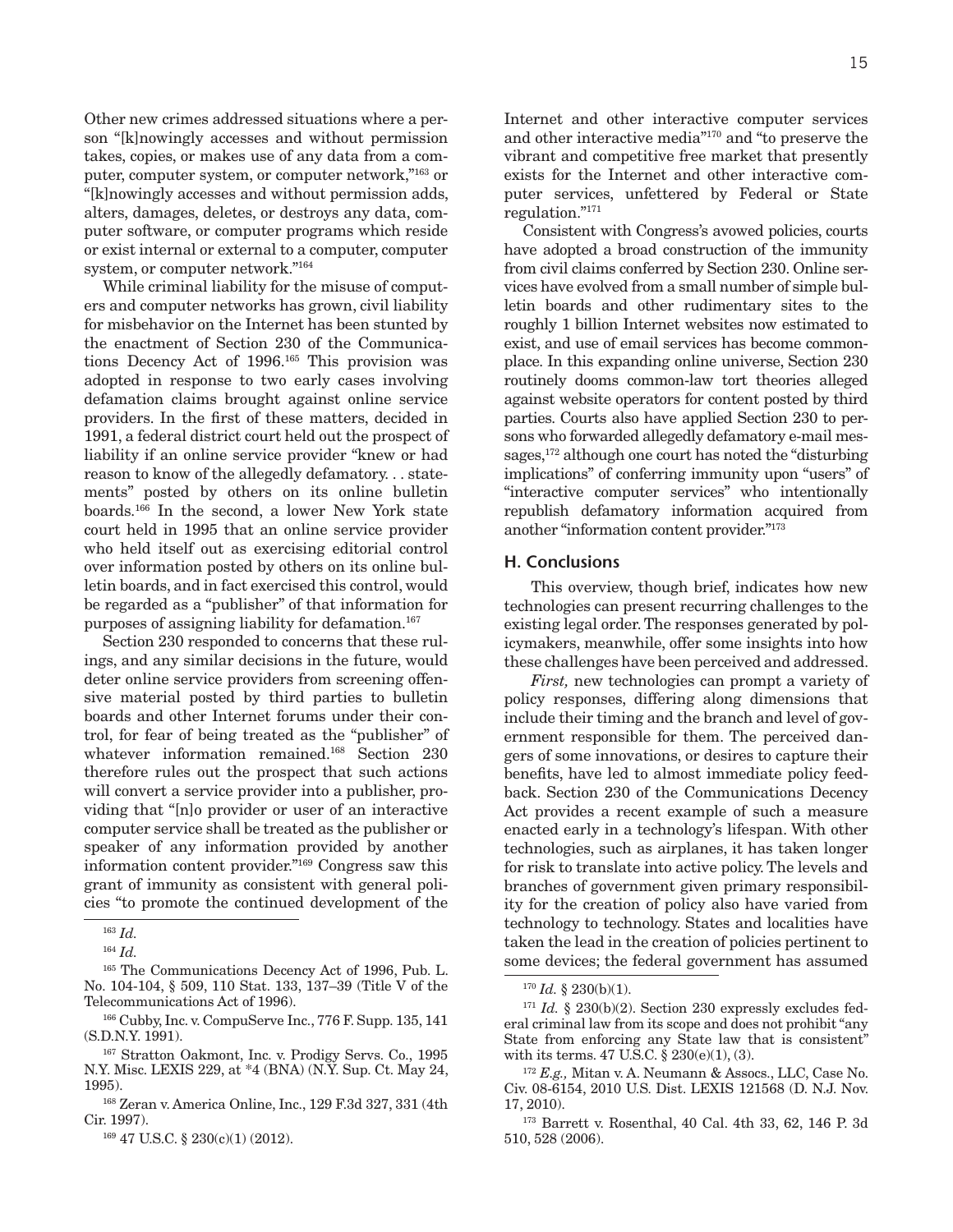Other new crimes addressed situations where a person "[k]nowingly accesses and without permission takes, copies, or makes use of any data from a computer, computer system, or computer network,"163 or "[k]nowingly accesses and without permission adds, alters, damages, deletes, or destroys any data, computer software, or computer programs which reside or exist internal or external to a computer, computer system, or computer network."164

While criminal liability for the misuse of computers and computer networks has grown, civil liability for misbehavior on the Internet has been stunted by the enactment of Section 230 of the Communications Decency Act of 1996.165 This provision was adopted in response to two early cases involving defamation claims brought against online service providers. In the first of these matters, decided in 1991, a federal district court held out the prospect of liability if an online service provider "knew or had reason to know of the allegedly defamatory. . . statements" posted by others on its online bulletin boards.166 In the second, a lower New York state court held in 1995 that an online service provider who held itself out as exercising editorial control over information posted by others on its online bulletin boards, and in fact exercised this control, would be regarded as a "publisher" of that information for purposes of assigning liability for defamation.167

Section 230 responded to concerns that these rulings, and any similar decisions in the future, would deter online service providers from screening offensive material posted by third parties to bulletin boards and other Internet forums under their control, for fear of being treated as the "publisher" of whatever information remained.168 Section 230 therefore rules out the prospect that such actions will convert a service provider into a publisher, providing that "[n]o provider or user of an interactive computer service shall be treated as the publisher or speaker of any information provided by another information content provider."169 Congress saw this grant of immunity as consistent with general policies "to promote the continued development of the

Internet and other interactive computer services and other interactive media"170 and "to preserve the vibrant and competitive free market that presently exists for the Internet and other interactive computer services, unfettered by Federal or State regulation."171

Consistent with Congress's avowed policies, courts have adopted a broad construction of the immunity from civil claims conferred by Section 230. Online services have evolved from a small number of simple bulletin boards and other rudimentary sites to the roughly 1 billion Internet websites now estimated to exist, and use of email services has become commonplace. In this expanding online universe, Section 230 routinely dooms common-law tort theories alleged against website operators for content posted by third parties. Courts also have applied Section 230 to persons who forwarded allegedly defamatory e-mail messages, $172$  although one court has noted the "disturbing" implications" of conferring immunity upon "users" of "interactive computer services" who intentionally republish defamatory information acquired from another "information content provider."173

## **H. Conclusions**

This overview, though brief, indicates how new technologies can present recurring challenges to the existing legal order. The responses generated by policymakers, meanwhile, offer some insights into how these challenges have been perceived and addressed.

*First,* new technologies can prompt a variety of policy responses, differing along dimensions that include their timing and the branch and level of government responsible for them. The perceived dangers of some innovations, or desires to capture their benefits, have led to almost immediate policy feedback. Section 230 of the Communications Decency Act provides a recent example of such a measure enacted early in a technology's lifespan. With other technologies, such as airplanes, it has taken longer for risk to translate into active policy. The levels and branches of government given primary responsibility for the creation of policy also have varied from technology to technology. States and localities have taken the lead in the creation of policies pertinent to some devices; the federal government has assumed

<sup>163</sup> *Id.* 

<sup>164</sup> *Id.*

<sup>165</sup> The Communications Decency Act of 1996, Pub. L. No. 104-104, § 509, 110 Stat. 133, 137–39 (Title V of the Telecommunications Act of 1996).

<sup>166</sup> Cubby, Inc. v. CompuServe Inc., 776 F. Supp. 135, 141 (S.D.N.Y. 1991).

<sup>167</sup> Stratton Oakmont, Inc. v. Prodigy Servs. Co., 1995 N.Y. Misc. LEXIS 229, at \*4 (BNA) (N.Y. Sup. Ct. May 24, 1995).

<sup>168</sup> Zeran v. America Online, Inc., 129 F.3d 327, 331 (4th Cir. 1997).

<sup>169 47</sup> U.S.C. § 230(c)(1) (2012).

 $170$  *Id.* § 230(b)(1).

<sup>171</sup> *Id.* § 230(b)(2). Section 230 expressly excludes federal criminal law from its scope and does not prohibit "any State from enforcing any State law that is consistent" with its terms. 47 U.S.C.  $\S 230(e)(1)$ , (3).

<sup>172</sup> *E.g.,* Mitan v. A. Neumann & Assocs., LLC, Case No. Civ. 08-6154, 2010 U.S. Dist. LEXIS 121568 (D. N.J. Nov. 17, 2010).

<sup>173</sup> Barrett v. Rosenthal, 40 Cal. 4th 33, 62, 146 P. 3d 510, 528 (2006).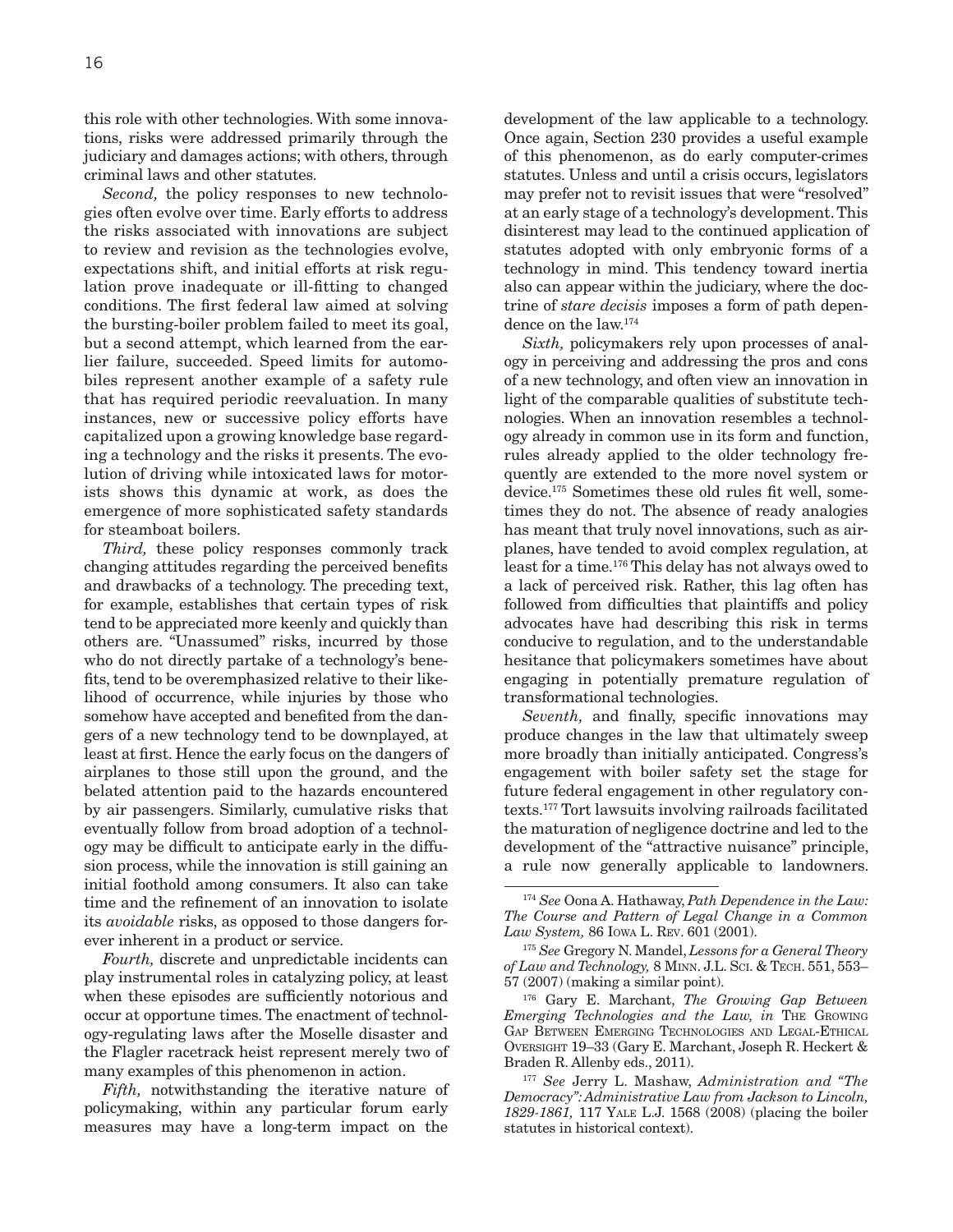this role with other technologies. With some innovations, risks were addressed primarily through the judiciary and damages actions; with others, through criminal laws and other statutes.

*Second,* the policy responses to new technologies often evolve over time. Early efforts to address the risks associated with innovations are subject to review and revision as the technologies evolve, expectations shift, and initial efforts at risk regulation prove inadequate or ill-fitting to changed conditions. The first federal law aimed at solving the bursting-boiler problem failed to meet its goal, but a second attempt, which learned from the earlier failure, succeeded. Speed limits for automobiles represent another example of a safety rule that has required periodic reevaluation. In many instances, new or successive policy efforts have capitalized upon a growing knowledge base regarding a technology and the risks it presents. The evolution of driving while intoxicated laws for motorists shows this dynamic at work, as does the emergence of more sophisticated safety standards for steamboat boilers.

*Third,* these policy responses commonly track changing attitudes regarding the perceived benefits and drawbacks of a technology. The preceding text, for example, establishes that certain types of risk tend to be appreciated more keenly and quickly than others are. "Unassumed" risks, incurred by those who do not directly partake of a technology's benefits, tend to be overemphasized relative to their likelihood of occurrence, while injuries by those who somehow have accepted and benefited from the dangers of a new technology tend to be downplayed, at least at first. Hence the early focus on the dangers of airplanes to those still upon the ground, and the belated attention paid to the hazards encountered by air passengers. Similarly, cumulative risks that eventually follow from broad adoption of a technology may be difficult to anticipate early in the diffusion process, while the innovation is still gaining an initial foothold among consumers. It also can take time and the refinement of an innovation to isolate its *avoidable* risks, as opposed to those dangers forever inherent in a product or service.

*Fourth,* discrete and unpredictable incidents can play instrumental roles in catalyzing policy, at least when these episodes are sufficiently notorious and occur at opportune times. The enactment of technology-regulating laws after the Moselle disaster and the Flagler racetrack heist represent merely two of many examples of this phenomenon in action.

*Fifth,* notwithstanding the iterative nature of policymaking, within any particular forum early measures may have a long-term impact on the

development of the law applicable to a technology. Once again, Section 230 provides a useful example of this phenomenon, as do early computer-crimes statutes. Unless and until a crisis occurs, legislators may prefer not to revisit issues that were "resolved" at an early stage of a technology's development. This disinterest may lead to the continued application of statutes adopted with only embryonic forms of a technology in mind. This tendency toward inertia also can appear within the judiciary, where the doctrine of *stare decisis* imposes a form of path dependence on the law.174

*Sixth,* policymakers rely upon processes of analogy in perceiving and addressing the pros and cons of a new technology, and often view an innovation in light of the comparable qualities of substitute technologies. When an innovation resembles a technology already in common use in its form and function, rules already applied to the older technology frequently are extended to the more novel system or device.175 Sometimes these old rules fit well, sometimes they do not. The absence of ready analogies has meant that truly novel innovations, such as airplanes, have tended to avoid complex regulation, at least for a time.176 This delay has not always owed to a lack of perceived risk. Rather, this lag often has followed from difficulties that plaintiffs and policy advocates have had describing this risk in terms conducive to regulation, and to the understandable hesitance that policymakers sometimes have about engaging in potentially premature regulation of transformational technologies.

*Seventh,* and finally, specific innovations may produce changes in the law that ultimately sweep more broadly than initially anticipated. Congress's engagement with boiler safety set the stage for future federal engagement in other regulatory contexts.177 Tort lawsuits involving railroads facilitated the maturation of negligence doctrine and led to the development of the "attractive nuisance" principle, a rule now generally applicable to landowners.

<sup>174</sup> *See* Oona A. Hathaway, *Path Dependence in the Law: The Course and Pattern of Legal Change in a Common Law System,* 86 Iowa L. Rev. 601 (2001).

<sup>175</sup> *See* Gregory N. Mandel, *Lessons for a General Theory of Law and Technology,* 8 Minn. J.L. Sci. & Tech. 551, 553– 57 (2007) (making a similar point).

<sup>176</sup> Gary E. Marchant, *The Growing Gap Between Emerging Technologies and the Law, in* The Growing Gap Between Emerging Technologies and Legal-Ethical Oversight 19–33 (Gary E. Marchant, Joseph R. Heckert & Braden R. Allenby eds., 2011).

<sup>177</sup> *See* Jerry L. Mashaw, *Administration and "The Democracy": Administrative Law from Jackson to Lincoln, 1829-1861,* 117 Yale L.J. 1568 (2008) (placing the boiler statutes in historical context).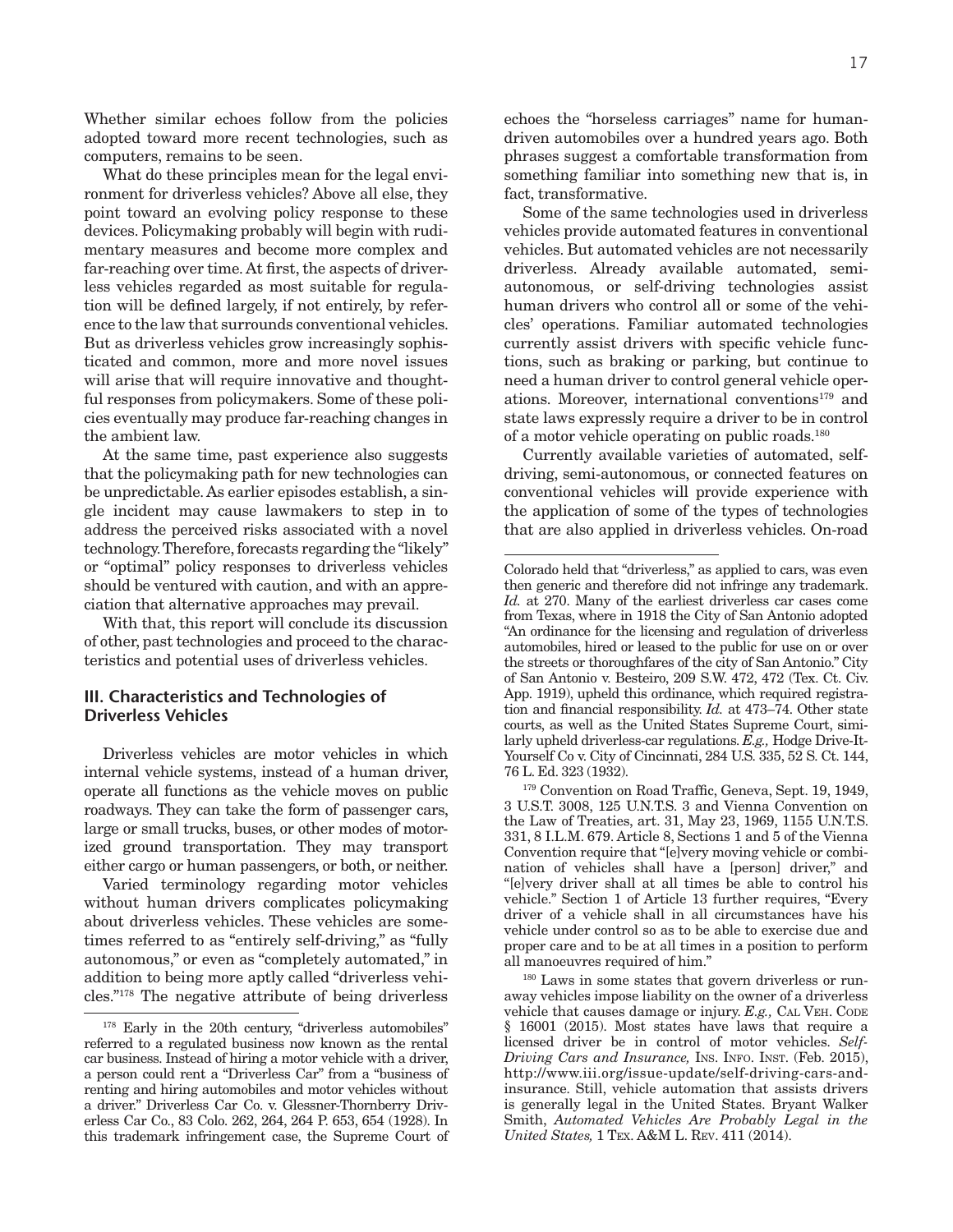Whether similar echoes follow from the policies adopted toward more recent technologies, such as computers, remains to be seen.

What do these principles mean for the legal environment for driverless vehicles? Above all else, they point toward an evolving policy response to these devices. Policymaking probably will begin with rudimentary measures and become more complex and far-reaching over time. At first, the aspects of driverless vehicles regarded as most suitable for regulation will be defined largely, if not entirely, by reference to the law that surrounds conventional vehicles. But as driverless vehicles grow increasingly sophisticated and common, more and more novel issues will arise that will require innovative and thoughtful responses from policymakers. Some of these policies eventually may produce far-reaching changes in the ambient law.

At the same time, past experience also suggests that the policymaking path for new technologies can be unpredictable. As earlier episodes establish, a single incident may cause lawmakers to step in to address the perceived risks associated with a novel technology. Therefore, forecasts regarding the "likely" or "optimal" policy responses to driverless vehicles should be ventured with caution, and with an appreciation that alternative approaches may prevail.

With that, this report will conclude its discussion of other, past technologies and proceed to the characteristics and potential uses of driverless vehicles.

## **III. Characteristics and Technologies of Driverless Vehicles**

Driverless vehicles are motor vehicles in which internal vehicle systems, instead of a human driver, operate all functions as the vehicle moves on public roadways. They can take the form of passenger cars, large or small trucks, buses, or other modes of motorized ground transportation. They may transport either cargo or human passengers, or both, or neither.

Varied terminology regarding motor vehicles without human drivers complicates policymaking about driverless vehicles. These vehicles are sometimes referred to as "entirely self-driving," as "fully autonomous," or even as "completely automated," in addition to being more aptly called "driverless vehicles."178 The negative attribute of being driverless echoes the "horseless carriages" name for humandriven automobiles over a hundred years ago. Both phrases suggest a comfortable transformation from something familiar into something new that is, in fact, transformative.

Some of the same technologies used in driverless vehicles provide automated features in conventional vehicles. But automated vehicles are not necessarily driverless. Already available automated, semiautonomous, or self-driving technologies assist human drivers who control all or some of the vehicles' operations. Familiar automated technologies currently assist drivers with specific vehicle functions, such as braking or parking, but continue to need a human driver to control general vehicle operations. Moreover, international conventions179 and state laws expressly require a driver to be in control of a motor vehicle operating on public roads.<sup>180</sup>

Currently available varieties of automated, selfdriving, semi-autonomous, or connected features on conventional vehicles will provide experience with the application of some of the types of technologies that are also applied in driverless vehicles. On-road

179 Convention on Road Traffic, Geneva, Sept. 19, 1949, 3 U.S.T. 3008, 125 U.N.T.S. 3 and Vienna Convention on the Law of Treaties, art. 31, May 23, 1969, 1155 U.N.T.S. 331, 8 I.L.M. 679. Article 8, Sections 1 and 5 of the Vienna Convention require that "[e]very moving vehicle or combination of vehicles shall have a [person] driver," and "[e]very driver shall at all times be able to control his vehicle." Section 1 of Article 13 further requires, "Every driver of a vehicle shall in all circumstances have his vehicle under control so as to be able to exercise due and proper care and to be at all times in a position to perform all manoeuvres required of him."

180 Laws in some states that govern driverless or runaway vehicles impose liability on the owner of a driverless vehicle that causes damage or injury. *E.g.*, CAL VEH. CODE § 16001 (2015). Most states have laws that require a licensed driver be in control of motor vehicles. *Self-Driving Cars and Insurance,* Ins. Info. Inst. (Feb. 2015), http://www.iii.org/issue-update/self-driving-cars-andinsurance. Still, vehicle automation that assists drivers is generally legal in the United States. Bryant Walker Smith, *Automated Vehicles Are Probably Legal in the United States,* 1 Tex. A&M L. Rev. 411 (2014).

<sup>&</sup>lt;sup>178</sup> Early in the 20th century, "driverless automobiles" referred to a regulated business now known as the rental car business. Instead of hiring a motor vehicle with a driver, a person could rent a "Driverless Car" from a "business of renting and hiring automobiles and motor vehicles without a driver." Driverless Car Co. v. Glessner-Thornberry Driverless Car Co., 83 Colo. 262, 264, 264 P. 653, 654 (1928). In this trademark infringement case, the Supreme Court of

Colorado held that "driverless," as applied to cars, was even then generic and therefore did not infringe any trademark. *Id.* at 270. Many of the earliest driverless car cases come from Texas, where in 1918 the City of San Antonio adopted "An ordinance for the licensing and regulation of driverless automobiles, hired or leased to the public for use on or over the streets or thoroughfares of the city of San Antonio." City of San Antonio v. Besteiro, 209 S.W. 472, 472 (Tex. Ct. Civ. App. 1919), upheld this ordinance, which required registration and financial responsibility. *Id.* at 473–74. Other state courts, as well as the United States Supreme Court, similarly upheld driverless-car regulations. *E.g.,* Hodge Drive-It-Yourself Co v. City of Cincinnati, 284 U.S. 335, 52 S. Ct. 144, 76 L. Ed. 323 (1932).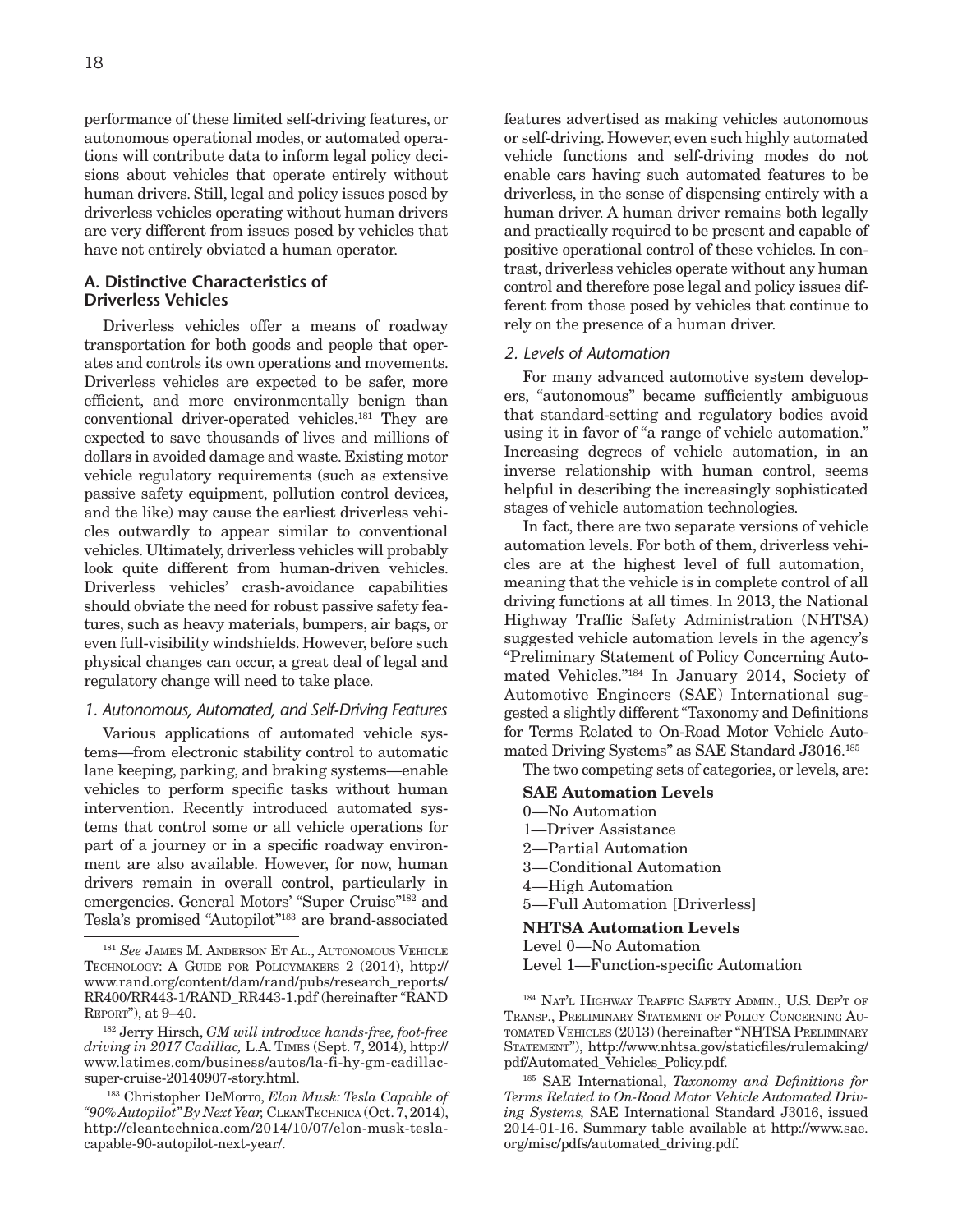performance of these limited self-driving features, or autonomous operational modes, or automated operations will contribute data to inform legal policy decisions about vehicles that operate entirely without human drivers. Still, legal and policy issues posed by driverless vehicles operating without human drivers are very different from issues posed by vehicles that have not entirely obviated a human operator.

## **A. Distinctive Characteristics of Driverless Vehicles**

Driverless vehicles offer a means of roadway transportation for both goods and people that operates and controls its own operations and movements. Driverless vehicles are expected to be safer, more efficient, and more environmentally benign than conventional driver-operated vehicles.181 They are expected to save thousands of lives and millions of dollars in avoided damage and waste. Existing motor vehicle regulatory requirements (such as extensive passive safety equipment, pollution control devices, and the like) may cause the earliest driverless vehicles outwardly to appear similar to conventional vehicles. Ultimately, driverless vehicles will probably look quite different from human-driven vehicles. Driverless vehicles' crash-avoidance capabilities should obviate the need for robust passive safety features, such as heavy materials, bumpers, air bags, or even full-visibility windshields. However, before such physical changes can occur, a great deal of legal and regulatory change will need to take place.

## *1. Autonomous, Automated, and Self-Driving Features*

Various applications of automated vehicle systems—from electronic stability control to automatic lane keeping, parking, and braking systems—enable vehicles to perform specific tasks without human intervention. Recently introduced automated systems that control some or all vehicle operations for part of a journey or in a specific roadway environment are also available. However, for now, human drivers remain in overall control, particularly in emergencies. General Motors' "Super Cruise"182 and Tesla's promised "Autopilot"183 are brand-associated

features advertised as making vehicles autonomous or self-driving. However, even such highly automated vehicle functions and self-driving modes do not enable cars having such automated features to be driverless, in the sense of dispensing entirely with a human driver. A human driver remains both legally and practically required to be present and capable of positive operational control of these vehicles. In contrast, driverless vehicles operate without any human control and therefore pose legal and policy issues different from those posed by vehicles that continue to rely on the presence of a human driver.

#### *2. Levels of Automation*

For many advanced automotive system developers, "autonomous" became sufficiently ambiguous that standard-setting and regulatory bodies avoid using it in favor of "a range of vehicle automation." Increasing degrees of vehicle automation, in an inverse relationship with human control, seems helpful in describing the increasingly sophisticated stages of vehicle automation technologies.

In fact, there are two separate versions of vehicle automation levels. For both of them, driverless vehicles are at the highest level of full automation, meaning that the vehicle is in complete control of all driving functions at all times. In 2013, the National Highway Traffic Safety Administration (NHTSA) suggested vehicle automation levels in the agency's "Preliminary Statement of Policy Concerning Automated Vehicles."184 In January 2014, Society of Automotive Engineers (SAE) International suggested a slightly different "Taxonomy and Definitions for Terms Related to On-Road Motor Vehicle Automated Driving Systems" as SAE Standard J3016.185

The two competing sets of categories, or levels, are:

#### **SAE Automation Levels**

- 0—No Automation 1—Driver Assistance 2—Partial Automation 3—Conditional Automation
- 4—High Automation
- 5—Full Automation [Driverless]

#### **NHTSA Automation Levels**

Level 0—No Automation

<sup>181</sup> *See* James M. Anderson Et Al., Autonomous Vehicle Technology: A Guide for Policymakers 2 (2014), http:// www.rand.org/content/dam/rand/pubs/research\_reports/ RR400/RR443-1/RAND\_RR443-1.pdf (hereinafter "RAND Report"), at 9–40.

<sup>182</sup> Jerry Hirsch, *GM will introduce hands-free, foot-free driving in 2017 Cadillac,* L.A. Times (Sept. 7, 2014), http:// www.latimes.com/business/autos/la-fi-hy-gm-cadillacsuper-cruise-20140907-story.html.

<sup>183</sup> Christopher DeMorro, *Elon Musk: Tesla Capable of "90% Autopilot" By Next Year,* CleanTechnica (Oct. 7, 2014), http://cleantechnica.com/2014/10/07/elon-musk-teslacapable-90-autopilot-next-year/.

Level 1—Function-specific Automation

<sup>184</sup> Nat'l Highway Traffic Safety Admin., U.S. Dep't of Transp., Preliminary Statement of Policy Concerning Automated Vehicles (2013) (hereinafter "NHTSA Preliminary Statement"), http://www.nhtsa.gov/staticfiles/rulemaking/ pdf/Automated\_Vehicles\_Policy.pdf.

<sup>185</sup> SAE International, *Taxonomy and Definitions for Terms Related to On-Road Motor Vehicle Automated Driving Systems,* SAE International Standard J3016, issued 2014-01-16. Summary table available at http://www.sae. org/misc/pdfs/automated\_driving.pdf.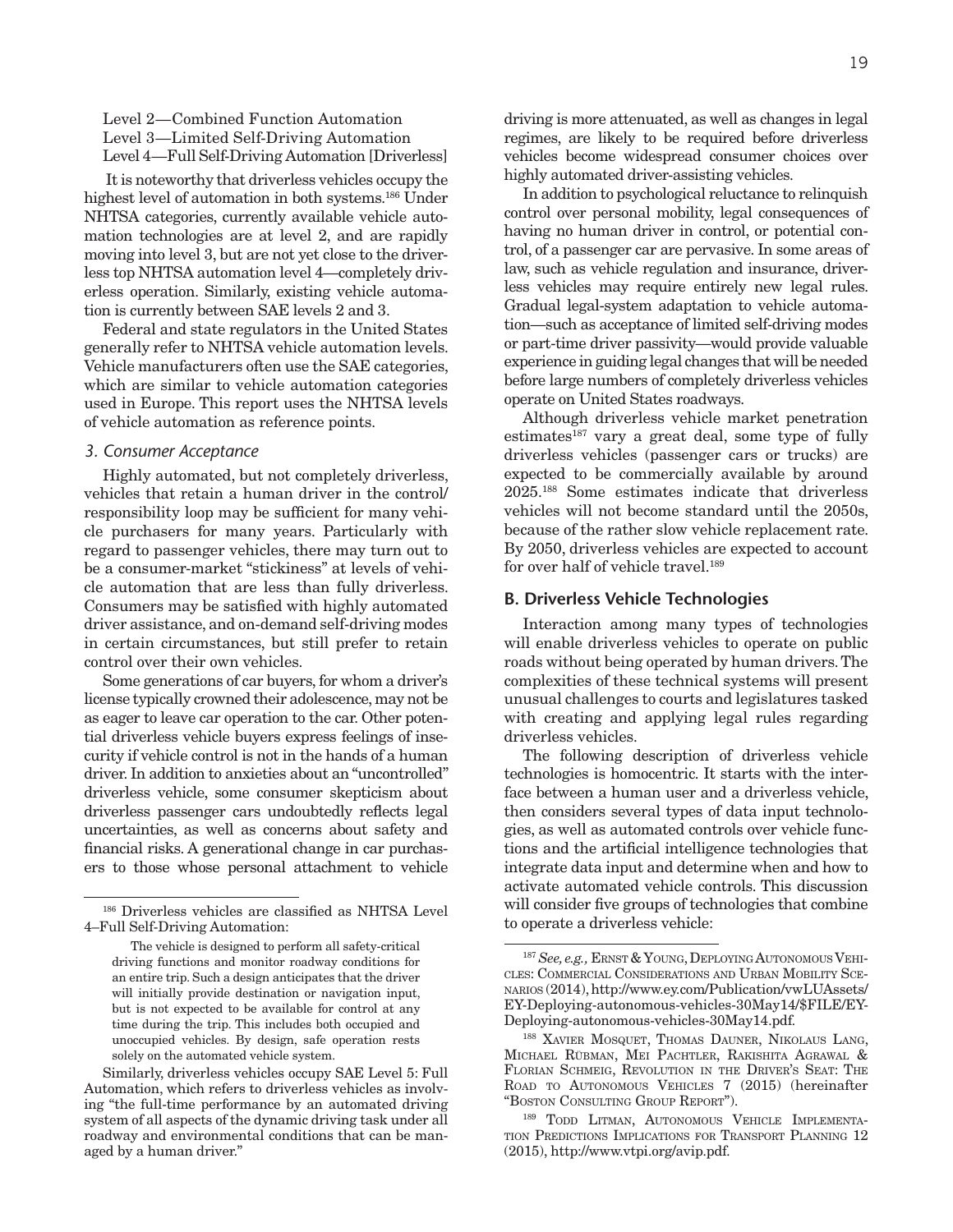Level 2—Combined Function Automation Level 3—Limited Self-Driving Automation Level 4—Full Self-Driving Automation [Driverless]

 It is noteworthy that driverless vehicles occupy the highest level of automation in both systems.<sup>186</sup> Under NHTSA categories, currently available vehicle automation technologies are at level 2, and are rapidly moving into level 3, but are not yet close to the driverless top NHTSA automation level 4—completely driverless operation. Similarly, existing vehicle automation is currently between SAE levels 2 and 3.

Federal and state regulators in the United States generally refer to NHTSA vehicle automation levels. Vehicle manufacturers often use the SAE categories, which are similar to vehicle automation categories used in Europe. This report uses the NHTSA levels of vehicle automation as reference points.

### *3. Consumer Acceptance*

Highly automated, but not completely driverless, vehicles that retain a human driver in the control/ responsibility loop may be sufficient for many vehicle purchasers for many years. Particularly with regard to passenger vehicles, there may turn out to be a consumer-market "stickiness" at levels of vehicle automation that are less than fully driverless. Consumers may be satisfied with highly automated driver assistance, and on-demand self-driving modes in certain circumstances, but still prefer to retain control over their own vehicles.

Some generations of car buyers, for whom a driver's license typically crowned their adolescence, may not be as eager to leave car operation to the car. Other potential driverless vehicle buyers express feelings of insecurity if vehicle control is not in the hands of a human driver. In addition to anxieties about an "uncontrolled" driverless vehicle, some consumer skepticism about driverless passenger cars undoubtedly reflects legal uncertainties, as well as concerns about safety and financial risks. A generational change in car purchasers to those whose personal attachment to vehicle driving is more attenuated, as well as changes in legal regimes, are likely to be required before driverless vehicles become widespread consumer choices over highly automated driver-assisting vehicles.

In addition to psychological reluctance to relinquish control over personal mobility, legal consequences of having no human driver in control, or potential control, of a passenger car are pervasive. In some areas of law, such as vehicle regulation and insurance, driverless vehicles may require entirely new legal rules. Gradual legal-system adaptation to vehicle automation—such as acceptance of limited self-driving modes or part-time driver passivity—would provide valuable experience in guiding legal changes that will be needed before large numbers of completely driverless vehicles operate on United States roadways.

Although driverless vehicle market penetration estimates<sup>187</sup> vary a great deal, some type of fully driverless vehicles (passenger cars or trucks) are expected to be commercially available by around 2025.188 Some estimates indicate that driverless vehicles will not become standard until the 2050s, because of the rather slow vehicle replacement rate. By 2050, driverless vehicles are expected to account for over half of vehicle travel.<sup>189</sup>

## **B. Driverless Vehicle Technologies**

Interaction among many types of technologies will enable driverless vehicles to operate on public roads without being operated by human drivers. The complexities of these technical systems will present unusual challenges to courts and legislatures tasked with creating and applying legal rules regarding driverless vehicles.

The following description of driverless vehicle technologies is homocentric. It starts with the interface between a human user and a driverless vehicle, then considers several types of data input technologies, as well as automated controls over vehicle functions and the artificial intelligence technologies that integrate data input and determine when and how to activate automated vehicle controls. This discussion will consider five groups of technologies that combine to operate a driverless vehicle:

<sup>186</sup> Driverless vehicles are classified as NHTSA Level 4–Full Self-Driving Automation:

The vehicle is designed to perform all safety-critical driving functions and monitor roadway conditions for an entire trip. Such a design anticipates that the driver will initially provide destination or navigation input, but is not expected to be available for control at any time during the trip. This includes both occupied and unoccupied vehicles. By design, safe operation rests solely on the automated vehicle system.

Similarly, driverless vehicles occupy SAE Level 5: Full Automation, which refers to driverless vehicles as involving "the full-time performance by an automated driving system of all aspects of the dynamic driving task under all roadway and environmental conditions that can be managed by a human driver."

<sup>&</sup>lt;sup>187</sup> See, e.g., ERNST & YOUNG, DEPLOYING AUTONOMOUS VEHIcles: Commercial Considerations and Urban Mobility Scenarios (2014), http://www.ey.com/Publication/vwLUAssets/ EY-Deploying-autonomous-vehicles-30May14/\$FILE/EY-Deploying-autonomous-vehicles-30May14.pdf.

<sup>&</sup>lt;sup>188</sup> XAVIER MOSQUET, THOMAS DAUNER, NIKOLAUS LANG, Michael Rübman, Mei Pachtler, Rakishita Agrawal & Florian Schmeig, Revolution in the Driver's Seat: The Road to Autonomous Vehicles 7 (2015) (hereinafter "Boston Consulting Group Report").

<sup>189</sup> Todd Litman, Autonomous Vehicle Implementation Predictions Implications for Transport Planning 12 (2015), http://www.vtpi.org/avip.pdf.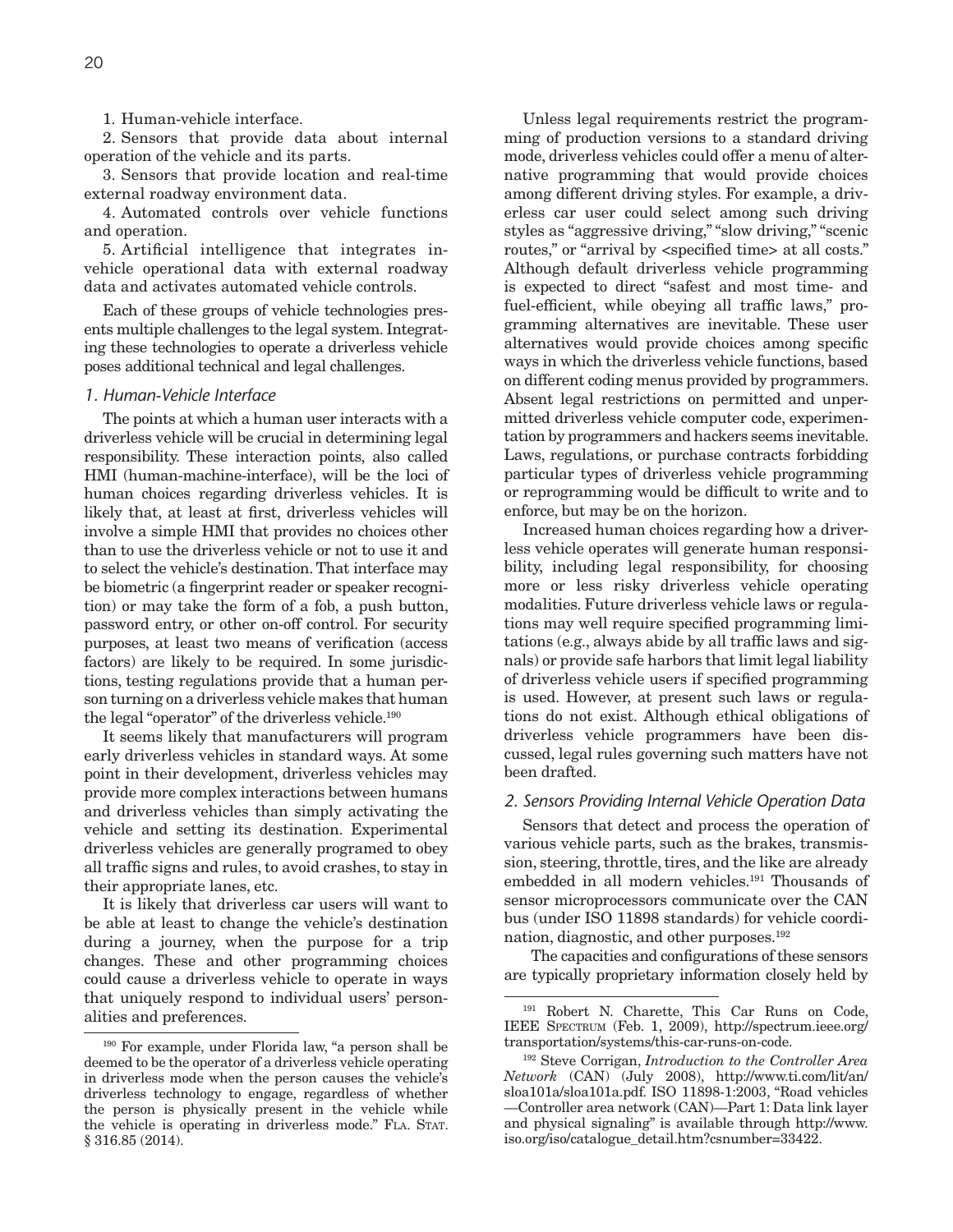1. Human-vehicle interface.

2. Sensors that provide data about internal operation of the vehicle and its parts.

3. Sensors that provide location and real-time external roadway environment data.

4. Automated controls over vehicle functions and operation.

5. Artificial intelligence that integrates invehicle operational data with external roadway data and activates automated vehicle controls.

Each of these groups of vehicle technologies presents multiple challenges to the legal system. Integrating these technologies to operate a driverless vehicle poses additional technical and legal challenges.

#### *1. Human-Vehicle Interface*

The points at which a human user interacts with a driverless vehicle will be crucial in determining legal responsibility. These interaction points, also called HMI (human-machine-interface), will be the loci of human choices regarding driverless vehicles. It is likely that, at least at first, driverless vehicles will involve a simple HMI that provides no choices other than to use the driverless vehicle or not to use it and to select the vehicle's destination. That interface may be biometric (a fingerprint reader or speaker recognition) or may take the form of a fob, a push button, password entry, or other on-off control. For security purposes, at least two means of verification (access factors) are likely to be required. In some jurisdictions, testing regulations provide that a human person turning on a driverless vehicle makes that human the legal "operator" of the driverless vehicle.<sup>190</sup>

It seems likely that manufacturers will program early driverless vehicles in standard ways. At some point in their development, driverless vehicles may provide more complex interactions between humans and driverless vehicles than simply activating the vehicle and setting its destination. Experimental driverless vehicles are generally programed to obey all traffic signs and rules, to avoid crashes, to stay in their appropriate lanes, etc.

It is likely that driverless car users will want to be able at least to change the vehicle's destination during a journey, when the purpose for a trip changes. These and other programming choices could cause a driverless vehicle to operate in ways that uniquely respond to individual users' personalities and preferences.

Unless legal requirements restrict the programming of production versions to a standard driving mode, driverless vehicles could offer a menu of alternative programming that would provide choices among different driving styles. For example, a driverless car user could select among such driving styles as "aggressive driving," "slow driving," "scenic routes," or "arrival by <specified time> at all costs." Although default driverless vehicle programming is expected to direct "safest and most time- and fuel-efficient, while obeying all traffic laws," programming alternatives are inevitable. These user alternatives would provide choices among specific ways in which the driverless vehicle functions, based on different coding menus provided by programmers. Absent legal restrictions on permitted and unpermitted driverless vehicle computer code, experimentation by programmers and hackers seems inevitable. Laws, regulations, or purchase contracts forbidding particular types of driverless vehicle programming or reprogramming would be difficult to write and to enforce, but may be on the horizon.

Increased human choices regarding how a driverless vehicle operates will generate human responsibility, including legal responsibility, for choosing more or less risky driverless vehicle operating modalities. Future driverless vehicle laws or regulations may well require specified programming limitations (e.g., always abide by all traffic laws and signals) or provide safe harbors that limit legal liability of driverless vehicle users if specified programming is used. However, at present such laws or regulations do not exist. Although ethical obligations of driverless vehicle programmers have been discussed, legal rules governing such matters have not been drafted.

#### *2. Sensors Providing Internal Vehicle Operation Data*

Sensors that detect and process the operation of various vehicle parts, such as the brakes, transmission, steering, throttle, tires, and the like are already embedded in all modern vehicles.191 Thousands of sensor microprocessors communicate over the CAN bus (under ISO 11898 standards) for vehicle coordination, diagnostic, and other purposes.<sup>192</sup>

The capacities and configurations of these sensors are typically proprietary information closely held by

<sup>190</sup> For example, under Florida law, "a person shall be deemed to be the operator of a driverless vehicle operating in driverless mode when the person causes the vehicle's driverless technology to engage, regardless of whether the person is physically present in the vehicle while the vehicle is operating in driverless mode." FLA. STAT. § 316.85 (2014).

<sup>191</sup> Robert N. Charette, This Car Runs on Code, IEEE Spectrum (Feb. 1, 2009), http://spectrum.ieee.org/ transportation/systems/this-car-runs-on-code.

<sup>192</sup> Steve Corrigan, *Introduction to the Controller Area Network* (CAN) (July 2008), http://www.ti.com/lit/an/ sloa101a/sloa101a.pdf. ISO 11898-1:2003, "Road vehicles —Controller area network (CAN)—Part 1: Data link layer and physical signaling" is available through http://www. iso.org/iso/catalogue\_detail.htm?csnumber=33422.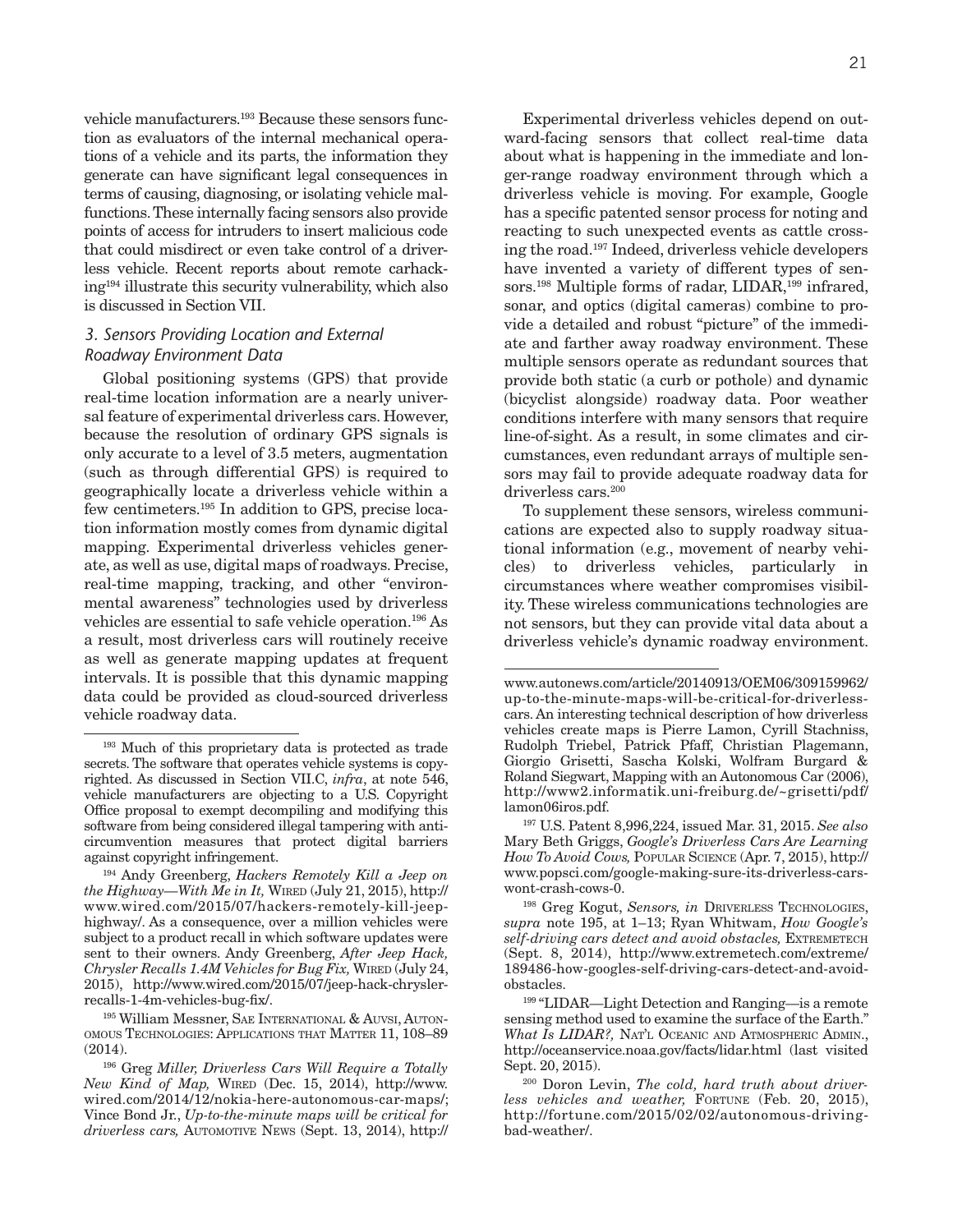vehicle manufacturers.193 Because these sensors function as evaluators of the internal mechanical operations of a vehicle and its parts, the information they generate can have significant legal consequences in terms of causing, diagnosing, or isolating vehicle malfunctions. These internally facing sensors also provide points of access for intruders to insert malicious code that could misdirect or even take control of a driverless vehicle. Recent reports about remote carhacking194 illustrate this security vulnerability, which also is discussed in Section VII.

## *3. Sensors Providing Location and External Roadway Environment Data*

Global positioning systems (GPS) that provide real-time location information are a nearly universal feature of experimental driverless cars. However, because the resolution of ordinary GPS signals is only accurate to a level of 3.5 meters, augmentation (such as through differential GPS) is required to geographically locate a driverless vehicle within a few centimeters.195 In addition to GPS, precise location information mostly comes from dynamic digital mapping. Experimental driverless vehicles generate, as well as use, digital maps of roadways. Precise, real-time mapping, tracking, and other "environmental awareness" technologies used by driverless vehicles are essential to safe vehicle operation.196 As a result, most driverless cars will routinely receive as well as generate mapping updates at frequent intervals. It is possible that this dynamic mapping data could be provided as cloud-sourced driverless vehicle roadway data.

195 William Messner, Sae International & Auvsi, Autonomous Technologies: Applications that Matter 11, 108–89 (2014).

Experimental driverless vehicles depend on outward-facing sensors that collect real-time data about what is happening in the immediate and longer-range roadway environment through which a driverless vehicle is moving. For example, Google has a specific patented sensor process for noting and reacting to such unexpected events as cattle crossing the road.197 Indeed, driverless vehicle developers have invented a variety of different types of sensors.<sup>198</sup> Multiple forms of radar, LIDAR,<sup>199</sup> infrared, sonar, and optics (digital cameras) combine to provide a detailed and robust "picture" of the immediate and farther away roadway environment. These multiple sensors operate as redundant sources that provide both static (a curb or pothole) and dynamic (bicyclist alongside) roadway data. Poor weather conditions interfere with many sensors that require line-of-sight. As a result, in some climates and circumstances, even redundant arrays of multiple sensors may fail to provide adequate roadway data for driverless cars.<sup>200</sup>

To supplement these sensors, wireless communications are expected also to supply roadway situational information (e.g., movement of nearby vehicles) to driverless vehicles, particularly in circumstances where weather compromises visibility. These wireless communications technologies are not sensors, but they can provide vital data about a driverless vehicle's dynamic roadway environment.

197 U.S. Patent 8,996,224, issued Mar. 31, 2015. *See also*  Mary Beth Griggs, *Google's Driverless Cars Are Learning How To Avoid Cows,* Popular Science (Apr. 7, 2015), http:// www.popsci.com/google-making-sure-its-driverless-carswont-crash-cows-0.

<sup>198</sup> Greg Kogut, *Sensors, in* DRIVERLESS TECHNOLOGIES, *supra* note 195, at 1–13; Ryan Whitwam, *How Google's self-driving cars detect and avoid obstacles,* Extremetech (Sept. 8, 2014), http://www.extremetech.com/extreme/ 189486-how-googles-self-driving-cars-detect-and-avoidobstacles.

199 "LIDAR—Light Detection and Ranging—is a remote sensing method used to examine the surface of the Earth." What Is LIDAR?, NAT'L OCEANIC AND ATMOSPHERIC ADMIN., http://oceanservice.noaa.gov/facts/lidar.html (last visited Sept. 20, 2015).

200 Doron Levin, *The cold, hard truth about driverless vehicles and weather,* Fortune (Feb. 20, 2015), http://fortune.com/2015/02/02/autonomous-drivingbad-weather/.

<sup>193</sup> Much of this proprietary data is protected as trade secrets. The software that operates vehicle systems is copyrighted. As discussed in Section VII.C, *infra*, at note 546, vehicle manufacturers are objecting to a U.S. Copyright Office proposal to exempt decompiling and modifying this software from being considered illegal tampering with anticircumvention measures that protect digital barriers against copyright infringement.

<sup>194</sup> Andy Greenberg, *Hackers Remotely Kill a Jeep on the Highway—With Me in It, WIRED* (July 21, 2015), http:// www.wired.com/2015/07/hackers-remotely-kill-jeephighway. As a consequence, over a million vehicles were subject to a product recall in which software updates were sent to their owners. Andy Greenberg, *After Jeep Hack, Chrysler Recalls 1.4M Vehicles for Bug Fix, WIRED* (July 24, 2015), http://www.wired.com/2015/07/jeep-hack-chryslerrecalls-1-4m-vehicles-bug-fix/.

<sup>196</sup> Greg *Miller, Driverless Cars Will Require a Totally New Kind of Map, WIRED (Dec. 15, 2014), http://www.* wired.com/2014/12/nokia-here-autonomous-car-maps/; Vince Bond Jr., *Up-to-the-minute maps will be critical for driverless cars,* Automotive News (Sept. 13, 2014), http://

www.autonews.com/article/20140913/OEM06/309159962/ up-to-the-minute-maps-will-be-critical-for-driverlesscars. An interesting technical description of how driverless vehicles create maps is Pierre Lamon, Cyrill Stachniss, Rudolph Triebel, Patrick Pfaff, Christian Plagemann, Giorgio Grisetti, Sascha Kolski, Wolfram Burgard & Roland Siegwart, Mapping with an Autonomous Car (2006), http://www2.informatik.uni-freiburg.de/~grisetti/pdf/ lamon06iros.pdf.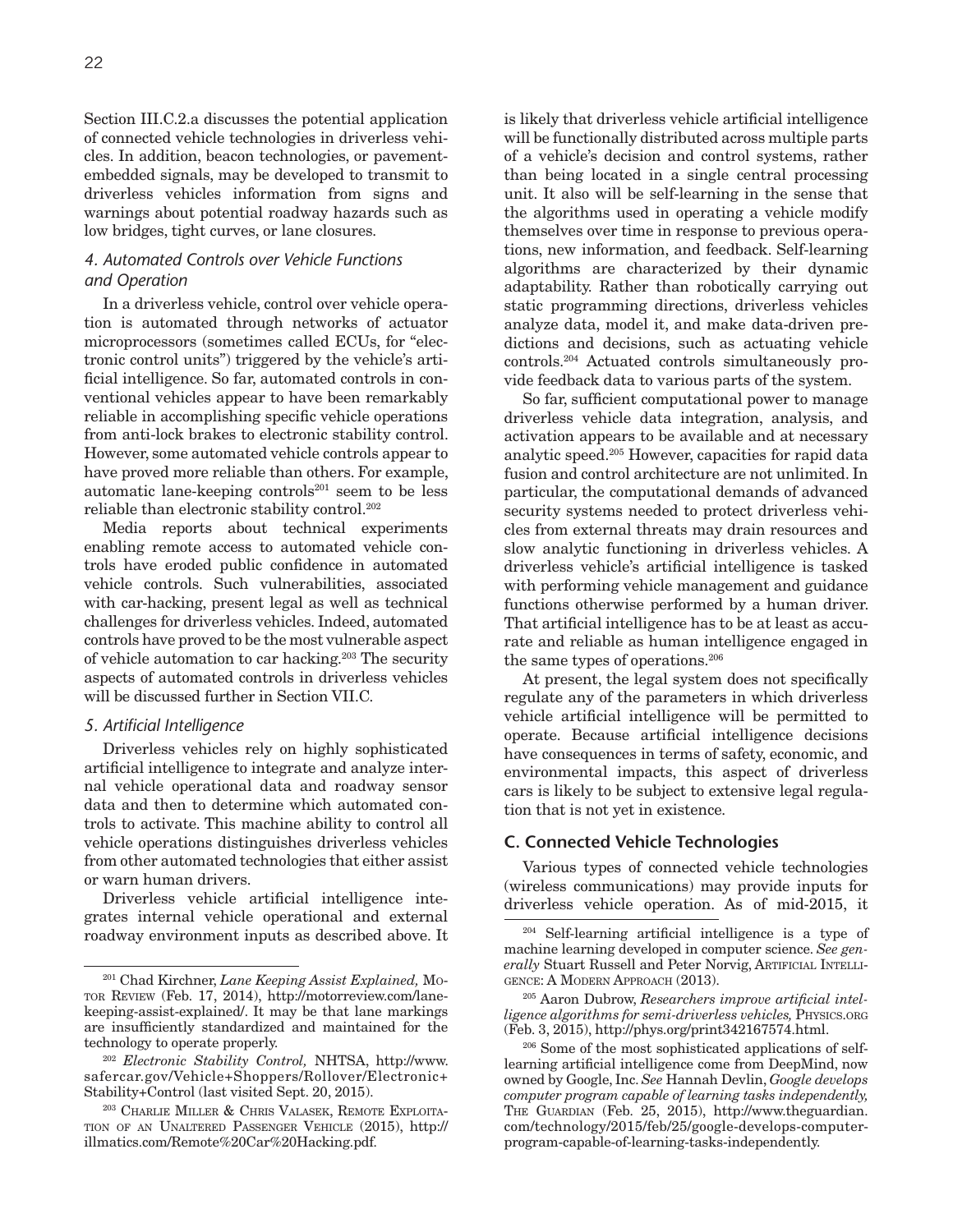Section III.C.2.a discusses the potential application of connected vehicle technologies in driverless vehicles. In addition, beacon technologies, or pavementembedded signals, may be developed to transmit to driverless vehicles information from signs and warnings about potential roadway hazards such as low bridges, tight curves, or lane closures.

## *4. Automated Controls over Vehicle Functions and Operation*

In a driverless vehicle, control over vehicle operation is automated through networks of actuator microprocessors (sometimes called ECUs, for "electronic control units") triggered by the vehicle's artificial intelligence. So far, automated controls in conventional vehicles appear to have been remarkably reliable in accomplishing specific vehicle operations from anti-lock brakes to electronic stability control. However, some automated vehicle controls appear to have proved more reliable than others. For example, automatic lane-keeping controls<sup>201</sup> seem to be less reliable than electronic stability control.202

Media reports about technical experiments enabling remote access to automated vehicle controls have eroded public confidence in automated vehicle controls. Such vulnerabilities, associated with car-hacking, present legal as well as technical challenges for driverless vehicles. Indeed, automated controls have proved to be the most vulnerable aspect of vehicle automation to car hacking.203 The security aspects of automated controls in driverless vehicles will be discussed further in Section VII.C.

#### *5. Artificial Intelligence*

Driverless vehicles rely on highly sophisticated artificial intelligence to integrate and analyze internal vehicle operational data and roadway sensor data and then to determine which automated controls to activate. This machine ability to control all vehicle operations distinguishes driverless vehicles from other automated technologies that either assist or warn human drivers.

Driverless vehicle artificial intelligence integrates internal vehicle operational and external roadway environment inputs as described above. It is likely that driverless vehicle artificial intelligence will be functionally distributed across multiple parts of a vehicle's decision and control systems, rather than being located in a single central processing unit. It also will be self-learning in the sense that the algorithms used in operating a vehicle modify themselves over time in response to previous operations, new information, and feedback. Self-learning algorithms are characterized by their dynamic adaptability. Rather than robotically carrying out static programming directions, driverless vehicles analyze data, model it, and make data-driven predictions and decisions, such as actuating vehicle controls.204 Actuated controls simultaneously provide feedback data to various parts of the system.

So far, sufficient computational power to manage driverless vehicle data integration, analysis, and activation appears to be available and at necessary analytic speed.205 However, capacities for rapid data fusion and control architecture are not unlimited. In particular, the computational demands of advanced security systems needed to protect driverless vehicles from external threats may drain resources and slow analytic functioning in driverless vehicles. A driverless vehicle's artificial intelligence is tasked with performing vehicle management and guidance functions otherwise performed by a human driver. That artificial intelligence has to be at least as accurate and reliable as human intelligence engaged in the same types of operations.206

At present, the legal system does not specifically regulate any of the parameters in which driverless vehicle artificial intelligence will be permitted to operate. Because artificial intelligence decisions have consequences in terms of safety, economic, and environmental impacts, this aspect of driverless cars is likely to be subject to extensive legal regulation that is not yet in existence.

## **C. Connected Vehicle Technologies**

Various types of connected vehicle technologies (wireless communications) may provide inputs for driverless vehicle operation. As of mid-2015, it

<sup>201</sup> Chad Kirchner, *Lane Keeping Assist Explained,* Motor Review (Feb. 17, 2014), http://motorreview.com/lanekeeping-assist-explained/. It may be that lane markings are insufficiently standardized and maintained for the technology to operate properly.

<sup>202</sup> *Electronic Stability Control,* NHTSA, http://www. safercar.gov/Vehicle+Shoppers/Rollover/Electronic+ Stability+Control (last visited Sept. 20, 2015).

<sup>203</sup> Charlie Miller & Chris Valasek, Remote Exploitation of an Unaltered Passenger Vehicle (2015), http:// illmatics.com/Remote%20Car%20Hacking.pdf.

<sup>204</sup> Self-learning artificial intelligence is a type of machine learning developed in computer science. *See gen*erally Stuart Russell and Peter Norvig, ARTIFICIAL INTELLIgence: A Modern Approach (2013).

<sup>205</sup> Aaron Dubrow, *Researchers improve artificial intelligence algorithms for semi-driverless vehicles,* Physics.org (Feb. 3, 2015), http://phys.org/print342167574.html.

<sup>206</sup> Some of the most sophisticated applications of selflearning artificial intelligence come from DeepMind, now owned by Google, Inc. *See* Hannah Devlin, *Google develops computer program capable of learning tasks independently,*  The Guardian (Feb. 25, 2015), http://www.theguardian. com/technology/2015/feb/25/google-develops-computerprogram-capable-of-learning-tasks-independently.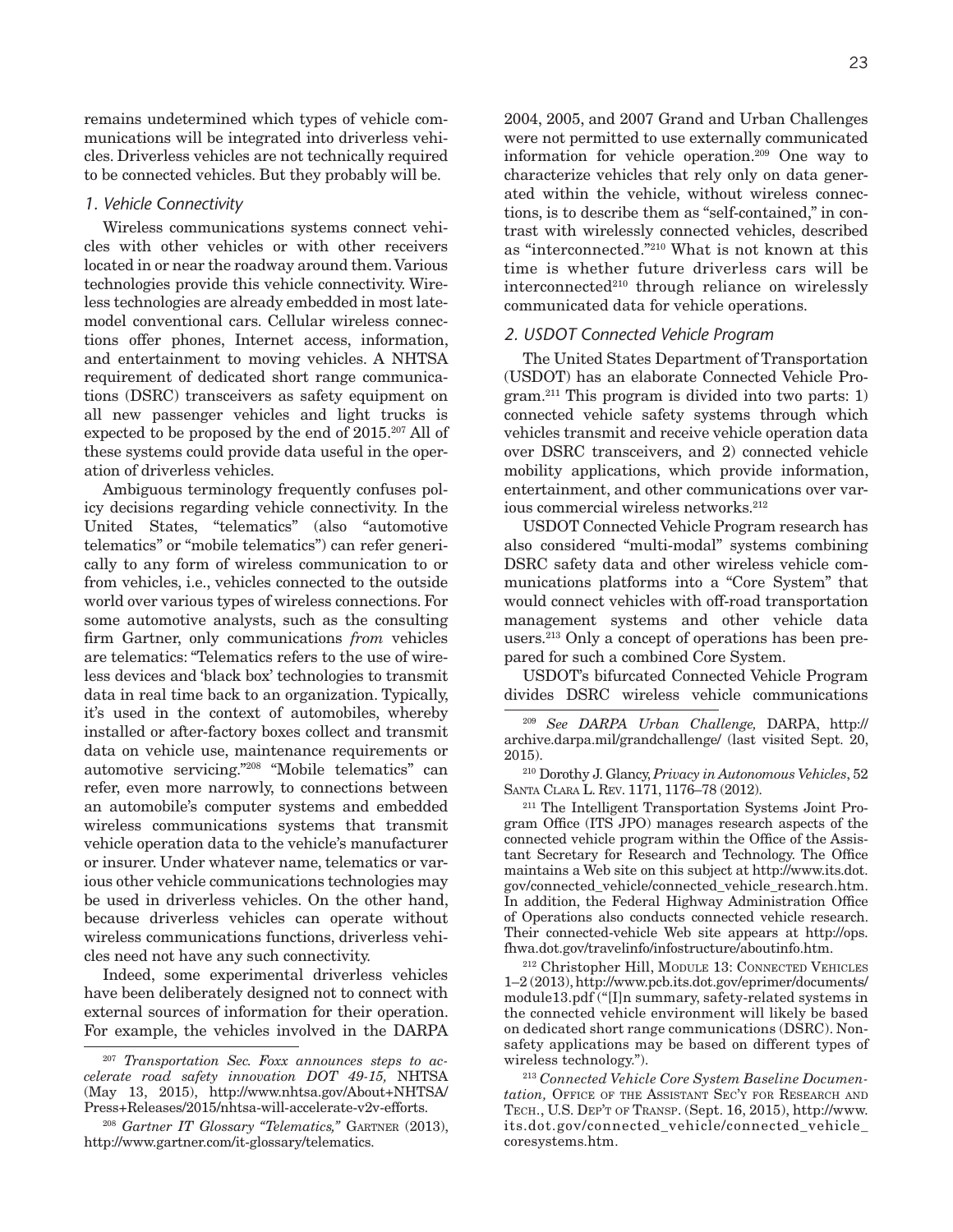remains undetermined which types of vehicle communications will be integrated into driverless vehicles. Driverless vehicles are not technically required to be connected vehicles. But they probably will be.

#### *1. Vehicle Connectivity*

Wireless communications systems connect vehicles with other vehicles or with other receivers located in or near the roadway around them. Various technologies provide this vehicle connectivity. Wireless technologies are already embedded in most latemodel conventional cars. Cellular wireless connections offer phones, Internet access, information, and entertainment to moving vehicles. A NHTSA requirement of dedicated short range communications (DSRC) transceivers as safety equipment on all new passenger vehicles and light trucks is expected to be proposed by the end of 2015.207 All of these systems could provide data useful in the operation of driverless vehicles.

Ambiguous terminology frequently confuses policy decisions regarding vehicle connectivity. In the United States, "telematics" (also "automotive telematics" or "mobile telematics") can refer generically to any form of wireless communication to or from vehicles, i.e., vehicles connected to the outside world over various types of wireless connections. For some automotive analysts, such as the consulting firm Gartner, only communications *from* vehicles are telematics: "Telematics refers to the use of wireless devices and 'black box' technologies to transmit data in real time back to an organization. Typically, it's used in the context of automobiles, whereby installed or after-factory boxes collect and transmit data on vehicle use, maintenance requirements or automotive servicing."208 "Mobile telematics" can refer, even more narrowly, to connections between an automobile's computer systems and embedded wireless communications systems that transmit vehicle operation data to the vehicle's manufacturer or insurer. Under whatever name, telematics or various other vehicle communications technologies may be used in driverless vehicles. On the other hand, because driverless vehicles can operate without wireless communications functions, driverless vehicles need not have any such connectivity.

Indeed, some experimental driverless vehicles have been deliberately designed not to connect with external sources of information for their operation. For example, the vehicles involved in the DARPA 2004, 2005, and 2007 Grand and Urban Challenges were not permitted to use externally communicated information for vehicle operation.209 One way to characterize vehicles that rely only on data generated within the vehicle, without wireless connections, is to describe them as "self-contained," in contrast with wirelessly connected vehicles, described as "interconnected."210 What is not known at this time is whether future driverless cars will be interconnected<sup>210</sup> through reliance on wirelessly communicated data for vehicle operations.

#### *2. USDOT Connected Vehicle Program*

The United States Department of Transportation (USDOT) has an elaborate Connected Vehicle Pro $gram<sup>211</sup>$  This program is divided into two parts: 1) connected vehicle safety systems through which vehicles transmit and receive vehicle operation data over DSRC transceivers, and 2) connected vehicle mobility applications, which provide information, entertainment, and other communications over various commercial wireless networks.<sup>212</sup>

USDOT Connected Vehicle Program research has also considered "multi-modal" systems combining DSRC safety data and other wireless vehicle communications platforms into a "Core System" that would connect vehicles with off-road transportation management systems and other vehicle data users.213 Only a concept of operations has been prepared for such a combined Core System.

USDOT's bifurcated Connected Vehicle Program divides DSRC wireless vehicle communications

<sup>209</sup> *See DARPA Urban Challenge,* DARPA, http:// archive.darpa.mil/grandchallenge/ (last visited Sept. 20, 2015).

210 Dorothy J. Glancy, *Privacy in Autonomous Vehicles*, 52 Santa Clara L. Rev. 1171, 1176–78 (2012).

211 The Intelligent Transportation Systems Joint Program Office (ITS JPO) manages research aspects of the connected vehicle program within the Office of the Assistant Secretary for Research and Technology. The Office maintains a Web site on this subject at http://www.its.dot. gov/connected\_vehicle/connected\_vehicle\_research.htm. In addition, the Federal Highway Administration Office of Operations also conducts connected vehicle research. Their connected-vehicle Web site appears at http://ops. fhwa.dot.gov/travelinfo/infostructure/aboutinfo.htm.

212 Christopher Hill, Module 13: Connected Vehicles 1–2 (2013), http://www.pcb.its.dot.gov/eprimer/documents/ module13.pdf ("[I]n summary, safety-related systems in the connected vehicle environment will likely be based on dedicated short range communications (DSRC). Nonsafety applications may be based on different types of wireless technology.").

<sup>213</sup> *Connected Vehicle Core System Baseline Documen*tation, OFFICE OF THE ASSISTANT SEC'Y FOR RESEARCH AND Tech., U.S. Dep't of Transp. (Sept. 16, 2015), http://www. its.dot.gov/connected\_vehicle/connected\_vehicle\_ coresystems.htm.

<sup>207</sup> *Transportation Sec. Foxx announces steps to accelerate road safety innovation DOT 49-15,* NHTSA (May 13, 2015), http://www.nhtsa.gov/About+NHTSA/ Press+Releases/2015/nhtsa-will-accelerate-v2v-efforts.

<sup>208</sup> *Gartner IT Glossary "Telematics,"* Gartner (2013), http://www.gartner.com/it-glossary/telematics.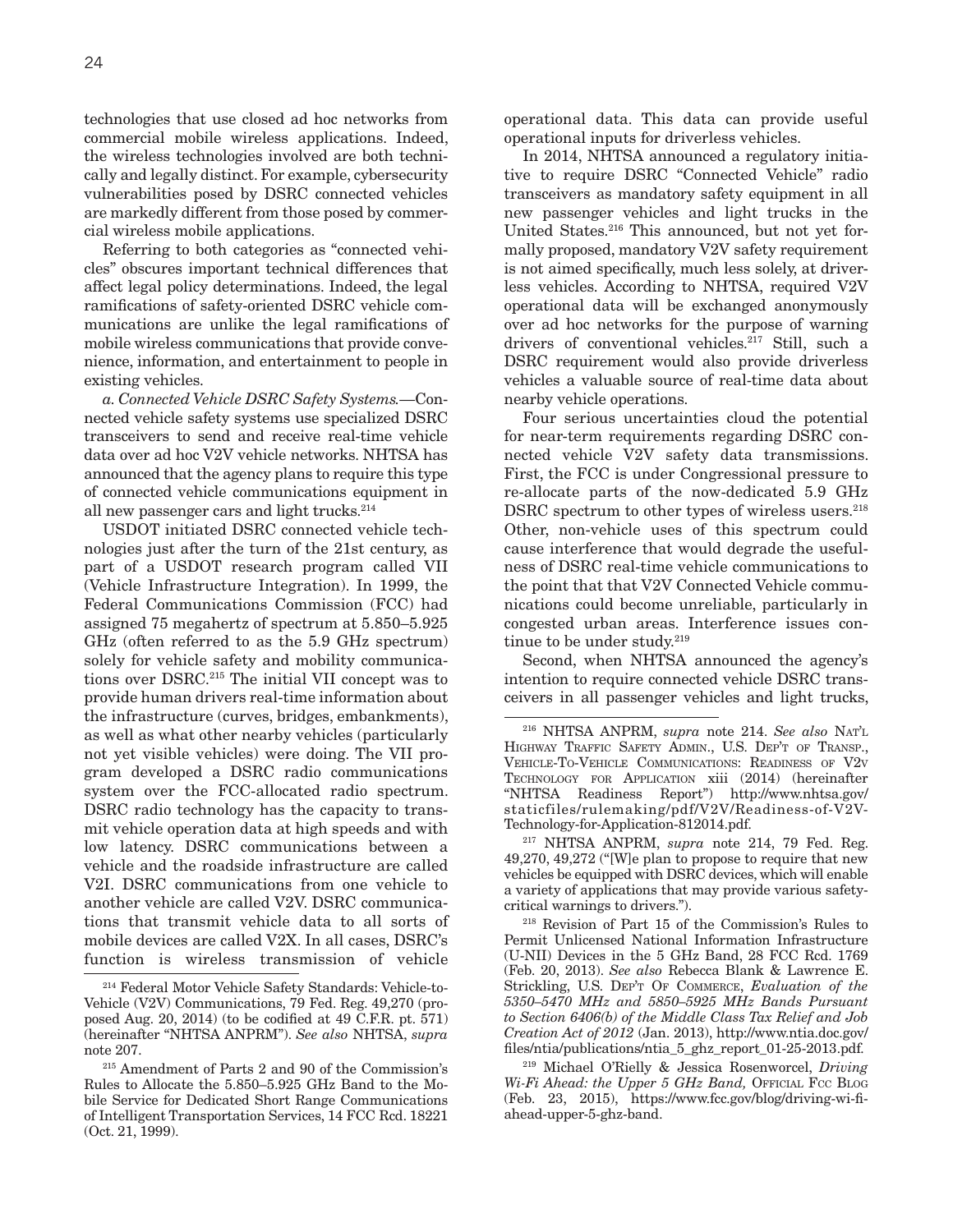technologies that use closed ad hoc networks from commercial mobile wireless applications. Indeed, the wireless technologies involved are both technically and legally distinct. For example, cybersecurity vulnerabilities posed by DSRC connected vehicles are markedly different from those posed by commercial wireless mobile applications.

Referring to both categories as "connected vehicles" obscures important technical differences that affect legal policy determinations. Indeed, the legal ramifications of safety-oriented DSRC vehicle communications are unlike the legal ramifications of mobile wireless communications that provide convenience, information, and entertainment to people in existing vehicles.

*a. Connected Vehicle DSRC Safety Systems.—*Connected vehicle safety systems use specialized DSRC transceivers to send and receive real-time vehicle data over ad hoc V2V vehicle networks. NHTSA has announced that the agency plans to require this type of connected vehicle communications equipment in all new passenger cars and light trucks.214

USDOT initiated DSRC connected vehicle technologies just after the turn of the 21st century, as part of a USDOT research program called VII (Vehicle Infrastructure Integration). In 1999, the Federal Communications Commission (FCC) had assigned 75 megahertz of spectrum at 5.850–5.925 GHz (often referred to as the 5.9 GHz spectrum) solely for vehicle safety and mobility communications over DSRC.215 The initial VII concept was to provide human drivers real-time information about the infrastructure (curves, bridges, embankments), as well as what other nearby vehicles (particularly not yet visible vehicles) were doing. The VII program developed a DSRC radio communications system over the FCC-allocated radio spectrum. DSRC radio technology has the capacity to transmit vehicle operation data at high speeds and with low latency. DSRC communications between a vehicle and the roadside infrastructure are called V2I. DSRC communications from one vehicle to another vehicle are called V2V. DSRC communications that transmit vehicle data to all sorts of mobile devices are called V2X. In all cases, DSRC's function is wireless transmission of vehicle operational data. This data can provide useful operational inputs for driverless vehicles.

In 2014, NHTSA announced a regulatory initiative to require DSRC "Connected Vehicle" radio transceivers as mandatory safety equipment in all new passenger vehicles and light trucks in the United States.216 This announced, but not yet formally proposed, mandatory V2V safety requirement is not aimed specifically, much less solely, at driverless vehicles. According to NHTSA, required V2V operational data will be exchanged anonymously over ad hoc networks for the purpose of warning drivers of conventional vehicles.<sup>217</sup> Still, such a DSRC requirement would also provide driverless vehicles a valuable source of real-time data about nearby vehicle operations.

Four serious uncertainties cloud the potential for near-term requirements regarding DSRC connected vehicle V2V safety data transmissions. First, the FCC is under Congressional pressure to re-allocate parts of the now-dedicated 5.9 GHz DSRC spectrum to other types of wireless users.<sup>218</sup> Other, non-vehicle uses of this spectrum could cause interference that would degrade the usefulness of DSRC real-time vehicle communications to the point that that V2V Connected Vehicle communications could become unreliable, particularly in congested urban areas. Interference issues continue to be under study.<sup>219</sup>

Second, when NHTSA announced the agency's intention to require connected vehicle DSRC transceivers in all passenger vehicles and light trucks,

217 NHTSA ANPRM, *supra* note 214, 79 Fed. Reg. 49,270, 49,272 ("[W]e plan to propose to require that new vehicles be equipped with DSRC devices, which will enable a variety of applications that may provide various safetycritical warnings to drivers.").

218 Revision of Part 15 of the Commission's Rules to Permit Unlicensed National Information Infrastructure (U-NII) Devices in the 5 GHz Band, 28 FCC Rcd. 1769 (Feb. 20, 2013). *See also* Rebecca Blank & Lawrence E. Strickling, U.S. Dep't Of Commerce, *Evaluation of the 5350–5470 MHz and 5850–5925 MHz Bands Pursuant to Section 6406(b) of the Middle Class Tax Relief and Job Creation Act of 2012* (Jan. 2013), http://www.ntia.doc.gov/ files/ntia/publications/ntia\_5\_ghz\_report\_01-25-2013.pdf.

219 Michael O'Rielly & Jessica Rosenworcel, *Driving Wi-Fi Ahead: the Upper 5 GHz Band, OFFICIAL FCC BLOG* (Feb. 23, 2015), https://www.fcc.gov/blog/driving-wi-fiahead-upper-5-ghz-band.

<sup>214</sup> Federal Motor Vehicle Safety Standards: Vehicle-to-Vehicle (V2V) Communications, 79 Fed. Reg. 49,270 (proposed Aug. 20, 2014) (to be codified at 49 C.F.R. pt. 571) (hereinafter "NHTSA ANPRM"). *See also* NHTSA, *supra* note 207.

<sup>215</sup> Amendment of Parts 2 and 90 of the Commission's Rules to Allocate the 5.850–5.925 GHz Band to the Mobile Service for Dedicated Short Range Communications of Intelligent Transportation Services, 14 FCC Rcd. 18221 (Oct. 21, 1999).

<sup>216</sup> NHTSA ANPRM, *supra* note 214. *See also* Nat'l Highway Traffic Safety Admin., U.S. Dep't of Transp., Vehicle-To-Vehicle Communications: Readiness of V2v Technology for Application xiii (2014) (hereinafter "NHTSA Readiness Report") http://www.nhtsa.gov/ staticfiles/rulemaking/pdf/V2V/Readiness-of-V2V-Technology-for-Application-812014.pdf.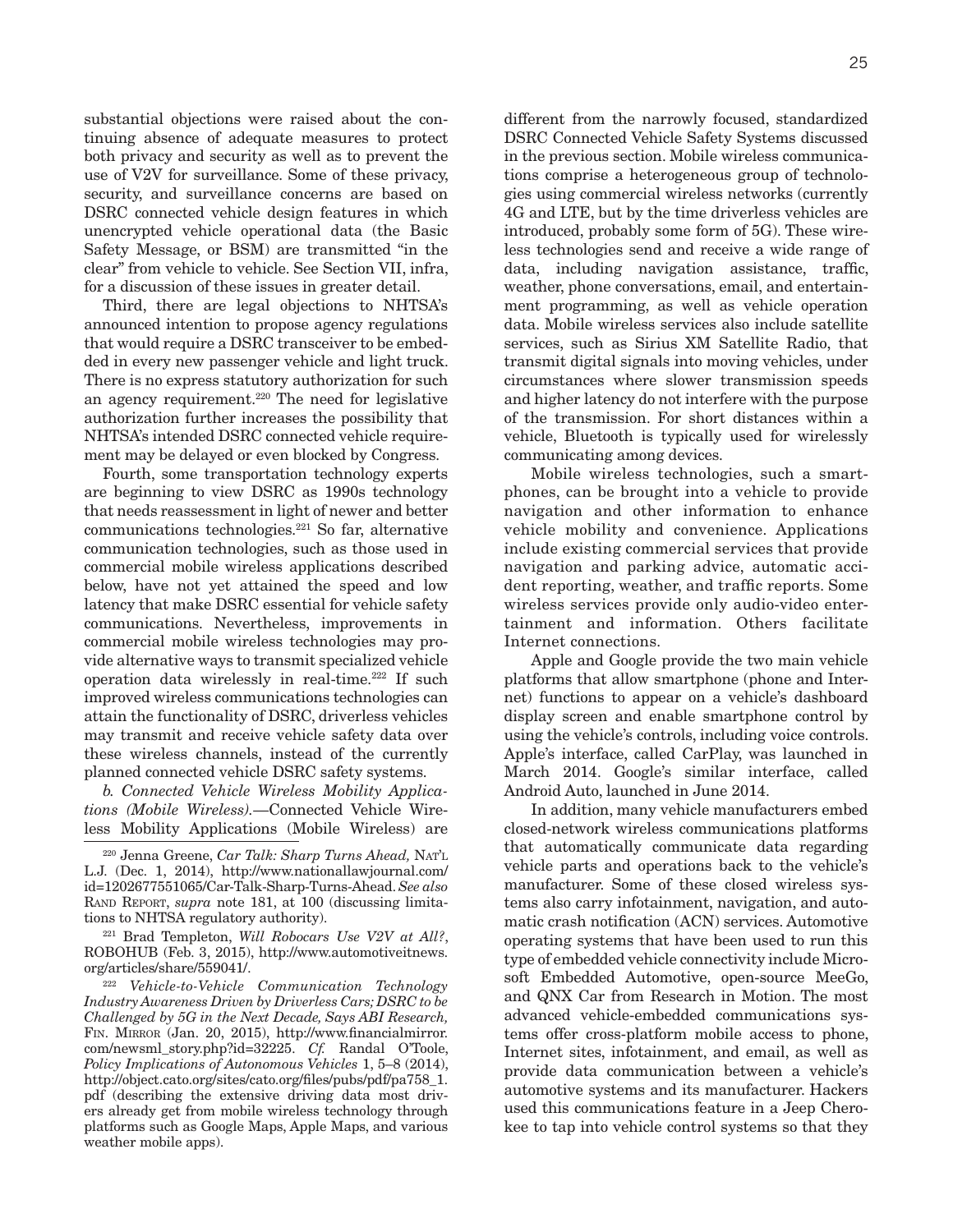substantial objections were raised about the continuing absence of adequate measures to protect both privacy and security as well as to prevent the use of V2V for surveillance. Some of these privacy, security, and surveillance concerns are based on DSRC connected vehicle design features in which unencrypted vehicle operational data (the Basic Safety Message, or BSM) are transmitted "in the clear" from vehicle to vehicle. See Section VII, infra, for a discussion of these issues in greater detail.

Third, there are legal objections to NHTSA's announced intention to propose agency regulations that would require a DSRC transceiver to be embedded in every new passenger vehicle and light truck. There is no express statutory authorization for such an agency requirement.<sup>220</sup> The need for legislative authorization further increases the possibility that NHTSA's intended DSRC connected vehicle requirement may be delayed or even blocked by Congress.

Fourth, some transportation technology experts are beginning to view DSRC as 1990s technology that needs reassessment in light of newer and better communications technologies.221 So far, alternative communication technologies, such as those used in commercial mobile wireless applications described below, have not yet attained the speed and low latency that make DSRC essential for vehicle safety communications. Nevertheless, improvements in commercial mobile wireless technologies may provide alternative ways to transmit specialized vehicle operation data wirelessly in real-time.222 If such improved wireless communications technologies can attain the functionality of DSRC, driverless vehicles may transmit and receive vehicle safety data over these wireless channels, instead of the currently planned connected vehicle DSRC safety systems.

*b. Connected Vehicle Wireless Mobility Applications (Mobile Wireless).—*Connected Vehicle Wireless Mobility Applications (Mobile Wireless) are

220 Jenna Greene, *Car Talk: Sharp Turns Ahead,* Nat'l L.J. (Dec. 1, 2014), http://www.nationallawjournal.com/ id=1202677551065/Car-Talk-Sharp-Turns-Ahead. *See also* Rand Report, *supra* note 181, at 100 (discussing limitations to NHTSA regulatory authority).

221 Brad Templeton, *Will Robocars Use V2V at All?*, ROBOHUB (Feb. 3, 2015), http://www.automotiveitnews. org/articles/share/559041/.

<sup>222</sup> *Vehicle-to-Vehicle Communication Technology Industry Awareness Driven by Driverless Cars; DSRC to be Challenged by 5G in the Next Decade, Says ABI Research,*  Fin. Mirror (Jan. 20, 2015), http://www.financialmirror. com/newsml\_story.php?id=32225. *Cf.* Randal O'Toole, *Policy Implications of Autonomous Vehicles* 1, 5–8 (2014), http://object.cato.org/sites/cato.org/files/pubs/pdf/pa758\_1. pdf (describing the extensive driving data most drivers already get from mobile wireless technology through platforms such as Google Maps, Apple Maps, and various weather mobile apps).

different from the narrowly focused, standardized DSRC Connected Vehicle Safety Systems discussed in the previous section. Mobile wireless communications comprise a heterogeneous group of technologies using commercial wireless networks (currently 4G and LTE, but by the time driverless vehicles are introduced, probably some form of 5G). These wireless technologies send and receive a wide range of data, including navigation assistance, traffic, weather, phone conversations, email, and entertainment programming, as well as vehicle operation data. Mobile wireless services also include satellite services, such as Sirius XM Satellite Radio, that transmit digital signals into moving vehicles, under circumstances where slower transmission speeds and higher latency do not interfere with the purpose of the transmission. For short distances within a vehicle, Bluetooth is typically used for wirelessly communicating among devices.

Mobile wireless technologies, such a smartphones, can be brought into a vehicle to provide navigation and other information to enhance vehicle mobility and convenience. Applications include existing commercial services that provide navigation and parking advice, automatic accident reporting, weather, and traffic reports. Some wireless services provide only audio-video entertainment and information. Others facilitate Internet connections.

Apple and Google provide the two main vehicle platforms that allow smartphone (phone and Internet) functions to appear on a vehicle's dashboard display screen and enable smartphone control by using the vehicle's controls, including voice controls. Apple's interface, called CarPlay, was launched in March 2014. Google's similar interface, called Android Auto, launched in June 2014.

In addition, many vehicle manufacturers embed closed-network wireless communications platforms that automatically communicate data regarding vehicle parts and operations back to the vehicle's manufacturer. Some of these closed wireless systems also carry infotainment, navigation, and automatic crash notification (ACN) services. Automotive operating systems that have been used to run this type of embedded vehicle connectivity include Microsoft Embedded Automotive, open-source MeeGo, and QNX Car from Research in Motion. The most advanced vehicle-embedded communications systems offer cross-platform mobile access to phone, Internet sites, infotainment, and email, as well as provide data communication between a vehicle's automotive systems and its manufacturer. Hackers used this communications feature in a Jeep Cherokee to tap into vehicle control systems so that they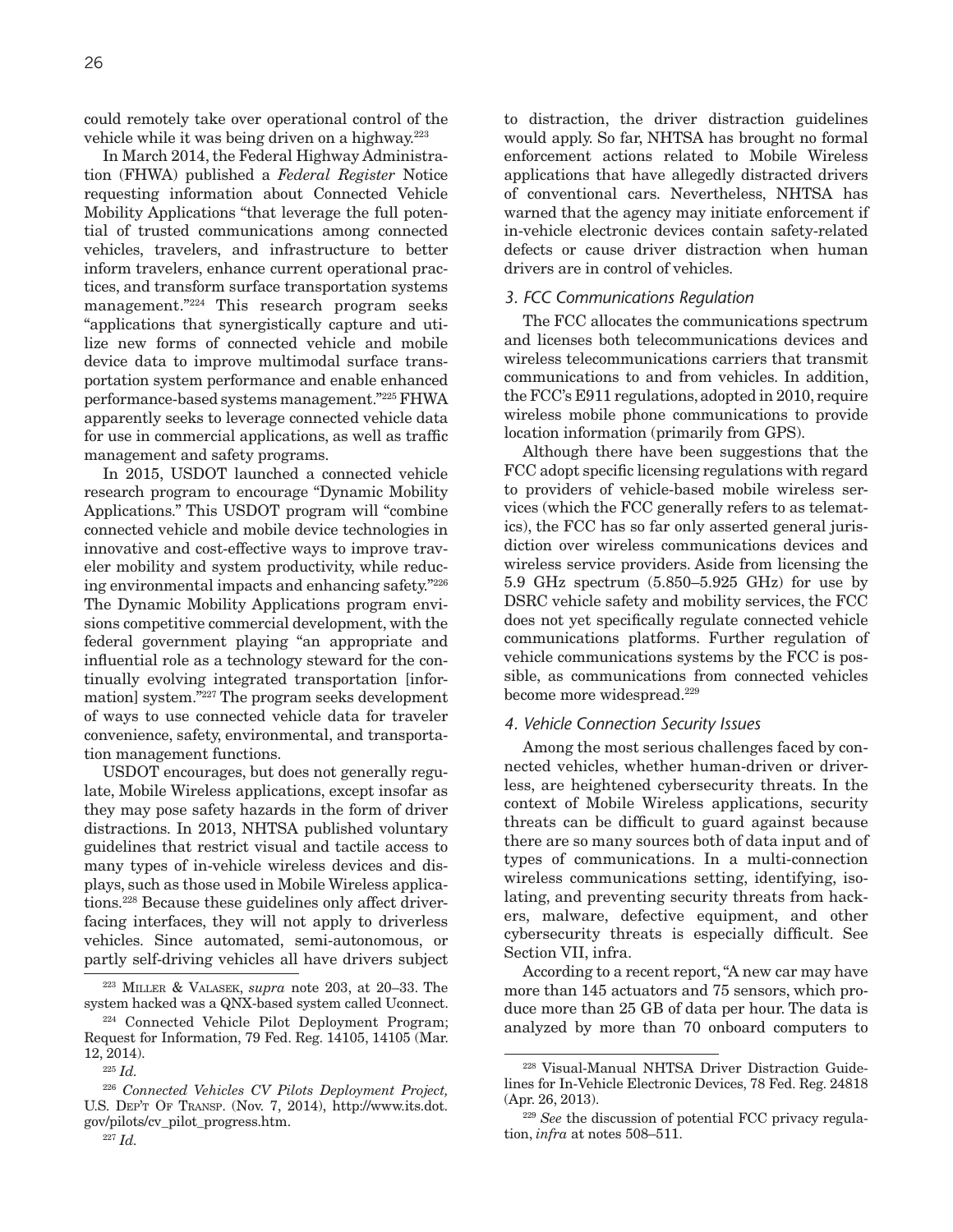26

could remotely take over operational control of the vehicle while it was being driven on a highway.223

In March 2014, the Federal Highway Administration (FHWA) published a *Federal Register* Notice requesting information about Connected Vehicle Mobility Applications "that leverage the full potential of trusted communications among connected vehicles, travelers, and infrastructure to better inform travelers, enhance current operational practices, and transform surface transportation systems management."224 This research program seeks "applications that synergistically capture and utilize new forms of connected vehicle and mobile device data to improve multimodal surface transportation system performance and enable enhanced performance-based systems management."225 FHWA apparently seeks to leverage connected vehicle data for use in commercial applications, as well as traffic management and safety programs.

In 2015, USDOT launched a connected vehicle research program to encourage "Dynamic Mobility Applications." This USDOT program will "combine connected vehicle and mobile device technologies in innovative and cost-effective ways to improve traveler mobility and system productivity, while reducing environmental impacts and enhancing safety."226 The Dynamic Mobility Applications program envisions competitive commercial development, with the federal government playing "an appropriate and influential role as a technology steward for the continually evolving integrated transportation [information] system."227 The program seeks development of ways to use connected vehicle data for traveler convenience, safety, environmental, and transportation management functions.

USDOT encourages, but does not generally regulate, Mobile Wireless applications, except insofar as they may pose safety hazards in the form of driver distractions. In 2013, NHTSA published voluntary guidelines that restrict visual and tactile access to many types of in-vehicle wireless devices and displays, such as those used in Mobile Wireless applications.228 Because these guidelines only affect driverfacing interfaces, they will not apply to driverless vehicles. Since automated, semi-autonomous, or partly self-driving vehicles all have drivers subject

<sup>223</sup> Miller & Valasek, *supra* note 203, at 20–33. The system hacked was a QNX-based system called Uconnect.

224 Connected Vehicle Pilot Deployment Program; Request for Information, 79 Fed. Reg. 14105, 14105 (Mar. 12, 2014).

<sup>226</sup> *Connected Vehicles CV Pilots Deployment Project,*  U.S. Dep't Of Transp. (Nov. 7, 2014), http://www.its.dot. gov/pilots/cv\_pilot\_progress.htm.

to distraction, the driver distraction guidelines would apply. So far, NHTSA has brought no formal enforcement actions related to Mobile Wireless applications that have allegedly distracted drivers of conventional cars. Nevertheless, NHTSA has warned that the agency may initiate enforcement if in-vehicle electronic devices contain safety-related defects or cause driver distraction when human drivers are in control of vehicles.

#### *3. FCC Communications Regulation*

The FCC allocates the communications spectrum and licenses both telecommunications devices and wireless telecommunications carriers that transmit communications to and from vehicles. In addition, the FCC's E911 regulations, adopted in 2010, require wireless mobile phone communications to provide location information (primarily from GPS).

Although there have been suggestions that the FCC adopt specific licensing regulations with regard to providers of vehicle-based mobile wireless services (which the FCC generally refers to as telematics), the FCC has so far only asserted general jurisdiction over wireless communications devices and wireless service providers. Aside from licensing the 5.9 GHz spectrum (5.850–5.925 GHz) for use by DSRC vehicle safety and mobility services, the FCC does not yet specifically regulate connected vehicle communications platforms. Further regulation of vehicle communications systems by the FCC is possible, as communications from connected vehicles become more widespread.<sup>229</sup>

## *4. Vehicle Connection Security Issues*

Among the most serious challenges faced by connected vehicles, whether human-driven or driverless, are heightened cybersecurity threats. In the context of Mobile Wireless applications, security threats can be difficult to guard against because there are so many sources both of data input and of types of communications. In a multi-connection wireless communications setting, identifying, isolating, and preventing security threats from hackers, malware, defective equipment, and other cybersecurity threats is especially difficult. See Section VII, infra.

According to a recent report, "A new car may have more than 145 actuators and 75 sensors, which produce more than 25 GB of data per hour. The data is analyzed by more than 70 onboard computers to

<sup>225</sup> *Id.*

<sup>228</sup> Visual-Manual NHTSA Driver Distraction Guidelines for In-Vehicle Electronic Devices, 78 Fed. Reg. 24818 (Apr. 26, 2013).

<sup>229</sup> *See* the discussion of potential FCC privacy regulation, *infra* at notes 508–511.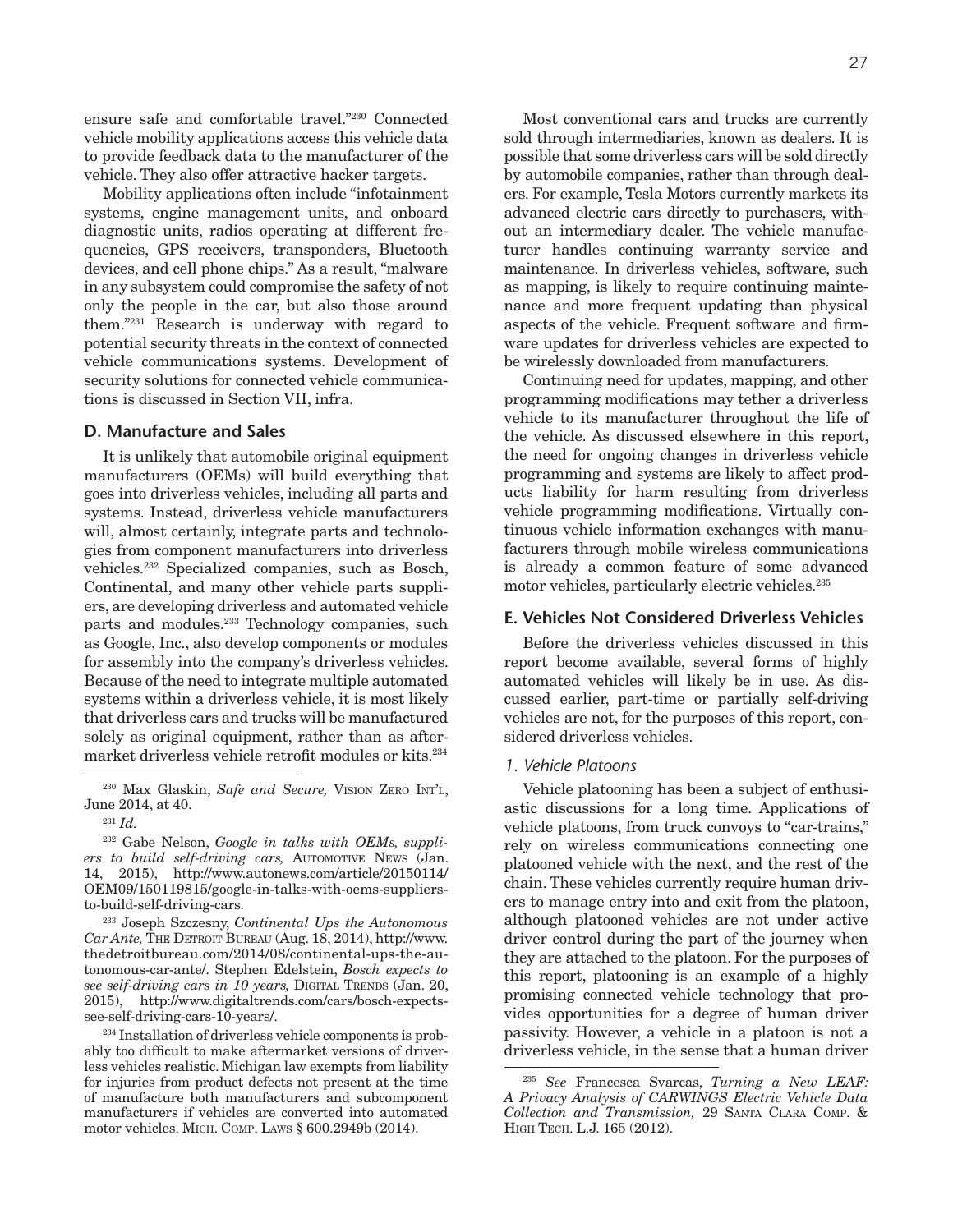ensure safe and comfortable travel."230 Connected vehicle mobility applications access this vehicle data to provide feedback data to the manufacturer of the vehicle. They also offer attractive hacker targets.

Mobility applications often include "infotainment systems, engine management units, and onboard diagnostic units, radios operating at different frequencies, GPS receivers, transponders, Bluetooth devices, and cell phone chips." As a result, "malware in any subsystem could compromise the safety of not only the people in the car, but also those around them."231 Research is underway with regard to potential security threats in the context of connected vehicle communications systems. Development of security solutions for connected vehicle communications is discussed in Section VII, infra.

### **D. Manufacture and Sales**

It is unlikely that automobile original equipment manufacturers (OEMs) will build everything that goes into driverless vehicles, including all parts and systems. Instead, driverless vehicle manufacturers will, almost certainly, integrate parts and technologies from component manufacturers into driverless vehicles.232 Specialized companies, such as Bosch, Continental, and many other vehicle parts suppliers, are developing driverless and automated vehicle parts and modules.<sup>233</sup> Technology companies, such as Google, Inc., also develop components or modules for assembly into the company's driverless vehicles. Because of the need to integrate multiple automated systems within a driverless vehicle, it is most likely that driverless cars and trucks will be manufactured solely as original equipment, rather than as aftermarket driverless vehicle retrofit modules or kits.234

233 Joseph Szczesny, *Continental Ups the Autonomous Car Ante,* The Detroit Bureau (Aug. 18, 2014), http://www. thedetroitbureau.com/2014/08/continental-ups-the-autonomous-car-ante/. Stephen Edelstein, *Bosch expects to see self-driving cars in 10 years, DIGITAL TRENDS (Jan. 20,* 2015), http://www.digitaltrends.com/cars/bosch-expectssee-self-driving-cars-10-years/.

234 Installation of driverless vehicle components is probably too difficult to make aftermarket versions of driverless vehicles realistic. Michigan law exempts from liability for injuries from product defects not present at the time of manufacture both manufacturers and subcomponent manufacturers if vehicles are converted into automated motor vehicles. Mich. Comp. Laws § 600.2949b (2014).

Most conventional cars and trucks are currently sold through intermediaries, known as dealers. It is possible that some driverless cars will be sold directly by automobile companies, rather than through dealers. For example, Tesla Motors currently markets its advanced electric cars directly to purchasers, without an intermediary dealer. The vehicle manufacturer handles continuing warranty service and maintenance. In driverless vehicles, software, such as mapping, is likely to require continuing maintenance and more frequent updating than physical aspects of the vehicle. Frequent software and firmware updates for driverless vehicles are expected to be wirelessly downloaded from manufacturers.

Continuing need for updates, mapping, and other programming modifications may tether a driverless vehicle to its manufacturer throughout the life of the vehicle. As discussed elsewhere in this report, the need for ongoing changes in driverless vehicle programming and systems are likely to affect products liability for harm resulting from driverless vehicle programming modifications. Virtually continuous vehicle information exchanges with manufacturers through mobile wireless communications is already a common feature of some advanced motor vehicles, particularly electric vehicles.<sup>235</sup>

## **E. Vehicles Not Considered Driverless Vehicles**

Before the driverless vehicles discussed in this report become available, several forms of highly automated vehicles will likely be in use. As discussed earlier, part-time or partially self-driving vehicles are not, for the purposes of this report, considered driverless vehicles.

#### *1. Vehicle Platoons*

Vehicle platooning has been a subject of enthusiastic discussions for a long time. Applications of vehicle platoons, from truck convoys to "car-trains," rely on wireless communications connecting one platooned vehicle with the next, and the rest of the chain. These vehicles currently require human drivers to manage entry into and exit from the platoon, although platooned vehicles are not under active driver control during the part of the journey when they are attached to the platoon. For the purposes of this report, platooning is an example of a highly promising connected vehicle technology that provides opportunities for a degree of human driver passivity. However, a vehicle in a platoon is not a driverless vehicle, in the sense that a human driver

<sup>230</sup> Max Glaskin, *Safe and Secure,* Vision Zero Int'l, June 2014, at 40.

<sup>231</sup> *Id.*

<sup>232</sup> Gabe Nelson, *Google in talks with OEMs, suppliers to build self-driving cars,* Automotive News (Jan. 14, 2015), http://www.autonews.com/article/20150114/ OEM09/150119815/google-in-talks-with-oems-suppliersto-build-self-driving-cars.

<sup>235</sup> *See* Francesca Svarcas, *Turning a New LEAF: A Privacy Analysis of CARWINGS Electric Vehicle Data Collection and Transmission,* 29 Santa Clara Comp. & High Tech. L.J. 165 (2012).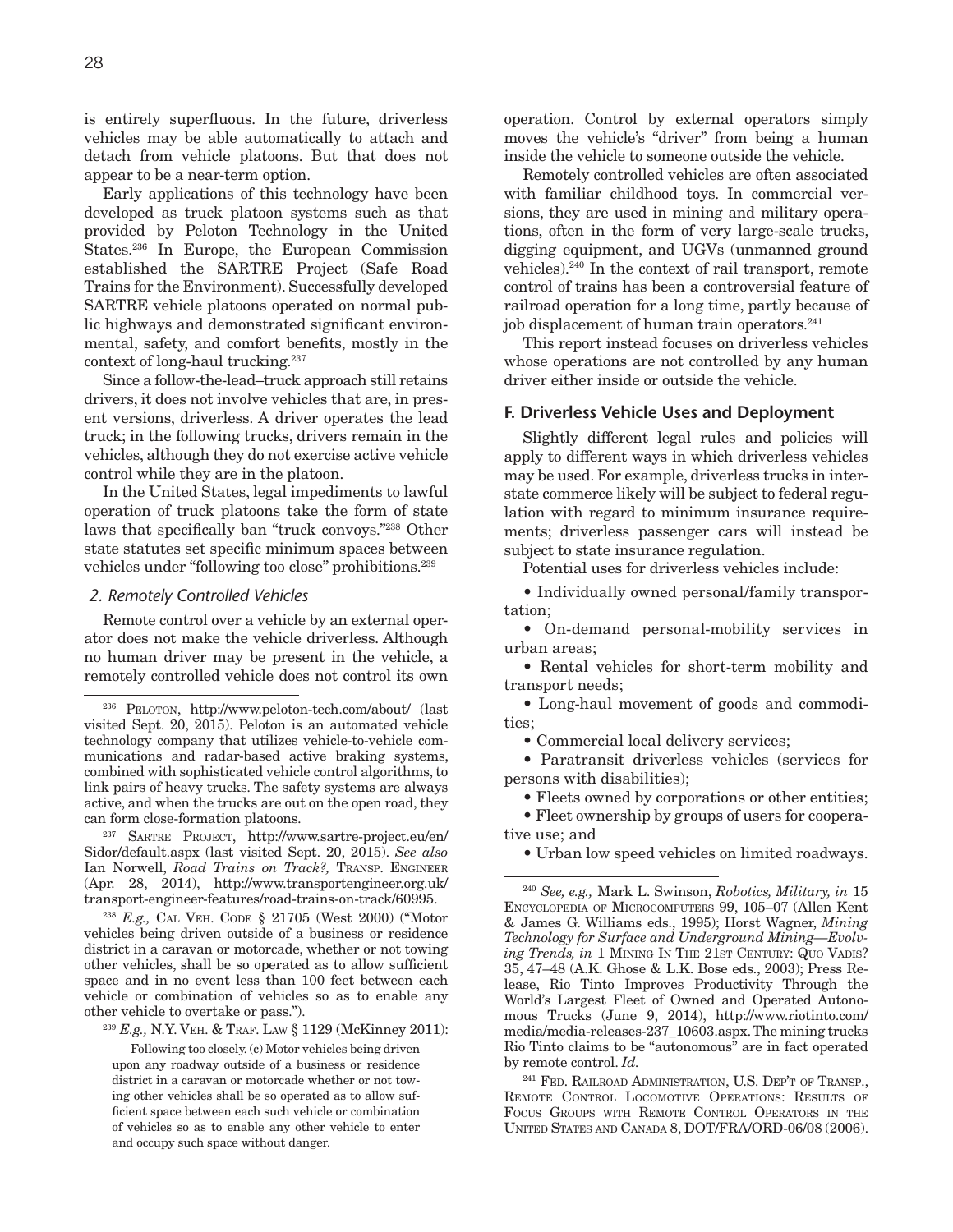is entirely superfluous. In the future, driverless vehicles may be able automatically to attach and detach from vehicle platoons. But that does not appear to be a near-term option.

Early applications of this technology have been developed as truck platoon systems such as that provided by Peloton Technology in the United States.236 In Europe, the European Commission established the SARTRE Project (Safe Road Trains for the Environment). Successfully developed SARTRE vehicle platoons operated on normal public highways and demonstrated significant environmental, safety, and comfort benefits, mostly in the context of long-haul trucking.237

Since a follow-the-lead–truck approach still retains drivers, it does not involve vehicles that are, in present versions, driverless. A driver operates the lead truck; in the following trucks, drivers remain in the vehicles, although they do not exercise active vehicle control while they are in the platoon.

In the United States, legal impediments to lawful operation of truck platoons take the form of state laws that specifically ban "truck convoys."238 Other state statutes set specific minimum spaces between vehicles under "following too close" prohibitions.<sup>239</sup>

## *2. Remotely Controlled Vehicles*

Remote control over a vehicle by an external operator does not make the vehicle driverless. Although no human driver may be present in the vehicle, a remotely controlled vehicle does not control its own

<sup>237</sup> Sartre Project, http://www.sartre-project.eu/en/ Sidor/default.aspx (last visited Sept. 20, 2015). *See also* Ian Norwell, *Road Trains on Track?*, TRANSP. ENGINEER (Apr. 28, 2014), http://www.transportengineer.org.uk/ transport-engineer-features/road-trains-on-track/60995.

<sup>238</sup> E.g., CAL VEH. CODE § 21705 (West 2000) ("Motor vehicles being driven outside of a business or residence district in a caravan or motorcade, whether or not towing other vehicles, shall be so operated as to allow sufficient space and in no event less than 100 feet between each vehicle or combination of vehicles so as to enable any other vehicle to overtake or pass.").

<sup>239</sup> *E.g.,* N.Y. Veh. & Traf. Law § 1129 (McKinney 2011):

Following too closely. (c) Motor vehicles being driven upon any roadway outside of a business or residence district in a caravan or motorcade whether or not towing other vehicles shall be so operated as to allow sufficient space between each such vehicle or combination of vehicles so as to enable any other vehicle to enter and occupy such space without danger.

operation. Control by external operators simply moves the vehicle's "driver" from being a human inside the vehicle to someone outside the vehicle.

Remotely controlled vehicles are often associated with familiar childhood toys. In commercial versions, they are used in mining and military operations, often in the form of very large-scale trucks, digging equipment, and UGVs (unmanned ground vehicles).240 In the context of rail transport, remote control of trains has been a controversial feature of railroad operation for a long time, partly because of job displacement of human train operators.<sup>241</sup>

This report instead focuses on driverless vehicles whose operations are not controlled by any human driver either inside or outside the vehicle.

#### **F. Driverless Vehicle Uses and Deployment**

Slightly different legal rules and policies will apply to different ways in which driverless vehicles may be used. For example, driverless trucks in interstate commerce likely will be subject to federal regulation with regard to minimum insurance requirements; driverless passenger cars will instead be subject to state insurance regulation.

Potential uses for driverless vehicles include:

• Individually owned personal/family transportation;

• On-demand personal-mobility services in urban areas;

• Rental vehicles for short-term mobility and transport needs;

• Long-haul movement of goods and commodities;

• Commercial local delivery services;

• Paratransit driverless vehicles (services for persons with disabilities);

• Fleets owned by corporations or other entities;

• Fleet ownership by groups of users for cooperative use; and

• Urban low speed vehicles on limited roadways.

<sup>241</sup> Fed. Railroad Administration, U.S. Dep't of Transp., Remote Control Locomotive Operations: Results of FOCUS GROUPS WITH REMOTE CONTROL OPERATORS IN THE United States and Canada 8, DOT/FRA/ORD-06/08 (2006).

<sup>236</sup> Peloton, http://www.peloton-tech.com/about/ (last visited Sept. 20, 2015). Peloton is an automated vehicle technology company that utilizes vehicle-to-vehicle communications and radar-based active braking systems, combined with sophisticated vehicle control algorithms, to link pairs of heavy trucks. The safety systems are always active, and when the trucks are out on the open road, they can form close-formation platoons.

<sup>240</sup> *See, e.g.,* Mark L. Swinson, *Robotics, Military, in* 15 Encyclopedia of Microcomputers 99, 105–07 (Allen Kent & James G. Williams eds., 1995); Horst Wagner, *Mining Technology for Surface and Underground Mining—Evolving Trends, in* 1 MINING IN THE 21ST CENTURY: QUO VADIS? 35, 47–48 (A.K. Ghose & L.K. Bose eds., 2003); Press Release, Rio Tinto Improves Productivity Through the World's Largest Fleet of Owned and Operated Autonomous Trucks (June 9, 2014), http://www.riotinto.com/ media/media-releases-237\_10603.aspx. The mining trucks Rio Tinto claims to be "autonomous" are in fact operated by remote control. *Id.*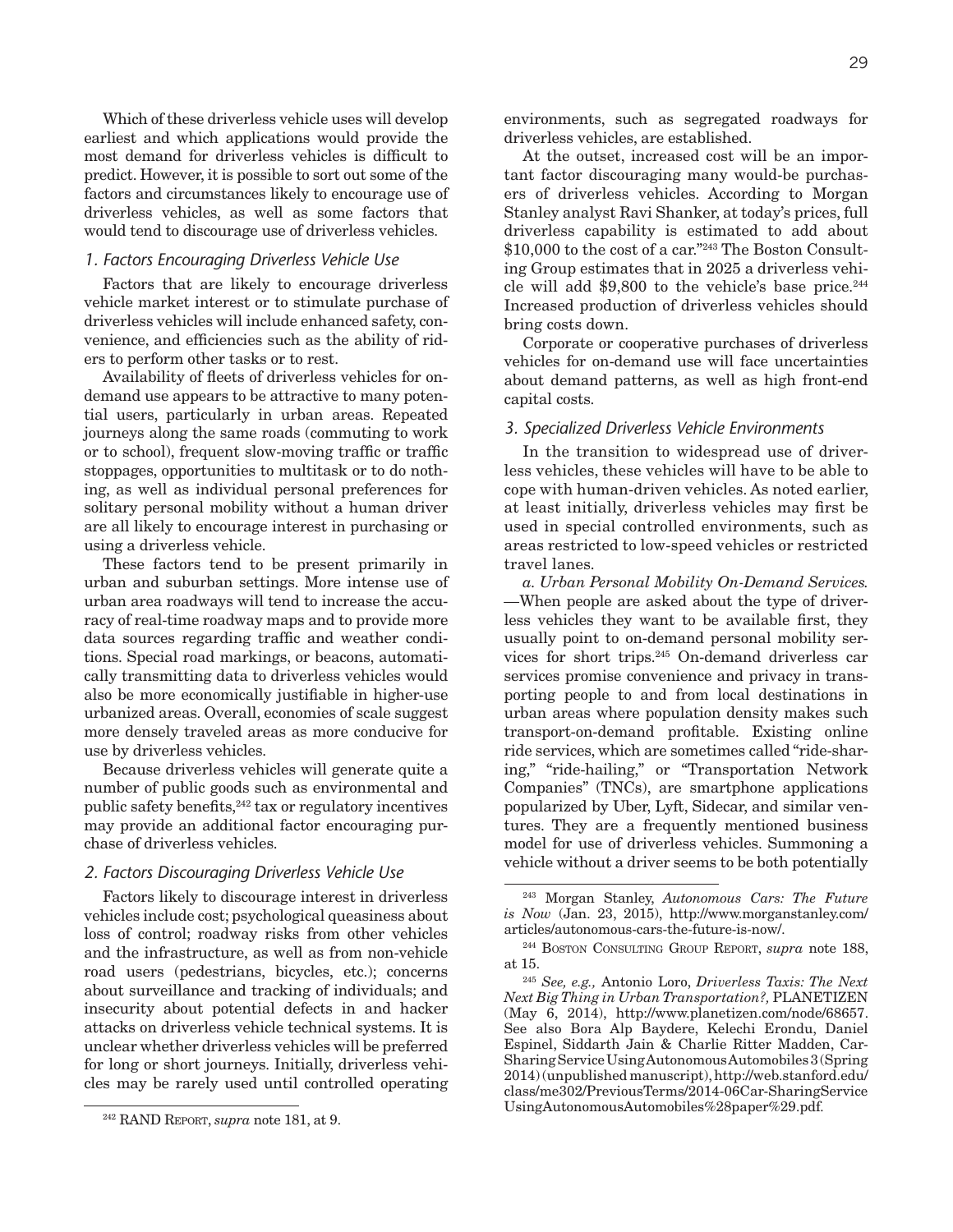Which of these driverless vehicle uses will develop earliest and which applications would provide the most demand for driverless vehicles is difficult to predict. However, it is possible to sort out some of the factors and circumstances likely to encourage use of driverless vehicles, as well as some factors that would tend to discourage use of driverless vehicles.

## *1. Factors Encouraging Driverless Vehicle Use*

Factors that are likely to encourage driverless vehicle market interest or to stimulate purchase of driverless vehicles will include enhanced safety, convenience, and efficiencies such as the ability of riders to perform other tasks or to rest.

Availability of fleets of driverless vehicles for ondemand use appears to be attractive to many potential users, particularly in urban areas. Repeated journeys along the same roads (commuting to work or to school), frequent slow-moving traffic or traffic stoppages, opportunities to multitask or to do nothing, as well as individual personal preferences for solitary personal mobility without a human driver are all likely to encourage interest in purchasing or using a driverless vehicle.

These factors tend to be present primarily in urban and suburban settings. More intense use of urban area roadways will tend to increase the accuracy of real-time roadway maps and to provide more data sources regarding traffic and weather conditions. Special road markings, or beacons, automatically transmitting data to driverless vehicles would also be more economically justifiable in higher-use urbanized areas. Overall, economies of scale suggest more densely traveled areas as more conducive for use by driverless vehicles.

Because driverless vehicles will generate quite a number of public goods such as environmental and public safety benefits,242 tax or regulatory incentives may provide an additional factor encouraging purchase of driverless vehicles.

#### *2. Factors Discouraging Driverless Vehicle Use*

Factors likely to discourage interest in driverless vehicles include cost; psychological queasiness about loss of control; roadway risks from other vehicles and the infrastructure, as well as from non-vehicle road users (pedestrians, bicycles, etc.); concerns about surveillance and tracking of individuals; and insecurity about potential defects in and hacker attacks on driverless vehicle technical systems. It is unclear whether driverless vehicles will be preferred for long or short journeys. Initially, driverless vehicles may be rarely used until controlled operating

environments, such as segregated roadways for driverless vehicles, are established.

At the outset, increased cost will be an important factor discouraging many would-be purchasers of driverless vehicles. According to Morgan Stanley analyst Ravi Shanker, at today's prices, full driverless capability is estimated to add about \$10,000 to the cost of a car."243 The Boston Consulting Group estimates that in 2025 a driverless vehicle will add  $$9,800$  to the vehicle's base price.<sup>244</sup> Increased production of driverless vehicles should bring costs down.

Corporate or cooperative purchases of driverless vehicles for on-demand use will face uncertainties about demand patterns, as well as high front-end capital costs.

#### *3. Specialized Driverless Vehicle Environments*

In the transition to widespread use of driverless vehicles, these vehicles will have to be able to cope with human-driven vehicles. As noted earlier, at least initially, driverless vehicles may first be used in special controlled environments, such as areas restricted to low-speed vehicles or restricted travel lanes.

*a. Urban Personal Mobility On-Demand Services. —*When people are asked about the type of driverless vehicles they want to be available first, they usually point to on-demand personal mobility services for short trips.245 On-demand driverless car services promise convenience and privacy in transporting people to and from local destinations in urban areas where population density makes such transport-on-demand profitable. Existing online ride services, which are sometimes called "ride-sharing," "ride-hailing," or "Transportation Network Companies" (TNCs), are smartphone applications popularized by Uber, Lyft, Sidecar, and similar ventures. They are a frequently mentioned business model for use of driverless vehicles. Summoning a vehicle without a driver seems to be both potentially

<sup>242</sup> RAND Report, *supra* note 181, at 9.

<sup>243</sup> Morgan Stanley, *Autonomous Cars: The Future is Now* (Jan. 23, 2015), http://www.morganstanley.com/ articles/autonomous-cars-the-future-is-now/.

<sup>244</sup> Boston Consulting Group Report, *supra* note 188, at 15.

<sup>245</sup> *See, e.g.,* Antonio Loro, *Driverless Taxis: The Next Next Big Thing in Urban Transportation?,* PLANETIZEN (May 6, 2014), http://www.planetizen.com/node/68657. See also Bora Alp Baydere, Kelechi Erondu, Daniel Espinel, Siddarth Jain & Charlie Ritter Madden, Car-Sharing Service Using Autonomous Automobiles 3 (Spring 2014) (unpublished manuscript), http://web.stanford.edu/ class/me302/PreviousTerms/2014-06Car-SharingService UsingAutonomousAutomobiles%28paper%29.pdf.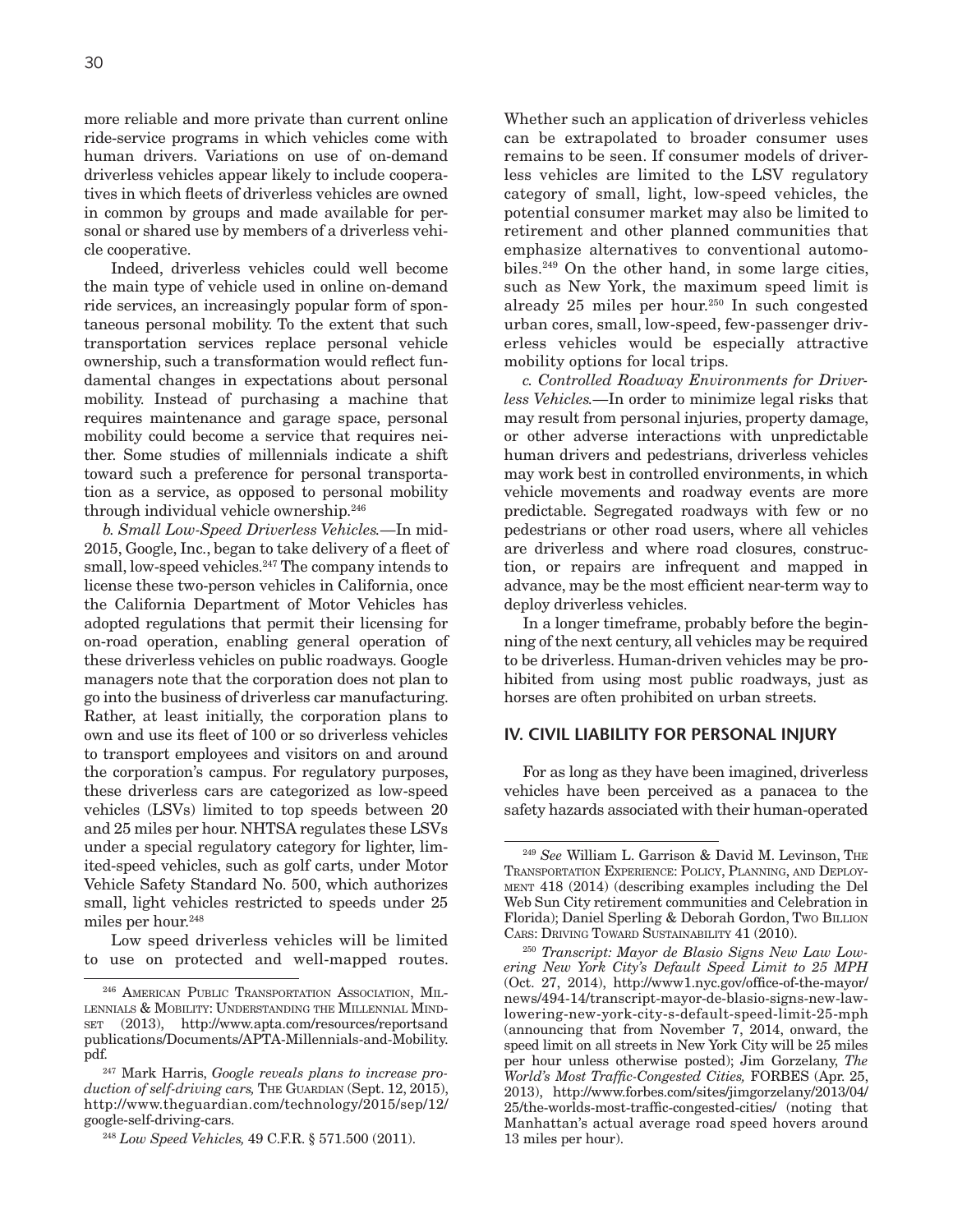more reliable and more private than current online ride-service programs in which vehicles come with human drivers. Variations on use of on-demand driverless vehicles appear likely to include cooperatives in which fleets of driverless vehicles are owned in common by groups and made available for personal or shared use by members of a driverless vehicle cooperative.

Indeed, driverless vehicles could well become the main type of vehicle used in online on-demand ride services, an increasingly popular form of spontaneous personal mobility. To the extent that such transportation services replace personal vehicle ownership, such a transformation would reflect fundamental changes in expectations about personal mobility. Instead of purchasing a machine that requires maintenance and garage space, personal mobility could become a service that requires neither. Some studies of millennials indicate a shift toward such a preference for personal transportation as a service, as opposed to personal mobility through individual vehicle ownership.<sup>246</sup>

*b. Small Low-Speed Driverless Vehicles.—*In mid-2015, Google, Inc., began to take delivery of a fleet of small, low-speed vehicles.<sup>247</sup> The company intends to license these two-person vehicles in California, once the California Department of Motor Vehicles has adopted regulations that permit their licensing for on-road operation, enabling general operation of these driverless vehicles on public roadways. Google managers note that the corporation does not plan to go into the business of driverless car manufacturing. Rather, at least initially, the corporation plans to own and use its fleet of 100 or so driverless vehicles to transport employees and visitors on and around the corporation's campus. For regulatory purposes, these driverless cars are categorized as low-speed vehicles (LSVs) limited to top speeds between 20 and 25 miles per hour. NHTSA regulates these LSVs under a special regulatory category for lighter, limited-speed vehicles, such as golf carts, under Motor Vehicle Safety Standard No. 500, which authorizes small, light vehicles restricted to speeds under 25 miles per hour.248

Low speed driverless vehicles will be limited to use on protected and well-mapped routes.

Whether such an application of driverless vehicles can be extrapolated to broader consumer uses remains to be seen. If consumer models of driverless vehicles are limited to the LSV regulatory category of small, light, low-speed vehicles, the potential consumer market may also be limited to retirement and other planned communities that emphasize alternatives to conventional automobiles.249 On the other hand, in some large cities, such as New York, the maximum speed limit is already  $25$  miles per hour.<sup>250</sup> In such congested urban cores, small, low-speed, few-passenger driverless vehicles would be especially attractive mobility options for local trips.

*c. Controlled Roadway Environments for Driverless Vehicles.—*In order to minimize legal risks that may result from personal injuries, property damage, or other adverse interactions with unpredictable human drivers and pedestrians, driverless vehicles may work best in controlled environments, in which vehicle movements and roadway events are more predictable. Segregated roadways with few or no pedestrians or other road users, where all vehicles are driverless and where road closures, construction, or repairs are infrequent and mapped in advance, may be the most efficient near-term way to deploy driverless vehicles.

In a longer timeframe, probably before the beginning of the next century, all vehicles may be required to be driverless. Human-driven vehicles may be prohibited from using most public roadways, just as horses are often prohibited on urban streets.

## **IV. CIVIL LIABILITY FOR PERSONAL INJURY**

For as long as they have been imagined, driverless vehicles have been perceived as a panacea to the safety hazards associated with their human-operated

<sup>246</sup> American Public Transportation Association, Millennials & Mobility: Understanding the Millennial Mindset (2013), http://www.apta.com/resources/reportsand publications/Documents/APTA-Millennials-and-Mobility. pdf.

<sup>247</sup> Mark Harris, *Google reveals plans to increase pro*duction of self-driving cars, THE GUARDIAN (Sept. 12, 2015), http://www.theguardian.com/technology/2015/sep/12/ google-self-driving-cars.

<sup>248</sup> *Low Speed Vehicles,* 49 C.F.R. § 571.500 (2011).

<sup>249</sup> *See* William L. Garrison & David M. Levinson, The Transportation Experience: Policy, Planning, and Deployment 418 (2014) (describing examples including the Del Web Sun City retirement communities and Celebration in Florida); Daniel Sperling & Deborah Gordon, Two BILLION CARS: DRIVING TOWARD SUSTAINABILITY 41 (2010).

<sup>250</sup> *Transcript: Mayor de Blasio Signs New Law Lowering New York City's Default Speed Limit to 25 MPH*  (Oct. 27, 2014), http://www1.nyc.gov/office-of-the-mayor/ news/494-14/transcript-mayor-de-blasio-signs-new-lawlowering-new-york-city-s-default-speed-limit-25-mph (announcing that from November 7, 2014, onward, the speed limit on all streets in New York City will be 25 miles per hour unless otherwise posted); Jim Gorzelany, *The World's Most Traffic-Congested Cities,* FORBES (Apr. 25, 2013), http://www.forbes.com/sites/jimgorzelany/2013/04/ 25/the-worlds-most-traffic-congested-cities/ (noting that Manhattan's actual average road speed hovers around 13 miles per hour).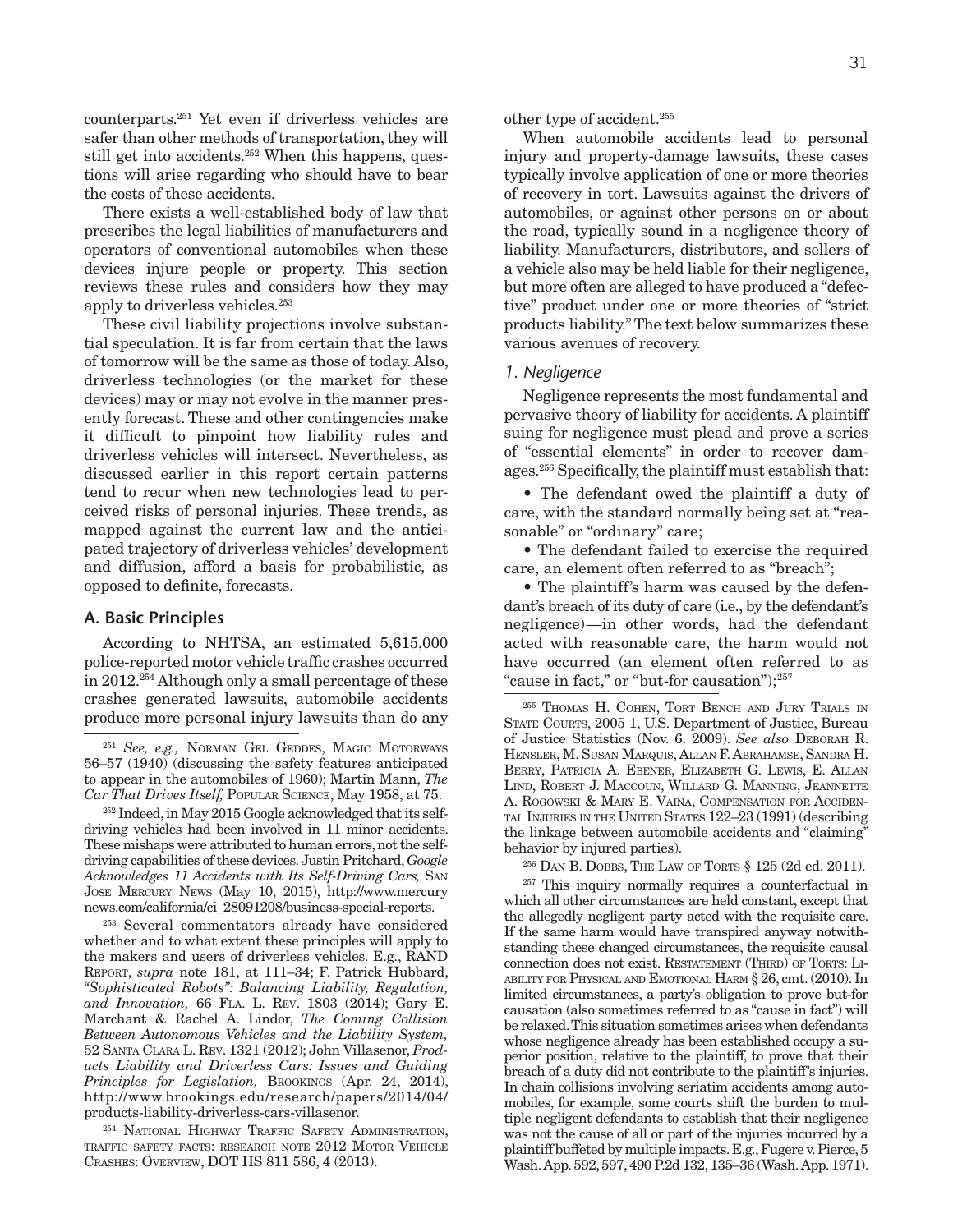counterparts.251 Yet even if driverless vehicles are safer than other methods of transportation, they will still get into accidents.<sup>252</sup> When this happens, questions will arise regarding who should have to bear the costs of these accidents.

There exists a well-established body of law that prescribes the legal liabilities of manufacturers and operators of conventional automobiles when these devices injure people or property. This section reviews these rules and considers how they may apply to driverless vehicles.<sup>253</sup>

These civil liability projections involve substantial speculation. It is far from certain that the laws of tomorrow will be the same as those of today. Also, driverless technologies (or the market for these devices) may or may not evolve in the manner presently forecast. These and other contingencies make it difficult to pinpoint how liability rules and driverless vehicles will intersect. Nevertheless, as discussed earlier in this report certain patterns tend to recur when new technologies lead to perceived risks of personal injuries. These trends, as mapped against the current law and the anticipated trajectory of driverless vehicles' development and diffusion, afford a basis for probabilistic, as opposed to definite, forecasts.

## **A. Basic Principles**

According to NHTSA, an estimated 5,615,000 police-reported motor vehicle traffic crashes occurred in 2012.254 Although only a small percentage of these crashes generated lawsuits, automobile accidents produce more personal injury lawsuits than do any

253 Several commentators already have considered whether and to what extent these principles will apply to the makers and users of driverless vehicles. E.g., RAND Report, *supra* note 181, at 111–34; F. Patrick Hubbard, *"Sophisticated Robots": Balancing Liability, Regulation, and Innovation,* 66 Fla. L. Rev. 1803 (2014); Gary E. Marchant & Rachel A. Lindor, *The Coming Collision Between Autonomous Vehicles and the Liability System,* 52 Santa Clara L. Rev. 1321 (2012); John Villasenor, *Products Liability and Driverless Cars: Issues and Guiding Principles for Legislation,* Brookings (Apr. 24, 2014), http://www.brookings.edu/research/papers/2014/04/ products-liability-driverless-cars-villasenor.

<sup>254</sup> National Highway Traffic Safety Administration, traffic safety facts: research note 2012 Motor Vehicle Crashes: Overview, DOT HS 811 586, 4 (2013).

other type of accident.255

When automobile accidents lead to personal injury and property-damage lawsuits, these cases typically involve application of one or more theories of recovery in tort. Lawsuits against the drivers of automobiles, or against other persons on or about the road, typically sound in a negligence theory of liability. Manufacturers, distributors, and sellers of a vehicle also may be held liable for their negligence, but more often are alleged to have produced a "defective" product under one or more theories of "strict products liability." The text below summarizes these various avenues of recovery.

#### *1. Negligence*

Negligence represents the most fundamental and pervasive theory of liability for accidents. A plaintiff suing for negligence must plead and prove a series of "essential elements" in order to recover damages.256 Specifically, the plaintiff must establish that:

• The defendant owed the plaintiff a duty of care, with the standard normally being set at "reasonable" or "ordinary" care;

• The defendant failed to exercise the required care, an element often referred to as "breach";

• The plaintiff's harm was caused by the defendant's breach of its duty of care (i.e., by the defendant's negligence)—in other words, had the defendant acted with reasonable care, the harm would not have occurred (an element often referred to as "cause in fact," or "but-for causation");<sup>257</sup>

 $256$  DAN B. DOBBS, THE LAW OF TORTS  $\S 125$  (2d ed. 2011).

<sup>257</sup> This inquiry normally requires a counterfactual in which all other circumstances are held constant, except that the allegedly negligent party acted with the requisite care. If the same harm would have transpired anyway notwithstanding these changed circumstances, the requisite causal connection does not exist. RESTATEMENT (THIRD) OF TORTS: LIability for Physical and Emotional Harm § 26, cmt. (2010). In limited circumstances, a party's obligation to prove but-for causation (also sometimes referred to as "cause in fact") will be relaxed. This situation sometimes arises when defendants whose negligence already has been established occupy a superior position, relative to the plaintiff, to prove that their breach of a duty did not contribute to the plaintiff's injuries. In chain collisions involving seriatim accidents among automobiles, for example, some courts shift the burden to multiple negligent defendants to establish that their negligence was not the cause of all or part of the injuries incurred by a plaintiff buffeted by multiple impacts. E.g., Fugere v. Pierce, 5 Wash. App. 592, 597, 490 P.2d 132, 135–36 (Wash. App. 1971).

<sup>251</sup> *See, e.g.,* Norman Gel Geddes, Magic Motorways 56–57 (1940) (discussing the safety features anticipated to appear in the automobiles of 1960); Martin Mann, *The Car That Drives Itself,* Popular Science, May 1958, at 75.

<sup>252</sup> Indeed, in May 2015 Google acknowledged that its selfdriving vehicles had been involved in 11 minor accidents. These mishaps were attributed to human errors, not the selfdriving capabilities of these devices. Justin Pritchard, *Google Acknowledges 11 Accidents with Its Self-Driving Cars,* San Jose Mercury News (May 10, 2015), http://www.mercury news.com/california/ci\_28091208/business-special-reports.

<sup>&</sup>lt;sup>255</sup> THOMAS H. COHEN, TORT BENCH AND JURY TRIALS IN STATE COURTS, 2005 1, U.S. Department of Justice, Bureau of Justice Statistics (Nov. 6. 2009). *See also* Deborah R. Hensler, M. Susan Marquis, Allan F. Abrahamse, Sandra H. Berry, Patricia A. Ebener, Elizabeth G. Lewis, E. Allan Lind, Robert J. Maccoun, Willard G. Manning, Jeannette A. Rogowski & Mary E. Vaina, Compensation for Accidental Injuries in the United States 122–23 (1991) (describing the linkage between automobile accidents and "claiming" behavior by injured parties).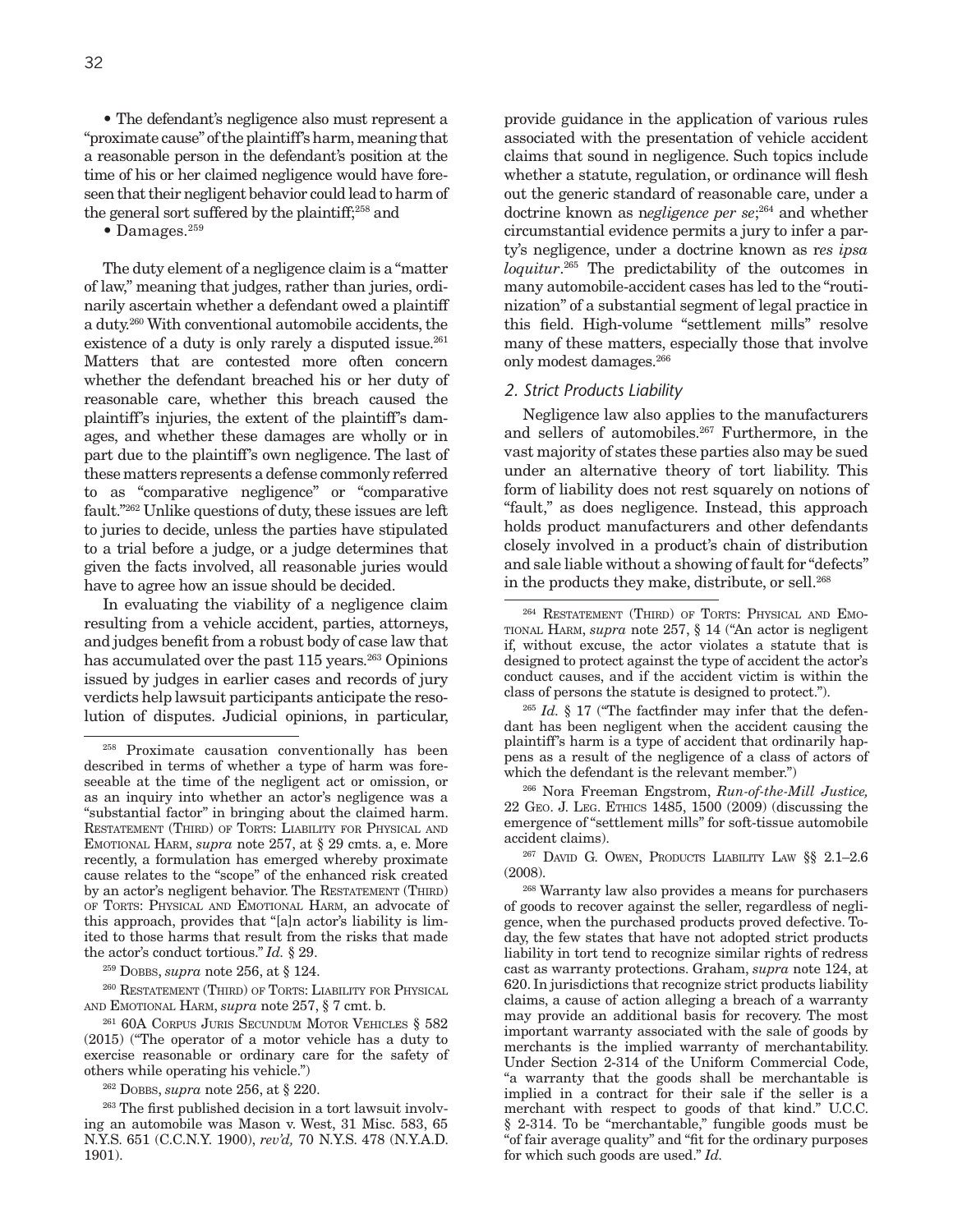• The defendant's negligence also must represent a "proximate cause" of the plaintiff's harm, meaning that a reasonable person in the defendant's position at the time of his or her claimed negligence would have foreseen that their negligent behavior could lead to harm of the general sort suffered by the plaintiff;258 and

 $\bullet$  Damages.<sup>259</sup>

The duty element of a negligence claim is a "matter of law," meaning that judges, rather than juries, ordinarily ascertain whether a defendant owed a plaintiff a duty.260 With conventional automobile accidents, the existence of a duty is only rarely a disputed issue.<sup>261</sup> Matters that are contested more often concern whether the defendant breached his or her duty of reasonable care, whether this breach caused the plaintiff's injuries, the extent of the plaintiff's damages, and whether these damages are wholly or in part due to the plaintiff's own negligence. The last of these matters represents a defense commonly referred to as "comparative negligence" or "comparative fault."262 Unlike questions of duty, these issues are left to juries to decide, unless the parties have stipulated to a trial before a judge, or a judge determines that given the facts involved, all reasonable juries would have to agree how an issue should be decided.

In evaluating the viability of a negligence claim resulting from a vehicle accident, parties, attorneys, and judges benefit from a robust body of case law that has accumulated over the past 115 years.<sup>263</sup> Opinions issued by judges in earlier cases and records of jury verdicts help lawsuit participants anticipate the resolution of disputes. Judicial opinions, in particular,

<sup>260</sup> Restatement (Third) of Torts: Liability for Physical and Emotional Harm, *supra* note 257, § 7 cmt. b.

261 60A Corpus Juris Secundum Motor Vehicles § 582 (2015) ("The operator of a motor vehicle has a duty to exercise reasonable or ordinary care for the safety of others while operating his vehicle.")

<sup>262</sup> Dobbs, *supra* note 256, at § 220.

provide guidance in the application of various rules associated with the presentation of vehicle accident claims that sound in negligence. Such topics include whether a statute, regulation, or ordinance will flesh out the generic standard of reasonable care, under a doctrine known as n*egligence per se*; 264 and whether circumstantial evidence permits a jury to infer a party's negligence, under a doctrine known as r*es ipsa loquitur*. 265 The predictability of the outcomes in many automobile-accident cases has led to the "routinization" of a substantial segment of legal practice in this field. High-volume "settlement mills" resolve many of these matters, especially those that involve only modest damages.266

#### *2. Strict Products Liability*

Negligence law also applies to the manufacturers and sellers of automobiles.267 Furthermore, in the vast majority of states these parties also may be sued under an alternative theory of tort liability. This form of liability does not rest squarely on notions of "fault," as does negligence. Instead, this approach holds product manufacturers and other defendants closely involved in a product's chain of distribution and sale liable without a showing of fault for "defects" in the products they make, distribute, or sell.<sup>268</sup>

<sup>267</sup> DAVID G. OWEN, PRODUCTS LIABILITY LAW §§ 2.1-2.6 (2008).

268 Warranty law also provides a means for purchasers of goods to recover against the seller, regardless of negligence, when the purchased products proved defective. Today, the few states that have not adopted strict products liability in tort tend to recognize similar rights of redress cast as warranty protections. Graham, *supra* note 124, at 620. In jurisdictions that recognize strict products liability claims, a cause of action alleging a breach of a warranty may provide an additional basis for recovery. The most important warranty associated with the sale of goods by merchants is the implied warranty of merchantability. Under Section 2-314 of the Uniform Commercial Code, "a warranty that the goods shall be merchantable is implied in a contract for their sale if the seller is a merchant with respect to goods of that kind." U.C.C. § 2-314. To be "merchantable," fungible goods must be "of fair average quality" and "fit for the ordinary purposes for which such goods are used." *Id.* 

<sup>258</sup> Proximate causation conventionally has been described in terms of whether a type of harm was foreseeable at the time of the negligent act or omission, or as an inquiry into whether an actor's negligence was a "substantial factor" in bringing about the claimed harm. RESTATEMENT (THIRD) OF TORTS: LIABILITY FOR PHYSICAL AND Emotional Harm, *supra* note 257, at § 29 cmts. a, e. More recently, a formulation has emerged whereby proximate cause relates to the "scope" of the enhanced risk created by an actor's negligent behavior. The RESTATEMENT (THIRD) of Torts: Physical and Emotional Harm, an advocate of this approach, provides that "[a]n actor's liability is limited to those harms that result from the risks that made the actor's conduct tortious." *Id.* § 29.

<sup>259</sup> Dobbs, *supra* note 256, at § 124.

<sup>263</sup> The first published decision in a tort lawsuit involving an automobile was Mason v. West, 31 Misc. 583, 65 N.Y.S. 651 (C.C.N.Y. 1900), *rev'd,* 70 N.Y.S. 478 (N.Y.A.D. 1901).

<sup>&</sup>lt;sup>264</sup> RESTATEMENT (THIRD) OF TORTS: PHYSICAL AND EMOtional Harm, *supra* note 257, § 14 ("An actor is negligent if, without excuse, the actor violates a statute that is designed to protect against the type of accident the actor's conduct causes, and if the accident victim is within the class of persons the statute is designed to protect.").

<sup>&</sup>lt;sup>265</sup> *Id.* § 17 ("The factfinder may infer that the defendant has been negligent when the accident causing the plaintiff's harm is a type of accident that ordinarily happens as a result of the negligence of a class of actors of which the defendant is the relevant member.")

<sup>266</sup> Nora Freeman Engstrom, *Run-of-the-Mill Justice,*  22 Geo. J. Leg. Ethics 1485, 1500 (2009) (discussing the emergence of "settlement mills" for soft-tissue automobile accident claims).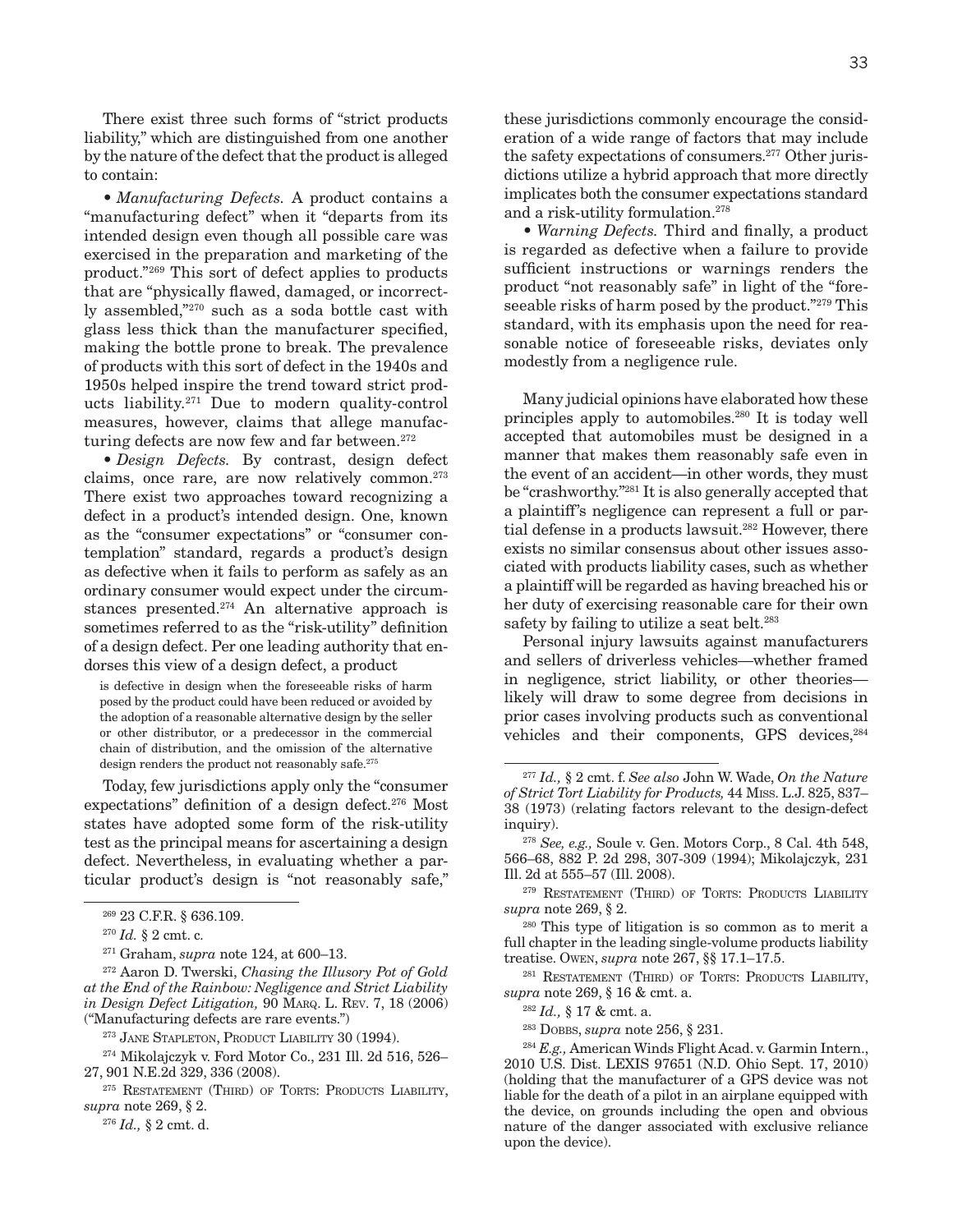There exist three such forms of "strict products liability," which are distinguished from one another by the nature of the defect that the product is alleged to contain:

• *Manufacturing Defects.* A product contains a "manufacturing defect" when it "departs from its intended design even though all possible care was exercised in the preparation and marketing of the product."269 This sort of defect applies to products that are "physically flawed, damaged, or incorrectly assembled,"270 such as a soda bottle cast with glass less thick than the manufacturer specified, making the bottle prone to break. The prevalence of products with this sort of defect in the 1940s and 1950s helped inspire the trend toward strict products liability.271 Due to modern quality-control measures, however, claims that allege manufacturing defects are now few and far between.<sup>272</sup>

• *Design Defects.* By contrast, design defect claims, once rare, are now relatively common.<sup>273</sup> There exist two approaches toward recognizing a defect in a product's intended design. One, known as the "consumer expectations" or "consumer contemplation" standard, regards a product's design as defective when it fails to perform as safely as an ordinary consumer would expect under the circumstances presented.274 An alternative approach is sometimes referred to as the "risk-utility" definition of a design defect. Per one leading authority that endorses this view of a design defect, a product

is defective in design when the foreseeable risks of harm posed by the product could have been reduced or avoided by the adoption of a reasonable alternative design by the seller or other distributor, or a predecessor in the commercial chain of distribution, and the omission of the alternative design renders the product not reasonably safe.<sup>275</sup>

Today, few jurisdictions apply only the "consumer expectations" definition of a design defect.<sup>276</sup> Most states have adopted some form of the risk-utility test as the principal means for ascertaining a design defect. Nevertheless, in evaluating whether a particular product's design is "not reasonably safe,"

274 Mikolajczyk v. Ford Motor Co., 231 Ill. 2d 516, 526– 27, 901 N.E.2d 329, 336 (2008).

<sup>276</sup> *Id.,* § 2 cmt. d.

these jurisdictions commonly encourage the consideration of a wide range of factors that may include the safety expectations of consumers.<sup>277</sup> Other jurisdictions utilize a hybrid approach that more directly implicates both the consumer expectations standard and a risk-utility formulation.278

• *Warning Defects.* Third and finally, a product is regarded as defective when a failure to provide sufficient instructions or warnings renders the product "not reasonably safe" in light of the "foreseeable risks of harm posed by the product."279 This standard, with its emphasis upon the need for reasonable notice of foreseeable risks, deviates only modestly from a negligence rule.

Many judicial opinions have elaborated how these principles apply to automobiles.280 It is today well accepted that automobiles must be designed in a manner that makes them reasonably safe even in the event of an accident—in other words, they must be "crashworthy."281 It is also generally accepted that a plaintiff's negligence can represent a full or partial defense in a products lawsuit.<sup>282</sup> However, there exists no similar consensus about other issues associated with products liability cases, such as whether a plaintiff will be regarded as having breached his or her duty of exercising reasonable care for their own safety by failing to utilize a seat belt.<sup>283</sup>

Personal injury lawsuits against manufacturers and sellers of driverless vehicles—whether framed in negligence, strict liability, or other theories likely will draw to some degree from decisions in prior cases involving products such as conventional vehicles and their components, GPS devices,<sup>284</sup>

<sup>281</sup> RESTATEMENT (THIRD) OF TORTS: PRODUCTS LIABILITY, *supra* note 269, § 16 & cmt. a.

<sup>282</sup> *Id.,* § 17 & cmt. a.

<sup>283</sup> Dobbs, *supra* note 256, § 231.

<sup>284</sup> *E.g.,* American Winds Flight Acad. v. Garmin Intern., 2010 U.S. Dist. LEXIS 97651 (N.D. Ohio Sept. 17, 2010) (holding that the manufacturer of a GPS device was not liable for the death of a pilot in an airplane equipped with the device, on grounds including the open and obvious nature of the danger associated with exclusive reliance upon the device).

<sup>269 23</sup> C.F.R. § 636.109.

<sup>270</sup> *Id.* § 2 cmt. c.

<sup>271</sup> Graham, *supra* note 124, at 600–13.

<sup>272</sup> Aaron D. Twerski, *Chasing the Illusory Pot of Gold at the End of the Rainbow: Negligence and Strict Liability in Design Defect Litigation,* 90 Marq. L. Rev. 7, 18 (2006) ("Manufacturing defects are rare events.")

<sup>&</sup>lt;sup>273</sup> JANE STAPLETON, PRODUCT LIABILITY 30 (1994).

<sup>&</sup>lt;sup>275</sup> RESTATEMENT (THIRD) OF TORTS: PRODUCTS LIABILITY, *supra* note 269, § 2.

<sup>277</sup> *Id.,* § 2 cmt. f. *See also* John W. Wade, *On the Nature of Strict Tort Liability for Products,* 44 Miss. L.J. 825, 837– 38 (1973) (relating factors relevant to the design-defect inquiry).

<sup>278</sup> *See, e.g.,* Soule v. Gen. Motors Corp., 8 Cal. 4th 548, 566–68, 882 P. 2d 298, 307-309 (1994); Mikolajczyk, 231 Ill. 2d at 555–57 (Ill. 2008).

<sup>&</sup>lt;sup>279</sup> RESTATEMENT (THIRD) OF TORTS: PRODUCTS LIABILITY *supra* note 269, § 2.

<sup>280</sup> This type of litigation is so common as to merit a full chapter in the leading single-volume products liability treatise. Owen, *supra* note 267, §§ 17.1–17.5.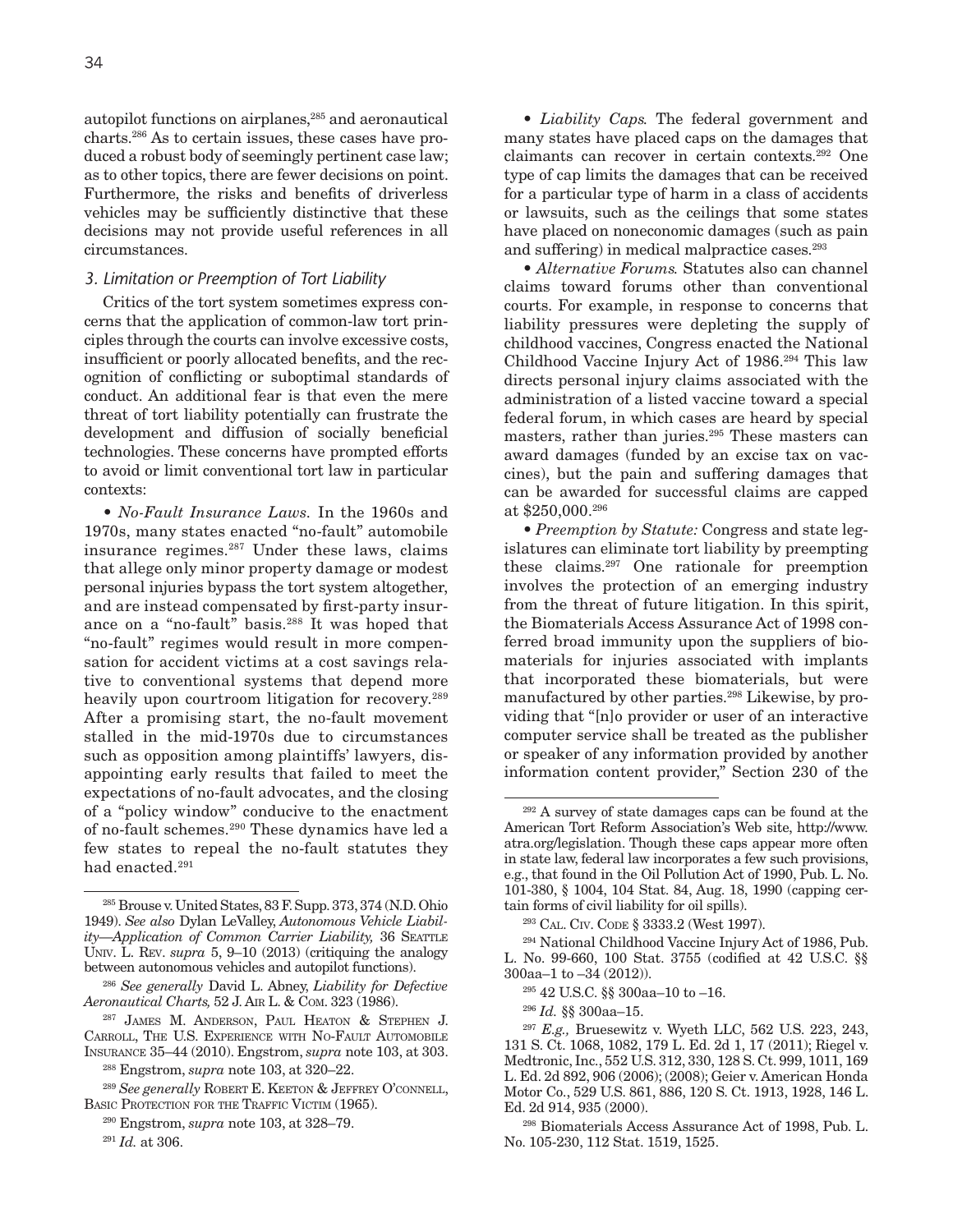autopilot functions on airplanes,285 and aeronautical charts.286 As to certain issues, these cases have produced a robust body of seemingly pertinent case law; as to other topics, there are fewer decisions on point. Furthermore, the risks and benefits of driverless vehicles may be sufficiently distinctive that these decisions may not provide useful references in all circumstances.

#### *3. Limitation or Preemption of Tort Liability*

Critics of the tort system sometimes express concerns that the application of common-law tort principles through the courts can involve excessive costs, insufficient or poorly allocated benefits, and the recognition of conflicting or suboptimal standards of conduct. An additional fear is that even the mere threat of tort liability potentially can frustrate the development and diffusion of socially beneficial technologies. These concerns have prompted efforts to avoid or limit conventional tort law in particular contexts:

• *No-Fault Insurance Laws.* In the 1960s and 1970s, many states enacted "no-fault" automobile insurance regimes.287 Under these laws, claims that allege only minor property damage or modest personal injuries bypass the tort system altogether, and are instead compensated by first-party insurance on a "no-fault" basis.288 It was hoped that "no-fault" regimes would result in more compensation for accident victims at a cost savings relative to conventional systems that depend more heavily upon courtroom litigation for recovery.<sup>289</sup> After a promising start, the no-fault movement stalled in the mid-1970s due to circumstances such as opposition among plaintiffs' lawyers, disappointing early results that failed to meet the expectations of no-fault advocates, and the closing of a "policy window" conducive to the enactment of no-fault schemes.290 These dynamics have led a few states to repeal the no-fault statutes they had enacted.<sup>291</sup>

• *Liability Caps.* The federal government and many states have placed caps on the damages that claimants can recover in certain contexts.292 One type of cap limits the damages that can be received for a particular type of harm in a class of accidents or lawsuits, such as the ceilings that some states have placed on noneconomic damages (such as pain and suffering) in medical malpractice cases.293

• *Alternative Forums.* Statutes also can channel claims toward forums other than conventional courts. For example, in response to concerns that liability pressures were depleting the supply of childhood vaccines, Congress enacted the National Childhood Vaccine Injury Act of 1986.294 This law directs personal injury claims associated with the administration of a listed vaccine toward a special federal forum, in which cases are heard by special masters, rather than juries.<sup>295</sup> These masters can award damages (funded by an excise tax on vaccines), but the pain and suffering damages that can be awarded for successful claims are capped at \$250,000.296

• *Preemption by Statute:* Congress and state legislatures can eliminate tort liability by preempting these claims.297 One rationale for preemption involves the protection of an emerging industry from the threat of future litigation. In this spirit, the Biomaterials Access Assurance Act of 1998 conferred broad immunity upon the suppliers of biomaterials for injuries associated with implants that incorporated these biomaterials, but were manufactured by other parties.298 Likewise, by providing that "[n]o provider or user of an interactive computer service shall be treated as the publisher or speaker of any information provided by another information content provider," Section 230 of the

<sup>285</sup> Brouse v. United States, 83 F. Supp. 373, 374 (N.D. Ohio 1949). *See also* Dylan LeValley, *Autonomous Vehicle Liabil* $ity$ —Application of Common Carrier Liability, 36 SEATTLE UNIV. L. Rev. *supra* 5, 9–10 (2013) (critiquing the analogy between autonomous vehicles and autopilot functions).

<sup>286</sup> *See generally* David L. Abney, *Liability for Defective Aeronautical Charts,* 52 J. Air L. & Com. 323 (1986).

<sup>287</sup> James M. Anderson, Paul Heaton & Stephen J. Carroll, The U.S. Experience with No-Fault Automobile Insurance 35–44 (2010). Engstrom, *supra* note 103, at 303.

<sup>288</sup> Engstrom, *supra* note 103, at 320–22.

<sup>&</sup>lt;sup>289</sup> See generally ROBERT E. KEETON & JEFFREY O'CONNELL, BASIC PROTECTION FOR THE TRAFFIC VICTIM (1965).

<sup>290</sup> Engstrom, *supra* note 103, at 328–79.

<sup>291</sup> *Id.* at 306.

<sup>292</sup> A survey of state damages caps can be found at the American Tort Reform Association's Web site, http://www. atra.org/legislation. Though these caps appear more often in state law, federal law incorporates a few such provisions, e.g., that found in the Oil Pollution Act of 1990, Pub. L. No. 101-380, § 1004, 104 Stat. 84, Aug. 18, 1990 (capping certain forms of civil liability for oil spills).

<sup>293</sup> Cal. Civ. Code § 3333.2 (West 1997).

<sup>294</sup> National Childhood Vaccine Injury Act of 1986, Pub. L. No. 99-660, 100 Stat. 3755 (codified at 42 U.S.C. §§ 300aa–1 to –34 (2012)).

<sup>295 42</sup> U.S.C. §§ 300aa–10 to –16.

<sup>296</sup> *Id.* §§ 300aa–15.

<sup>297</sup> *E.g.,* Bruesewitz v. Wyeth LLC, 562 U.S. 223, 243, 131 S. Ct. 1068, 1082, 179 L. Ed. 2d 1, 17 (2011); Riegel v. Medtronic, Inc., 552 U.S. 312, 330, 128 S. Ct. 999, 1011, 169 L. Ed. 2d 892, 906 (2006); (2008); Geier v. American Honda Motor Co., 529 U.S. 861, 886, 120 S. Ct. 1913, 1928, 146 L. Ed. 2d 914, 935 (2000).

<sup>298</sup> Biomaterials Access Assurance Act of 1998, Pub. L. No. 105-230, 112 Stat. 1519, 1525.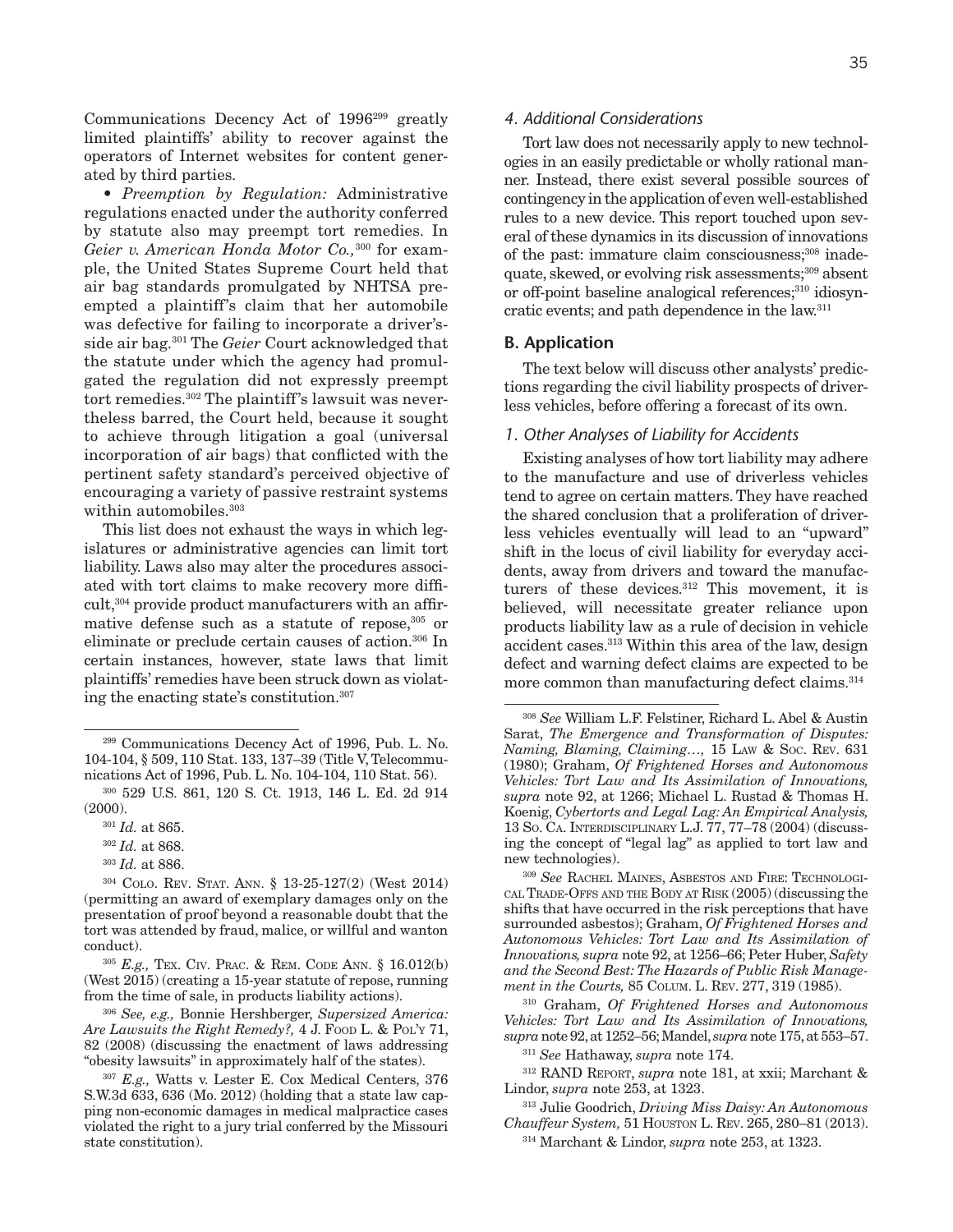Communications Decency Act of 1996<sup>299</sup> greatly limited plaintiffs' ability to recover against the operators of Internet websites for content generated by third parties.

• *Preemption by Regulation:* Administrative regulations enacted under the authority conferred by statute also may preempt tort remedies. In *Geier v. American Honda Motor Co.,*300 for example, the United States Supreme Court held that air bag standards promulgated by NHTSA preempted a plaintiff's claim that her automobile was defective for failing to incorporate a driver'sside air bag.301 The *Geier* Court acknowledged that the statute under which the agency had promulgated the regulation did not expressly preempt tort remedies.302 The plaintiff's lawsuit was nevertheless barred, the Court held, because it sought to achieve through litigation a goal (universal incorporation of air bags) that conflicted with the pertinent safety standard's perceived objective of encouraging a variety of passive restraint systems within automobiles.<sup>303</sup>

This list does not exhaust the ways in which legislatures or administrative agencies can limit tort liability. Laws also may alter the procedures associated with tort claims to make recovery more difficult,304 provide product manufacturers with an affirmative defense such as a statute of repose,<sup>305</sup> or eliminate or preclude certain causes of action.306 In certain instances, however, state laws that limit plaintiffs' remedies have been struck down as violating the enacting state's constitution.307

#### *4. Additional Considerations*

Tort law does not necessarily apply to new technologies in an easily predictable or wholly rational manner. Instead, there exist several possible sources of contingency in the application of even well-established rules to a new device. This report touched upon several of these dynamics in its discussion of innovations of the past: immature claim consciousness;<sup>308</sup> inadequate, skewed, or evolving risk assessments;<sup>309</sup> absent or off-point baseline analogical references;<sup>310</sup> idiosyncratic events; and path dependence in the law.311

#### **B. Application**

The text below will discuss other analysts' predictions regarding the civil liability prospects of driverless vehicles, before offering a forecast of its own.

## *1. Other Analyses of Liability for Accidents*

Existing analyses of how tort liability may adhere to the manufacture and use of driverless vehicles tend to agree on certain matters. They have reached the shared conclusion that a proliferation of driverless vehicles eventually will lead to an "upward" shift in the locus of civil liability for everyday accidents, away from drivers and toward the manufacturers of these devices.<sup>312</sup> This movement, it is believed, will necessitate greater reliance upon products liability law as a rule of decision in vehicle accident cases.<sup>313</sup> Within this area of the law, design defect and warning defect claims are expected to be more common than manufacturing defect claims.<sup>314</sup>

<sup>309</sup> *See* Rachel Maines, Asbestos and Fire: Technological Trade-Offs and the Body at Risk (2005) (discussing the shifts that have occurred in the risk perceptions that have surrounded asbestos); Graham, *Of Frightened Horses and Autonomous Vehicles: Tort Law and Its Assimilation of Innovations, supra* note 92, at 1256–66; Peter Huber, *Safety and the Second Best: The Hazards of Public Risk Management in the Courts,* 85 Colum. L. Rev. 277, 319 (1985).

310 Graham, *Of Frightened Horses and Autonomous Vehicles: Tort Law and Its Assimilation of Innovations, supra* note 92, at 1252–56; Mandel, *supra* note 175, at 553–57.

<sup>311</sup> *See* Hathaway, *supra* note 174.

<sup>312</sup> RAND Report, *supra* note 181, at xxii; Marchant & Lindor, *supra* note 253, at 1323.

313 Julie Goodrich, *Driving Miss Daisy: An Autonomous Chauffeur System,* 51 Houston L. Rev. 265, 280–81 (2013).

314 Marchant & Lindor, *supra* note 253, at 1323.

<sup>299</sup> Communications Decency Act of 1996, Pub. L. No. 104-104, § 509, 110 Stat. 133, 137–39 (Title V, Telecommunications Act of 1996, Pub. L. No. 104-104, 110 Stat. 56).

<sup>300 529</sup> U.S. 861, 120 S. Ct. 1913, 146 L. Ed. 2d 914 (2000).

<sup>301</sup> *Id.* at 865.

<sup>302</sup> *Id.* at 868.

<sup>303</sup> *Id.* at 886.

<sup>&</sup>lt;sup>304</sup> COLO. REV. STAT. ANN. § 13-25-127(2) (West 2014) (permitting an award of exemplary damages only on the presentation of proof beyond a reasonable doubt that the tort was attended by fraud, malice, or willful and wanton conduct).

<sup>305</sup> *E.g.,* Tex. Civ. Prac. & Rem. Code Ann. § 16.012(b) (West 2015) (creating a 15-year statute of repose, running from the time of sale, in products liability actions).

<sup>306</sup> *See, e.g.,* Bonnie Hershberger, *Supersized America:*  Are Lawsuits the Right Remedy?, 4 J. Food L. & Pol'y 71, 82 (2008) (discussing the enactment of laws addressing "obesity lawsuits" in approximately half of the states).

<sup>307</sup> *E.g.,* Watts v. Lester E. Cox Medical Centers, 376 S.W.3d 633, 636 (Mo. 2012) (holding that a state law capping non-economic damages in medical malpractice cases violated the right to a jury trial conferred by the Missouri state constitution).

<sup>308</sup> *See* William L.F. Felstiner, Richard L. Abel & Austin Sarat, *The Emergence and Transformation of Disputes: Naming, Blaming, Claiming…,* 15 Law & Soc. Rev. 631 (1980); Graham, *Of Frightened Horses and Autonomous Vehicles: Tort Law and Its Assimilation of Innovations, supra* note 92, at 1266; Michael L. Rustad & Thomas H. Koenig, *Cybertorts and Legal Lag: An Empirical Analysis,*  13 So. Ca. Interdisciplinary L.J. 77, 77–78 (2004) (discussing the concept of "legal lag" as applied to tort law and new technologies).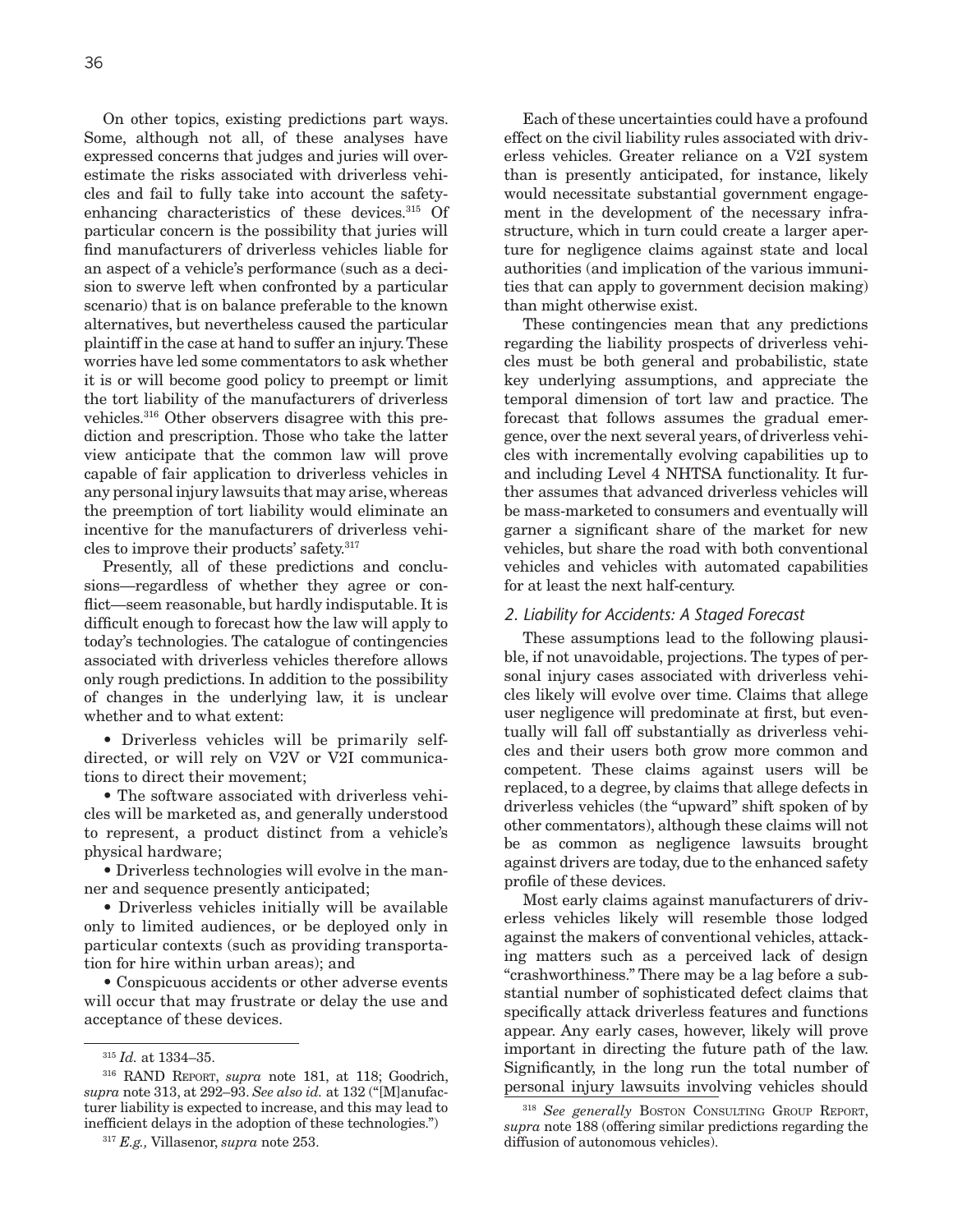On other topics, existing predictions part ways. Some, although not all, of these analyses have expressed concerns that judges and juries will overestimate the risks associated with driverless vehicles and fail to fully take into account the safetyenhancing characteristics of these devices.315 Of particular concern is the possibility that juries will find manufacturers of driverless vehicles liable for an aspect of a vehicle's performance (such as a decision to swerve left when confronted by a particular scenario) that is on balance preferable to the known alternatives, but nevertheless caused the particular plaintiff in the case at hand to suffer an injury. These worries have led some commentators to ask whether it is or will become good policy to preempt or limit the tort liability of the manufacturers of driverless vehicles.316 Other observers disagree with this prediction and prescription. Those who take the latter view anticipate that the common law will prove capable of fair application to driverless vehicles in any personal injury lawsuits that may arise, whereas the preemption of tort liability would eliminate an incentive for the manufacturers of driverless vehicles to improve their products' safety.317

Presently, all of these predictions and conclusions—regardless of whether they agree or conflict—seem reasonable, but hardly indisputable. It is difficult enough to forecast how the law will apply to today's technologies. The catalogue of contingencies associated with driverless vehicles therefore allows only rough predictions. In addition to the possibility of changes in the underlying law, it is unclear whether and to what extent:

• Driverless vehicles will be primarily selfdirected, or will rely on V2V or V2I communications to direct their movement;

• The software associated with driverless vehicles will be marketed as, and generally understood to represent, a product distinct from a vehicle's physical hardware;

• Driverless technologies will evolve in the manner and sequence presently anticipated;

• Driverless vehicles initially will be available only to limited audiences, or be deployed only in particular contexts (such as providing transportation for hire within urban areas); and

• Conspicuous accidents or other adverse events will occur that may frustrate or delay the use and acceptance of these devices.

Each of these uncertainties could have a profound effect on the civil liability rules associated with driverless vehicles. Greater reliance on a V2I system than is presently anticipated, for instance, likely would necessitate substantial government engagement in the development of the necessary infrastructure, which in turn could create a larger aperture for negligence claims against state and local authorities (and implication of the various immunities that can apply to government decision making) than might otherwise exist.

These contingencies mean that any predictions regarding the liability prospects of driverless vehicles must be both general and probabilistic, state key underlying assumptions, and appreciate the temporal dimension of tort law and practice. The forecast that follows assumes the gradual emergence, over the next several years, of driverless vehicles with incrementally evolving capabilities up to and including Level 4 NHTSA functionality. It further assumes that advanced driverless vehicles will be mass-marketed to consumers and eventually will garner a significant share of the market for new vehicles, but share the road with both conventional vehicles and vehicles with automated capabilities for at least the next half-century.

#### *2. Liability for Accidents: A Staged Forecast*

These assumptions lead to the following plausible, if not unavoidable, projections. The types of personal injury cases associated with driverless vehicles likely will evolve over time. Claims that allege user negligence will predominate at first, but eventually will fall off substantially as driverless vehicles and their users both grow more common and competent. These claims against users will be replaced, to a degree, by claims that allege defects in driverless vehicles (the "upward" shift spoken of by other commentators), although these claims will not be as common as negligence lawsuits brought against drivers are today, due to the enhanced safety profile of these devices.

Most early claims against manufacturers of driverless vehicles likely will resemble those lodged against the makers of conventional vehicles, attacking matters such as a perceived lack of design "crashworthiness." There may be a lag before a substantial number of sophisticated defect claims that specifically attack driverless features and functions appear. Any early cases, however, likely will prove important in directing the future path of the law. Significantly, in the long run the total number of personal injury lawsuits involving vehicles should

<sup>315</sup> *Id.* at 1334–35.

<sup>316</sup> RAND Report, *supra* note 181, at 118; Goodrich, *supra* note 313, at 292–93. *See also id.* at 132 ("[M]anufacturer liability is expected to increase, and this may lead to inefficient delays in the adoption of these technologies.")

<sup>317</sup> *E.g.,* Villasenor, *supra* note 253.

<sup>&</sup>lt;sup>318</sup> See generally Boston Consulting Group REPORT, *supra* note 188 (offering similar predictions regarding the diffusion of autonomous vehicles).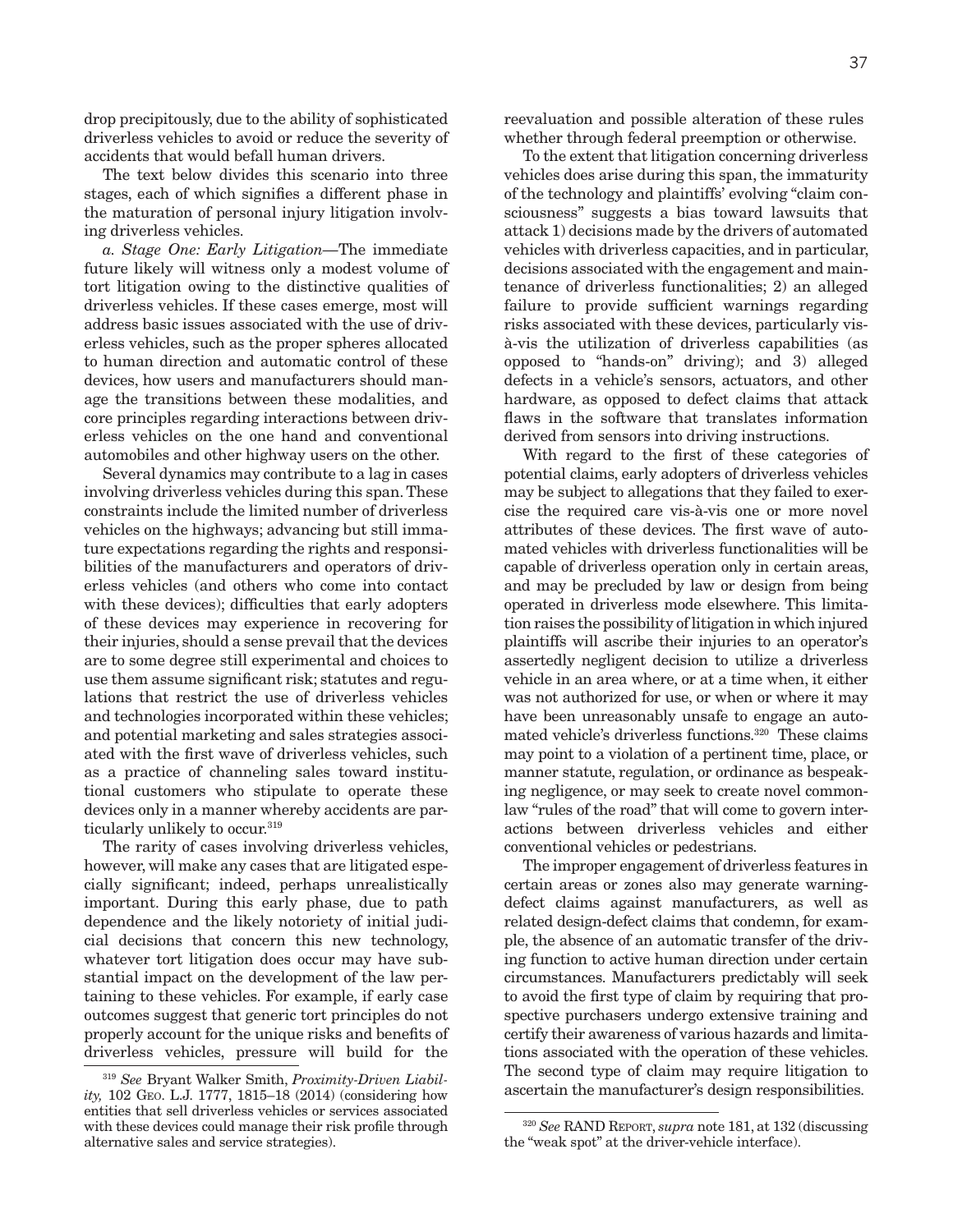The text below divides this scenario into three stages, each of which signifies a different phase in the maturation of personal injury litigation involving driverless vehicles.

*a. Stage One: Early Litigation—*The immediate future likely will witness only a modest volume of tort litigation owing to the distinctive qualities of driverless vehicles. If these cases emerge, most will address basic issues associated with the use of driverless vehicles, such as the proper spheres allocated to human direction and automatic control of these devices, how users and manufacturers should manage the transitions between these modalities, and core principles regarding interactions between driverless vehicles on the one hand and conventional automobiles and other highway users on the other.

Several dynamics may contribute to a lag in cases involving driverless vehicles during this span. These constraints include the limited number of driverless vehicles on the highways; advancing but still immature expectations regarding the rights and responsibilities of the manufacturers and operators of driverless vehicles (and others who come into contact with these devices); difficulties that early adopters of these devices may experience in recovering for their injuries, should a sense prevail that the devices are to some degree still experimental and choices to use them assume significant risk; statutes and regulations that restrict the use of driverless vehicles and technologies incorporated within these vehicles; and potential marketing and sales strategies associated with the first wave of driverless vehicles, such as a practice of channeling sales toward institutional customers who stipulate to operate these devices only in a manner whereby accidents are particularly unlikely to occur.<sup>319</sup>

The rarity of cases involving driverless vehicles, however, will make any cases that are litigated especially significant; indeed, perhaps unrealistically important. During this early phase, due to path dependence and the likely notoriety of initial judicial decisions that concern this new technology, whatever tort litigation does occur may have substantial impact on the development of the law pertaining to these vehicles. For example, if early case outcomes suggest that generic tort principles do not properly account for the unique risks and benefits of driverless vehicles, pressure will build for the

reevaluation and possible alteration of these rules― whether through federal preemption or otherwise.

To the extent that litigation concerning driverless vehicles does arise during this span, the immaturity of the technology and plaintiffs' evolving "claim consciousness" suggests a bias toward lawsuits that attack 1) decisions made by the drivers of automated vehicles with driverless capacities, and in particular, decisions associated with the engagement and maintenance of driverless functionalities; 2) an alleged failure to provide sufficient warnings regarding risks associated with these devices, particularly visà-vis the utilization of driverless capabilities (as opposed to "hands-on" driving); and 3) alleged defects in a vehicle's sensors, actuators, and other hardware, as opposed to defect claims that attack flaws in the software that translates information derived from sensors into driving instructions.

With regard to the first of these categories of potential claims, early adopters of driverless vehicles may be subject to allegations that they failed to exercise the required care vis-à-vis one or more novel attributes of these devices. The first wave of automated vehicles with driverless functionalities will be capable of driverless operation only in certain areas, and may be precluded by law or design from being operated in driverless mode elsewhere. This limitation raises the possibility of litigation in which injured plaintiffs will ascribe their injuries to an operator's assertedly negligent decision to utilize a driverless vehicle in an area where, or at a time when, it either was not authorized for use, or when or where it may have been unreasonably unsafe to engage an automated vehicle's driverless functions.320 These claims may point to a violation of a pertinent time, place, or manner statute, regulation, or ordinance as bespeaking negligence, or may seek to create novel commonlaw "rules of the road" that will come to govern interactions between driverless vehicles and either conventional vehicles or pedestrians.

The improper engagement of driverless features in certain areas or zones also may generate warningdefect claims against manufacturers, as well as related design-defect claims that condemn, for example, the absence of an automatic transfer of the driving function to active human direction under certain circumstances. Manufacturers predictably will seek to avoid the first type of claim by requiring that prospective purchasers undergo extensive training and certify their awareness of various hazards and limitations associated with the operation of these vehicles. The second type of claim may require litigation to ascertain the manufacturer's design responsibilities.

<sup>319</sup> *See* Bryant Walker Smith, *Proximity-Driven Liability,* 102 Geo. L.J. 1777, 1815–18 (2014) (considering how entities that sell driverless vehicles or services associated with these devices could manage their risk profile through alternative sales and service strategies).

<sup>320</sup> *See* RAND Report, *supra* note 181, at 132 (discussing the "weak spot" at the driver-vehicle interface).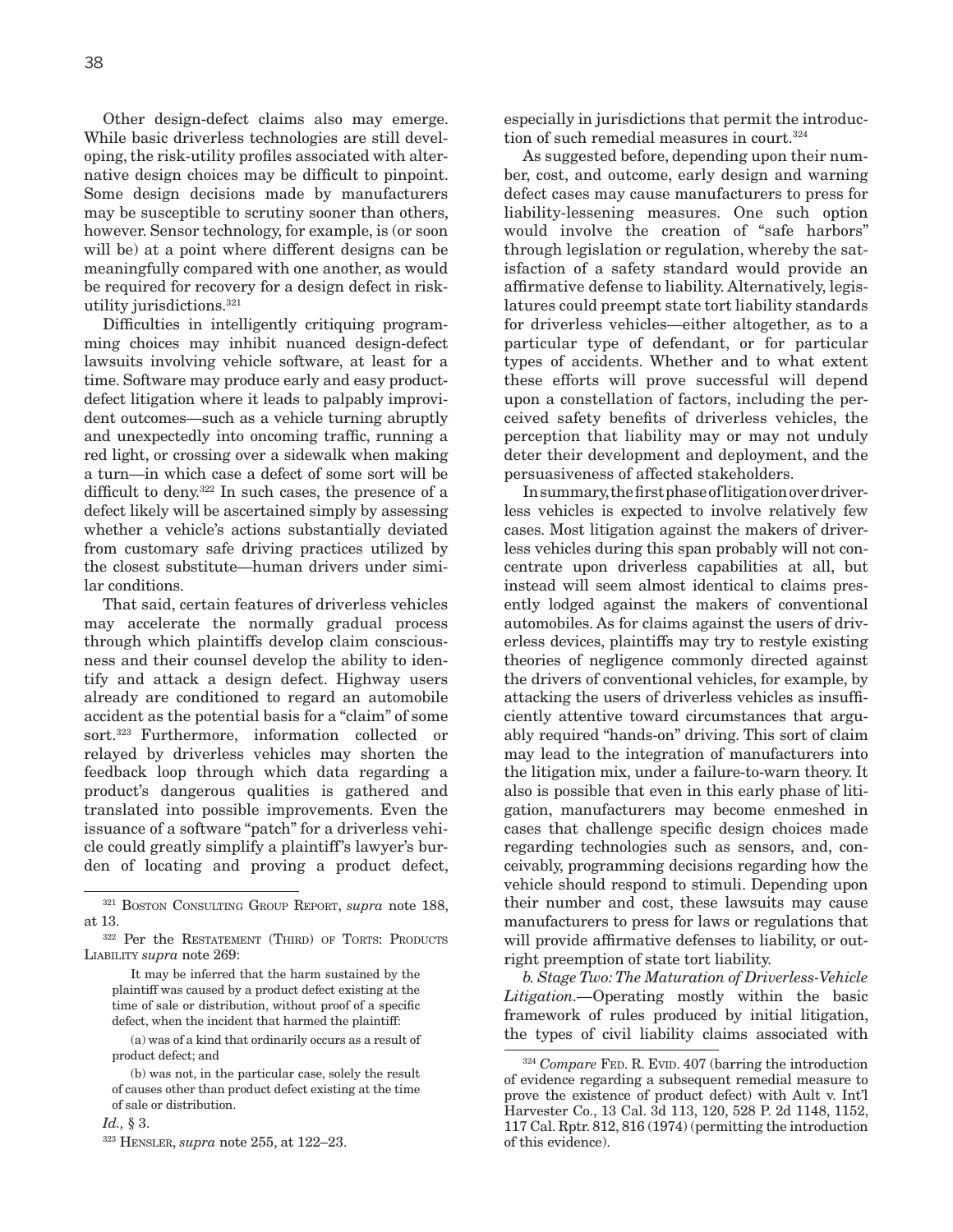Other design-defect claims also may emerge. While basic driverless technologies are still developing, the risk-utility profiles associated with alternative design choices may be difficult to pinpoint. Some design decisions made by manufacturers may be susceptible to scrutiny sooner than others, however. Sensor technology, for example, is (or soon will be) at a point where different designs can be meaningfully compared with one another, as would be required for recovery for a design defect in riskutility jurisdictions.321

Difficulties in intelligently critiquing programming choices may inhibit nuanced design-defect lawsuits involving vehicle software, at least for a time. Software may produce early and easy productdefect litigation where it leads to palpably improvident outcomes—such as a vehicle turning abruptly and unexpectedly into oncoming traffic, running a red light, or crossing over a sidewalk when making a turn—in which case a defect of some sort will be difficult to deny.<sup>322</sup> In such cases, the presence of a defect likely will be ascertained simply by assessing whether a vehicle's actions substantially deviated from customary safe driving practices utilized by the closest substitute—human drivers under similar conditions.

That said, certain features of driverless vehicles may accelerate the normally gradual process through which plaintiffs develop claim consciousness and their counsel develop the ability to identify and attack a design defect. Highway users already are conditioned to regard an automobile accident as the potential basis for a "claim" of some sort.323 Furthermore, information collected or relayed by driverless vehicles may shorten the feedback loop through which data regarding a product's dangerous qualities is gathered and translated into possible improvements. Even the issuance of a software "patch" for a driverless vehicle could greatly simplify a plaintiff's lawyer's burden of locating and proving a product defect,

(a) was of a kind that ordinarily occurs as a result of product defect; and

*Id.,* § 3.

especially in jurisdictions that permit the introduction of such remedial measures in court.<sup>324</sup>

As suggested before, depending upon their number, cost, and outcome, early design and warning defect cases may cause manufacturers to press for liability-lessening measures. One such option would involve the creation of "safe harbors" through legislation or regulation, whereby the satisfaction of a safety standard would provide an affirmative defense to liability. Alternatively, legislatures could preempt state tort liability standards for driverless vehicles—either altogether, as to a particular type of defendant, or for particular types of accidents. Whether and to what extent these efforts will prove successful will depend upon a constellation of factors, including the perceived safety benefits of driverless vehicles, the perception that liability may or may not unduly deter their development and deployment, and the persuasiveness of affected stakeholders.

In summary, the first phase of litigation over driverless vehicles is expected to involve relatively few cases. Most litigation against the makers of driverless vehicles during this span probably will not concentrate upon driverless capabilities at all, but instead will seem almost identical to claims presently lodged against the makers of conventional automobiles. As for claims against the users of driverless devices, plaintiffs may try to restyle existing theories of negligence commonly directed against the drivers of conventional vehicles, for example, by attacking the users of driverless vehicles as insufficiently attentive toward circumstances that arguably required "hands-on" driving. This sort of claim may lead to the integration of manufacturers into the litigation mix, under a failure-to-warn theory. It also is possible that even in this early phase of litigation, manufacturers may become enmeshed in cases that challenge specific design choices made regarding technologies such as sensors, and, conceivably, programming decisions regarding how the vehicle should respond to stimuli. Depending upon their number and cost, these lawsuits may cause manufacturers to press for laws or regulations that will provide affirmative defenses to liability, or outright preemption of state tort liability.

*b. Stage Two: The Maturation of Driverless-Vehicle Litigation.—*Operating mostly within the basic framework of rules produced by initial litigation, the types of civil liability claims associated with

<sup>321</sup> Boston Consulting Group Report, *supra* note 188, at 13.

<sup>322</sup> Per the RESTATEMENT (THIRD) OF TORTS: PRODUCTS Liability *supra* note 269:

It may be inferred that the harm sustained by the plaintiff was caused by a product defect existing at the time of sale or distribution, without proof of a specific defect, when the incident that harmed the plaintiff:

<sup>(</sup>b) was not, in the particular case, solely the result of causes other than product defect existing at the time of sale or distribution.

<sup>323</sup> Hensler, *supra* note 255, at 122–23.

<sup>&</sup>lt;sup>324</sup> *Compare* FED. R. EVID. 407 (barring the introduction of evidence regarding a subsequent remedial measure to prove the existence of product defect) with Ault v. Int'l Harvester Co., 13 Cal. 3d 113, 120, 528 P. 2d 1148, 1152, 117 Cal. Rptr. 812, 816 (1974) (permitting the introduction of this evidence).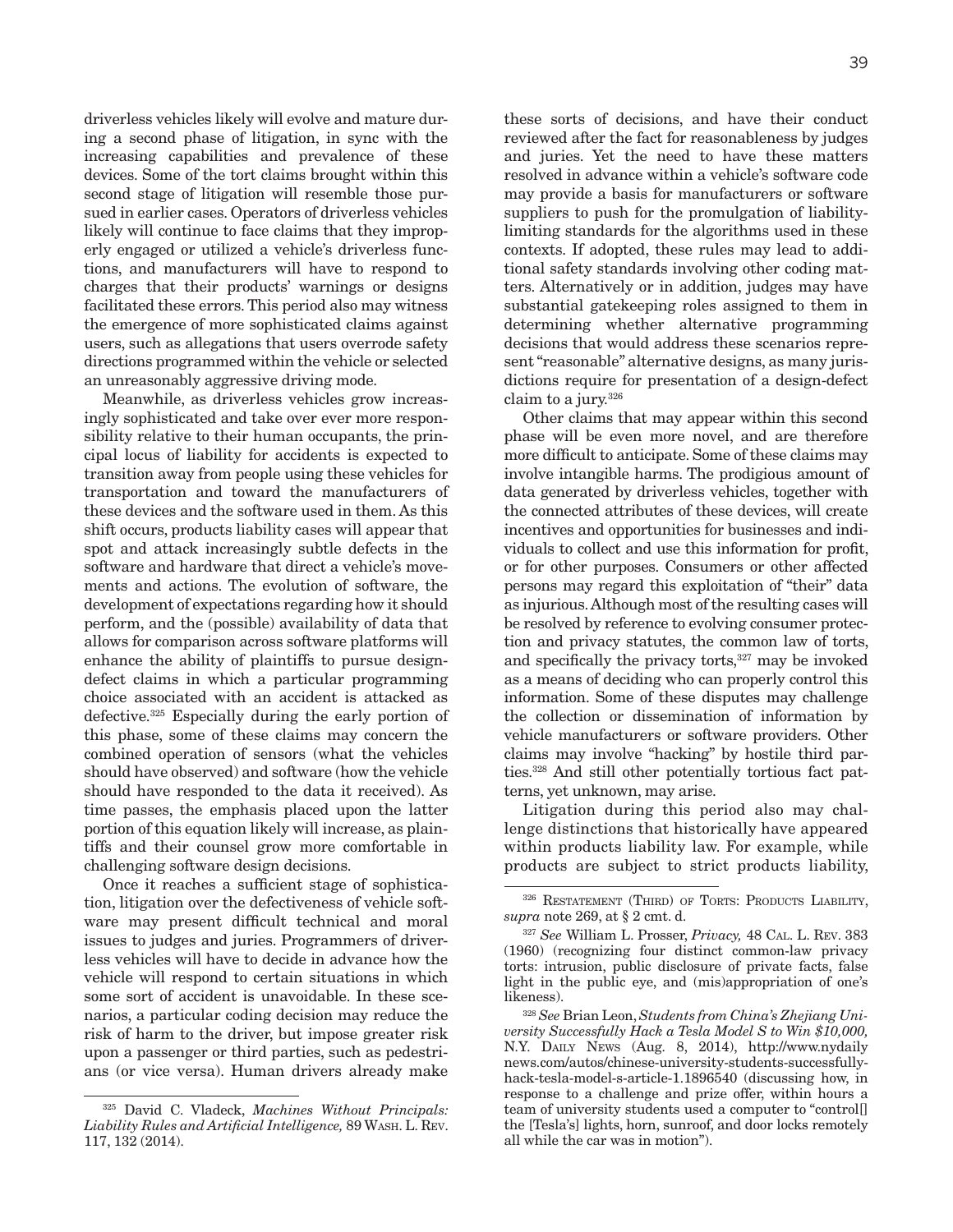driverless vehicles likely will evolve and mature during a second phase of litigation, in sync with the increasing capabilities and prevalence of these devices. Some of the tort claims brought within this second stage of litigation will resemble those pursued in earlier cases. Operators of driverless vehicles likely will continue to face claims that they improperly engaged or utilized a vehicle's driverless functions, and manufacturers will have to respond to charges that their products' warnings or designs facilitated these errors. This period also may witness the emergence of more sophisticated claims against users, such as allegations that users overrode safety directions programmed within the vehicle or selected an unreasonably aggressive driving mode.

Meanwhile, as driverless vehicles grow increasingly sophisticated and take over ever more responsibility relative to their human occupants, the principal locus of liability for accidents is expected to transition away from people using these vehicles for transportation and toward the manufacturers of these devices and the software used in them. As this shift occurs, products liability cases will appear that spot and attack increasingly subtle defects in the software and hardware that direct a vehicle's movements and actions. The evolution of software, the development of expectations regarding how it should perform, and the (possible) availability of data that allows for comparison across software platforms will enhance the ability of plaintiffs to pursue designdefect claims in which a particular programming choice associated with an accident is attacked as defective.325 Especially during the early portion of this phase, some of these claims may concern the combined operation of sensors (what the vehicles should have observed) and software (how the vehicle should have responded to the data it received). As time passes, the emphasis placed upon the latter portion of this equation likely will increase, as plaintiffs and their counsel grow more comfortable in challenging software design decisions.

Once it reaches a sufficient stage of sophistication, litigation over the defectiveness of vehicle software may present difficult technical and moral issues to judges and juries. Programmers of driverless vehicles will have to decide in advance how the vehicle will respond to certain situations in which some sort of accident is unavoidable. In these scenarios, a particular coding decision may reduce the risk of harm to the driver, but impose greater risk upon a passenger or third parties, such as pedestrians (or vice versa). Human drivers already make

325 David C. Vladeck, *Machines Without Principals: Liability Rules and Artificial Intelligence,* 89 Wash. L. Rev. 117, 132 (2014).

these sorts of decisions, and have their conduct reviewed after the fact for reasonableness by judges and juries. Yet the need to have these matters resolved in advance within a vehicle's software code may provide a basis for manufacturers or software suppliers to push for the promulgation of liabilitylimiting standards for the algorithms used in these contexts. If adopted, these rules may lead to additional safety standards involving other coding matters. Alternatively or in addition, judges may have substantial gatekeeping roles assigned to them in determining whether alternative programming decisions that would address these scenarios represent "reasonable" alternative designs, as many jurisdictions require for presentation of a design-defect claim to a jury.326

Other claims that may appear within this second phase will be even more novel, and are therefore more difficult to anticipate. Some of these claims may involve intangible harms. The prodigious amount of data generated by driverless vehicles, together with the connected attributes of these devices, will create incentives and opportunities for businesses and individuals to collect and use this information for profit, or for other purposes. Consumers or other affected persons may regard this exploitation of "their" data as injurious. Although most of the resulting cases will be resolved by reference to evolving consumer protection and privacy statutes, the common law of torts, and specifically the privacy torts,<sup>327</sup> may be invoked as a means of deciding who can properly control this information. Some of these disputes may challenge the collection or dissemination of information by vehicle manufacturers or software providers. Other claims may involve "hacking" by hostile third parties.328 And still other potentially tortious fact patterns, yet unknown, may arise.

Litigation during this period also may challenge distinctions that historically have appeared within products liability law. For example, while products are subject to strict products liability,

<sup>&</sup>lt;sup>326</sup> RESTATEMENT (THIRD) OF TORTS: PRODUCTS LIABILITY, *supra* note 269, at § 2 cmt. d.

<sup>327</sup> *See* William L. Prosser, *Privacy,* 48 Cal. L. Rev. 383 (1960) (recognizing four distinct common-law privacy torts: intrusion, public disclosure of private facts, false light in the public eye, and (mis)appropriation of one's likeness).

<sup>328</sup> *See* Brian Leon, *Students from China's Zhejiang University Successfully Hack a Tesla Model S to Win \$10,000,*  N.Y. DAILY NEWS (Aug. 8, 2014), http://www.nydaily news.com/autos/chinese-university-students-successfullyhack-tesla-model-s-article-1.1896540 (discussing how, in response to a challenge and prize offer, within hours a team of university students used a computer to "control[] the [Tesla's] lights, horn, sunroof, and door locks remotely all while the car was in motion").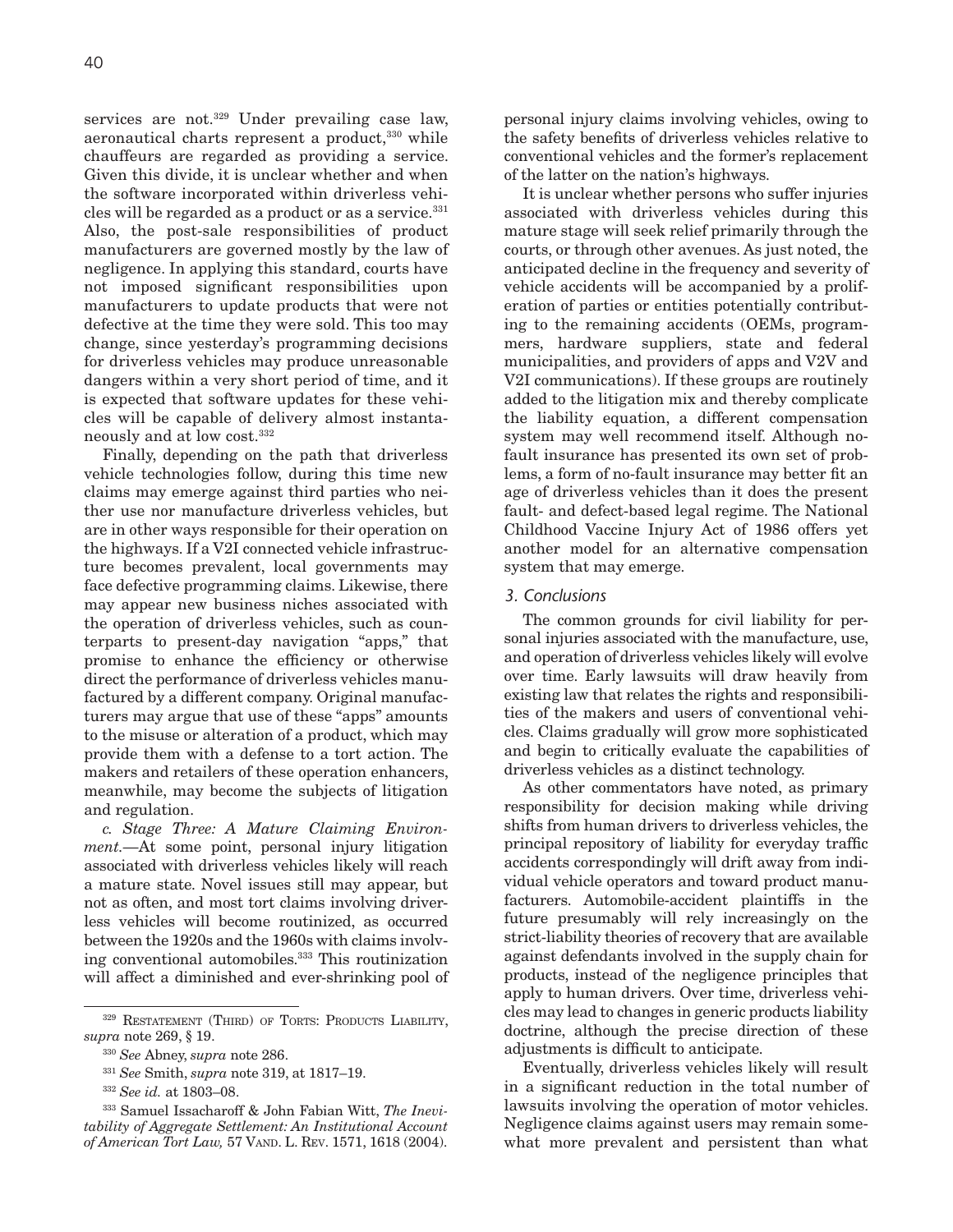services are not.<sup>329</sup> Under prevailing case law, aeronautical charts represent a product, $330$  while chauffeurs are regarded as providing a service. Given this divide, it is unclear whether and when the software incorporated within driverless vehicles will be regarded as a product or as a service.<sup>331</sup> Also, the post-sale responsibilities of product manufacturers are governed mostly by the law of negligence. In applying this standard, courts have not imposed significant responsibilities upon manufacturers to update products that were not defective at the time they were sold. This too may change, since yesterday's programming decisions for driverless vehicles may produce unreasonable dangers within a very short period of time, and it is expected that software updates for these vehicles will be capable of delivery almost instantaneously and at low cost.332

Finally, depending on the path that driverless vehicle technologies follow, during this time new claims may emerge against third parties who neither use nor manufacture driverless vehicles, but are in other ways responsible for their operation on the highways. If a V2I connected vehicle infrastructure becomes prevalent, local governments may face defective programming claims. Likewise, there may appear new business niches associated with the operation of driverless vehicles, such as counterparts to present-day navigation "apps," that promise to enhance the efficiency or otherwise direct the performance of driverless vehicles manufactured by a different company. Original manufacturers may argue that use of these "apps" amounts to the misuse or alteration of a product, which may provide them with a defense to a tort action. The makers and retailers of these operation enhancers, meanwhile, may become the subjects of litigation and regulation.

*c. Stage Three: A Mature Claiming Environment.—*At some point, personal injury litigation associated with driverless vehicles likely will reach a mature state. Novel issues still may appear, but not as often, and most tort claims involving driverless vehicles will become routinized, as occurred between the 1920s and the 1960s with claims involving conventional automobiles.333 This routinization will affect a diminished and ever-shrinking pool of personal injury claims involving vehicles, owing to the safety benefits of driverless vehicles relative to conventional vehicles and the former's replacement of the latter on the nation's highways.

It is unclear whether persons who suffer injuries associated with driverless vehicles during this mature stage will seek relief primarily through the courts, or through other avenues. As just noted, the anticipated decline in the frequency and severity of vehicle accidents will be accompanied by a proliferation of parties or entities potentially contributing to the remaining accidents (OEMs, programmers, hardware suppliers, state and federal municipalities, and providers of apps and V2V and V2I communications). If these groups are routinely added to the litigation mix and thereby complicate the liability equation, a different compensation system may well recommend itself. Although nofault insurance has presented its own set of problems, a form of no-fault insurance may better fit an age of driverless vehicles than it does the present fault- and defect-based legal regime. The National Childhood Vaccine Injury Act of 1986 offers yet another model for an alternative compensation system that may emerge.

## *3. Conclusions*

The common grounds for civil liability for personal injuries associated with the manufacture, use, and operation of driverless vehicles likely will evolve over time. Early lawsuits will draw heavily from existing law that relates the rights and responsibilities of the makers and users of conventional vehicles. Claims gradually will grow more sophisticated and begin to critically evaluate the capabilities of driverless vehicles as a distinct technology.

As other commentators have noted, as primary responsibility for decision making while driving shifts from human drivers to driverless vehicles, the principal repository of liability for everyday traffic accidents correspondingly will drift away from individual vehicle operators and toward product manufacturers. Automobile-accident plaintiffs in the future presumably will rely increasingly on the strict-liability theories of recovery that are available against defendants involved in the supply chain for products, instead of the negligence principles that apply to human drivers. Over time, driverless vehicles may lead to changes in generic products liability doctrine, although the precise direction of these adjustments is difficult to anticipate.

Eventually, driverless vehicles likely will result in a significant reduction in the total number of lawsuits involving the operation of motor vehicles. Negligence claims against users may remain somewhat more prevalent and persistent than what

<sup>&</sup>lt;sup>329</sup> RESTATEMENT (THIRD) OF TORTS: PRODUCTS LIABILITY, *supra* note 269, § 19.

<sup>330</sup> *See* Abney, *supra* note 286.

<sup>331</sup> *See* Smith, *supra* note 319, at 1817–19.

<sup>332</sup> *See id.* at 1803–08.

<sup>333</sup> Samuel Issacharoff & John Fabian Witt, *The Inevitability of Aggregate Settlement: An Institutional Account of American Tort Law,* 57 Vand. L. Rev. 1571, 1618 (2004).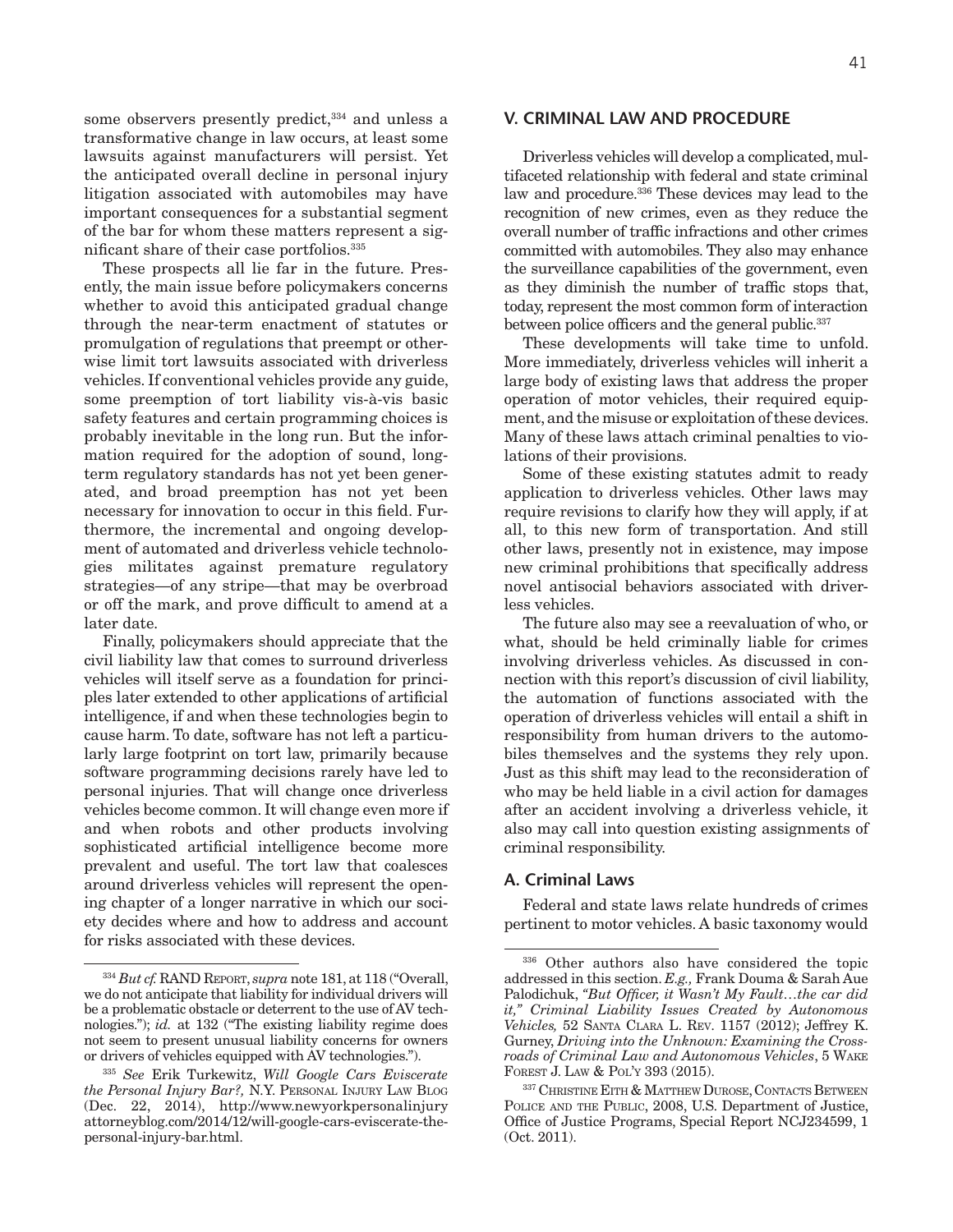some observers presently predict,<sup>334</sup> and unless a transformative change in law occurs, at least some lawsuits against manufacturers will persist. Yet the anticipated overall decline in personal injury litigation associated with automobiles may have important consequences for a substantial segment of the bar for whom these matters represent a significant share of their case portfolios.<sup>335</sup>

These prospects all lie far in the future. Presently, the main issue before policymakers concerns whether to avoid this anticipated gradual change through the near-term enactment of statutes or promulgation of regulations that preempt or otherwise limit tort lawsuits associated with driverless vehicles. If conventional vehicles provide any guide, some preemption of tort liability vis-à-vis basic safety features and certain programming choices is probably inevitable in the long run. But the information required for the adoption of sound, longterm regulatory standards has not yet been generated, and broad preemption has not yet been necessary for innovation to occur in this field. Furthermore, the incremental and ongoing development of automated and driverless vehicle technologies militates against premature regulatory strategies—of any stripe—that may be overbroad or off the mark, and prove difficult to amend at a later date.

Finally, policymakers should appreciate that the civil liability law that comes to surround driverless vehicles will itself serve as a foundation for principles later extended to other applications of artificial intelligence, if and when these technologies begin to cause harm. To date, software has not left a particularly large footprint on tort law, primarily because software programming decisions rarely have led to personal injuries. That will change once driverless vehicles become common. It will change even more if and when robots and other products involving sophisticated artificial intelligence become more prevalent and useful. The tort law that coalesces around driverless vehicles will represent the opening chapter of a longer narrative in which our society decides where and how to address and account for risks associated with these devices.

# **V. CRIMINAL LAW AND PROCEDURE**

Driverless vehicles will develop a complicated, multifaceted relationship with federal and state criminal law and procedure.<sup>336</sup> These devices may lead to the recognition of new crimes, even as they reduce the overall number of traffic infractions and other crimes committed with automobiles. They also may enhance the surveillance capabilities of the government, even as they diminish the number of traffic stops that, today, represent the most common form of interaction between police officers and the general public.<sup>337</sup>

These developments will take time to unfold. More immediately, driverless vehicles will inherit a large body of existing laws that address the proper operation of motor vehicles, their required equipment, and the misuse or exploitation of these devices. Many of these laws attach criminal penalties to violations of their provisions.

Some of these existing statutes admit to ready application to driverless vehicles. Other laws may require revisions to clarify how they will apply, if at all, to this new form of transportation. And still other laws, presently not in existence, may impose new criminal prohibitions that specifically address novel antisocial behaviors associated with driverless vehicles.

The future also may see a reevaluation of who, or what, should be held criminally liable for crimes involving driverless vehicles. As discussed in connection with this report's discussion of civil liability, the automation of functions associated with the operation of driverless vehicles will entail a shift in responsibility from human drivers to the automobiles themselves and the systems they rely upon. Just as this shift may lead to the reconsideration of who may be held liable in a civil action for damages after an accident involving a driverless vehicle, it also may call into question existing assignments of criminal responsibility.

## **A. Criminal Laws**

Federal and state laws relate hundreds of crimes pertinent to motor vehicles. A basic taxonomy would

<sup>334</sup> *But cf.* RAND Report, *supra* note 181, at 118 ("Overall, we do not anticipate that liability for individual drivers will be a problematic obstacle or deterrent to the use of AV technologies."); *id.* at 132 ("The existing liability regime does not seem to present unusual liability concerns for owners or drivers of vehicles equipped with AV technologies.").

<sup>335</sup> *See* Erik Turkewitz, *Will Google Cars Eviscerate the Personal Injury Bar?,* N.Y. Personal Injury Law Blog (Dec. 22, 2014), http://www.newyorkpersonalinjury attorneyblog.com/2014/12/will-google-cars-eviscerate-thepersonal-injury-bar.html.

<sup>336</sup> Other authors also have considered the topic addressed in this section. *E.g.,* Frank Douma & Sarah Aue Palodichuk, *"But Officer, it Wasn't My Fault…the car did it," Criminal Liability Issues Created by Autonomous Vehicles,* 52 Santa Clara L. Rev. 1157 (2012); Jeffrey K. Gurney, *Driving into the Unknown: Examining the Crossroads of Criminal Law and Autonomous Vehicles*, 5 Wake Forest J. Law & Pol'y 393 (2015).

<sup>&</sup>lt;sup>337</sup> CHRISTINE EITH & MATTHEW DUROSE, CONTACTS BETWEEN POLICE AND THE PUBLIC, 2008, U.S. Department of Justice, Office of Justice Programs, Special Report NCJ234599, 1 (Oct. 2011).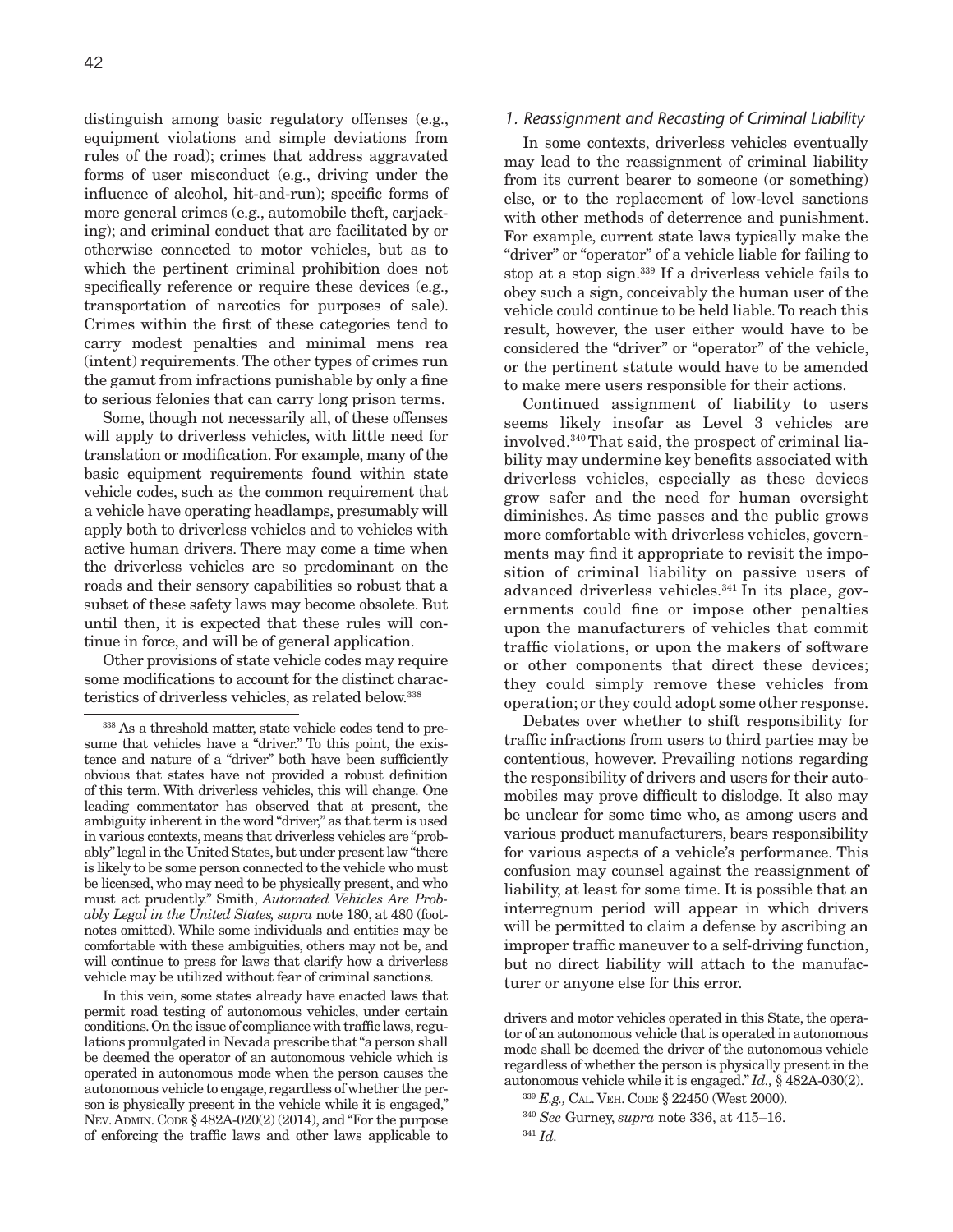distinguish among basic regulatory offenses (e.g., equipment violations and simple deviations from rules of the road); crimes that address aggravated forms of user misconduct (e.g., driving under the influence of alcohol, hit-and-run); specific forms of more general crimes (e.g., automobile theft, carjacking); and criminal conduct that are facilitated by or otherwise connected to motor vehicles, but as to which the pertinent criminal prohibition does not specifically reference or require these devices (e.g., transportation of narcotics for purposes of sale). Crimes within the first of these categories tend to carry modest penalties and minimal mens rea (intent) requirements. The other types of crimes run the gamut from infractions punishable by only a fine to serious felonies that can carry long prison terms.

Some, though not necessarily all, of these offenses will apply to driverless vehicles, with little need for translation or modification. For example, many of the basic equipment requirements found within state vehicle codes, such as the common requirement that a vehicle have operating headlamps, presumably will apply both to driverless vehicles and to vehicles with active human drivers. There may come a time when the driverless vehicles are so predominant on the roads and their sensory capabilities so robust that a subset of these safety laws may become obsolete. But until then, it is expected that these rules will continue in force, and will be of general application.

Other provisions of state vehicle codes may require some modifications to account for the distinct characteristics of driverless vehicles, as related below.338

In this vein, some states already have enacted laws that permit road testing of autonomous vehicles, under certain conditions. On the issue of compliance with traffic laws, regulations promulgated in Nevada prescribe that "a person shall be deemed the operator of an autonomous vehicle which is operated in autonomous mode when the person causes the autonomous vehicle to engage, regardless of whether the person is physically present in the vehicle while it is engaged," Nev. ADMIN. CODE  $\S 482A-020(2)(2014)$ , and "For the purpose of enforcing the traffic laws and other laws applicable to

# *1. Reassignment and Recasting of Criminal Liability*

In some contexts, driverless vehicles eventually may lead to the reassignment of criminal liability from its current bearer to someone (or something) else, or to the replacement of low-level sanctions with other methods of deterrence and punishment. For example, current state laws typically make the "driver" or "operator" of a vehicle liable for failing to stop at a stop sign.339 If a driverless vehicle fails to obey such a sign, conceivably the human user of the vehicle could continue to be held liable. To reach this result, however, the user either would have to be considered the "driver" or "operator" of the vehicle, or the pertinent statute would have to be amended to make mere users responsible for their actions.

Continued assignment of liability to users seems likely insofar as Level 3 vehicles are involved.340 That said, the prospect of criminal liability may undermine key benefits associated with driverless vehicles, especially as these devices grow safer and the need for human oversight diminishes. As time passes and the public grows more comfortable with driverless vehicles, governments may find it appropriate to revisit the imposition of criminal liability on passive users of advanced driverless vehicles.341 In its place, governments could fine or impose other penalties upon the manufacturers of vehicles that commit traffic violations, or upon the makers of software or other components that direct these devices; they could simply remove these vehicles from operation; or they could adopt some other response.

Debates over whether to shift responsibility for traffic infractions from users to third parties may be contentious, however. Prevailing notions regarding the responsibility of drivers and users for their automobiles may prove difficult to dislodge. It also may be unclear for some time who, as among users and various product manufacturers, bears responsibility for various aspects of a vehicle's performance. This confusion may counsel against the reassignment of liability, at least for some time. It is possible that an interregnum period will appear in which drivers will be permitted to claim a defense by ascribing an improper traffic maneuver to a self-driving function, but no direct liability will attach to the manufacturer or anyone else for this error.

<sup>338</sup> As a threshold matter, state vehicle codes tend to presume that vehicles have a "driver." To this point, the existence and nature of a "driver" both have been sufficiently obvious that states have not provided a robust definition of this term. With driverless vehicles, this will change. One leading commentator has observed that at present, the ambiguity inherent in the word "driver," as that term is used in various contexts, means that driverless vehicles are "probably" legal in the United States, but under present law "there is likely to be some person connected to the vehicle who must be licensed, who may need to be physically present, and who must act prudently." Smith, *Automated Vehicles Are Probably Legal in the United States, supra* note 180, at 480 (footnotes omitted). While some individuals and entities may be comfortable with these ambiguities, others may not be, and will continue to press for laws that clarify how a driverless vehicle may be utilized without fear of criminal sanctions.

drivers and motor vehicles operated in this State, the operator of an autonomous vehicle that is operated in autonomous mode shall be deemed the driver of the autonomous vehicle regardless of whether the person is physically present in the autonomous vehicle while it is engaged." *Id.,* § 482A-030(2).

<sup>339</sup> *E.g.,* Cal. Veh. Code § 22450 (West 2000).

<sup>340</sup> *See* Gurney, *supra* note 336, at 415–16.

<sup>341</sup> *Id.*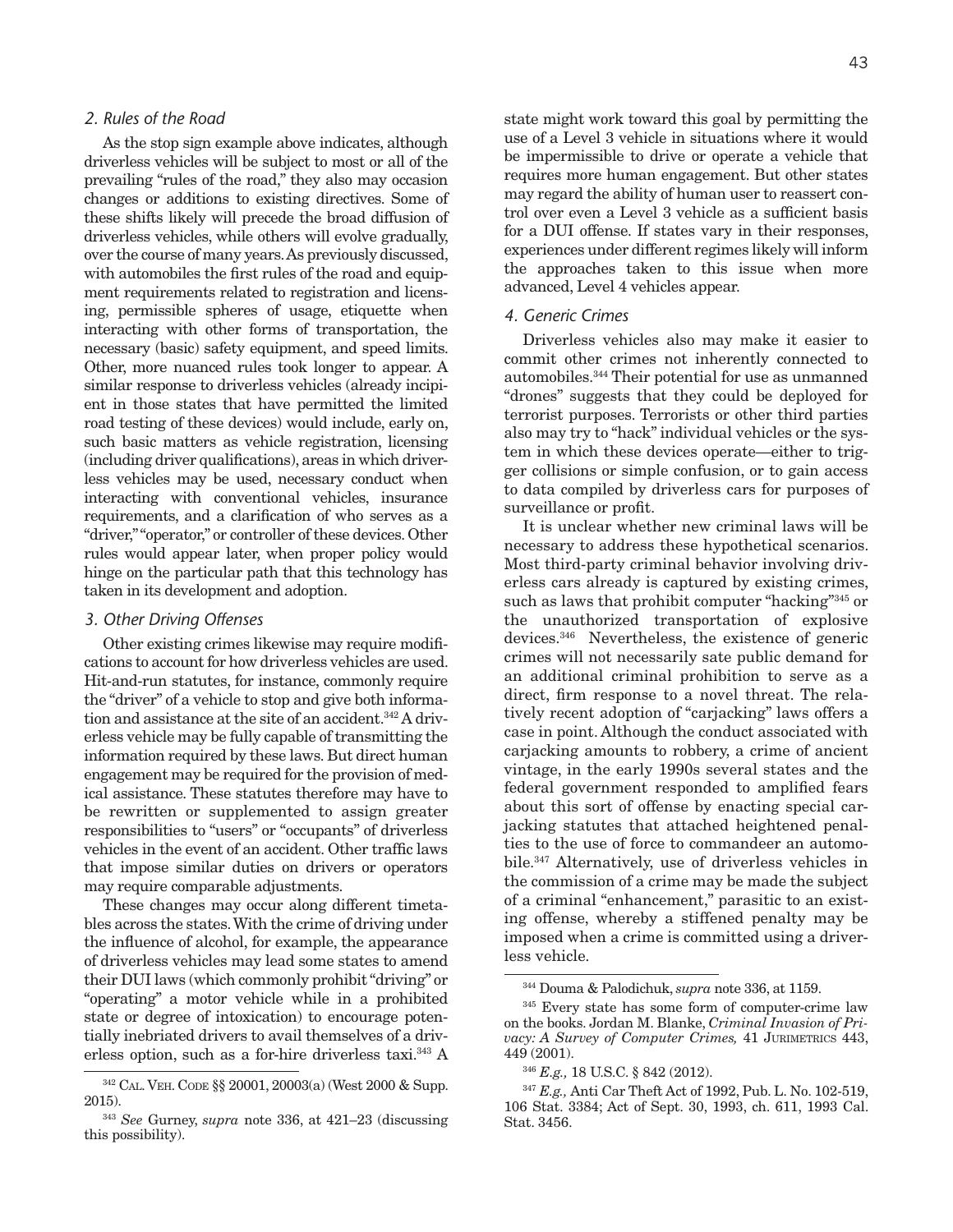## *2. Rules of the Road*

As the stop sign example above indicates, although driverless vehicles will be subject to most or all of the prevailing "rules of the road," they also may occasion changes or additions to existing directives. Some of these shifts likely will precede the broad diffusion of driverless vehicles, while others will evolve gradually, over the course of many years. As previously discussed, with automobiles the first rules of the road and equipment requirements related to registration and licensing, permissible spheres of usage, etiquette when interacting with other forms of transportation, the necessary (basic) safety equipment, and speed limits. Other, more nuanced rules took longer to appear. A similar response to driverless vehicles (already incipient in those states that have permitted the limited road testing of these devices) would include, early on, such basic matters as vehicle registration, licensing (including driver qualifications), areas in which driverless vehicles may be used, necessary conduct when interacting with conventional vehicles, insurance requirements, and a clarification of who serves as a "driver," "operator," or controller of these devices. Other rules would appear later, when proper policy would hinge on the particular path that this technology has taken in its development and adoption.

# *3. Other Driving Offenses*

Other existing crimes likewise may require modifications to account for how driverless vehicles are used. Hit-and-run statutes, for instance, commonly require the "driver" of a vehicle to stop and give both information and assistance at the site of an accident.<sup>342</sup> A driverless vehicle may be fully capable of transmitting the information required by these laws. But direct human engagement may be required for the provision of medical assistance. These statutes therefore may have to be rewritten or supplemented to assign greater responsibilities to "users" or "occupants" of driverless vehicles in the event of an accident. Other traffic laws that impose similar duties on drivers or operators may require comparable adjustments.

These changes may occur along different timetables across the states. With the crime of driving under the influence of alcohol, for example, the appearance of driverless vehicles may lead some states to amend their DUI laws (which commonly prohibit "driving" or "operating" a motor vehicle while in a prohibited state or degree of intoxication) to encourage potentially inebriated drivers to avail themselves of a driverless option, such as a for-hire driverless taxi.343 A state might work toward this goal by permitting the use of a Level 3 vehicle in situations where it would be impermissible to drive or operate a vehicle that requires more human engagement. But other states may regard the ability of human user to reassert control over even a Level 3 vehicle as a sufficient basis for a DUI offense. If states vary in their responses, experiences under different regimes likely will inform the approaches taken to this issue when more advanced, Level 4 vehicles appear.

## *4. Generic Crimes*

Driverless vehicles also may make it easier to commit other crimes not inherently connected to automobiles.344 Their potential for use as unmanned "drones" suggests that they could be deployed for terrorist purposes. Terrorists or other third parties also may try to "hack" individual vehicles or the system in which these devices operate—either to trigger collisions or simple confusion, or to gain access to data compiled by driverless cars for purposes of surveillance or profit.

It is unclear whether new criminal laws will be necessary to address these hypothetical scenarios. Most third-party criminal behavior involving driverless cars already is captured by existing crimes, such as laws that prohibit computer "hacking"345 or the unauthorized transportation of explosive devices.346 Nevertheless, the existence of generic crimes will not necessarily sate public demand for an additional criminal prohibition to serve as a direct, firm response to a novel threat. The relatively recent adoption of "carjacking" laws offers a case in point. Although the conduct associated with carjacking amounts to robbery, a crime of ancient vintage, in the early 1990s several states and the federal government responded to amplified fears about this sort of offense by enacting special carjacking statutes that attached heightened penalties to the use of force to commandeer an automobile.347 Alternatively, use of driverless vehicles in the commission of a crime may be made the subject of a criminal "enhancement," parasitic to an existing offense, whereby a stiffened penalty may be imposed when a crime is committed using a driverless vehicle.

<sup>342</sup> Cal. Veh. Code §§ 20001, 20003(a) (West 2000 & Supp. 2015).

<sup>343</sup> *See* Gurney, *supra* note 336, at 421–23 (discussing this possibility).

<sup>344</sup> Douma & Palodichuk, *supra* note 336, at 1159.

<sup>345</sup> Every state has some form of computer-crime law on the books. Jordan M. Blanke, *Criminal Invasion of Privacy: A Survey of Computer Crimes, 41 JURIMETRICS 443,* 449 (2001).

<sup>346</sup> *E.g.,* 18 U.S.C. § 842 (2012).

<sup>347</sup> *E.g.,* Anti Car Theft Act of 1992, Pub. L. No. 102-519, 106 Stat. 3384; Act of Sept. 30, 1993, ch. 611, 1993 Cal. Stat. 3456.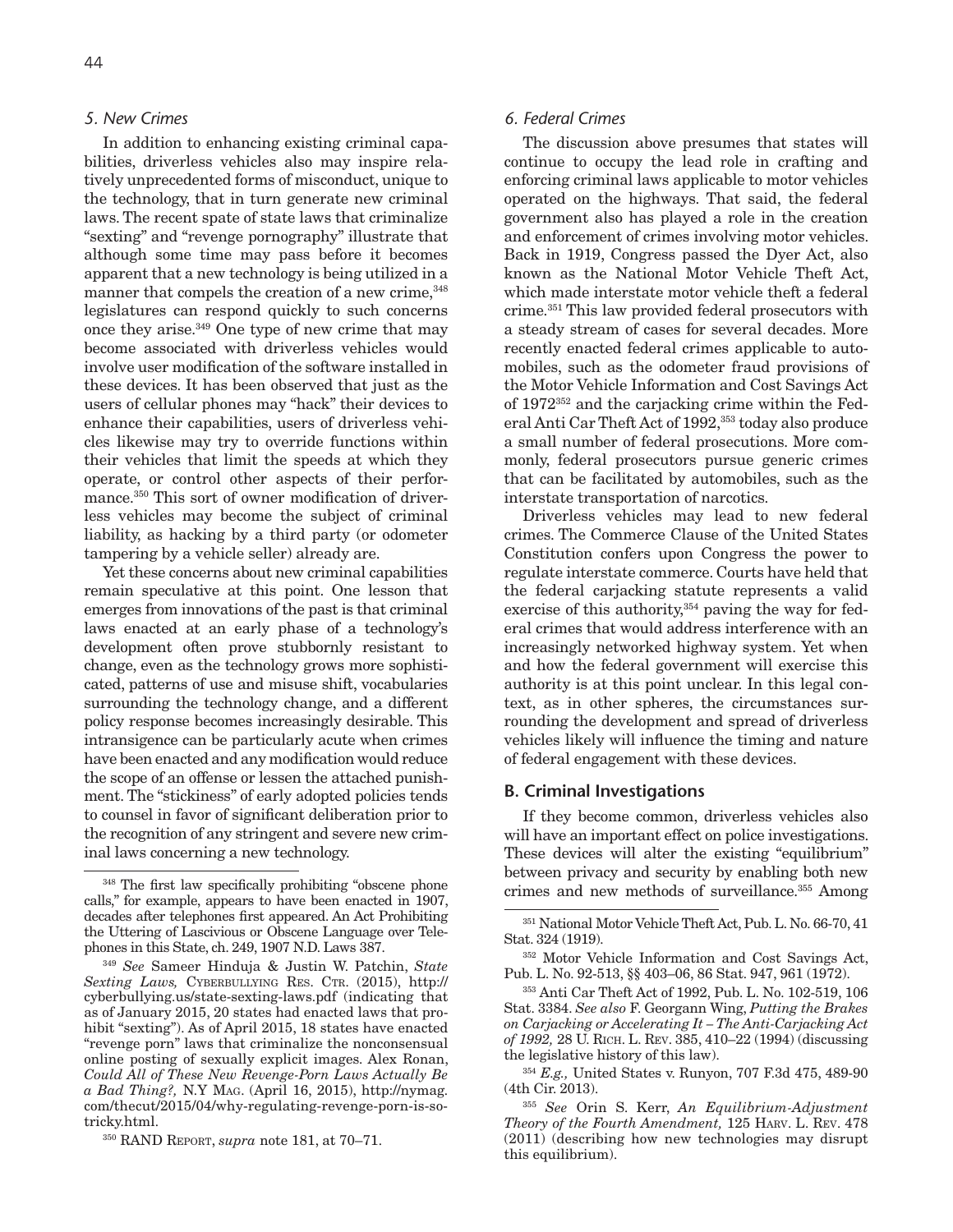## *5. New Crimes*

In addition to enhancing existing criminal capabilities, driverless vehicles also may inspire relatively unprecedented forms of misconduct, unique to the technology, that in turn generate new criminal laws. The recent spate of state laws that criminalize "sexting" and "revenge pornography" illustrate that although some time may pass before it becomes apparent that a new technology is being utilized in a manner that compels the creation of a new crime,  $348$ legislatures can respond quickly to such concerns once they arise.349 One type of new crime that may become associated with driverless vehicles would involve user modification of the software installed in these devices. It has been observed that just as the users of cellular phones may "hack" their devices to enhance their capabilities, users of driverless vehicles likewise may try to override functions within their vehicles that limit the speeds at which they operate, or control other aspects of their performance.350 This sort of owner modification of driverless vehicles may become the subject of criminal liability, as hacking by a third party (or odometer tampering by a vehicle seller) already are.

Yet these concerns about new criminal capabilities remain speculative at this point. One lesson that emerges from innovations of the past is that criminal laws enacted at an early phase of a technology's development often prove stubbornly resistant to change, even as the technology grows more sophisticated, patterns of use and misuse shift, vocabularies surrounding the technology change, and a different policy response becomes increasingly desirable. This intransigence can be particularly acute when crimes have been enacted and any modification would reduce the scope of an offense or lessen the attached punishment. The "stickiness" of early adopted policies tends to counsel in favor of significant deliberation prior to the recognition of any stringent and severe new criminal laws concerning a new technology.

## *6. Federal Crimes*

The discussion above presumes that states will continue to occupy the lead role in crafting and enforcing criminal laws applicable to motor vehicles operated on the highways. That said, the federal government also has played a role in the creation and enforcement of crimes involving motor vehicles. Back in 1919, Congress passed the Dyer Act, also known as the National Motor Vehicle Theft Act, which made interstate motor vehicle theft a federal crime.351 This law provided federal prosecutors with a steady stream of cases for several decades. More recently enacted federal crimes applicable to automobiles, such as the odometer fraud provisions of the Motor Vehicle Information and Cost Savings Act of 1972352 and the carjacking crime within the Federal Anti Car Theft Act of 1992,353 today also produce a small number of federal prosecutions. More commonly, federal prosecutors pursue generic crimes that can be facilitated by automobiles, such as the interstate transportation of narcotics.

Driverless vehicles may lead to new federal crimes. The Commerce Clause of the United States Constitution confers upon Congress the power to regulate interstate commerce. Courts have held that the federal carjacking statute represents a valid exercise of this authority,  $354$  paving the way for federal crimes that would address interference with an increasingly networked highway system. Yet when and how the federal government will exercise this authority is at this point unclear. In this legal context, as in other spheres, the circumstances surrounding the development and spread of driverless vehicles likely will influence the timing and nature of federal engagement with these devices.

#### **B. Criminal Investigations**

If they become common, driverless vehicles also will have an important effect on police investigations. These devices will alter the existing "equilibrium" between privacy and security by enabling both new crimes and new methods of surveillance.355 Among

<sup>354</sup> *E.g.,* United States v. Runyon, 707 F.3d 475, 489-90 (4th Cir. 2013).

<sup>348</sup> The first law specifically prohibiting "obscene phone calls," for example, appears to have been enacted in 1907, decades after telephones first appeared. An Act Prohibiting the Uttering of Lascivious or Obscene Language over Telephones in this State, ch. 249, 1907 N.D. Laws 387.

<sup>349</sup> *See* Sameer Hinduja & Justin W. Patchin, *State*  Sexting Laws, CYBERBULLYING RES. CTR. (2015), http:// cyberbullying.us/state-sexting-laws.pdf (indicating that as of January 2015, 20 states had enacted laws that prohibit "sexting"). As of April 2015, 18 states have enacted "revenge porn" laws that criminalize the nonconsensual online posting of sexually explicit images. Alex Ronan, *Could All of These New Revenge-Porn Laws Actually Be a Bad Thing?,* N.Y Mag. (April 16, 2015), http://nymag. com/thecut/2015/04/why-regulating-revenge-porn-is-sotricky.html.

<sup>350</sup> RAND Report, *supra* note 181, at 70–71.

<sup>351</sup> National Motor Vehicle Theft Act, Pub. L. No. 66-70, 41 Stat. 324 (1919).

<sup>352</sup> Motor Vehicle Information and Cost Savings Act, Pub. L. No. 92-513, §§ 403–06, 86 Stat. 947, 961 (1972).

<sup>353</sup> Anti Car Theft Act of 1992, Pub. L. No. 102-519, 106 Stat. 3384. *See also* F. Georgann Wing, *Putting the Brakes on Carjacking or Accelerating It – The Anti-Carjacking Act of 1992,* 28 U. Rich. L. Rev. 385, 410–22 (1994) (discussing the legislative history of this law).

<sup>355</sup> *See* Orin S. Kerr, *An Equilibrium-Adjustment Theory of the Fourth Amendment,* 125 Harv. L. Rev. 478 (2011) (describing how new technologies may disrupt this equilibrium).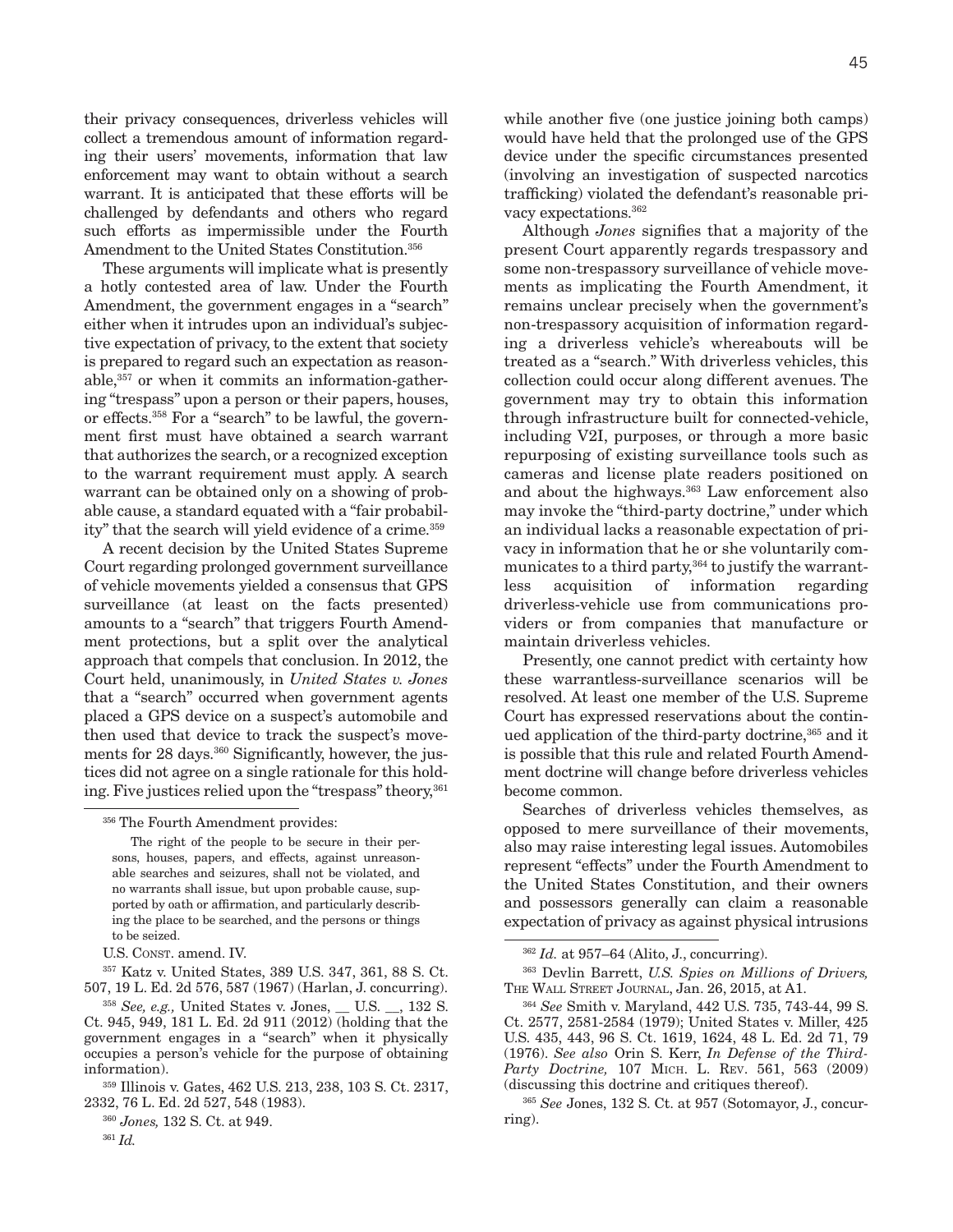their privacy consequences, driverless vehicles will collect a tremendous amount of information regarding their users' movements, information that law enforcement may want to obtain without a search warrant. It is anticipated that these efforts will be challenged by defendants and others who regard such efforts as impermissible under the Fourth Amendment to the United States Constitution.356

These arguments will implicate what is presently a hotly contested area of law. Under the Fourth Amendment, the government engages in a "search" either when it intrudes upon an individual's subjective expectation of privacy, to the extent that society is prepared to regard such an expectation as reasonable,357 or when it commits an information-gathering "trespass" upon a person or their papers, houses, or effects.358 For a "search" to be lawful, the government first must have obtained a search warrant that authorizes the search, or a recognized exception to the warrant requirement must apply. A search warrant can be obtained only on a showing of probable cause, a standard equated with a "fair probability" that the search will yield evidence of a crime.<sup>359</sup>

A recent decision by the United States Supreme Court regarding prolonged government surveillance of vehicle movements yielded a consensus that GPS surveillance (at least on the facts presented) amounts to a "search" that triggers Fourth Amendment protections, but a split over the analytical approach that compels that conclusion. In 2012, the Court held, unanimously, in *United States v. Jones*  that a "search" occurred when government agents placed a GPS device on a suspect's automobile and then used that device to track the suspect's movements for 28 days.<sup>360</sup> Significantly, however, the justices did not agree on a single rationale for this holding. Five justices relied upon the "trespass" theory,<sup>361</sup>

356 The Fourth Amendment provides:

U.S. CONST. amend. IV.

357 Katz v. United States, 389 U.S. 347, 361, 88 S. Ct. 507, 19 L. Ed. 2d 576, 587 (1967) (Harlan, J. concurring). while another five (one justice joining both camps) would have held that the prolonged use of the GPS device under the specific circumstances presented (involving an investigation of suspected narcotics trafficking) violated the defendant's reasonable privacy expectations.362

Although *Jones* signifies that a majority of the present Court apparently regards trespassory and some non-trespassory surveillance of vehicle movements as implicating the Fourth Amendment, it remains unclear precisely when the government's non-trespassory acquisition of information regarding a driverless vehicle's whereabouts will be treated as a "search." With driverless vehicles, this collection could occur along different avenues. The government may try to obtain this information through infrastructure built for connected-vehicle, including V2I, purposes, or through a more basic repurposing of existing surveillance tools such as cameras and license plate readers positioned on and about the highways.<sup>363</sup> Law enforcement also may invoke the "third-party doctrine," under which an individual lacks a reasonable expectation of privacy in information that he or she voluntarily communicates to a third party,<sup>364</sup> to justify the warrantless acquisition of information regarding driverless-vehicle use from communications providers or from companies that manufacture or maintain driverless vehicles.

Presently, one cannot predict with certainty how these warrantless-surveillance scenarios will be resolved. At least one member of the U.S. Supreme Court has expressed reservations about the continued application of the third-party doctrine,<sup>365</sup> and it is possible that this rule and related Fourth Amendment doctrine will change before driverless vehicles become common.

Searches of driverless vehicles themselves, as opposed to mere surveillance of their movements, also may raise interesting legal issues. Automobiles represent "effects" under the Fourth Amendment to the United States Constitution, and their owners and possessors generally can claim a reasonable expectation of privacy as against physical intrusions

The right of the people to be secure in their persons, houses, papers, and effects, against unreasonable searches and seizures, shall not be violated, and no warrants shall issue, but upon probable cause, supported by oath or affirmation, and particularly describing the place to be searched, and the persons or things to be seized.

<sup>358</sup> *See, e.g.,* United States v. Jones, \_\_ U.S. \_\_, 132 S. Ct. 945, 949, 181 L. Ed. 2d 911 (2012) (holding that the government engages in a "search" when it physically occupies a person's vehicle for the purpose of obtaining information).

<sup>359</sup> Illinois v. Gates, 462 U.S. 213, 238, 103 S. Ct. 2317, 2332, 76 L. Ed. 2d 527, 548 (1983).

<sup>360</sup> *Jones,* 132 S. Ct. at 949.

<sup>362</sup> *Id.* at 957–64 (Alito, J., concurring).

<sup>363</sup> Devlin Barrett, *U.S. Spies on Millions of Drivers,*  The Wall Street Journal, Jan. 26, 2015, at A1.

<sup>364</sup> *See* Smith v. Maryland, 442 U.S. 735, 743-44, 99 S. Ct. 2577, 2581-2584 (1979); United States v. Miller, 425 U.S. 435, 443, 96 S. Ct. 1619, 1624, 48 L. Ed. 2d 71, 79 (1976). *See also* Orin S. Kerr, *In Defense of the Third-Party Doctrine,* 107 Mich. L. Rev. 561, 563 (2009) (discussing this doctrine and critiques thereof).

<sup>365</sup> *See* Jones, 132 S. Ct. at 957 (Sotomayor, J., concurring).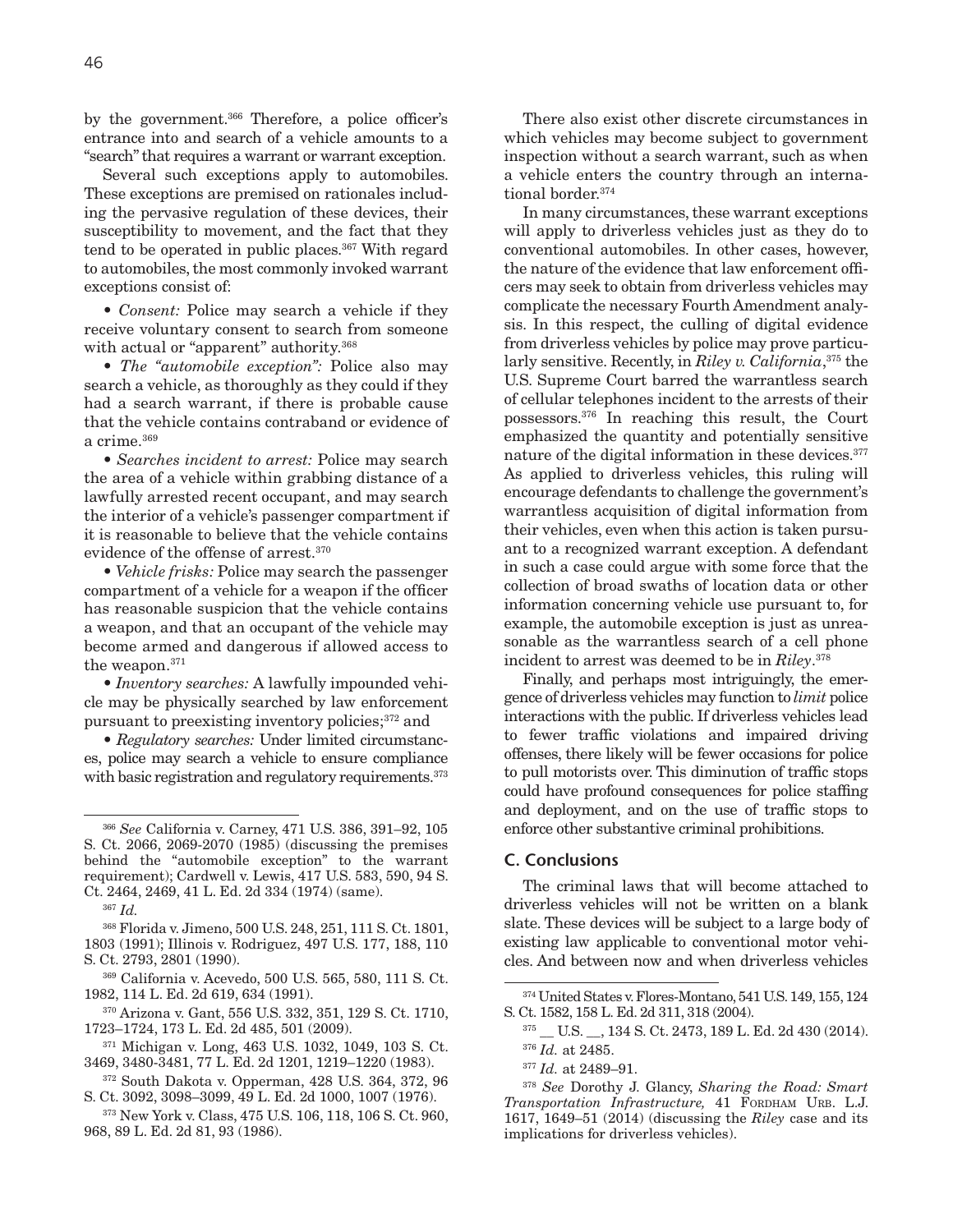by the government.<sup>366</sup> Therefore, a police officer's entrance into and search of a vehicle amounts to a "search" that requires a warrant or warrant exception.

Several such exceptions apply to automobiles. These exceptions are premised on rationales including the pervasive regulation of these devices, their susceptibility to movement, and the fact that they tend to be operated in public places.<sup>367</sup> With regard to automobiles, the most commonly invoked warrant exceptions consist of:

• *Consent:* Police may search a vehicle if they receive voluntary consent to search from someone with actual or "apparent" authority.<sup>368</sup>

• *The "automobile exception":* Police also may search a vehicle, as thoroughly as they could if they had a search warrant, if there is probable cause that the vehicle contains contraband or evidence of a crime.<sup>369</sup>

• *Searches incident to arrest:* Police may search the area of a vehicle within grabbing distance of a lawfully arrested recent occupant, and may search the interior of a vehicle's passenger compartment if it is reasonable to believe that the vehicle contains evidence of the offense of arrest.370

• *Vehicle frisks:* Police may search the passenger compartment of a vehicle for a weapon if the officer has reasonable suspicion that the vehicle contains a weapon, and that an occupant of the vehicle may become armed and dangerous if allowed access to the weapon.371

• *Inventory searches:* A lawfully impounded vehicle may be physically searched by law enforcement pursuant to preexisting inventory policies;372 and

• *Regulatory searches:* Under limited circumstances, police may search a vehicle to ensure compliance with basic registration and regulatory requirements.<sup>373</sup>

368 Florida v. Jimeno, 500 U.S. 248, 251, 111 S. Ct. 1801, 1803 (1991); Illinois v. Rodriguez, 497 U.S. 177, 188, 110 S. Ct. 2793, 2801 (1990).

369 California v. Acevedo, 500 U.S. 565, 580, 111 S. Ct. 1982, 114 L. Ed. 2d 619, 634 (1991).

370 Arizona v. Gant, 556 U.S. 332, 351, 129 S. Ct. 1710, 1723–1724, 173 L. Ed. 2d 485, 501 (2009).

371 Michigan v. Long, 463 U.S. 1032, 1049, 103 S. Ct. 3469, 3480-3481, 77 L. Ed. 2d 1201, 1219–1220 (1983).

There also exist other discrete circumstances in which vehicles may become subject to government inspection without a search warrant, such as when a vehicle enters the country through an international border.<sup>374</sup>

In many circumstances, these warrant exceptions will apply to driverless vehicles just as they do to conventional automobiles. In other cases, however, the nature of the evidence that law enforcement officers may seek to obtain from driverless vehicles may complicate the necessary Fourth Amendment analysis. In this respect, the culling of digital evidence from driverless vehicles by police may prove particularly sensitive. Recently, in *Riley v. California*, 375 the U.S. Supreme Court barred the warrantless search of cellular telephones incident to the arrests of their possessors.376 In reaching this result, the Court emphasized the quantity and potentially sensitive nature of the digital information in these devices.<sup>377</sup> As applied to driverless vehicles, this ruling will encourage defendants to challenge the government's warrantless acquisition of digital information from their vehicles, even when this action is taken pursuant to a recognized warrant exception. A defendant in such a case could argue with some force that the collection of broad swaths of location data or other information concerning vehicle use pursuant to, for example, the automobile exception is just as unreasonable as the warrantless search of a cell phone incident to arrest was deemed to be in *Riley*. 378

Finally, and perhaps most intriguingly, the emergence of driverless vehicles may function to *limit* police interactions with the public. If driverless vehicles lead to fewer traffic violations and impaired driving offenses, there likely will be fewer occasions for police to pull motorists over. This diminution of traffic stops could have profound consequences for police staffing and deployment, and on the use of traffic stops to enforce other substantive criminal prohibitions.

## **C. Conclusions**

The criminal laws that will become attached to driverless vehicles will not be written on a blank slate. These devices will be subject to a large body of existing law applicable to conventional motor vehicles. And between now and when driverless vehicles

<sup>366</sup> *See* California v. Carney, 471 U.S. 386, 391–92, 105 S. Ct. 2066, 2069-2070 (1985) (discussing the premises behind the "automobile exception" to the warrant requirement); Cardwell v. Lewis, 417 U.S. 583, 590, 94 S. Ct. 2464, 2469, 41 L. Ed. 2d 334 (1974) (same).

<sup>367</sup> *Id.*

<sup>372</sup> South Dakota v. Opperman, 428 U.S. 364, 372, 96 S. Ct. 3092, 3098–3099, 49 L. Ed. 2d 1000, 1007 (1976).

<sup>373</sup> New York v. Class, 475 U.S. 106, 118, 106 S. Ct. 960, 968, 89 L. Ed. 2d 81, 93 (1986).

<sup>374</sup> United States v. Flores-Montano, 541 U.S. 149, 155, 124 S. Ct. 1582, 158 L. Ed. 2d 311, 318 (2004).

<sup>375</sup> \_\_ U.S. \_\_, 134 S. Ct. 2473, 189 L. Ed. 2d 430 (2014). <sup>376</sup> *Id.* at 2485.

<sup>377</sup> *Id.* at 2489–91.

<sup>378</sup> *See* Dorothy J. Glancy, *Sharing the Road: Smart Transportation Infrastructure,* 41 Fordham Urb. L.J. 1617, 1649–51 (2014) (discussing the *Riley* case and its implications for driverless vehicles).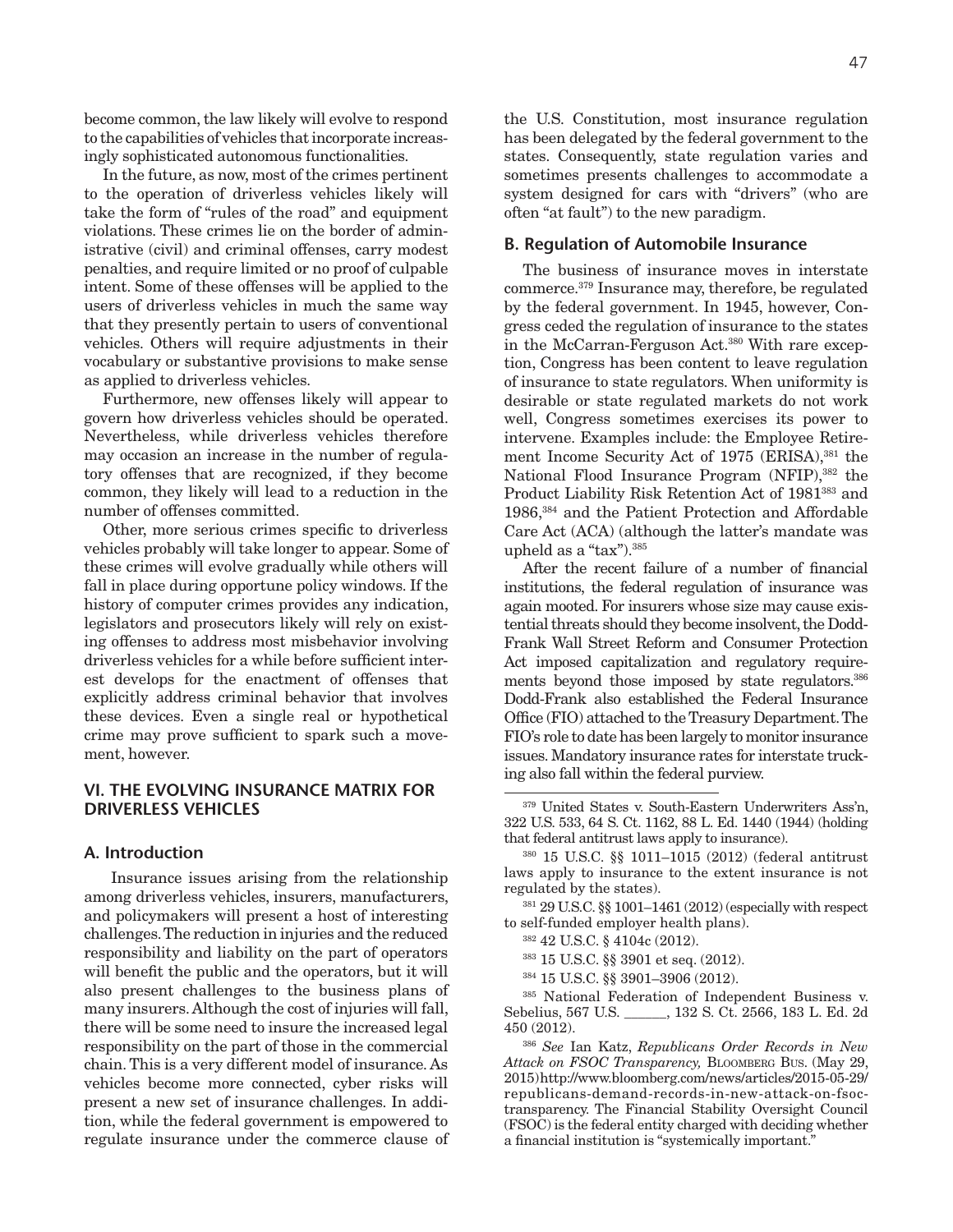become common, the law likely will evolve to respond to the capabilities of vehicles that incorporate increasingly sophisticated autonomous functionalities.

In the future, as now, most of the crimes pertinent to the operation of driverless vehicles likely will take the form of "rules of the road" and equipment violations. These crimes lie on the border of administrative (civil) and criminal offenses, carry modest penalties, and require limited or no proof of culpable intent. Some of these offenses will be applied to the users of driverless vehicles in much the same way that they presently pertain to users of conventional vehicles. Others will require adjustments in their vocabulary or substantive provisions to make sense as applied to driverless vehicles.

Furthermore, new offenses likely will appear to govern how driverless vehicles should be operated. Nevertheless, while driverless vehicles therefore may occasion an increase in the number of regulatory offenses that are recognized, if they become common, they likely will lead to a reduction in the number of offenses committed.

Other, more serious crimes specific to driverless vehicles probably will take longer to appear. Some of these crimes will evolve gradually while others will fall in place during opportune policy windows. If the history of computer crimes provides any indication, legislators and prosecutors likely will rely on existing offenses to address most misbehavior involving driverless vehicles for a while before sufficient interest develops for the enactment of offenses that explicitly address criminal behavior that involves these devices. Even a single real or hypothetical crime may prove sufficient to spark such a movement, however.

## **VI. THE EVOLVING INSURANCE MATRIX FOR DRIVERLESS VEHICLES**

## **A. Introduction**

Insurance issues arising from the relationship among driverless vehicles, insurers, manufacturers, and policymakers will present a host of interesting challenges. The reduction in injuries and the reduced responsibility and liability on the part of operators will benefit the public and the operators, but it will also present challenges to the business plans of many insurers. Although the cost of injuries will fall, there will be some need to insure the increased legal responsibility on the part of those in the commercial chain. This is a very different model of insurance. As vehicles become more connected, cyber risks will present a new set of insurance challenges. In addition, while the federal government is empowered to regulate insurance under the commerce clause of the U.S. Constitution, most insurance regulation has been delegated by the federal government to the states. Consequently, state regulation varies and sometimes presents challenges to accommodate a system designed for cars with "drivers" (who are often "at fault") to the new paradigm.

#### **B. Regulation of Automobile Insurance**

The business of insurance moves in interstate commerce.379 Insurance may, therefore, be regulated by the federal government. In 1945, however, Congress ceded the regulation of insurance to the states in the McCarran-Ferguson Act.380 With rare exception, Congress has been content to leave regulation of insurance to state regulators. When uniformity is desirable or state regulated markets do not work well, Congress sometimes exercises its power to intervene. Examples include: the Employee Retirement Income Security Act of 1975 (ERISA),<sup>381</sup> the National Flood Insurance Program (NFIP),382 the Product Liability Risk Retention Act of 1981<sup>383</sup> and 1986,384 and the Patient Protection and Affordable Care Act (ACA) (although the latter's mandate was upheld as a " $\text{tax"}$ ).<sup>385</sup>

After the recent failure of a number of financial institutions, the federal regulation of insurance was again mooted. For insurers whose size may cause existential threats should they become insolvent, the Dodd-Frank Wall Street Reform and Consumer Protection Act imposed capitalization and regulatory requirements beyond those imposed by state regulators.<sup>386</sup> Dodd-Frank also established the Federal Insurance Office (FIO) attached to the Treasury Department. The FIO's role to date has been largely to monitor insurance issues. Mandatory insurance rates for interstate trucking also fall within the federal purview.

381 29 U.S.C. §§ 1001–1461 (2012) (especially with respect to self-funded employer health plans).

383 15 U.S.C. §§ 3901 et seq. (2012).

384 15 U.S.C. §§ 3901–3906 (2012).

385 National Federation of Independent Business v. Sebelius, 567 U.S. \_\_\_\_\_\_, 132 S. Ct. 2566, 183 L. Ed. 2d 450 (2012).

<sup>386</sup> *See* Ian Katz, *Republicans Order Records in New Attack on FSOC Transparency,* Bloomberg Bus. (May 29, 2015) http://www.bloomberg.com/news/articles/2015-05-29/ republicans-demand-records-in-new-attack-on-fsoctransparency. The Financial Stability Oversight Council (FSOC) is the federal entity charged with deciding whether a financial institution is "systemically important."

<sup>379</sup> United States v. South-Eastern Underwriters Ass'n, 322 U.S. 533, 64 S. Ct. 1162, 88 L. Ed. 1440 (1944) (holding that federal antitrust laws apply to insurance).

<sup>380 15</sup> U.S.C. §§ 1011–1015 (2012) (federal antitrust laws apply to insurance to the extent insurance is not regulated by the states).

<sup>382 42</sup> U.S.C. § 4104c (2012).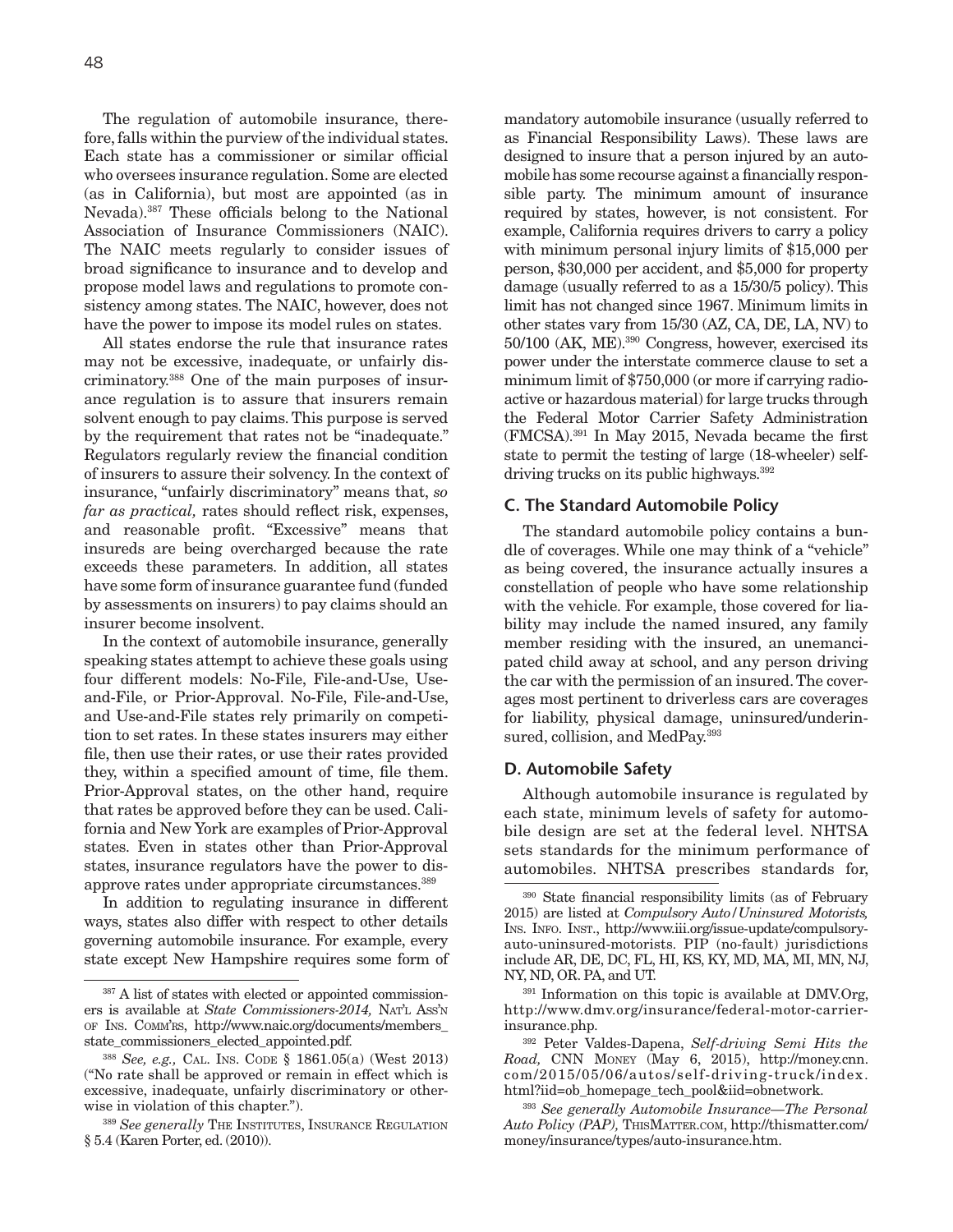The regulation of automobile insurance, therefore, falls within the purview of the individual states. Each state has a commissioner or similar official who oversees insurance regulation. Some are elected (as in California), but most are appointed (as in Nevada).387 These officials belong to the National Association of Insurance Commissioners (NAIC). The NAIC meets regularly to consider issues of broad significance to insurance and to develop and propose model laws and regulations to promote consistency among states. The NAIC, however, does not have the power to impose its model rules on states.

All states endorse the rule that insurance rates may not be excessive, inadequate, or unfairly discriminatory.388 One of the main purposes of insurance regulation is to assure that insurers remain solvent enough to pay claims. This purpose is served by the requirement that rates not be "inadequate." Regulators regularly review the financial condition of insurers to assure their solvency. In the context of insurance, "unfairly discriminatory" means that, *so far as practical,* rates should reflect risk, expenses, and reasonable profit. "Excessive" means that insureds are being overcharged because the rate exceeds these parameters. In addition, all states have some form of insurance guarantee fund (funded by assessments on insurers) to pay claims should an insurer become insolvent.

In the context of automobile insurance, generally speaking states attempt to achieve these goals using four different models: No-File, File-and-Use, Useand-File, or Prior-Approval. No-File, File-and-Use, and Use-and-File states rely primarily on competition to set rates. In these states insurers may either file, then use their rates, or use their rates provided they, within a specified amount of time, file them. Prior-Approval states, on the other hand, require that rates be approved before they can be used. California and New York are examples of Prior-Approval states. Even in states other than Prior-Approval states, insurance regulators have the power to disapprove rates under appropriate circumstances.389

In addition to regulating insurance in different ways, states also differ with respect to other details governing automobile insurance. For example, every state except New Hampshire requires some form of mandatory automobile insurance (usually referred to as Financial Responsibility Laws). These laws are designed to insure that a person injured by an automobile has some recourse against a financially responsible party. The minimum amount of insurance required by states, however, is not consistent. For example, California requires drivers to carry a policy with minimum personal injury limits of \$15,000 per person, \$30,000 per accident, and \$5,000 for property damage (usually referred to as a 15/30/5 policy). This limit has not changed since 1967. Minimum limits in other states vary from 15/30 (AZ, CA, DE, LA, NV) to 50/100 (AK, ME).390 Congress, however, exercised its power under the interstate commerce clause to set a minimum limit of \$750,000 (or more if carrying radioactive or hazardous material) for large trucks through the Federal Motor Carrier Safety Administration (FMCSA).391 In May 2015, Nevada became the first state to permit the testing of large (18-wheeler) selfdriving trucks on its public highways.<sup>392</sup>

#### **C. The Standard Automobile Policy**

The standard automobile policy contains a bundle of coverages. While one may think of a "vehicle" as being covered, the insurance actually insures a constellation of people who have some relationship with the vehicle. For example, those covered for liability may include the named insured, any family member residing with the insured, an unemancipated child away at school, and any person driving the car with the permission of an insured. The coverages most pertinent to driverless cars are coverages for liability, physical damage, uninsured/underinsured, collision, and MedPay.<sup>393</sup>

# **D. Automobile Safety**

Although automobile insurance is regulated by each state, minimum levels of safety for automobile design are set at the federal level. NHTSA sets standards for the minimum performance of automobiles. NHTSA prescribes standards for,

<sup>&</sup>lt;sup>387</sup> A list of states with elected or appointed commissioners is available at *State Commissioners-2014*, NATL Ass'n of Ins. Comm'rs, http://www.naic.org/documents/members\_ state\_commissioners\_elected\_appointed.pdf.

<sup>388</sup> *See, e.g.,* Cal. Ins. Code § 1861.05(a) (West 2013) ("No rate shall be approved or remain in effect which is excessive, inadequate, unfairly discriminatory or otherwise in violation of this chapter.").

<sup>&</sup>lt;sup>389</sup> See generally The INSTITUTES, INSURANCE REGULATION § 5.4 (Karen Porter, ed. (2010)).

<sup>390</sup> State financial responsibility limits (as of February 2015) are listed at *Compulsory Auto/Uninsured Motorists,*  Ins. Info. Inst., http://www.iii.org/issue-update/compulsoryauto-uninsured-motorists. PIP (no-fault) jurisdictions include AR, DE, DC, FL, HI, KS, KY, MD, MA, MI, MN, NJ, NY, ND, OR. PA, and UT.

<sup>391</sup> Information on this topic is available at DMV.Org, http://www.dmv.org/insurance/federal-motor-carrierinsurance.php.

<sup>392</sup> Peter Valdes-Dapena, *Self-driving Semi Hits the Road,* CNN Money (May 6, 2015), http://money.cnn. com/2015/05/06/autos/self-driving-truck/index. html?iid=ob\_homepage\_tech\_pool&iid=obnetwork.

<sup>393</sup> *See generally Automobile Insurance—The Personal Auto Policy (PAP),* ThisMatter.com, http://thismatter.com/ money/insurance/types/auto-insurance.htm.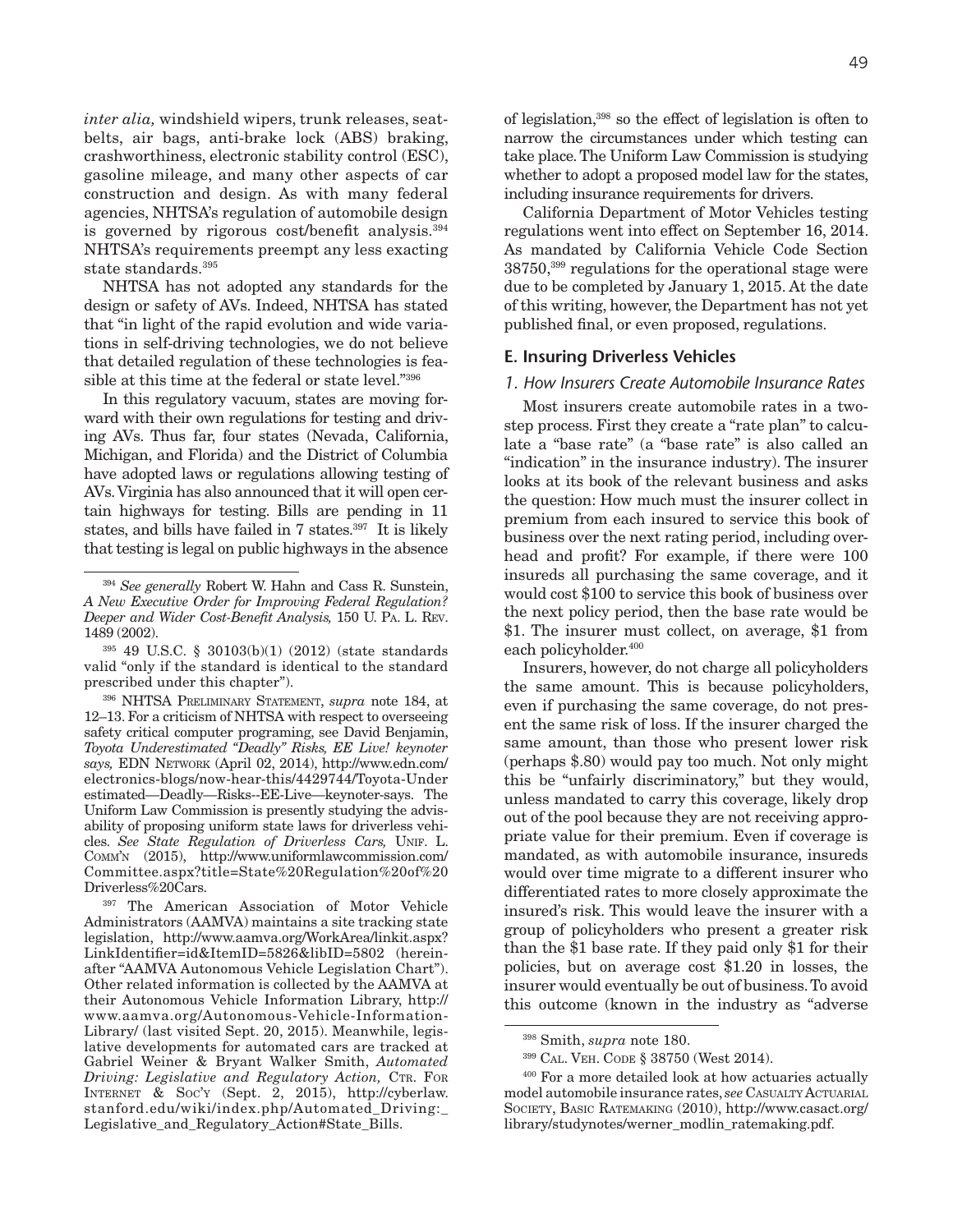*inter alia,* windshield wipers, trunk releases, seatbelts, air bags, anti-brake lock (ABS) braking, crashworthiness, electronic stability control (ESC), gasoline mileage, and many other aspects of car construction and design. As with many federal agencies, NHTSA's regulation of automobile design is governed by rigorous cost/benefit analysis.394 NHTSA's requirements preempt any less exacting state standards.<sup>395</sup>

NHTSA has not adopted any standards for the design or safety of AVs. Indeed, NHTSA has stated that "in light of the rapid evolution and wide variations in self-driving technologies, we do not believe that detailed regulation of these technologies is feasible at this time at the federal or state level."396

In this regulatory vacuum, states are moving forward with their own regulations for testing and driving AVs. Thus far, four states (Nevada, California, Michigan, and Florida) and the District of Columbia have adopted laws or regulations allowing testing of AVs. Virginia has also announced that it will open certain highways for testing. Bills are pending in 11 states, and bills have failed in 7 states.<sup>397</sup> It is likely that testing is legal on public highways in the absence

396 NHTSA Preliminary Statement, *supra* note 184, at 12–13. For a criticism of NHTSA with respect to overseeing safety critical computer programing, see David Benjamin, *Toyota Underestimated "Deadly" Risks, EE Live! keynoter says,* EDN Network (April 02, 2014), http://www.edn.com/ electronics-blogs/now-hear-this/4429744/Toyota-Under estimated—Deadly—Risks--EE-Live—keynoter-says. The Uniform Law Commission is presently studying the advisability of proposing uniform state laws for driverless vehicles. *See State Regulation of Driverless Cars,* Unif. L. Comm'n (2015), http://www.uniformlawcommission.com/ Committee.aspx?title=State%20Regulation%20of%20 Driverless%20Cars.

<sup>397</sup> The American Association of Motor Vehicle Administrators (AAMVA) maintains a site tracking state legislation, http://www.aamva.org/WorkArea/linkit.aspx? LinkIdentifier=id&ItemID=5826&libID=5802 (hereinafter "AAMVA Autonomous Vehicle Legislation Chart"). Other related information is collected by the AAMVA at their Autonomous Vehicle Information Library, http:// www.aamva.org/Autonomous-Vehicle-Information-Library/ (last visited Sept. 20, 2015). Meanwhile, legislative developments for automated cars are tracked at Gabriel Weiner & Bryant Walker Smith, *Automated Driving: Legislative and Regulatory Action, CTR. FOR* Internet & Soc'y (Sept. 2, 2015), http://cyberlaw. stanford.edu/wiki/index.php/Automated\_Driving:\_ Legislative\_and\_Regulatory\_Action#State\_Bills.

of legislation,398 so the effect of legislation is often to narrow the circumstances under which testing can take place. The Uniform Law Commission is studying whether to adopt a proposed model law for the states, including insurance requirements for drivers.

California Department of Motor Vehicles testing regulations went into effect on September 16, 2014. As mandated by California Vehicle Code Section 38750,399 regulations for the operational stage were due to be completed by January 1, 2015. At the date of this writing, however, the Department has not yet published final, or even proposed, regulations.

## **E. Insuring Driverless Vehicles**

#### *1. How Insurers Create Automobile Insurance Rates*

Most insurers create automobile rates in a twostep process. First they create a "rate plan" to calculate a "base rate" (a "base rate" is also called an "indication" in the insurance industry). The insurer looks at its book of the relevant business and asks the question: How much must the insurer collect in premium from each insured to service this book of business over the next rating period, including overhead and profit? For example, if there were 100 insureds all purchasing the same coverage, and it would cost \$100 to service this book of business over the next policy period, then the base rate would be \$1. The insurer must collect, on average, \$1 from each policyholder.400

Insurers, however, do not charge all policyholders the same amount. This is because policyholders, even if purchasing the same coverage, do not present the same risk of loss. If the insurer charged the same amount, than those who present lower risk (perhaps \$.80) would pay too much. Not only might this be "unfairly discriminatory," but they would, unless mandated to carry this coverage, likely drop out of the pool because they are not receiving appropriate value for their premium. Even if coverage is mandated, as with automobile insurance, insureds would over time migrate to a different insurer who differentiated rates to more closely approximate the insured's risk. This would leave the insurer with a group of policyholders who present a greater risk than the \$1 base rate. If they paid only \$1 for their policies, but on average cost \$1.20 in losses, the insurer would eventually be out of business. To avoid this outcome (known in the industry as "adverse

<sup>394</sup> *See generally* Robert W. Hahn and Cass R. Sunstein, *A New Executive Order for Improving Federal Regulation? Deeper and Wider Cost-Benefit Analysis,* 150 U. Pa. L. Rev. 1489 (2002).

<sup>395 49</sup> U.S.C. § 30103(b)(1) (2012) (state standards valid "only if the standard is identical to the standard prescribed under this chapter").

<sup>398</sup> Smith, *supra* note 180.

<sup>399</sup> Cal. Veh. Code § 38750 (West 2014).

<sup>400</sup> For a more detailed look at how actuaries actually model automobile insurance rates, *see* Casualty Actuarial Society, Basic Ratemaking (2010), http://www.casact.org/ library/studynotes/werner\_modlin\_ratemaking.pdf.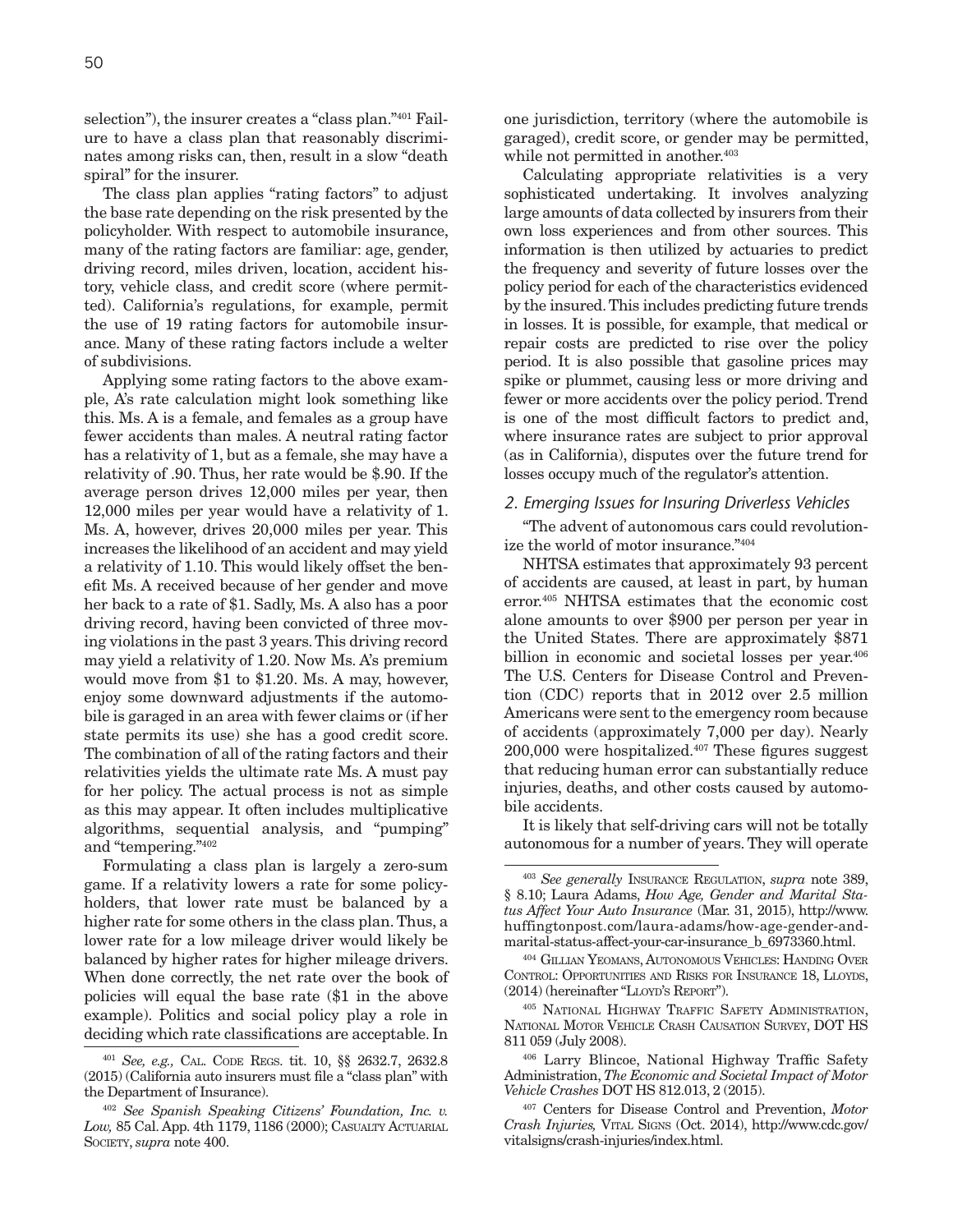selection"), the insurer creates a "class plan."401 Failure to have a class plan that reasonably discriminates among risks can, then, result in a slow "death spiral" for the insurer.

The class plan applies "rating factors" to adjust the base rate depending on the risk presented by the policyholder. With respect to automobile insurance, many of the rating factors are familiar: age, gender, driving record, miles driven, location, accident history, vehicle class, and credit score (where permitted). California's regulations, for example, permit the use of 19 rating factors for automobile insurance. Many of these rating factors include a welter of subdivisions.

Applying some rating factors to the above example, A's rate calculation might look something like this. Ms. A is a female, and females as a group have fewer accidents than males. A neutral rating factor has a relativity of 1, but as a female, she may have a relativity of .90. Thus, her rate would be \$.90. If the average person drives 12,000 miles per year, then 12,000 miles per year would have a relativity of 1. Ms. A, however, drives 20,000 miles per year. This increases the likelihood of an accident and may yield a relativity of 1.10. This would likely offset the benefit Ms. A received because of her gender and move her back to a rate of \$1. Sadly, Ms. A also has a poor driving record, having been convicted of three moving violations in the past 3 years. This driving record may yield a relativity of 1.20. Now Ms. A's premium would move from \$1 to \$1.20. Ms. A may, however, enjoy some downward adjustments if the automobile is garaged in an area with fewer claims or (if her state permits its use) she has a good credit score. The combination of all of the rating factors and their relativities yields the ultimate rate Ms. A must pay for her policy. The actual process is not as simple as this may appear. It often includes multiplicative algorithms, sequential analysis, and "pumping" and "tempering."402

Formulating a class plan is largely a zero-sum game. If a relativity lowers a rate for some policyholders, that lower rate must be balanced by a higher rate for some others in the class plan. Thus, a lower rate for a low mileage driver would likely be balanced by higher rates for higher mileage drivers. When done correctly, the net rate over the book of policies will equal the base rate (\$1 in the above example). Politics and social policy play a role in deciding which rate classifications are acceptable. In

one jurisdiction, territory (where the automobile is garaged), credit score, or gender may be permitted, while not permitted in another.<sup>403</sup>

Calculating appropriate relativities is a very sophisticated undertaking. It involves analyzing large amounts of data collected by insurers from their own loss experiences and from other sources. This information is then utilized by actuaries to predict the frequency and severity of future losses over the policy period for each of the characteristics evidenced by the insured. This includes predicting future trends in losses. It is possible, for example, that medical or repair costs are predicted to rise over the policy period. It is also possible that gasoline prices may spike or plummet, causing less or more driving and fewer or more accidents over the policy period. Trend is one of the most difficult factors to predict and, where insurance rates are subject to prior approval (as in California), disputes over the future trend for losses occupy much of the regulator's attention.

#### *2. Emerging Issues for Insuring Driverless Vehicles*

"The advent of autonomous cars could revolutionize the world of motor insurance."404

NHTSA estimates that approximately 93 percent of accidents are caused, at least in part, by human error.405 NHTSA estimates that the economic cost alone amounts to over \$900 per person per year in the United States. There are approximately \$871 billion in economic and societal losses per year.<sup>406</sup> The U.S. Centers for Disease Control and Prevention (CDC) reports that in 2012 over 2.5 million Americans were sent to the emergency room because of accidents (approximately 7,000 per day). Nearly  $200,000$  were hospitalized.<sup>407</sup> These figures suggest that reducing human error can substantially reduce injuries, deaths, and other costs caused by automobile accidents.

It is likely that self-driving cars will not be totally autonomous for a number of years. They will operate

406 Larry Blincoe, National Highway Traffic Safety Administration, *The Economic and Societal Impact of Motor Vehicle Crashes* DOT HS 812.013, 2 (2015).

<sup>401</sup> *See, e.g.,* Cal. Code Regs. tit. 10, §§ 2632.7, 2632.8 (2015) (California auto insurers must file a "class plan" with the Department of Insurance).

<sup>402</sup> *See Spanish Speaking Citizens' Foundation, Inc. v. Low,* 85 Cal. App. 4th 1179, 1186 (2000); Casualty Actuarial SOCIETY, *supra* note 400.

<sup>403</sup> *See generally* Insurance Regulation, *supra* note 389, § 8.10; Laura Adams, *How Age, Gender and Marital Status Affect Your Auto Insurance* (Mar. 31, 2015), http://www. huffingtonpost.com/laura-adams/how-age-gender-andmarital-status-affect-your-car-insurance\_b\_6973360.html.

<sup>404</sup> Gillian Yeomans, Autonomous Vehicles: Handing Over Control: Opportunities and Risks for Insurance 18, Lloyds, (2014) (hereinafter "Lloyd's Report").

<sup>405</sup> National Highway Traffic Safety Administration, National Motor Vehicle Crash Causation Survey, DOT HS 811 059 (July 2008).

<sup>407</sup> Centers for Disease Control and Prevention, *Motor Crash Injuries,* Vital Signs (Oct. 2014), http://www.cdc.gov/ vitalsigns/crash-injuries/index.html.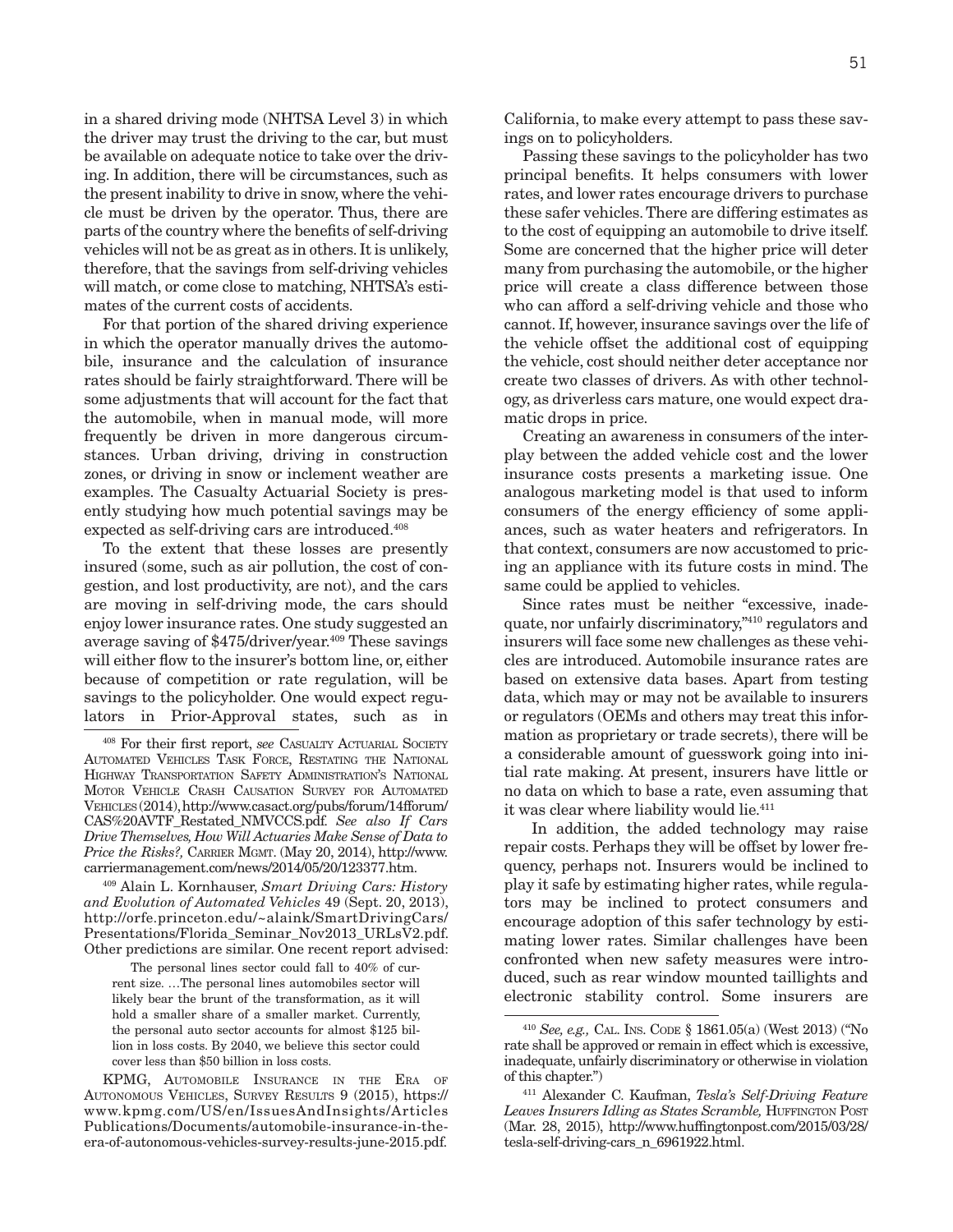in a shared driving mode (NHTSA Level 3) in which the driver may trust the driving to the car, but must be available on adequate notice to take over the driving. In addition, there will be circumstances, such as the present inability to drive in snow, where the vehicle must be driven by the operator. Thus, there are parts of the country where the benefits of self-driving vehicles will not be as great as in others. It is unlikely, therefore, that the savings from self-driving vehicles will match, or come close to matching, NHTSA's estimates of the current costs of accidents.

For that portion of the shared driving experience in which the operator manually drives the automobile, insurance and the calculation of insurance rates should be fairly straightforward. There will be some adjustments that will account for the fact that the automobile, when in manual mode, will more frequently be driven in more dangerous circumstances. Urban driving, driving in construction zones, or driving in snow or inclement weather are examples. The Casualty Actuarial Society is presently studying how much potential savings may be expected as self-driving cars are introduced.408

To the extent that these losses are presently insured (some, such as air pollution, the cost of congestion, and lost productivity, are not), and the cars are moving in self-driving mode, the cars should enjoy lower insurance rates. One study suggested an average saving of \$475/driver/year.<sup>409</sup> These savings will either flow to the insurer's bottom line, or, either because of competition or rate regulation, will be savings to the policyholder. One would expect regulators in Prior-Approval states, such as in

409 Alain L. Kornhauser, *Smart Driving Cars: History and Evolution of Automated Vehicles* 49 (Sept. 20, 2013), http://orfe.princeton.edu/~alaink/SmartDrivingCars/ Presentations/Florida\_Seminar\_Nov2013\_URLsV2.pdf. Other predictions are similar. One recent report advised:

The personal lines sector could fall to 40% of current size. …The personal lines automobiles sector will likely bear the brunt of the transformation, as it will hold a smaller share of a smaller market. Currently, the personal auto sector accounts for almost \$125 billion in loss costs. By 2040, we believe this sector could cover less than \$50 billion in loss costs.

California, to make every attempt to pass these savings on to policyholders.

Passing these savings to the policyholder has two principal benefits. It helps consumers with lower rates, and lower rates encourage drivers to purchase these safer vehicles. There are differing estimates as to the cost of equipping an automobile to drive itself. Some are concerned that the higher price will deter many from purchasing the automobile, or the higher price will create a class difference between those who can afford a self-driving vehicle and those who cannot. If, however, insurance savings over the life of the vehicle offset the additional cost of equipping the vehicle, cost should neither deter acceptance nor create two classes of drivers. As with other technology, as driverless cars mature, one would expect dramatic drops in price.

Creating an awareness in consumers of the interplay between the added vehicle cost and the lower insurance costs presents a marketing issue. One analogous marketing model is that used to inform consumers of the energy efficiency of some appliances, such as water heaters and refrigerators. In that context, consumers are now accustomed to pricing an appliance with its future costs in mind. The same could be applied to vehicles.

Since rates must be neither "excessive, inadequate, nor unfairly discriminatory,"410 regulators and insurers will face some new challenges as these vehicles are introduced. Automobile insurance rates are based on extensive data bases. Apart from testing data, which may or may not be available to insurers or regulators (OEMs and others may treat this information as proprietary or trade secrets), there will be a considerable amount of guesswork going into initial rate making. At present, insurers have little or no data on which to base a rate, even assuming that it was clear where liability would lie.<sup>411</sup>

 In addition, the added technology may raise repair costs. Perhaps they will be offset by lower frequency, perhaps not. Insurers would be inclined to play it safe by estimating higher rates, while regulators may be inclined to protect consumers and encourage adoption of this safer technology by estimating lower rates. Similar challenges have been confronted when new safety measures were introduced, such as rear window mounted taillights and electronic stability control. Some insurers are

<sup>408</sup> For their first report, *see* Casualty Actuarial Society Automated Vehicles Task Force, Restating the National Highway Transportation Safety Administration's National Motor Vehicle Crash Causation Survey for Automated Vehicles (2014), http://www.casact.org/pubs/forum/14fforum/ CAS%20AVTF\_Restated\_NMVCCS.pdf. *See also If Cars Drive Themselves, How Will Actuaries Make Sense of Data to Price the Risks?, CARRIER MGMT.* (May 20, 2014), http://www. carriermanagement.com/news/2014/05/20/123377.htm.

KPMG, Automobile Insurance in the Era of Autonomous Vehicles, Survey Results 9 (2015), https:// www.kpmg.com/US/en/IssuesAndInsights/Articles Publications/Documents/automobile-insurance-in-theera-of-autonomous-vehicles-survey-results-june-2015.pdf.

<sup>410</sup> *See, e.g.,* Cal. Ins. Code § 1861.05(a) (West 2013) ("No rate shall be approved or remain in effect which is excessive, inadequate, unfairly discriminatory or otherwise in violation of this chapter.")

<sup>411</sup> Alexander C. Kaufman, *Tesla's Self-Driving Feature*  Leaves Insurers Idling as States Scramble, HUFFINGTON POST (Mar. 28, 2015), http://www.huffingtonpost.com/2015/03/28/ tesla-self-driving-cars\_n\_6961922.html.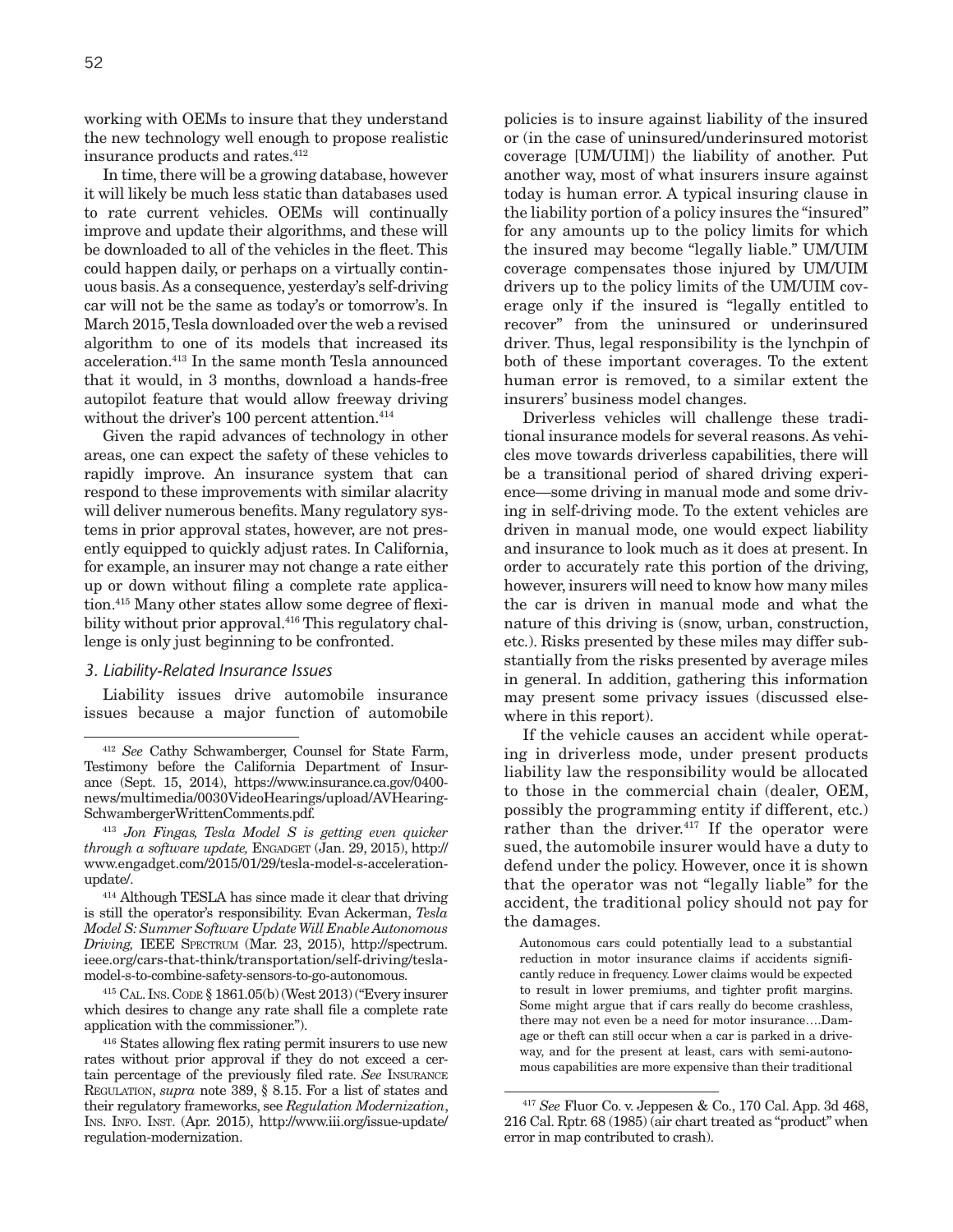working with OEMs to insure that they understand the new technology well enough to propose realistic insurance products and rates.<sup>412</sup>

In time, there will be a growing database, however it will likely be much less static than databases used to rate current vehicles. OEMs will continually improve and update their algorithms, and these will be downloaded to all of the vehicles in the fleet. This could happen daily, or perhaps on a virtually continuous basis. As a consequence, yesterday's self-driving car will not be the same as today's or tomorrow's. In March 2015, Tesla downloaded over the web a revised algorithm to one of its models that increased its acceleration.413 In the same month Tesla announced that it would, in 3 months, download a hands-free autopilot feature that would allow freeway driving without the driver's 100 percent attention.<sup>414</sup>

Given the rapid advances of technology in other areas, one can expect the safety of these vehicles to rapidly improve. An insurance system that can respond to these improvements with similar alacrity will deliver numerous benefits. Many regulatory systems in prior approval states, however, are not presently equipped to quickly adjust rates. In California, for example, an insurer may not change a rate either up or down without filing a complete rate application.415 Many other states allow some degree of flexibility without prior approval.416 This regulatory challenge is only just beginning to be confronted.

## *3. Liability-Related Insurance Issues*

Liability issues drive automobile insurance issues because a major function of automobile

414 Although TESLA has since made it clear that driving is still the operator's responsibility. Evan Ackerman, *Tesla Model S: Summer Software Update Will Enable Autonomous Driving,* IEEE Spectrum (Mar. 23, 2015), http://spectrum. ieee.org/cars-that-think/transportation/self-driving/teslamodel-s-to-combine-safety-sensors-to-go-autonomous.

<sup>415</sup> Cal. Ins. Code § 1861.05(b) (West 2013) ("Every insurer which desires to change any rate shall file a complete rate application with the commissioner.").

416 States allowing flex rating permit insurers to use new rates without prior approval if they do not exceed a certain percentage of the previously filed rate. *See* Insurance Regulation, *supra* note 389, § 8.15. For a list of states and their regulatory frameworks, see *Regulation Modernization*, Ins. Info. Inst. (Apr. 2015), http://www.iii.org/issue-update/ regulation-modernization.

policies is to insure against liability of the insured or (in the case of uninsured/underinsured motorist coverage [UM/UIM]) the liability of another. Put another way, most of what insurers insure against today is human error. A typical insuring clause in the liability portion of a policy insures the "insured" for any amounts up to the policy limits for which the insured may become "legally liable." UM/UIM coverage compensates those injured by UM/UIM drivers up to the policy limits of the UM/UIM coverage only if the insured is "legally entitled to recover" from the uninsured or underinsured driver. Thus, legal responsibility is the lynchpin of both of these important coverages. To the extent human error is removed, to a similar extent the insurers' business model changes.

Driverless vehicles will challenge these traditional insurance models for several reasons. As vehicles move towards driverless capabilities, there will be a transitional period of shared driving experience—some driving in manual mode and some driving in self-driving mode. To the extent vehicles are driven in manual mode, one would expect liability and insurance to look much as it does at present. In order to accurately rate this portion of the driving, however, insurers will need to know how many miles the car is driven in manual mode and what the nature of this driving is (snow, urban, construction, etc.). Risks presented by these miles may differ substantially from the risks presented by average miles in general. In addition, gathering this information may present some privacy issues (discussed elsewhere in this report).

If the vehicle causes an accident while operating in driverless mode, under present products liability law the responsibility would be allocated to those in the commercial chain (dealer, OEM, possibly the programming entity if different, etc.) rather than the driver.<sup>417</sup> If the operator were sued, the automobile insurer would have a duty to defend under the policy. However, once it is shown that the operator was not "legally liable" for the accident, the traditional policy should not pay for the damages.

Autonomous cars could potentially lead to a substantial reduction in motor insurance claims if accidents significantly reduce in frequency. Lower claims would be expected to result in lower premiums, and tighter profit margins. Some might argue that if cars really do become crashless, there may not even be a need for motor insurance….Damage or theft can still occur when a car is parked in a driveway, and for the present at least, cars with semi-autonomous capabilities are more expensive than their traditional

<sup>412</sup> *See* Cathy Schwamberger, Counsel for State Farm, Testimony before the California Department of Insurance (Sept. 15, 2014), https://www.insurance.ca.gov/0400 news/multimedia/0030VideoHearings/upload/AVHearing-SchwambergerWrittenComments.pdf.

<sup>413</sup> *Jon Fingas, Tesla Model S is getting even quicker through a software update, ENGADGET* (Jan. 29, 2015), http:// www.engadget.com/2015/01/29/tesla-model-s-accelerationupdate/.

<sup>417</sup> *See* Fluor Co. v. Jeppesen & Co., 170 Cal. App. 3d 468, 216 Cal. Rptr. 68 (1985) (air chart treated as "product" when error in map contributed to crash).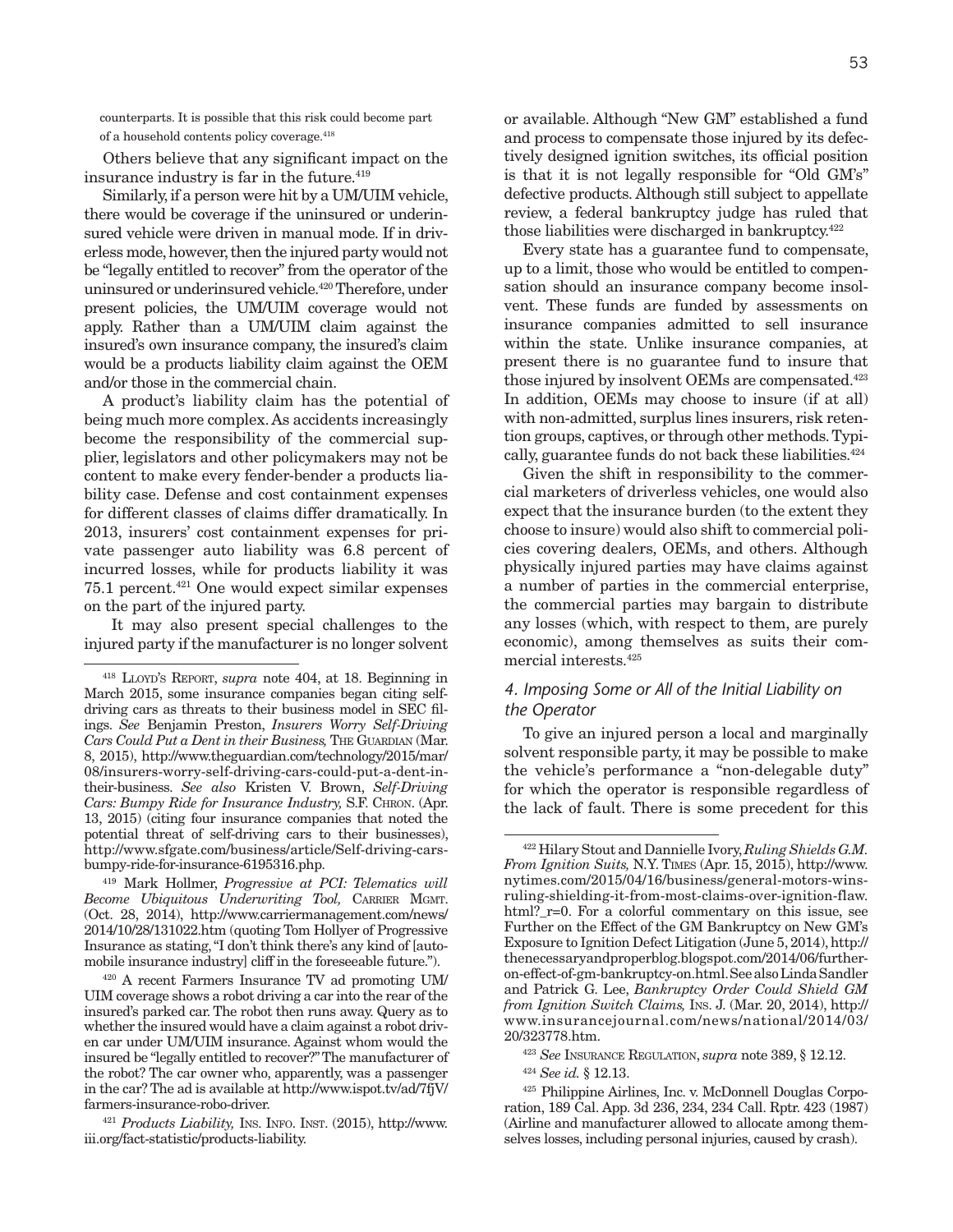counterparts. It is possible that this risk could become part of a household contents policy coverage.418

Others believe that any significant impact on the insurance industry is far in the future.<sup>419</sup>

Similarly, if a person were hit by a UM/UIM vehicle, there would be coverage if the uninsured or underinsured vehicle were driven in manual mode. If in driverless mode, however, then the injured party would not be "legally entitled to recover" from the operator of the uninsured or underinsured vehicle.420 Therefore, under present policies, the UM/UIM coverage would not apply. Rather than a UM/UIM claim against the insured's own insurance company, the insured's claim would be a products liability claim against the OEM and/or those in the commercial chain.

A product's liability claim has the potential of being much more complex. As accidents increasingly become the responsibility of the commercial supplier, legislators and other policymakers may not be content to make every fender-bender a products liability case. Defense and cost containment expenses for different classes of claims differ dramatically. In 2013, insurers' cost containment expenses for private passenger auto liability was 6.8 percent of incurred losses, while for products liability it was 75.1 percent.421 One would expect similar expenses on the part of the injured party.

 It may also present special challenges to the injured party if the manufacturer is no longer solvent

419 Mark Hollmer, *Progressive at PCI: Telematics will*  Become Ubiquitous Underwriting Tool, CARRIER MGMT. (Oct. 28, 2014), http://www.carriermanagement.com/news/ 2014/10/28/131022.htm (quoting Tom Hollyer of Progressive Insurance as stating, "I don't think there's any kind of [automobile insurance industry] cliff in the foreseeable future.").

420 A recent Farmers Insurance TV ad promoting UM/ UIM coverage shows a robot driving a car into the rear of the insured's parked car. The robot then runs away. Query as to whether the insured would have a claim against a robot driven car under UM/UIM insurance. Against whom would the insured be "legally entitled to recover?" The manufacturer of the robot? The car owner who, apparently, was a passenger in the car? The ad is available at http://www.ispot.tv/ad/7fjV/ farmers-insurance-robo-driver.

<sup>421</sup> *Products Liability,* Ins. Info. Inst. (2015), http://www. iii.org/fact-statistic/products-liability.

or available. Although "New GM" established a fund and process to compensate those injured by its defectively designed ignition switches, its official position is that it is not legally responsible for "Old GM's" defective products. Although still subject to appellate review, a federal bankruptcy judge has ruled that those liabilities were discharged in bankruptcy.<sup>422</sup>

Every state has a guarantee fund to compensate, up to a limit, those who would be entitled to compensation should an insurance company become insolvent. These funds are funded by assessments on insurance companies admitted to sell insurance within the state. Unlike insurance companies, at present there is no guarantee fund to insure that those injured by insolvent OEMs are compensated.<sup>423</sup> In addition, OEMs may choose to insure (if at all) with non-admitted, surplus lines insurers, risk retention groups, captives, or through other methods. Typically, guarantee funds do not back these liabilities.<sup>424</sup>

Given the shift in responsibility to the commercial marketers of driverless vehicles, one would also expect that the insurance burden (to the extent they choose to insure) would also shift to commercial policies covering dealers, OEMs, and others. Although physically injured parties may have claims against a number of parties in the commercial enterprise, the commercial parties may bargain to distribute any losses (which, with respect to them, are purely economic), among themselves as suits their commercial interests.425

# *4. Imposing Some or All of the Initial Liability on the Operator*

To give an injured person a local and marginally solvent responsible party, it may be possible to make the vehicle's performance a "non-delegable duty" for which the operator is responsible regardless of the lack of fault. There is some precedent for this

<sup>424</sup> *See id.* § 12.13.

<sup>418</sup> Lloyd's Report, *supra* note 404, at 18. Beginning in March 2015, some insurance companies began citing selfdriving cars as threats to their business model in SEC filings. *See* Benjamin Preston, *Insurers Worry Self-Driving Cars Could Put a Dent in their Business, THE GUARDIAN (Mar.* 8, 2015), http://www.theguardian.com/technology/2015/mar/ 08/insurers-worry-self-driving-cars-could-put-a-dent-intheir-business. *See also* Kristen V. Brown, *Self-Driving Cars: Bumpy Ride for Insurance Industry, S.F. CHRON. (Apr.* 13, 2015) (citing four insurance companies that noted the potential threat of self-driving cars to their businesses), http://www.sfgate.com/business/article/Self-driving-carsbumpy-ride-for-insurance-6195316.php.

<sup>422</sup> Hilary Stout and Dannielle Ivory, *Ruling Shields G.M. From Ignition Suits,* N.Y. Times (Apr. 15, 2015), http://www. nytimes.com/2015/04/16/business/general-motors-winsruling-shielding-it-from-most-claims-over-ignition-flaw. html? r=0. For a colorful commentary on this issue, see Further on the Effect of the GM Bankruptcy on New GM's Exposure to Ignition Defect Litigation (June 5, 2014), http:// thenecessaryandproperblog.blogspot.com/2014/06/furtheron-effect-of-gm-bankruptcy-on.html. See also Linda Sandler and Patrick G. Lee, *Bankruptcy Order Could Shield GM from Ignition Switch Claims,* Ins. J. (Mar. 20, 2014), http:// www.insurancejournal.com/news/national/2014/03/ 20/323778.htm.

<sup>423</sup> *See* Insurance Regulation, *supra* note 389, § 12.12.

<sup>425</sup> Philippine Airlines, Inc. v. McDonnell Douglas Corporation, 189 Cal. App. 3d 236, 234, 234 Call. Rptr. 423 (1987) (Airline and manufacturer allowed to allocate among themselves losses, including personal injuries, caused by crash).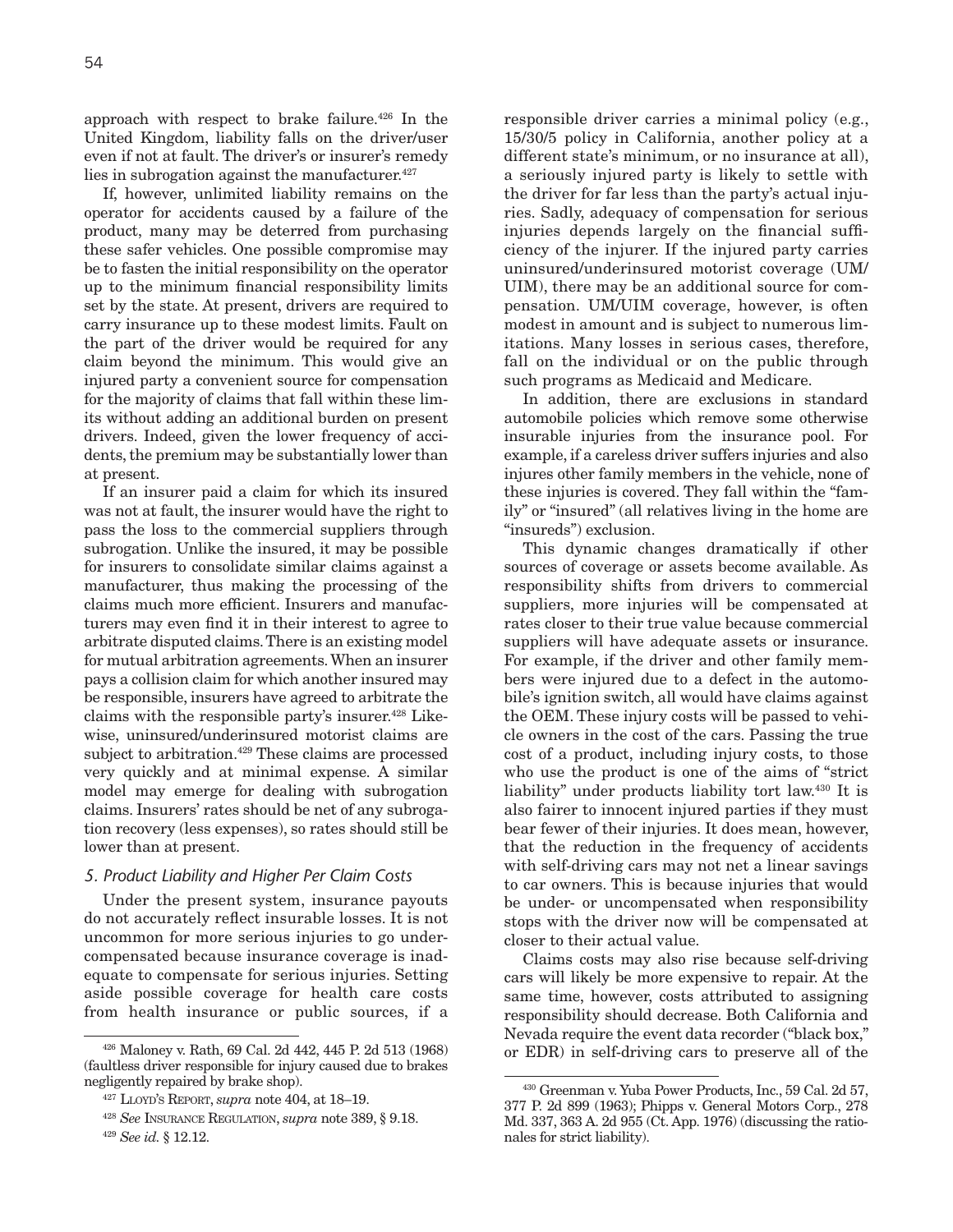approach with respect to brake failure.426 In the United Kingdom, liability falls on the driver/user even if not at fault. The driver's or insurer's remedy lies in subrogation against the manufacturer. $427$ 

If, however, unlimited liability remains on the operator for accidents caused by a failure of the product, many may be deterred from purchasing these safer vehicles. One possible compromise may be to fasten the initial responsibility on the operator up to the minimum financial responsibility limits set by the state. At present, drivers are required to carry insurance up to these modest limits. Fault on the part of the driver would be required for any claim beyond the minimum. This would give an injured party a convenient source for compensation for the majority of claims that fall within these limits without adding an additional burden on present drivers. Indeed, given the lower frequency of accidents, the premium may be substantially lower than at present.

If an insurer paid a claim for which its insured was not at fault, the insurer would have the right to pass the loss to the commercial suppliers through subrogation. Unlike the insured, it may be possible for insurers to consolidate similar claims against a manufacturer, thus making the processing of the claims much more efficient. Insurers and manufacturers may even find it in their interest to agree to arbitrate disputed claims. There is an existing model for mutual arbitration agreements. When an insurer pays a collision claim for which another insured may be responsible, insurers have agreed to arbitrate the claims with the responsible party's insurer.<sup>428</sup> Likewise, uninsured/underinsured motorist claims are subject to arbitration.<sup>429</sup> These claims are processed very quickly and at minimal expense. A similar model may emerge for dealing with subrogation claims. Insurers' rates should be net of any subrogation recovery (less expenses), so rates should still be lower than at present.

## *5. Product Liability and Higher Per Claim Costs*

Under the present system, insurance payouts do not accurately reflect insurable losses. It is not uncommon for more serious injuries to go undercompensated because insurance coverage is inadequate to compensate for serious injuries. Setting aside possible coverage for health care costs from health insurance or public sources, if a

responsible driver carries a minimal policy (e.g., 15/30/5 policy in California, another policy at a different state's minimum, or no insurance at all), a seriously injured party is likely to settle with the driver for far less than the party's actual injuries. Sadly, adequacy of compensation for serious injuries depends largely on the financial sufficiency of the injurer. If the injured party carries uninsured/underinsured motorist coverage (UM/ UIM), there may be an additional source for compensation. UM/UIM coverage, however, is often modest in amount and is subject to numerous limitations. Many losses in serious cases, therefore, fall on the individual or on the public through such programs as Medicaid and Medicare.

In addition, there are exclusions in standard automobile policies which remove some otherwise insurable injuries from the insurance pool. For example, if a careless driver suffers injuries and also injures other family members in the vehicle, none of these injuries is covered. They fall within the "family" or "insured" (all relatives living in the home are "insureds") exclusion.

This dynamic changes dramatically if other sources of coverage or assets become available. As responsibility shifts from drivers to commercial suppliers, more injuries will be compensated at rates closer to their true value because commercial suppliers will have adequate assets or insurance. For example, if the driver and other family members were injured due to a defect in the automobile's ignition switch, all would have claims against the OEM. These injury costs will be passed to vehicle owners in the cost of the cars. Passing the true cost of a product, including injury costs, to those who use the product is one of the aims of "strict liability" under products liability tort law.430 It is also fairer to innocent injured parties if they must bear fewer of their injuries. It does mean, however, that the reduction in the frequency of accidents with self-driving cars may not net a linear savings to car owners. This is because injuries that would be under- or uncompensated when responsibility stops with the driver now will be compensated at closer to their actual value.

Claims costs may also rise because self-driving cars will likely be more expensive to repair. At the same time, however, costs attributed to assigning responsibility should decrease. Both California and Nevada require the event data recorder ("black box," or EDR) in self-driving cars to preserve all of the

<sup>426</sup> Maloney v. Rath, 69 Cal. 2d 442, 445 P. 2d 513 (1968) (faultless driver responsible for injury caused due to brakes negligently repaired by brake shop).

<sup>427</sup> Lloyd's Report, *supra* note 404, at 18–19.

<sup>428</sup> *See* Insurance Regulation, *supra* note 389, § 9.18.

<sup>429</sup> *See id.* § 12.12.

<sup>430</sup> Greenman v. Yuba Power Products, Inc., 59 Cal. 2d 57, 377 P. 2d 899 (1963); Phipps v. General Motors Corp., 278 Md. 337, 363 A. 2d 955 (Ct. App. 1976) (discussing the rationales for strict liability).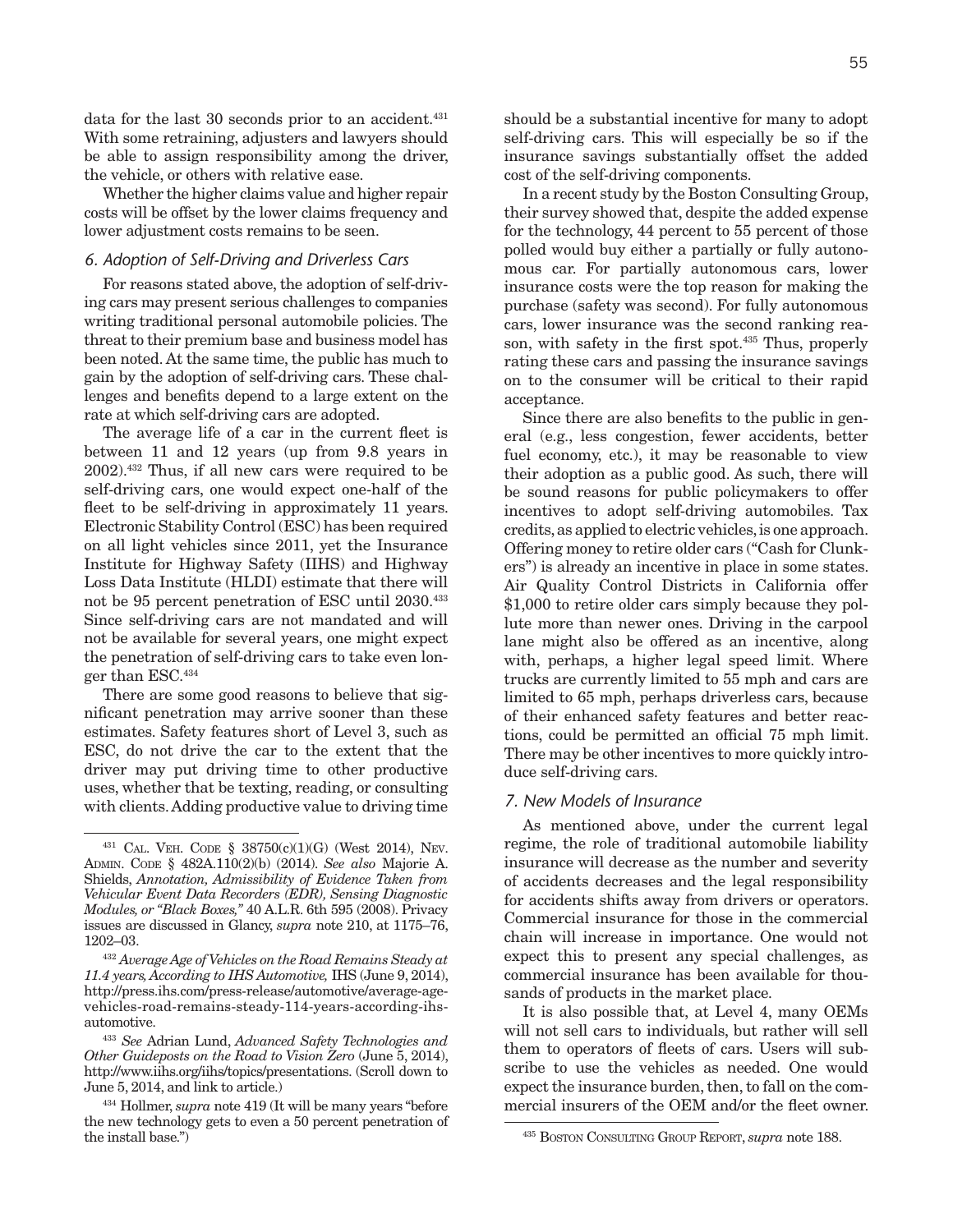data for the last 30 seconds prior to an accident.<sup>431</sup> With some retraining, adjusters and lawyers should be able to assign responsibility among the driver, the vehicle, or others with relative ease.

Whether the higher claims value and higher repair costs will be offset by the lower claims frequency and lower adjustment costs remains to be seen.

# *6. Adoption of Self-Driving and Driverless Cars*

For reasons stated above, the adoption of self-driving cars may present serious challenges to companies writing traditional personal automobile policies. The threat to their premium base and business model has been noted. At the same time, the public has much to gain by the adoption of self-driving cars. These challenges and benefits depend to a large extent on the rate at which self-driving cars are adopted.

The average life of a car in the current fleet is between 11 and 12 years (up from 9.8 years in 2002).432 Thus, if all new cars were required to be self-driving cars, one would expect one-half of the fleet to be self-driving in approximately 11 years. Electronic Stability Control (ESC) has been required on all light vehicles since 2011, yet the Insurance Institute for Highway Safety (IIHS) and Highway Loss Data Institute (HLDI) estimate that there will not be 95 percent penetration of ESC until 2030.433 Since self-driving cars are not mandated and will not be available for several years, one might expect the penetration of self-driving cars to take even longer than ESC.434

There are some good reasons to believe that significant penetration may arrive sooner than these estimates. Safety features short of Level 3, such as ESC, do not drive the car to the extent that the driver may put driving time to other productive uses, whether that be texting, reading, or consulting with clients. Adding productive value to driving time should be a substantial incentive for many to adopt self-driving cars. This will especially be so if the insurance savings substantially offset the added cost of the self-driving components.

In a recent study by the Boston Consulting Group, their survey showed that, despite the added expense for the technology, 44 percent to 55 percent of those polled would buy either a partially or fully autonomous car. For partially autonomous cars, lower insurance costs were the top reason for making the purchase (safety was second). For fully autonomous cars, lower insurance was the second ranking reason, with safety in the first spot.435 Thus, properly rating these cars and passing the insurance savings on to the consumer will be critical to their rapid acceptance.

Since there are also benefits to the public in general (e.g., less congestion, fewer accidents, better fuel economy, etc.), it may be reasonable to view their adoption as a public good. As such, there will be sound reasons for public policymakers to offer incentives to adopt self-driving automobiles. Tax credits, as applied to electric vehicles, is one approach. Offering money to retire older cars ("Cash for Clunkers") is already an incentive in place in some states. Air Quality Control Districts in California offer \$1,000 to retire older cars simply because they pollute more than newer ones. Driving in the carpool lane might also be offered as an incentive, along with, perhaps, a higher legal speed limit. Where trucks are currently limited to 55 mph and cars are limited to 65 mph, perhaps driverless cars, because of their enhanced safety features and better reactions, could be permitted an official 75 mph limit. There may be other incentives to more quickly introduce self-driving cars.

# *7. New Models of Insurance*

As mentioned above, under the current legal regime, the role of traditional automobile liability insurance will decrease as the number and severity of accidents decreases and the legal responsibility for accidents shifts away from drivers or operators. Commercial insurance for those in the commercial chain will increase in importance. One would not expect this to present any special challenges, as commercial insurance has been available for thousands of products in the market place.

It is also possible that, at Level 4, many OEMs will not sell cars to individuals, but rather will sell them to operators of fleets of cars. Users will subscribe to use the vehicles as needed. One would expect the insurance burden, then, to fall on the commercial insurers of the OEM and/or the fleet owner.

<sup>431</sup> Cal. Veh. Code § 38750(c)(1)(G) (West 2014), Nev. Admin. Code § 482A.110(2)(b) (2014). *See also* Majorie A. Shields, *Annotation, Admissibility of Evidence Taken from Vehicular Event Data Recorders (EDR), Sensing Diagnostic Modules, or "Black Boxes,"* 40 A.L.R. 6th 595 (2008). Privacy issues are discussed in Glancy, *supra* note 210, at 1175–76, 1202–03.

<sup>432</sup> *Average Age of Vehicles on the Road Remains Steady at 11.4 years, According to IHS Automotive,* IHS (June 9, 2014), http://press.ihs.com/press-release/automotive/average-agevehicles-road-remains-steady-114-years-according-ihsautomotive.

<sup>433</sup> *See* Adrian Lund, *Advanced Safety Technologies and Other Guideposts on the Road to Vision Zero* (June 5, 2014), http://www.iihs.org/iihs/topics/presentations. (Scroll down to June 5, 2014, and link to article.)

<sup>434</sup> Hollmer, *supra* note 419 (It will be many years "before the new technology gets to even a 50 percent penetration of the install base.") 435 Boston Consulting Group Report, *supra* note 188.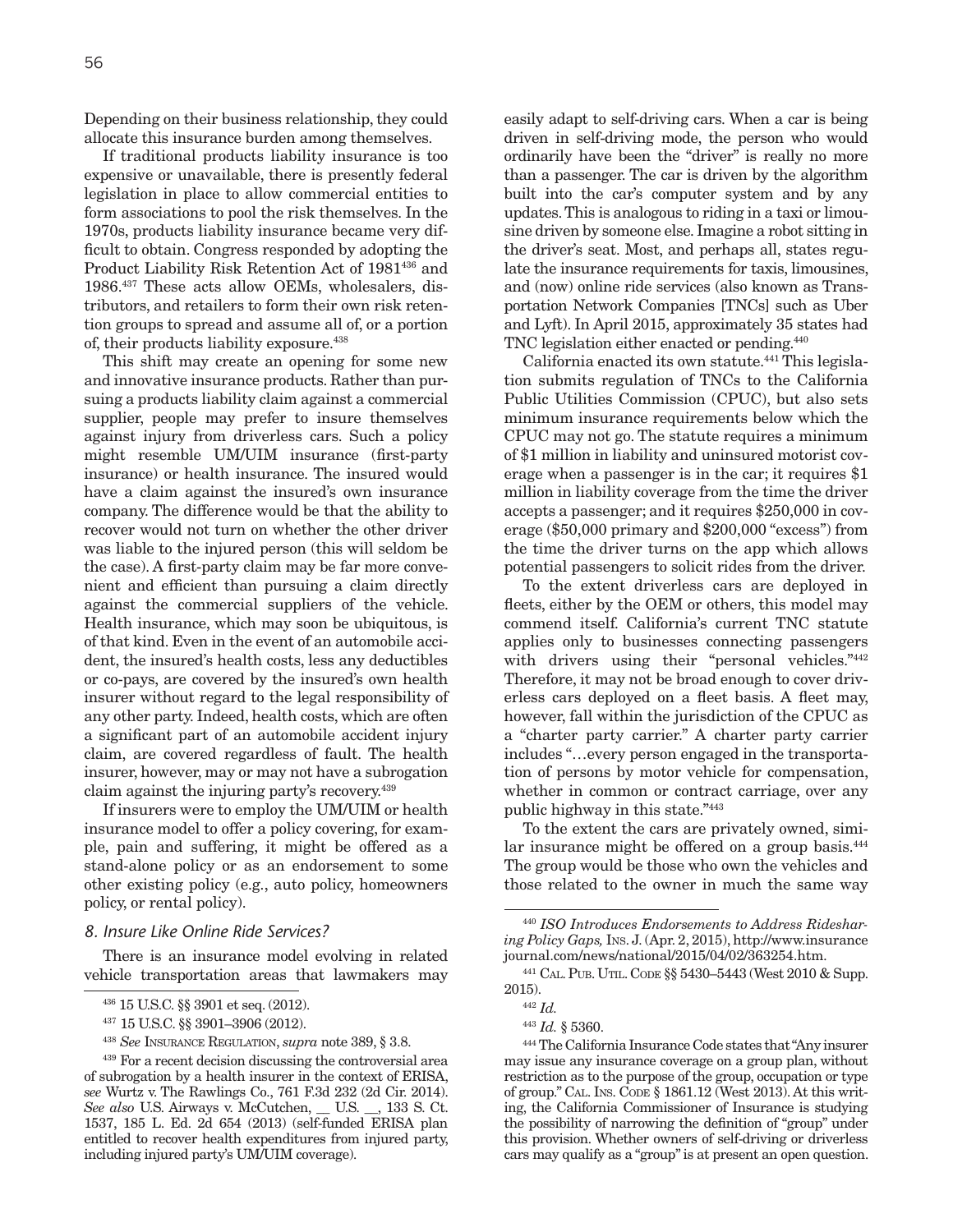Depending on their business relationship, they could allocate this insurance burden among themselves.

If traditional products liability insurance is too expensive or unavailable, there is presently federal legislation in place to allow commercial entities to form associations to pool the risk themselves. In the 1970s, products liability insurance became very difficult to obtain. Congress responded by adopting the Product Liability Risk Retention Act of 1981436 and 1986.437 These acts allow OEMs, wholesalers, distributors, and retailers to form their own risk retention groups to spread and assume all of, or a portion of, their products liability exposure.<sup>438</sup>

This shift may create an opening for some new and innovative insurance products. Rather than pursuing a products liability claim against a commercial supplier, people may prefer to insure themselves against injury from driverless cars. Such a policy might resemble UM/UIM insurance (first-party insurance) or health insurance. The insured would have a claim against the insured's own insurance company. The difference would be that the ability to recover would not turn on whether the other driver was liable to the injured person (this will seldom be the case). A first-party claim may be far more convenient and efficient than pursuing a claim directly against the commercial suppliers of the vehicle. Health insurance, which may soon be ubiquitous, is of that kind. Even in the event of an automobile accident, the insured's health costs, less any deductibles or co-pays, are covered by the insured's own health insurer without regard to the legal responsibility of any other party. Indeed, health costs, which are often a significant part of an automobile accident injury claim, are covered regardless of fault. The health insurer, however, may or may not have a subrogation claim against the injuring party's recovery.439

If insurers were to employ the UM/UIM or health insurance model to offer a policy covering, for example, pain and suffering, it might be offered as a stand-alone policy or as an endorsement to some other existing policy (e.g., auto policy, homeowners policy, or rental policy).

#### *8. Insure Like Online Ride Services?*

There is an insurance model evolving in related vehicle transportation areas that lawmakers may easily adapt to self-driving cars. When a car is being driven in self-driving mode, the person who would ordinarily have been the "driver" is really no more than a passenger. The car is driven by the algorithm built into the car's computer system and by any updates. This is analogous to riding in a taxi or limousine driven by someone else. Imagine a robot sitting in the driver's seat. Most, and perhaps all, states regulate the insurance requirements for taxis, limousines, and (now) online ride services (also known as Transportation Network Companies [TNCs] such as Uber and Lyft). In April 2015, approximately 35 states had TNC legislation either enacted or pending.440

California enacted its own statute.441 This legislation submits regulation of TNCs to the California Public Utilities Commission (CPUC), but also sets minimum insurance requirements below which the CPUC may not go. The statute requires a minimum of \$1 million in liability and uninsured motorist coverage when a passenger is in the car; it requires \$1 million in liability coverage from the time the driver accepts a passenger; and it requires \$250,000 in coverage (\$50,000 primary and \$200,000 "excess") from the time the driver turns on the app which allows potential passengers to solicit rides from the driver.

To the extent driverless cars are deployed in fleets, either by the OEM or others, this model may commend itself. California's current TNC statute applies only to businesses connecting passengers with drivers using their "personal vehicles."<sup>442</sup> Therefore, it may not be broad enough to cover driverless cars deployed on a fleet basis. A fleet may, however, fall within the jurisdiction of the CPUC as a "charter party carrier." A charter party carrier includes "…every person engaged in the transportation of persons by motor vehicle for compensation, whether in common or contract carriage, over any public highway in this state."443

To the extent the cars are privately owned, similar insurance might be offered on a group basis.<sup>444</sup> The group would be those who own the vehicles and those related to the owner in much the same way

<sup>443</sup> *Id.* § 5360.

<sup>436 15</sup> U.S.C. §§ 3901 et seq. (2012).

<sup>437 15</sup> U.S.C. §§ 3901–3906 (2012).

<sup>438</sup> *See* Insurance Regulation, *supra* note 389, § 3.8.

<sup>439</sup> For a recent decision discussing the controversial area of subrogation by a health insurer in the context of ERISA, *see* Wurtz v. The Rawlings Co., 761 F.3d 232 (2d Cir. 2014). *See also* U.S. Airways v. McCutchen, \_\_ U.S. \_\_, 133 S. Ct. 1537, 185 L. Ed. 2d 654 (2013) (self-funded ERISA plan entitled to recover health expenditures from injured party, including injured party's UM/UIM coverage).

<sup>440</sup> *ISO Introduces Endorsements to Address Ridesharing Policy Gaps,* Ins. J. (Apr. 2, 2015), http://www.insurance journal.com/news/national/2015/04/02/363254.htm.

<sup>441</sup> Cal. Pub. Util. Code §§ 5430–5443 (West 2010 & Supp. 2015).

<sup>442</sup> *Id.*

<sup>444</sup> The California Insurance Code states that "Any insurer may issue any insurance coverage on a group plan, without restriction as to the purpose of the group, occupation or type of group." CAL. INS. CODE § 1861.12 (West 2013). At this writing, the California Commissioner of Insurance is studying the possibility of narrowing the definition of "group" under this provision. Whether owners of self-driving or driverless cars may qualify as a "group" is at present an open question.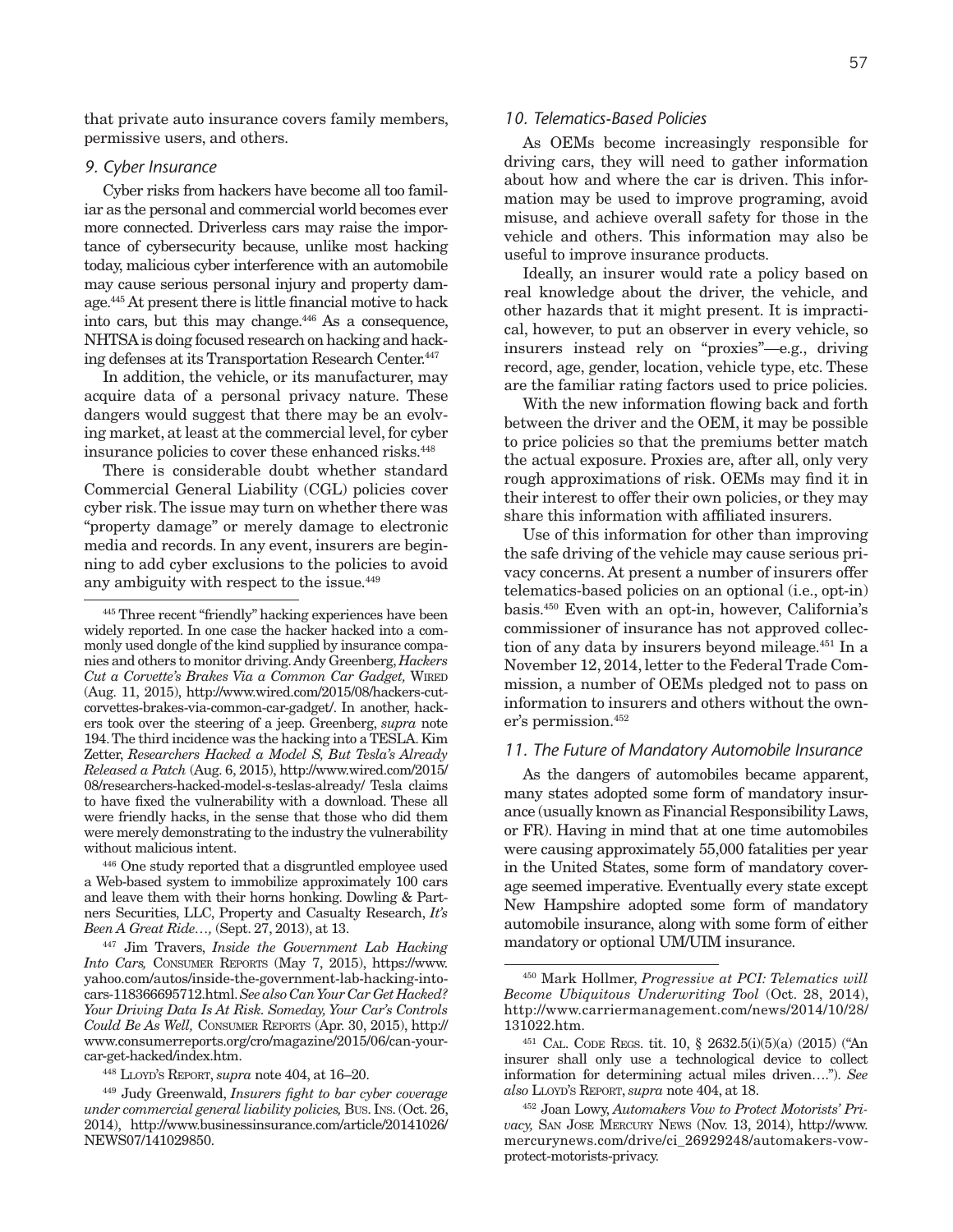that private auto insurance covers family members, permissive users, and others.

### *9. Cyber Insurance*

Cyber risks from hackers have become all too familiar as the personal and commercial world becomes ever more connected. Driverless cars may raise the importance of cybersecurity because, unlike most hacking today, malicious cyber interference with an automobile may cause serious personal injury and property damage.445 At present there is little financial motive to hack into cars, but this may change.446 As a consequence, NHTSA is doing focused research on hacking and hacking defenses at its Transportation Research Center.447

In addition, the vehicle, or its manufacturer, may acquire data of a personal privacy nature. These dangers would suggest that there may be an evolving market, at least at the commercial level, for cyber insurance policies to cover these enhanced risks.<sup>448</sup>

There is considerable doubt whether standard Commercial General Liability (CGL) policies cover cyber risk. The issue may turn on whether there was "property damage" or merely damage to electronic media and records. In any event, insurers are beginning to add cyber exclusions to the policies to avoid any ambiguity with respect to the issue.<sup>449</sup>

446 One study reported that a disgruntled employee used a Web-based system to immobilize approximately 100 cars and leave them with their horns honking. Dowling & Partners Securities, LLC, Property and Casualty Research, *It's Been A Great Ride…,* (Sept. 27, 2013), at 13.

447 Jim Travers, *Inside the Government Lab Hacking Into Cars,* Consumer Reports (May 7, 2015), https://www. yahoo.com/autos/inside-the-government-lab-hacking-intocars-118366695712.html. *See also Can Your Car Get Hacked? Your Driving Data Is At Risk. Someday, Your Car's Controls Could Be As Well,* Consumer Reports (Apr. 30, 2015), http:// www.consumerreports.org/cro/magazine/2015/06/can-yourcar-get-hacked/index.htm.

## *10. Telematics-Based Policies*

As OEMs become increasingly responsible for driving cars, they will need to gather information about how and where the car is driven. This information may be used to improve programing, avoid misuse, and achieve overall safety for those in the vehicle and others. This information may also be useful to improve insurance products.

Ideally, an insurer would rate a policy based on real knowledge about the driver, the vehicle, and other hazards that it might present. It is impractical, however, to put an observer in every vehicle, so insurers instead rely on "proxies"—e.g., driving record, age, gender, location, vehicle type, etc. These are the familiar rating factors used to price policies.

With the new information flowing back and forth between the driver and the OEM, it may be possible to price policies so that the premiums better match the actual exposure. Proxies are, after all, only very rough approximations of risk. OEMs may find it in their interest to offer their own policies, or they may share this information with affiliated insurers.

Use of this information for other than improving the safe driving of the vehicle may cause serious privacy concerns. At present a number of insurers offer telematics-based policies on an optional (i.e., opt-in) basis.450 Even with an opt-in, however, California's commissioner of insurance has not approved collection of any data by insurers beyond mileage.451 In a November 12, 2014, letter to the Federal Trade Commission, a number of OEMs pledged not to pass on information to insurers and others without the owner's permission.452

## *11. The Future of Mandatory Automobile Insurance*

As the dangers of automobiles became apparent, many states adopted some form of mandatory insurance (usually known as Financial Responsibility Laws, or FR). Having in mind that at one time automobiles were causing approximately 55,000 fatalities per year in the United States, some form of mandatory coverage seemed imperative. Eventually every state except New Hampshire adopted some form of mandatory automobile insurance, along with some form of either mandatory or optional UM/UIM insurance.

<sup>445</sup> Three recent "friendly" hacking experiences have been widely reported. In one case the hacker hacked into a commonly used dongle of the kind supplied by insurance companies and others to monitor driving. Andy Greenberg, *Hackers Cut a Corvette's Brakes Via a Common Car Gadget,* Wired (Aug. 11, 2015), http://www.wired.com/2015/08/hackers-cutcorvettes-brakes-via-common-car-gadget/. In another, hackers took over the steering of a jeep. Greenberg, *supra* note 194. The third incidence was the hacking into a TESLA. Kim Zetter, *Researchers Hacked a Model S, But Tesla's Already Released a Patch* (Aug. 6, 2015), http://www.wired.com/2015/ 08/researchers-hacked-model-s-teslas-already/ Tesla claims to have fixed the vulnerability with a download. These all were friendly hacks, in the sense that those who did them were merely demonstrating to the industry the vulnerability without malicious intent.

<sup>448</sup> Lloyd's Report, *supra* note 404, at 16–20.

<sup>449</sup> Judy Greenwald, *Insurers fight to bar cyber coverage under commercial general liability policies,* Bus. Ins. (Oct. 26, 2014), http://www.businessinsurance.com/article/20141026/ NEWS07/141029850.

<sup>450</sup> Mark Hollmer, *Progressive at PCI: Telematics will Become Ubiquitous Underwriting Tool* (Oct. 28, 2014), http://www.carriermanagement.com/news/2014/10/28/ 131022.htm.

<sup>451</sup> Cal. Code Regs. tit. 10, § 2632.5(i)(5)(a) (2015) ("An insurer shall only use a technological device to collect information for determining actual miles driven…."). *See also* Lloyd's Report, *supra* note 404, at 18.

<sup>452</sup> Joan Lowy, *Automakers Vow to Protect Motorists' Privacy,* San Jose Mercury News (Nov. 13, 2014), http://www. mercurynews.com/drive/ci\_26929248/automakers-vowprotect-motorists-privacy.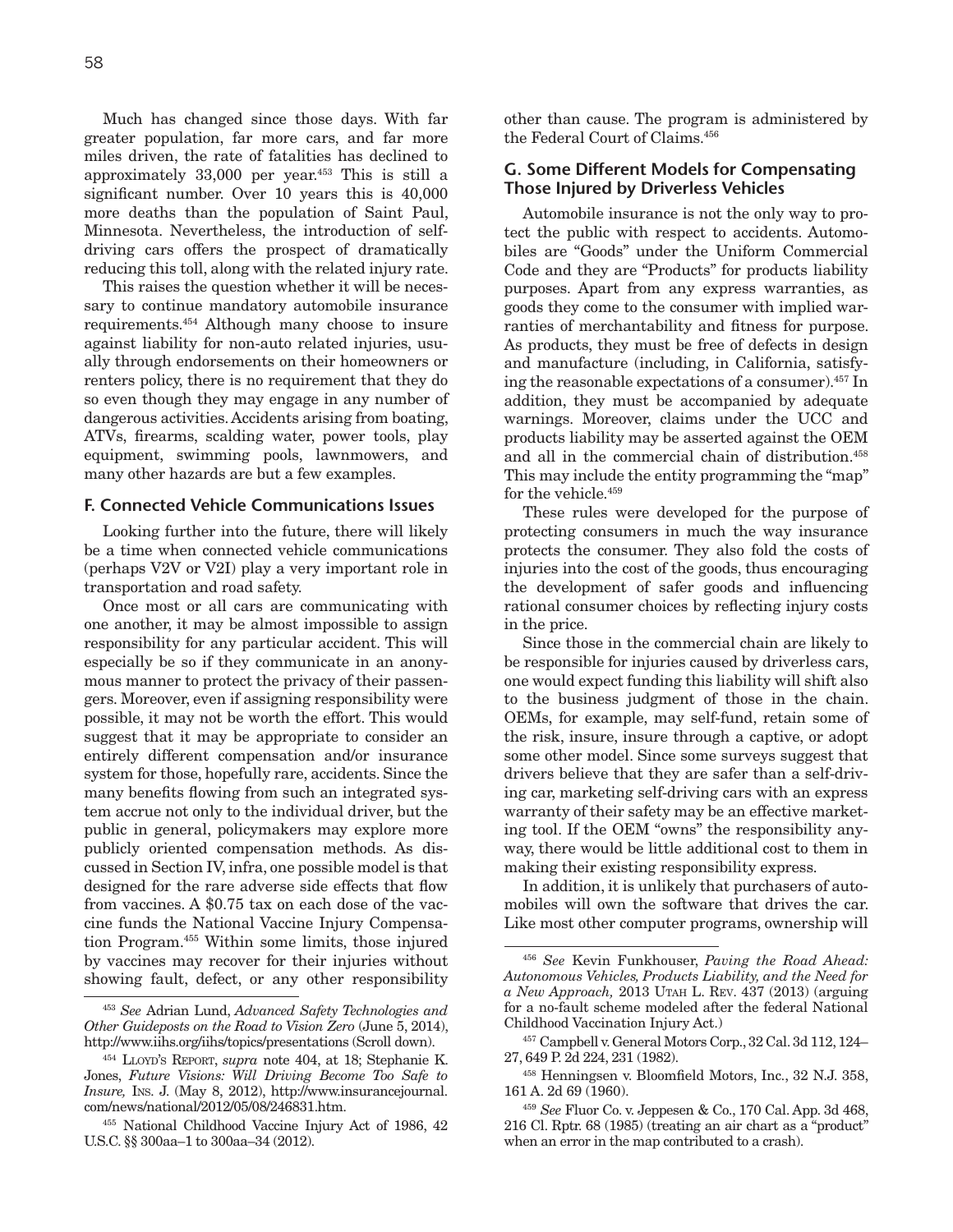Much has changed since those days. With far greater population, far more cars, and far more miles driven, the rate of fatalities has declined to approximately 33,000 per year.453 This is still a significant number. Over 10 years this is 40,000 more deaths than the population of Saint Paul, Minnesota. Nevertheless, the introduction of selfdriving cars offers the prospect of dramatically reducing this toll, along with the related injury rate.

This raises the question whether it will be necessary to continue mandatory automobile insurance requirements.454 Although many choose to insure against liability for non-auto related injuries, usually through endorsements on their homeowners or renters policy, there is no requirement that they do so even though they may engage in any number of dangerous activities. Accidents arising from boating, ATVs, firearms, scalding water, power tools, play equipment, swimming pools, lawnmowers, and many other hazards are but a few examples.

## **F. Connected Vehicle Communications Issues**

Looking further into the future, there will likely be a time when connected vehicle communications (perhaps V2V or V2I) play a very important role in transportation and road safety.

Once most or all cars are communicating with one another, it may be almost impossible to assign responsibility for any particular accident. This will especially be so if they communicate in an anonymous manner to protect the privacy of their passengers. Moreover, even if assigning responsibility were possible, it may not be worth the effort. This would suggest that it may be appropriate to consider an entirely different compensation and/or insurance system for those, hopefully rare, accidents. Since the many benefits flowing from such an integrated system accrue not only to the individual driver, but the public in general, policymakers may explore more publicly oriented compensation methods. As discussed in Section IV, infra, one possible model is that designed for the rare adverse side effects that flow from vaccines. A \$0.75 tax on each dose of the vaccine funds the National Vaccine Injury Compensation Program.455 Within some limits, those injured by vaccines may recover for their injuries without showing fault, defect, or any other responsibility other than cause. The program is administered by the Federal Court of Claims.456

# **G. Some Different Models for Compensating Those Injured by Driverless Vehicles**

Automobile insurance is not the only way to protect the public with respect to accidents. Automobiles are "Goods" under the Uniform Commercial Code and they are "Products" for products liability purposes. Apart from any express warranties, as goods they come to the consumer with implied warranties of merchantability and fitness for purpose. As products, they must be free of defects in design and manufacture (including, in California, satisfying the reasonable expectations of a consumer).457 In addition, they must be accompanied by adequate warnings. Moreover, claims under the UCC and products liability may be asserted against the OEM and all in the commercial chain of distribution.458 This may include the entity programming the "map" for the vehicle.459

These rules were developed for the purpose of protecting consumers in much the way insurance protects the consumer. They also fold the costs of injuries into the cost of the goods, thus encouraging the development of safer goods and influencing rational consumer choices by reflecting injury costs in the price.

Since those in the commercial chain are likely to be responsible for injuries caused by driverless cars, one would expect funding this liability will shift also to the business judgment of those in the chain. OEMs, for example, may self-fund, retain some of the risk, insure, insure through a captive, or adopt some other model. Since some surveys suggest that drivers believe that they are safer than a self-driving car, marketing self-driving cars with an express warranty of their safety may be an effective marketing tool. If the OEM "owns" the responsibility anyway, there would be little additional cost to them in making their existing responsibility express.

In addition, it is unlikely that purchasers of automobiles will own the software that drives the car. Like most other computer programs, ownership will

<sup>453</sup> *See* Adrian Lund, *Advanced Safety Technologies and Other Guideposts on the Road to Vision Zero* (June 5, 2014), http://www.iihs.org/iihs/topics/presentations (Scroll down).

<sup>454</sup> Lloyd's Report, *supra* note 404, at 18; Stephanie K. Jones, *Future Visions: Will Driving Become Too Safe to Insure,* Ins. J. (May 8, 2012), http://www.insurancejournal. com/news/national/2012/05/08/246831.htm.

<sup>455</sup> National Childhood Vaccine Injury Act of 1986, 42 U.S.C. §§ 300aa–1 to 300aa–34 (2012).

<sup>456</sup> *See* Kevin Funkhouser, *Paving the Road Ahead: Autonomous Vehicles, Products Liability, and the Need for a New Approach,* 2013 Utah L. Rev. 437 (2013) (arguing for a no-fault scheme modeled after the federal National Childhood Vaccination Injury Act.)

<sup>457</sup> Campbell v. General Motors Corp., 32 Cal. 3d 112, 124– 27, 649 P. 2d 224, 231 (1982).

<sup>458</sup> Henningsen v. Bloomfield Motors, Inc., 32 N.J. 358, 161 A. 2d 69 (1960).

<sup>459</sup> *See* Fluor Co. v. Jeppesen & Co., 170 Cal. App. 3d 468, 216 Cl. Rptr. 68 (1985) (treating an air chart as a "product" when an error in the map contributed to a crash).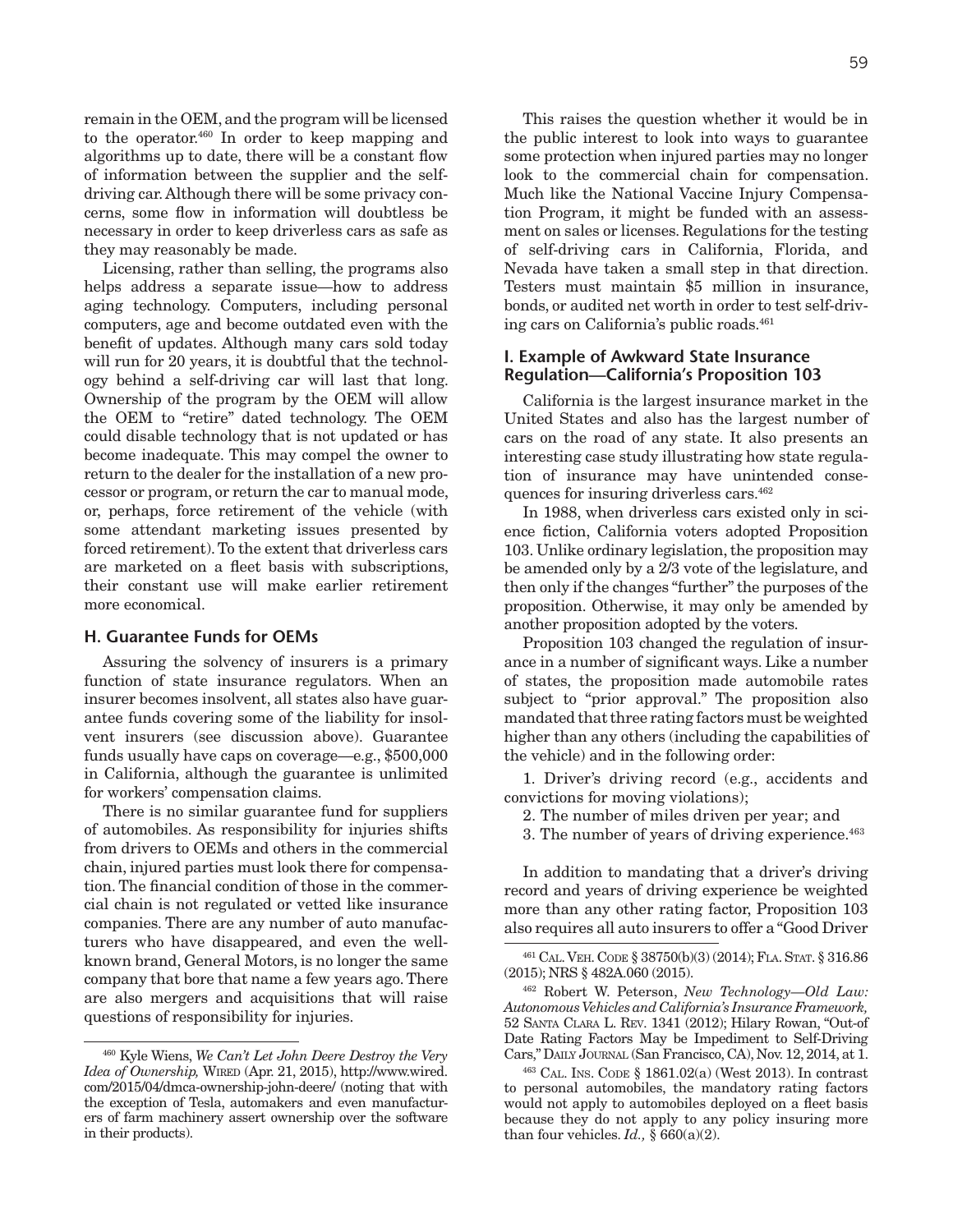remain in the OEM, and the program will be licensed to the operator. $460$  In order to keep mapping and algorithms up to date, there will be a constant flow of information between the supplier and the selfdriving car. Although there will be some privacy concerns, some flow in information will doubtless be necessary in order to keep driverless cars as safe as they may reasonably be made.

Licensing, rather than selling, the programs also helps address a separate issue—how to address aging technology. Computers, including personal computers, age and become outdated even with the benefit of updates. Although many cars sold today will run for 20 years, it is doubtful that the technology behind a self-driving car will last that long. Ownership of the program by the OEM will allow the OEM to "retire" dated technology. The OEM could disable technology that is not updated or has become inadequate. This may compel the owner to return to the dealer for the installation of a new processor or program, or return the car to manual mode, or, perhaps, force retirement of the vehicle (with some attendant marketing issues presented by forced retirement). To the extent that driverless cars are marketed on a fleet basis with subscriptions, their constant use will make earlier retirement more economical.

## **H. Guarantee Funds for OEMs**

Assuring the solvency of insurers is a primary function of state insurance regulators. When an insurer becomes insolvent, all states also have guarantee funds covering some of the liability for insolvent insurers (see discussion above). Guarantee funds usually have caps on coverage—e.g., \$500,000 in California, although the guarantee is unlimited for workers' compensation claims.

There is no similar guarantee fund for suppliers of automobiles. As responsibility for injuries shifts from drivers to OEMs and others in the commercial chain, injured parties must look there for compensation. The financial condition of those in the commercial chain is not regulated or vetted like insurance companies. There are any number of auto manufacturers who have disappeared, and even the wellknown brand, General Motors, is no longer the same company that bore that name a few years ago. There are also mergers and acquisitions that will raise questions of responsibility for injuries.

This raises the question whether it would be in the public interest to look into ways to guarantee some protection when injured parties may no longer look to the commercial chain for compensation. Much like the National Vaccine Injury Compensation Program, it might be funded with an assessment on sales or licenses. Regulations for the testing of self-driving cars in California, Florida, and Nevada have taken a small step in that direction. Testers must maintain \$5 million in insurance, bonds, or audited net worth in order to test self-driving cars on California's public roads.<sup>461</sup>

# **I. Example of Awkward State Insurance Regulation—California's Proposition 103**

California is the largest insurance market in the United States and also has the largest number of cars on the road of any state. It also presents an interesting case study illustrating how state regulation of insurance may have unintended consequences for insuring driverless cars.462

In 1988, when driverless cars existed only in science fiction, California voters adopted Proposition 103. Unlike ordinary legislation, the proposition may be amended only by a 2/3 vote of the legislature, and then only if the changes "further" the purposes of the proposition. Otherwise, it may only be amended by another proposition adopted by the voters.

Proposition 103 changed the regulation of insurance in a number of significant ways. Like a number of states, the proposition made automobile rates subject to "prior approval." The proposition also mandated that three rating factors must be weighted higher than any others (including the capabilities of the vehicle) and in the following order:

1. Driver's driving record (e.g., accidents and convictions for moving violations);

- 2. The number of miles driven per year; and
- 3. The number of years of driving experience.463

In addition to mandating that a driver's driving record and years of driving experience be weighted more than any other rating factor, Proposition 103 also requires all auto insurers to offer a "Good Driver

<sup>460</sup> Kyle Wiens, *We Can't Let John Deere Destroy the Very*  Idea of Ownership, WIRED (Apr. 21, 2015), http://www.wired. com/2015/04/dmca-ownership-john-deere/ (noting that with the exception of Tesla, automakers and even manufacturers of farm machinery assert ownership over the software in their products).

<sup>461</sup> Cal. Veh. Code § 38750(b)(3) (2014); Fla. Stat. § 316.86 (2015); NRS § 482A.060 (2015).

<sup>462</sup> Robert W. Peterson, *New Technology—Old Law: Autonomous Vehicles and California's Insurance Framework,* 52 Santa Clara L. Rev. 1341 (2012); Hilary Rowan, "Out-of Date Rating Factors May be Impediment to Self-Driving Cars," DAILY JOURNAL (San Francisco, CA), Nov. 12, 2014, at 1.

<sup>463</sup> Cal. Ins. Code § 1861.02(a) (West 2013). In contrast to personal automobiles, the mandatory rating factors would not apply to automobiles deployed on a fleet basis because they do not apply to any policy insuring more than four vehicles.  $Id.$ , § 660(a)(2).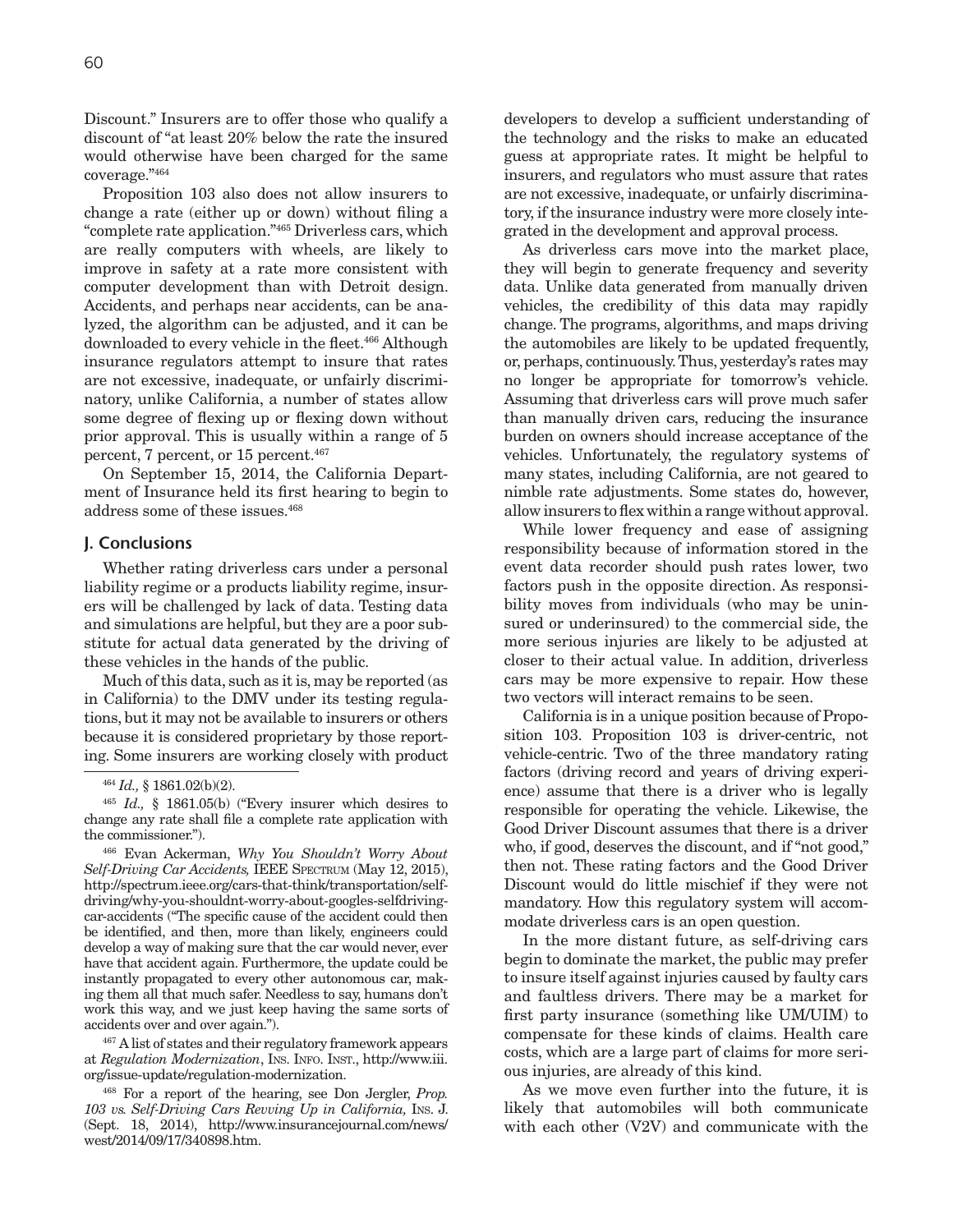Discount." Insurers are to offer those who qualify a discount of "at least 20% below the rate the insured would otherwise have been charged for the same coverage."464

Proposition 103 also does not allow insurers to change a rate (either up or down) without filing a "complete rate application."465 Driverless cars, which are really computers with wheels, are likely to improve in safety at a rate more consistent with computer development than with Detroit design. Accidents, and perhaps near accidents, can be analyzed, the algorithm can be adjusted, and it can be downloaded to every vehicle in the fleet.<sup>466</sup> Although insurance regulators attempt to insure that rates are not excessive, inadequate, or unfairly discriminatory, unlike California, a number of states allow some degree of flexing up or flexing down without prior approval. This is usually within a range of 5 percent, 7 percent, or 15 percent.467

On September 15, 2014, the California Department of Insurance held its first hearing to begin to address some of these issues.468

#### **J. Conclusions**

Whether rating driverless cars under a personal liability regime or a products liability regime, insurers will be challenged by lack of data. Testing data and simulations are helpful, but they are a poor substitute for actual data generated by the driving of these vehicles in the hands of the public.

Much of this data, such as it is, may be reported (as in California) to the DMV under its testing regulations, but it may not be available to insurers or others because it is considered proprietary by those reporting. Some insurers are working closely with product

467 A list of states and their regulatory framework appears at *Regulation Modernization*, Ins. Info. Inst., http://www.iii. org/issue-update/regulation-modernization.

468 For a report of the hearing, see Don Jergler, *Prop. 103 vs. Self-Driving Cars Revving Up in California,* Ins. J. (Sept. 18, 2014), http://www.insurancejournal.com/news/ west/2014/09/17/340898.htm.

developers to develop a sufficient understanding of the technology and the risks to make an educated guess at appropriate rates. It might be helpful to insurers, and regulators who must assure that rates are not excessive, inadequate, or unfairly discriminatory, if the insurance industry were more closely integrated in the development and approval process.

As driverless cars move into the market place, they will begin to generate frequency and severity data. Unlike data generated from manually driven vehicles, the credibility of this data may rapidly change. The programs, algorithms, and maps driving the automobiles are likely to be updated frequently, or, perhaps, continuously. Thus, yesterday's rates may no longer be appropriate for tomorrow's vehicle. Assuming that driverless cars will prove much safer than manually driven cars, reducing the insurance burden on owners should increase acceptance of the vehicles. Unfortunately, the regulatory systems of many states, including California, are not geared to nimble rate adjustments. Some states do, however, allow insurers to flex within a range without approval.

While lower frequency and ease of assigning responsibility because of information stored in the event data recorder should push rates lower, two factors push in the opposite direction. As responsibility moves from individuals (who may be uninsured or underinsured) to the commercial side, the more serious injuries are likely to be adjusted at closer to their actual value. In addition, driverless cars may be more expensive to repair. How these two vectors will interact remains to be seen.

California is in a unique position because of Proposition 103. Proposition 103 is driver-centric, not vehicle-centric. Two of the three mandatory rating factors (driving record and years of driving experience) assume that there is a driver who is legally responsible for operating the vehicle. Likewise, the Good Driver Discount assumes that there is a driver who, if good, deserves the discount, and if "not good," then not. These rating factors and the Good Driver Discount would do little mischief if they were not mandatory. How this regulatory system will accommodate driverless cars is an open question.

In the more distant future, as self-driving cars begin to dominate the market, the public may prefer to insure itself against injuries caused by faulty cars and faultless drivers. There may be a market for first party insurance (something like UM/UIM) to compensate for these kinds of claims. Health care costs, which are a large part of claims for more serious injuries, are already of this kind.

As we move even further into the future, it is likely that automobiles will both communicate with each other (V2V) and communicate with the

<sup>464</sup> *Id.,* § 1861.02(b)(2).

<sup>465</sup> *Id.,* § 1861.05(b) ("Every insurer which desires to change any rate shall file a complete rate application with the commissioner.").

<sup>466</sup> Evan Ackerman, *Why You Shouldn't Worry About Self-Driving Car Accidents,* IEEE Spectrum (May 12, 2015), http://spectrum.ieee.org/cars-that-think/transportation/selfdriving/why-you-shouldnt-worry-about-googles-selfdrivingcar-accidents ("The specific cause of the accident could then be identified, and then, more than likely, engineers could develop a way of making sure that the car would never, ever have that accident again. Furthermore, the update could be instantly propagated to every other autonomous car, making them all that much safer. Needless to say, humans don't work this way, and we just keep having the same sorts of accidents over and over again.").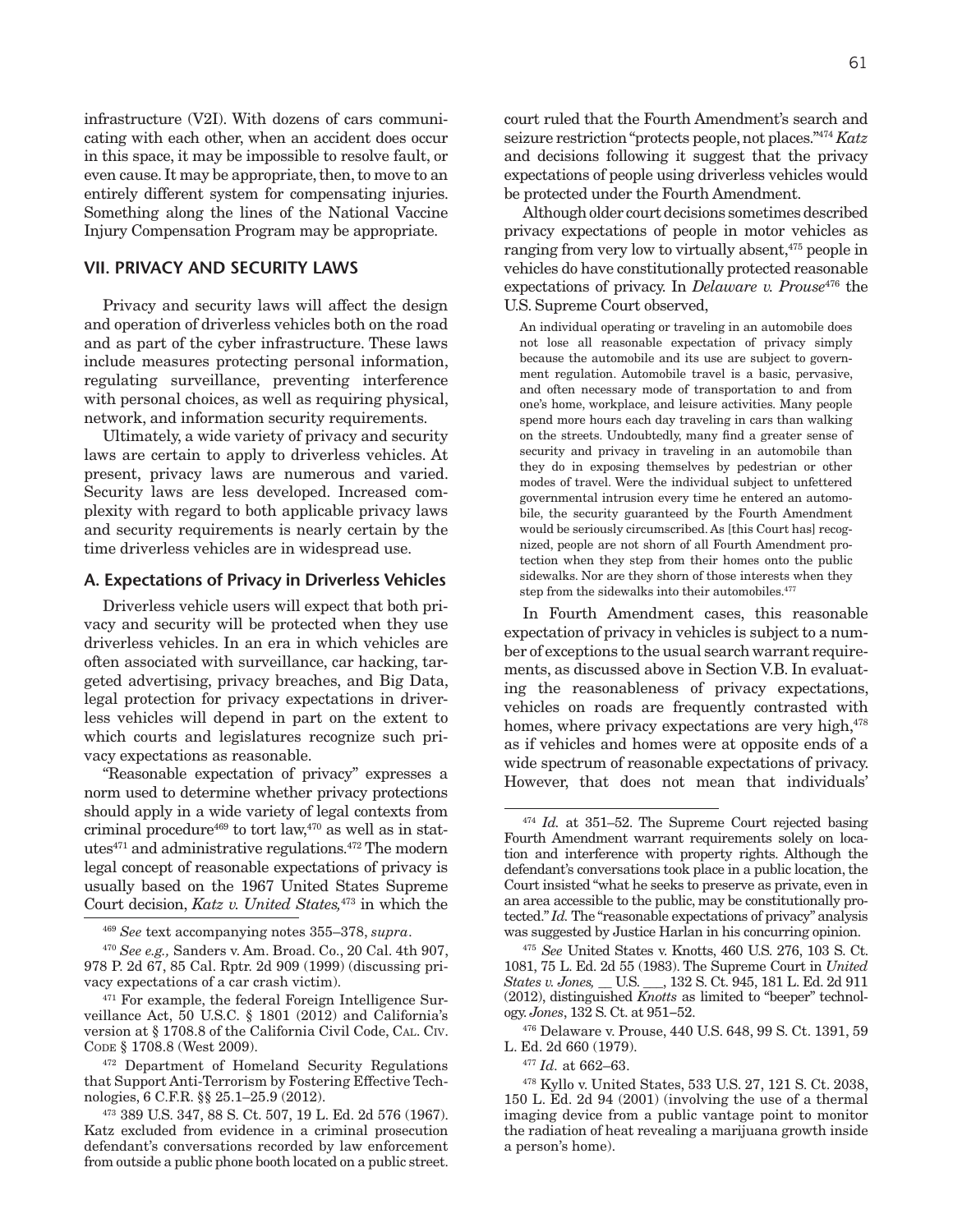infrastructure (V2I). With dozens of cars communicating with each other, when an accident does occur in this space, it may be impossible to resolve fault, or even cause. It may be appropriate, then, to move to an entirely different system for compensating injuries. Something along the lines of the National Vaccine Injury Compensation Program may be appropriate.

# **VII. PRIVACY AND SECURITY LAWS**

Privacy and security laws will affect the design and operation of driverless vehicles both on the road and as part of the cyber infrastructure. These laws include measures protecting personal information, regulating surveillance, preventing interference with personal choices, as well as requiring physical, network, and information security requirements.

Ultimately, a wide variety of privacy and security laws are certain to apply to driverless vehicles. At present, privacy laws are numerous and varied. Security laws are less developed. Increased complexity with regard to both applicable privacy laws and security requirements is nearly certain by the time driverless vehicles are in widespread use.

## **A. Expectations of Privacy in Driverless Vehicles**

Driverless vehicle users will expect that both privacy and security will be protected when they use driverless vehicles. In an era in which vehicles are often associated with surveillance, car hacking, targeted advertising, privacy breaches, and Big Data, legal protection for privacy expectations in driverless vehicles will depend in part on the extent to which courts and legislatures recognize such privacy expectations as reasonable.

"Reasonable expectation of privacy" expresses a norm used to determine whether privacy protections should apply in a wide variety of legal contexts from criminal procedure<sup>469</sup> to tort law,<sup>470</sup> as well as in statutes471 and administrative regulations.472 The modern legal concept of reasonable expectations of privacy is usually based on the 1967 United States Supreme Court decision, *Katz v. United States,*473 in which the court ruled that the Fourth Amendment's search and seizure restriction "protects people, not places."474 *Katz* and decisions following it suggest that the privacy expectations of people using driverless vehicles would be protected under the Fourth Amendment.

Although older court decisions sometimes described privacy expectations of people in motor vehicles as ranging from very low to virtually absent,<sup>475</sup> people in vehicles do have constitutionally protected reasonable expectations of privacy. In *Delaware v. Prouse*476 the U.S. Supreme Court observed,

An individual operating or traveling in an automobile does not lose all reasonable expectation of privacy simply because the automobile and its use are subject to government regulation. Automobile travel is a basic, pervasive, and often necessary mode of transportation to and from one's home, workplace, and leisure activities. Many people spend more hours each day traveling in cars than walking on the streets. Undoubtedly, many find a greater sense of security and privacy in traveling in an automobile than they do in exposing themselves by pedestrian or other modes of travel. Were the individual subject to unfettered governmental intrusion every time he entered an automobile, the security guaranteed by the Fourth Amendment would be seriously circumscribed. As [this Court has] recognized, people are not shorn of all Fourth Amendment protection when they step from their homes onto the public sidewalks. Nor are they shorn of those interests when they step from the sidewalks into their automobiles.<sup>477</sup>

In Fourth Amendment cases, this reasonable expectation of privacy in vehicles is subject to a number of exceptions to the usual search warrant requirements, as discussed above in Section V.B. In evaluating the reasonableness of privacy expectations, vehicles on roads are frequently contrasted with homes, where privacy expectations are very high,<sup>478</sup> as if vehicles and homes were at opposite ends of a wide spectrum of reasonable expectations of privacy. However, that does not mean that individuals'

476 Delaware v. Prouse, 440 U.S. 648, 99 S. Ct. 1391, 59 L. Ed. 2d 660 (1979).

 $\,$   $^{477}$   $Id.$  at 662–63.

<sup>469</sup> *See* text accompanying notes 355–378, *supra*.

<sup>470</sup> *See e.g.,* Sanders v. Am. Broad. Co., 20 Cal. 4th 907, 978 P. 2d 67, 85 Cal. Rptr. 2d 909 (1999) (discussing privacy expectations of a car crash victim).

<sup>471</sup> For example, the federal Foreign Intelligence Surveillance Act, 50 U.S.C. § 1801 (2012) and California's version at § 1708.8 of the California Civil Code, CAL. CIV. CODE § 1708.8 (West 2009).

<sup>472</sup> Department of Homeland Security Regulations that Support Anti-Terrorism by Fostering Effective Technologies, 6 C.F.R. §§ 25.1–25.9 (2012).

<sup>473 389</sup> U.S. 347, 88 S. Ct. 507, 19 L. Ed. 2d 576 (1967). Katz excluded from evidence in a criminal prosecution defendant's conversations recorded by law enforcement from outside a public phone booth located on a public street.

<sup>474</sup> *Id.* at 351–52. The Supreme Court rejected basing Fourth Amendment warrant requirements solely on location and interference with property rights. Although the defendant's conversations took place in a public location, the Court insisted "what he seeks to preserve as private, even in an area accessible to the public, may be constitutionally protected." *Id.* The "reasonable expectations of privacy" analysis was suggested by Justice Harlan in his concurring opinion.

<sup>475</sup> *See* United States v. Knotts, 460 U.S. 276, 103 S. Ct. 1081, 75 L. Ed. 2d 55 (1983). The Supreme Court in *United States v. Jones,* \_\_ U.S. \_\_\_, 132 S. Ct. 945, 181 L. Ed. 2d 911 (2012), distinguished *Knotts* as limited to "beeper" technology. *Jones*, 132 S. Ct. at 951−52.

<sup>478</sup> Kyllo v. United States, 533 U.S. 27, 121 S. Ct. 2038, 150 L. Ed. 2d 94 (2001) (involving the use of a thermal imaging device from a public vantage point to monitor the radiation of heat revealing a marijuana growth inside a person's home).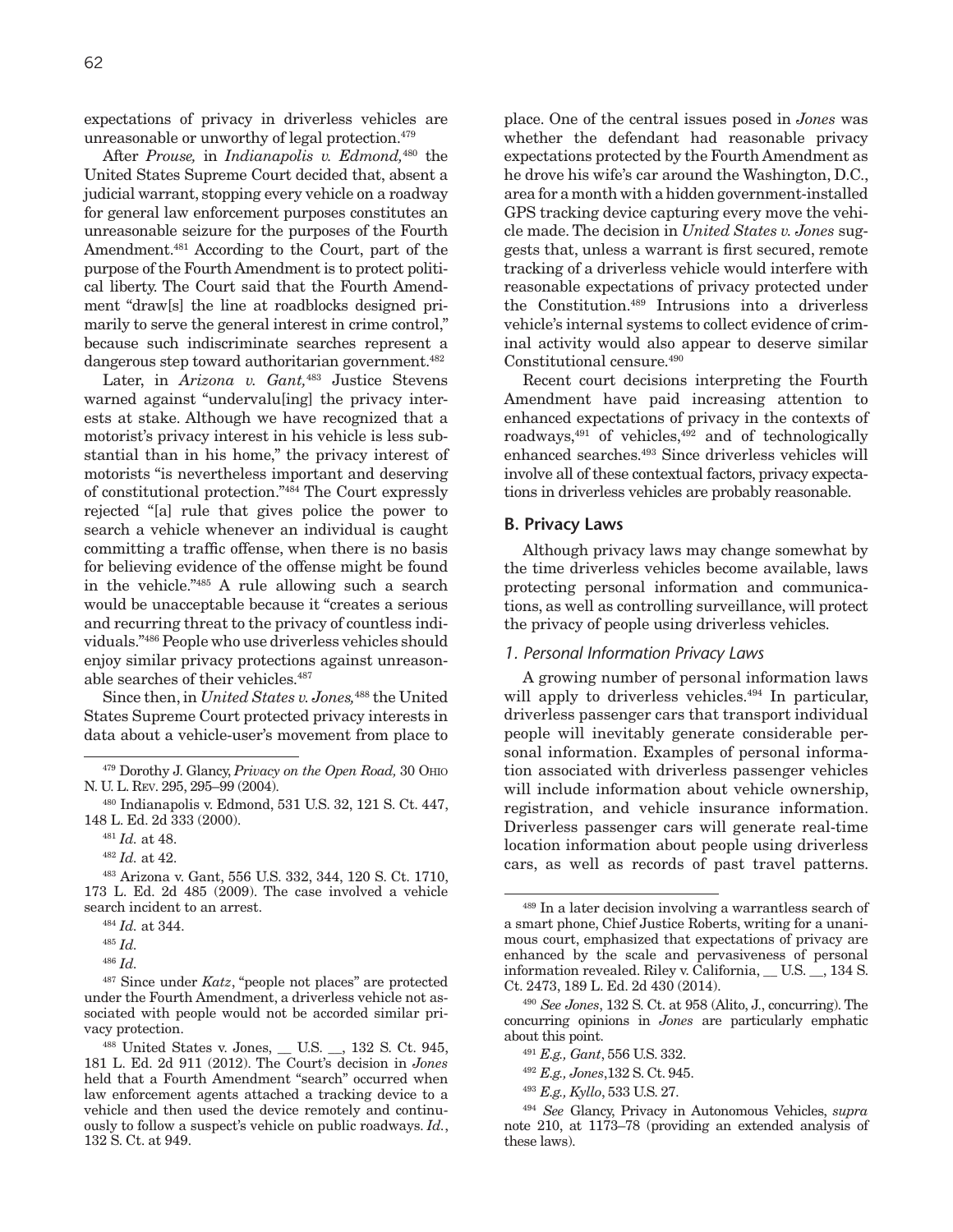expectations of privacy in driverless vehicles are unreasonable or unworthy of legal protection.<sup>479</sup>

After *Prouse,* in *Indianapolis v. Edmond,*480 the United States Supreme Court decided that, absent a judicial warrant, stopping every vehicle on a roadway for general law enforcement purposes constitutes an unreasonable seizure for the purposes of the Fourth Amendment.481 According to the Court, part of the purpose of the Fourth Amendment is to protect political liberty. The Court said that the Fourth Amendment "draw[s] the line at roadblocks designed primarily to serve the general interest in crime control," because such indiscriminate searches represent a dangerous step toward authoritarian government.482

Later, in *Arizona v. Gant,*483 Justice Stevens warned against "undervalu[ing] the privacy interests at stake. Although we have recognized that a motorist's privacy interest in his vehicle is less substantial than in his home," the privacy interest of motorists "is nevertheless important and deserving of constitutional protection."484 The Court expressly rejected "[a] rule that gives police the power to search a vehicle whenever an individual is caught committing a traffic offense, when there is no basis for believing evidence of the offense might be found in the vehicle."485 A rule allowing such a search would be unacceptable because it "creates a serious and recurring threat to the privacy of countless individuals."486 People who use driverless vehicles should enjoy similar privacy protections against unreasonable searches of their vehicles.487

Since then, in *United States v. Jones,*488 the United States Supreme Court protected privacy interests in data about a vehicle-user's movement from place to

483 Arizona v. Gant, 556 U.S. 332, 344, 120 S. Ct. 1710, 173 L. Ed. 2d 485 (2009). The case involved a vehicle search incident to an arrest.

487 Since under *Katz*, "people not places" are protected under the Fourth Amendment, a driverless vehicle not associated with people would not be accorded similar privacy protection.

place. One of the central issues posed in *Jones* was whether the defendant had reasonable privacy expectations protected by the Fourth Amendment as he drove his wife's car around the Washington, D.C., area for a month with a hidden government-installed GPS tracking device capturing every move the vehicle made. The decision in *United States v. Jones* suggests that, unless a warrant is first secured, remote tracking of a driverless vehicle would interfere with reasonable expectations of privacy protected under the Constitution.489 Intrusions into a driverless vehicle's internal systems to collect evidence of criminal activity would also appear to deserve similar Constitutional censure.490

Recent court decisions interpreting the Fourth Amendment have paid increasing attention to enhanced expectations of privacy in the contexts of roadways, $491$  of vehicles, $492$  and of technologically enhanced searches.493 Since driverless vehicles will involve all of these contextual factors, privacy expectations in driverless vehicles are probably reasonable.

#### **B. Privacy Laws**

Although privacy laws may change somewhat by the time driverless vehicles become available, laws protecting personal information and communications, as well as controlling surveillance, will protect the privacy of people using driverless vehicles.

## *1. Personal Information Privacy Laws*

A growing number of personal information laws will apply to driverless vehicles.<sup>494</sup> In particular, driverless passenger cars that transport individual people will inevitably generate considerable personal information. Examples of personal information associated with driverless passenger vehicles will include information about vehicle ownership, registration, and vehicle insurance information. Driverless passenger cars will generate real-time location information about people using driverless cars, as well as records of past travel patterns.

<sup>479</sup> Dorothy J. Glancy, *Privacy on the Open Road,* 30 Ohio N. U. L. Rev. 295, 295–99 (2004).

<sup>480</sup> Indianapolis v. Edmond, 531 U.S. 32, 121 S. Ct. 447, 148 L. Ed. 2d 333 (2000).

<sup>481</sup> *Id.* at 48.

<sup>482</sup> *Id.* at 42.

<sup>484</sup> *Id.* at 344.

<sup>485</sup> *Id.*

<sup>486</sup> *Id.*

<sup>488</sup> United States v. Jones, \_\_ U.S. \_\_, 132 S. Ct. 945, 181 L. Ed. 2d 911 (2012). The Court's decision in *Jones* held that a Fourth Amendment "search" occurred when law enforcement agents attached a tracking device to a vehicle and then used the device remotely and continuously to follow a suspect's vehicle on public roadways. *Id.*, 132 S. Ct. at 949.

<sup>489</sup> In a later decision involving a warrantless search of a smart phone, Chief Justice Roberts, writing for a unanimous court, emphasized that expectations of privacy are enhanced by the scale and pervasiveness of personal information revealed. Riley v. California, \_\_ U.S. \_\_, 134 S. Ct. 2473, 189 L. Ed. 2d 430 (2014).

<sup>490</sup> *See Jones*, 132 S. Ct. at 958 (Alito, J., concurring). The concurring opinions in *Jones* are particularly emphatic about this point.

<sup>491</sup> *E.g., Gant*, 556 U.S. 332.

<sup>492</sup> *E.g., Jones*,132 S. Ct. 945.

<sup>493</sup> *E.g., Kyllo*, 533 U.S. 27.

<sup>494</sup> *See* Glancy, Privacy in Autonomous Vehicles, *supra* note 210, at 1173–78 (providing an extended analysis of these laws).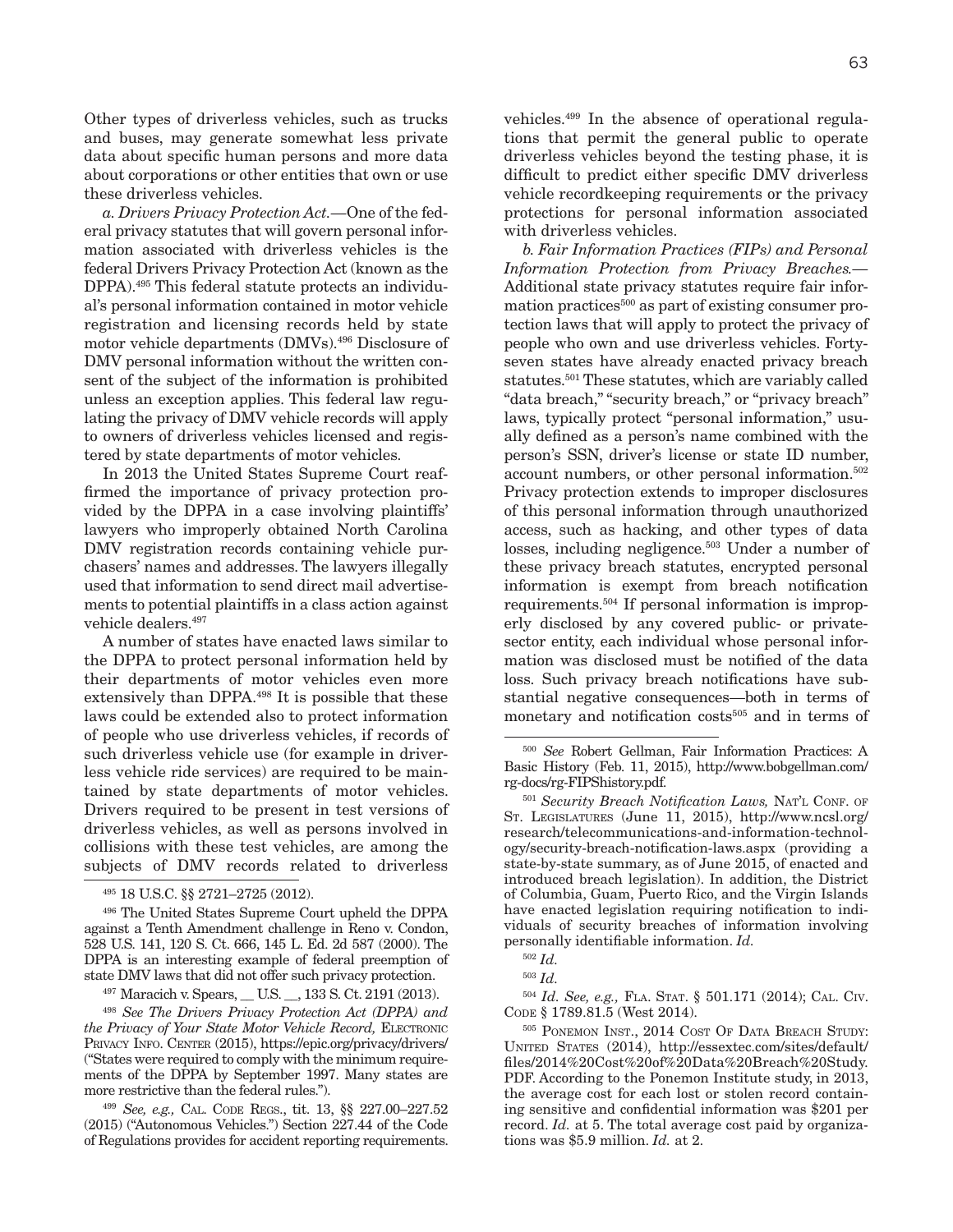Other types of driverless vehicles, such as trucks and buses, may generate somewhat less private data about specific human persons and more data about corporations or other entities that own or use these driverless vehicles.

*a. Drivers Privacy Protection Act.—*One of the federal privacy statutes that will govern personal information associated with driverless vehicles is the federal Drivers Privacy Protection Act (known as the DPPA).495 This federal statute protects an individual's personal information contained in motor vehicle registration and licensing records held by state motor vehicle departments (DMVs).496 Disclosure of DMV personal information without the written consent of the subject of the information is prohibited unless an exception applies. This federal law regulating the privacy of DMV vehicle records will apply to owners of driverless vehicles licensed and registered by state departments of motor vehicles.

In 2013 the United States Supreme Court reaffirmed the importance of privacy protection provided by the DPPA in a case involving plaintiffs' lawyers who improperly obtained North Carolina DMV registration records containing vehicle purchasers' names and addresses. The lawyers illegally used that information to send direct mail advertisements to potential plaintiffs in a class action against vehicle dealers.497

A number of states have enacted laws similar to the DPPA to protect personal information held by their departments of motor vehicles even more extensively than DPPA.498 It is possible that these laws could be extended also to protect information of people who use driverless vehicles, if records of such driverless vehicle use (for example in driverless vehicle ride services) are required to be maintained by state departments of motor vehicles. Drivers required to be present in test versions of driverless vehicles, as well as persons involved in collisions with these test vehicles, are among the subjects of DMV records related to driverless

497 Maracich v. Spears, \_\_ U.S. \_\_, 133 S. Ct. 2191 (2013).

<sup>498</sup> *See The Drivers Privacy Protection Act (DPPA) and the Privacy of Your State Motor Vehicle Record, ELECTRONIC* PRIVACY INFO. CENTER (2015), https://epic.org/privacy/drivers/ ("States were required to comply with the minimum requirements of the DPPA by September 1997. Many states are more restrictive than the federal rules.").

<sup>499</sup> *See, e.g.,* Cal. Code Regs., tit. 13, §§ 227.00–227.52 (2015) ("Autonomous Vehicles.") Section 227.44 of the Code of Regulations provides for accident reporting requirements.

vehicles.499 In the absence of operational regulations that permit the general public to operate driverless vehicles beyond the testing phase, it is difficult to predict either specific DMV driverless vehicle recordkeeping requirements or the privacy protections for personal information associated with driverless vehicles.

*b. Fair Information Practices (FIPs) and Personal Information Protection from Privacy Breaches.—* Additional state privacy statutes require fair information practices<sup>500</sup> as part of existing consumer protection laws that will apply to protect the privacy of people who own and use driverless vehicles. Fortyseven states have already enacted privacy breach statutes.501 These statutes, which are variably called "data breach," "security breach," or "privacy breach" laws, typically protect "personal information," usually defined as a person's name combined with the person's SSN, driver's license or state ID number, account numbers, or other personal information.<sup>502</sup> Privacy protection extends to improper disclosures of this personal information through unauthorized access, such as hacking, and other types of data losses, including negligence.<sup>503</sup> Under a number of these privacy breach statutes, encrypted personal information is exempt from breach notification requirements.504 If personal information is improperly disclosed by any covered public- or privatesector entity, each individual whose personal information was disclosed must be notified of the data loss. Such privacy breach notifications have substantial negative consequences—both in terms of monetary and notification costs<sup>505</sup> and in terms of

<sup>504</sup> *Id. See, e.g.,* Fla. Stat. § 501.171 (2014); Cal. Civ. Code § 1789.81.5 (West 2014).

<sup>505</sup> PONEMON INST., 2014 COST OF DATA BREACH STUDY: United States (2014), http://essextec.com/sites/default/ files/2014%20Cost%20of%20Data%20Breach%20Study. PDF. According to the Ponemon Institute study, in 2013, the average cost for each lost or stolen record containing sensitive and confidential information was \$201 per record. *Id.* at 5. The total average cost paid by organizations was \$5.9 million. *Id.* at 2.

<sup>495 18</sup> U.S.C. §§ 2721–2725 (2012).

<sup>496</sup> The United States Supreme Court upheld the DPPA against a Tenth Amendment challenge in Reno v. Condon, 528 U.S. 141, 120 S. Ct. 666, 145 L. Ed. 2d 587 (2000). The DPPA is an interesting example of federal preemption of state DMV laws that did not offer such privacy protection.

<sup>500</sup> *See* Robert Gellman, Fair Information Practices: A Basic History (Feb. 11, 2015), http://www.bobgellman.com/ rg-docs/rg-FIPShistory.pdf.

<sup>&</sup>lt;sup>501</sup> Security Breach Notification Laws, NAT'L CONF. OF St. Legislatures (June 11, 2015), http://www.ncsl.org/ research/telecommunications-and-information-technology/security-breach-notification-laws.aspx (providing a state-by-state summary, as of June 2015, of enacted and introduced breach legislation). In addition, the District of Columbia, Guam, Puerto Rico, and the Virgin Islands have enacted legislation requiring notification to individuals of security breaches of information involving personally identifiable information. *Id.*

<sup>502</sup> *Id.*

<sup>503</sup> *Id.*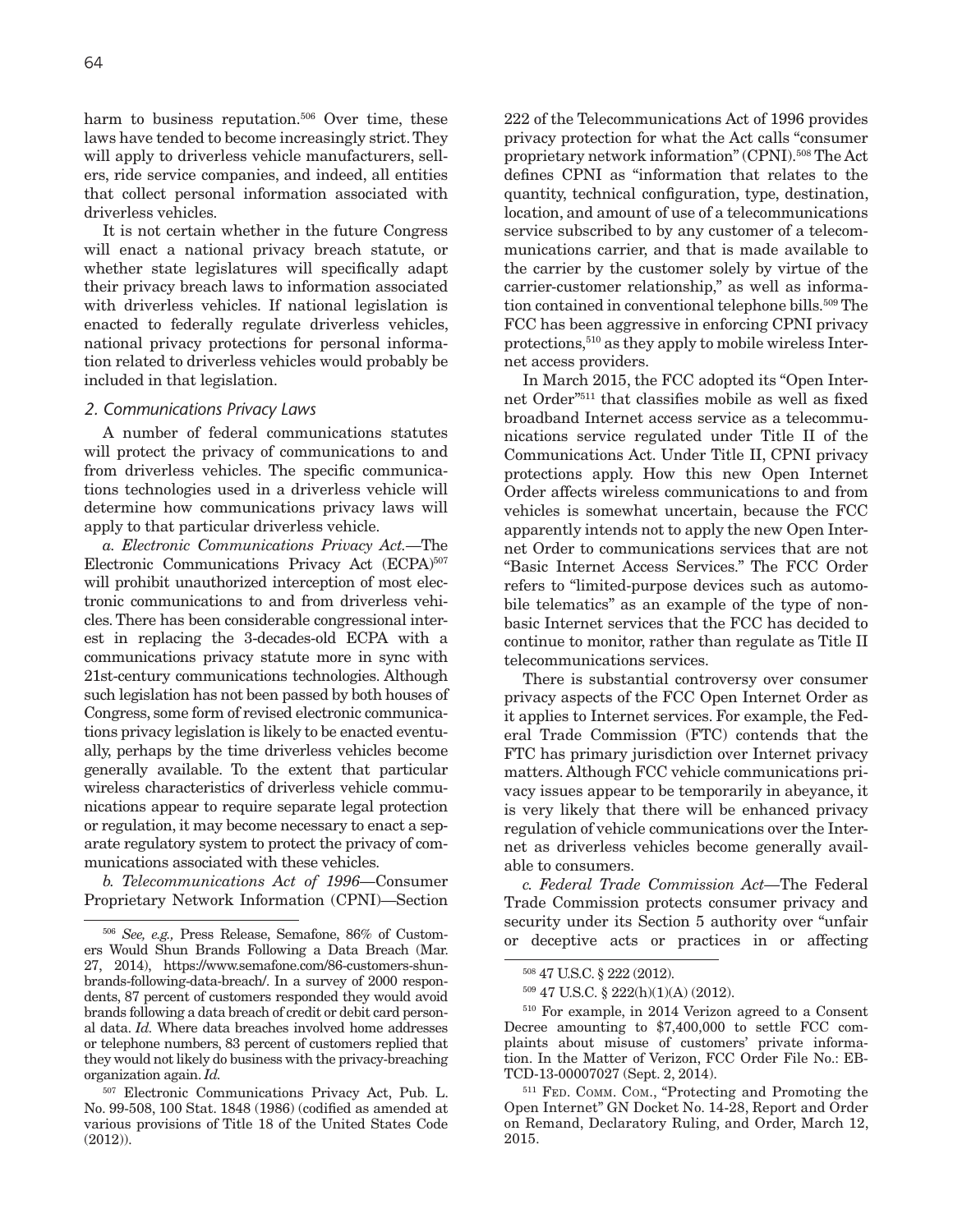harm to business reputation.<sup>506</sup> Over time, these laws have tended to become increasingly strict. They will apply to driverless vehicle manufacturers, sellers, ride service companies, and indeed, all entities that collect personal information associated with driverless vehicles.

It is not certain whether in the future Congress will enact a national privacy breach statute, or whether state legislatures will specifically adapt their privacy breach laws to information associated with driverless vehicles. If national legislation is enacted to federally regulate driverless vehicles, national privacy protections for personal information related to driverless vehicles would probably be included in that legislation.

### *2. Communications Privacy Laws*

A number of federal communications statutes will protect the privacy of communications to and from driverless vehicles. The specific communications technologies used in a driverless vehicle will determine how communications privacy laws will apply to that particular driverless vehicle.

*a. Electronic Communications Privacy Act.—*The Electronic Communications Privacy Act (ECPA)<sup>507</sup> will prohibit unauthorized interception of most electronic communications to and from driverless vehicles. There has been considerable congressional interest in replacing the 3-decades-old ECPA with a communications privacy statute more in sync with 21st-century communications technologies. Although such legislation has not been passed by both houses of Congress, some form of revised electronic communications privacy legislation is likely to be enacted eventually, perhaps by the time driverless vehicles become generally available. To the extent that particular wireless characteristics of driverless vehicle communications appear to require separate legal protection or regulation, it may become necessary to enact a separate regulatory system to protect the privacy of communications associated with these vehicles.

*b. Telecommunications Act of 1996—*Consumer Proprietary Network Information (CPNI)—Section

222 of the Telecommunications Act of 1996 provides privacy protection for what the Act calls "consumer proprietary network information" (CPNI).508 The Act defines CPNI as "information that relates to the quantity, technical configuration, type, destination, location, and amount of use of a telecommunications service subscribed to by any customer of a telecommunications carrier, and that is made available to the carrier by the customer solely by virtue of the carrier-customer relationship," as well as information contained in conventional telephone bills.<sup>509</sup> The FCC has been aggressive in enforcing CPNI privacy protections,510 as they apply to mobile wireless Internet access providers.

In March 2015, the FCC adopted its "Open Internet Order"511 that classifies mobile as well as fixed broadband Internet access service as a telecommunications service regulated under Title II of the Communications Act. Under Title II, CPNI privacy protections apply. How this new Open Internet Order affects wireless communications to and from vehicles is somewhat uncertain, because the FCC apparently intends not to apply the new Open Internet Order to communications services that are not "Basic Internet Access Services." The FCC Order refers to "limited-purpose devices such as automobile telematics" as an example of the type of nonbasic Internet services that the FCC has decided to continue to monitor, rather than regulate as Title II telecommunications services.

There is substantial controversy over consumer privacy aspects of the FCC Open Internet Order as it applies to Internet services. For example, the Federal Trade Commission (FTC) contends that the FTC has primary jurisdiction over Internet privacy matters. Although FCC vehicle communications privacy issues appear to be temporarily in abeyance, it is very likely that there will be enhanced privacy regulation of vehicle communications over the Internet as driverless vehicles become generally available to consumers.

*c. Federal Trade Commission Act—*The Federal Trade Commission protects consumer privacy and security under its Section 5 authority over "unfair or deceptive acts or practices in or affecting

<sup>511</sup> Fed. Comm. Com., "Protecting and Promoting the Open Internet" GN Docket No. 14-28, Report and Order on Remand, Declaratory Ruling, and Order, March 12, 2015.

<sup>506</sup> *See, e.g.,* Press Release, Semafone, 86% of Customers Would Shun Brands Following a Data Breach (Mar. 27, 2014), https://www.semafone.com/86-customers-shunbrands-following-data-breach/. In a survey of 2000 respondents, 87 percent of customers responded they would avoid brands following a data breach of credit or debit card personal data. *Id.* Where data breaches involved home addresses or telephone numbers, 83 percent of customers replied that they would not likely do business with the privacy-breaching organization again. *Id.*

<sup>507</sup> Electronic Communications Privacy Act, Pub. L. No. 99-508, 100 Stat. 1848 (1986) (codified as amended at various provisions of Title 18 of the United States Code (2012)).

<sup>508 47</sup> U.S.C. § 222 (2012).

<sup>509 47</sup> U.S.C. § 222(h)(1)(A) (2012).

<sup>510</sup> For example, in 2014 Verizon agreed to a Consent Decree amounting to \$7,400,000 to settle FCC complaints about misuse of customers' private information. In the Matter of Verizon, FCC Order File No.: EB-TCD-13-00007027 (Sept. 2, 2014).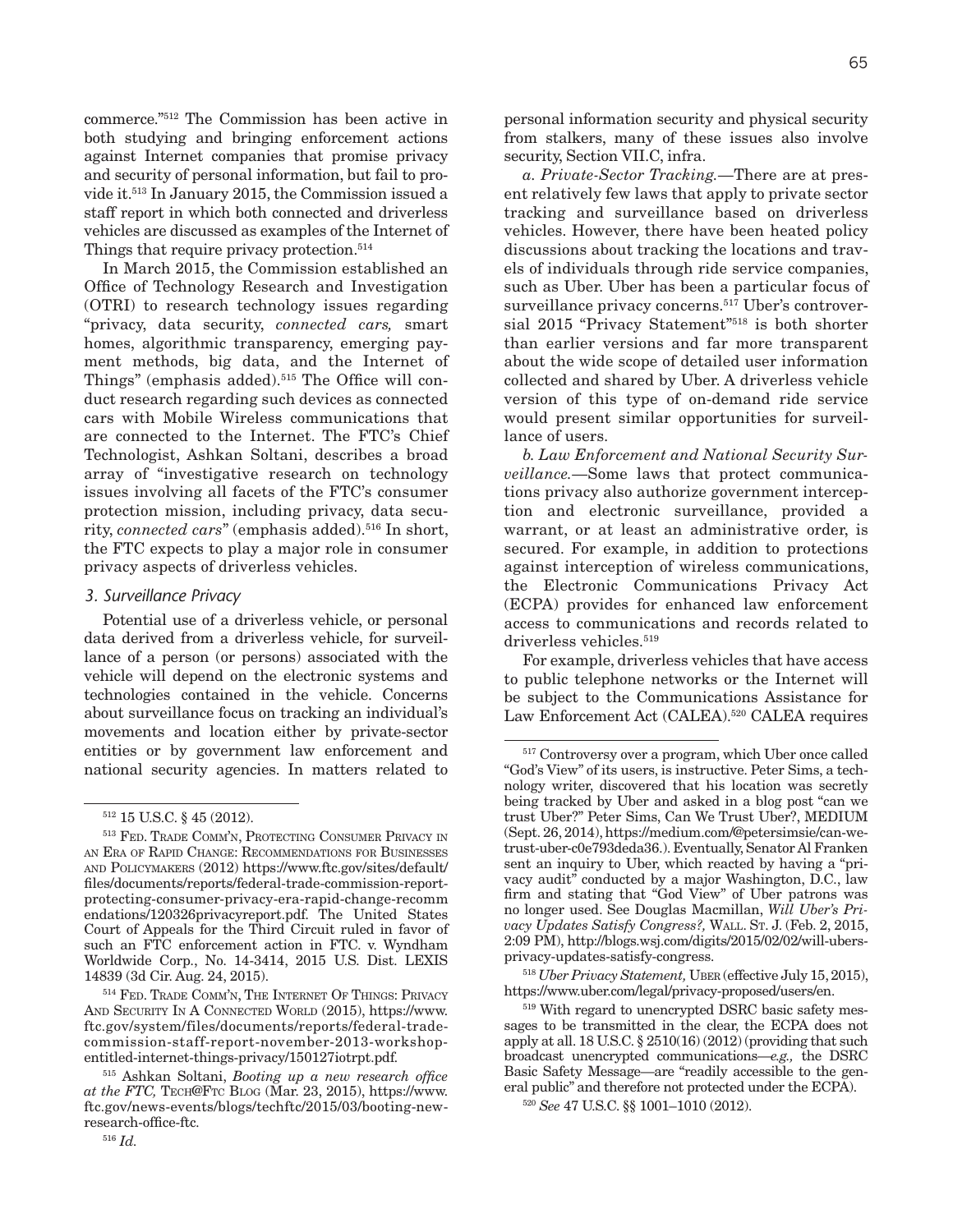commerce."512 The Commission has been active in both studying and bringing enforcement actions against Internet companies that promise privacy and security of personal information, but fail to provide it.513 In January 2015, the Commission issued a staff report in which both connected and driverless vehicles are discussed as examples of the Internet of Things that require privacy protection.<sup>514</sup>

In March 2015, the Commission established an Office of Technology Research and Investigation (OTRI) to research technology issues regarding "privacy, data security, *connected cars,* smart homes, algorithmic transparency, emerging payment methods, big data, and the Internet of Things" (emphasis added).<sup>515</sup> The Office will conduct research regarding such devices as connected cars with Mobile Wireless communications that are connected to the Internet. The FTC's Chief Technologist, Ashkan Soltani, describes a broad array of "investigative research on technology issues involving all facets of the FTC's consumer protection mission, including privacy, data security, *connected cars*" (emphasis added).<sup>516</sup> In short, the FTC expects to play a major role in consumer privacy aspects of driverless vehicles.

## *3. Surveillance Privacy*

Potential use of a driverless vehicle, or personal data derived from a driverless vehicle, for surveillance of a person (or persons) associated with the vehicle will depend on the electronic systems and technologies contained in the vehicle. Concerns about surveillance focus on tracking an individual's movements and location either by private-sector entities or by government law enforcement and national security agencies. In matters related to

<sup>514</sup> Fed. Trade Comm'n, The Internet Of Things: Privacy And Security In A Connected World (2015), https://www. ftc.gov/system/files/documents/reports/federal-tradecommission-staff-report-november-2013-workshopentitled-internet-things-privacy/150127iotrpt.pdf.

personal information security and physical security from stalkers, many of these issues also involve security, Section VII.C, infra.

*a. Private-Sector Tracking.—*There are at present relatively few laws that apply to private sector tracking and surveillance based on driverless vehicles. However, there have been heated policy discussions about tracking the locations and travels of individuals through ride service companies, such as Uber. Uber has been a particular focus of surveillance privacy concerns.<sup>517</sup> Uber's controversial 2015 "Privacy Statement"518 is both shorter than earlier versions and far more transparent about the wide scope of detailed user information collected and shared by Uber. A driverless vehicle version of this type of on-demand ride service would present similar opportunities for surveillance of users.

*b. Law Enforcement and National Security Surveillance.—*Some laws that protect communications privacy also authorize government interception and electronic surveillance, provided a warrant, or at least an administrative order, is secured. For example, in addition to protections against interception of wireless communications, the Electronic Communications Privacy Act (ECPA) provides for enhanced law enforcement access to communications and records related to driverless vehicles.<sup>519</sup>

For example, driverless vehicles that have access to public telephone networks or the Internet will be subject to the Communications Assistance for Law Enforcement Act (CALEA).520 CALEA requires

<sup>518</sup> *Uber Privacy Statement,* Uber (effective July 15, 2015), https://www.uber.com/legal/privacy-proposed/users/en.

519 With regard to unencrypted DSRC basic safety messages to be transmitted in the clear, the ECPA does not apply at all. 18 U.S.C. § 2510(16) (2012) (providing that such broadcast unencrypted communications—*e.g.,* the DSRC Basic Safety Message—are "readily accessible to the general public" and therefore not protected under the ECPA).

<sup>520</sup> *See* 47 U.S.C. §§ 1001–1010 (2012).

<sup>512 15</sup> U.S.C. § 45 (2012).

<sup>513</sup> Fed. Trade Comm'n, Protecting Consumer Privacy in an Era of Rapid Change: Recommendations for Businesses and Policymakers (2012) https://www.ftc.gov/sites/default/ files/documents/reports/federal-trade-commission-reportprotecting-consumer-privacy-era-rapid-change-recomm endations/120326privacyreport.pdf. The United States Court of Appeals for the Third Circuit ruled in favor of such an FTC enforcement action in FTC. v. Wyndham Worldwide Corp., No. 14-3414, 2015 U.S. Dist. LEXIS 14839 (3d Cir. Aug. 24, 2015).

<sup>515</sup> Ashkan Soltani, *Booting up a new research office at the FTC,* Tech@Ftc Blog (Mar. 23, 2015), https://www. ftc.gov/news-events/blogs/techftc/2015/03/booting-newresearch-office-ftc.

<sup>517</sup> Controversy over a program, which Uber once called "God's View" of its users, is instructive. Peter Sims, a technology writer, discovered that his location was secretly being tracked by Uber and asked in a blog post "can we trust Uber?" Peter Sims, Can We Trust Uber?, MEDIUM (Sept. 26, 2014), https://medium.com/@petersimsie/can-wetrust-uber-c0e793deda36.). Eventually, Senator Al Franken sent an inquiry to Uber, which reacted by having a "privacy audit" conducted by a major Washington, D.C., law firm and stating that "God View" of Uber patrons was no longer used. See Douglas Macmillan, *Will Uber's Pri*vacy Updates Satisfy Congress?, WALL. St. J. (Feb. 2, 2015, 2:09 PM), http://blogs.wsj.com/digits/2015/02/02/will-ubersprivacy-updates-satisfy-congress.

<sup>516</sup> *Id.*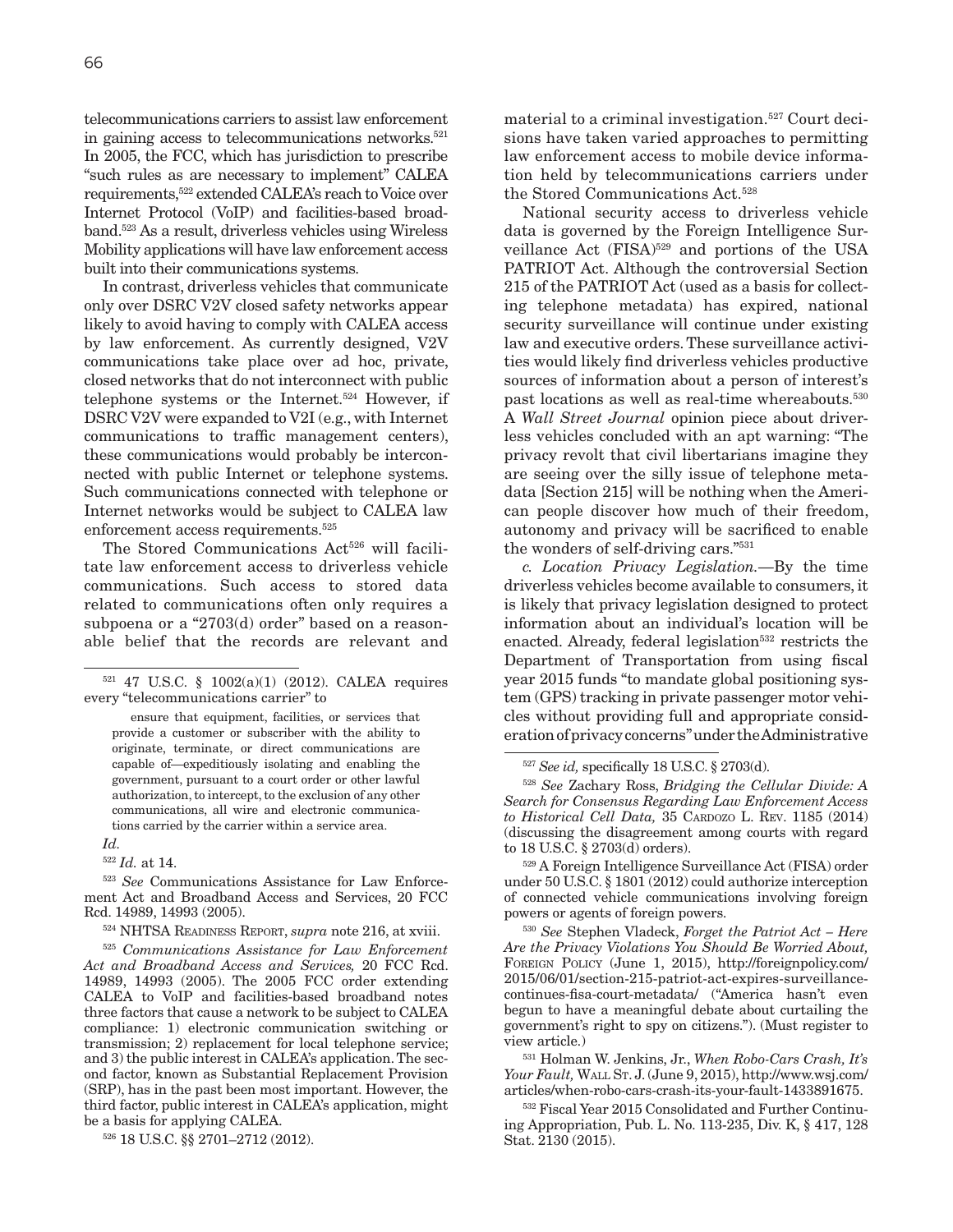66

telecommunications carriers to assist law enforcement in gaining access to telecommunications networks.<sup>521</sup> In 2005, the FCC, which has jurisdiction to prescribe "such rules as are necessary to implement" CALEA requirements,522 extended CALEA's reach to Voice over Internet Protocol (VoIP) and facilities-based broadband.523 As a result, driverless vehicles using Wireless Mobility applications will have law enforcement access built into their communications systems.

In contrast, driverless vehicles that communicate only over DSRC V2V closed safety networks appear likely to avoid having to comply with CALEA access by law enforcement. As currently designed, V2V communications take place over ad hoc, private, closed networks that do not interconnect with public telephone systems or the Internet.524 However, if DSRC V2V were expanded to V2I (e.g., with Internet communications to traffic management centers), these communications would probably be interconnected with public Internet or telephone systems. Such communications connected with telephone or Internet networks would be subject to CALEA law enforcement access requirements. $\boldsymbol{^{525}}$ 

The Stored Communications Act<sup>526</sup> will facilitate law enforcement access to driverless vehicle communications. Such access to stored data related to communications often only requires a subpoena or a "2703(d) order" based on a reasonable belief that the records are relevant and

ensure that equipment, facilities, or services that provide a customer or subscriber with the ability to originate, terminate, or direct communications are capable of—expeditiously isolating and enabling the government, pursuant to a court order or other lawful authorization, to intercept, to the exclusion of any other communications, all wire and electronic communications carried by the carrier within a service area.

*Id.*

<sup>522</sup> *Id.* at 14.

<sup>523</sup> *See* Communications Assistance for Law Enforcement Act and Broadband Access and Services, 20 FCC Rcd. 14989, 14993 (2005).

524 NHTSA Readiness Report, *supra* note 216, at xviii.

<sup>525</sup> *Communications Assistance for Law Enforcement Act and Broadband Access and Services,* 20 FCC Rcd. 14989, 14993 (2005). The 2005 FCC order extending CALEA to VoIP and facilities-based broadband notes three factors that cause a network to be subject to CALEA compliance: 1) electronic communication switching or transmission; 2) replacement for local telephone service; and 3) the public interest in CALEA's application. The second factor, known as Substantial Replacement Provision (SRP), has in the past been most important. However, the third factor, public interest in CALEA's application, might be a basis for applying CALEA.

526 18 U.S.C. §§ 2701–2712 (2012).

material to a criminal investigation.<sup>527</sup> Court decisions have taken varied approaches to permitting law enforcement access to mobile device information held by telecommunications carriers under the Stored Communications Act.<sup>528</sup>

National security access to driverless vehicle data is governed by the Foreign Intelligence Surveillance Act (FISA)529 and portions of the USA PATRIOT Act. Although the controversial Section 215 of the PATRIOT Act (used as a basis for collecting telephone metadata) has expired, national security surveillance will continue under existing law and executive orders. These surveillance activities would likely find driverless vehicles productive sources of information about a person of interest's past locations as well as real-time whereabouts.530 A *Wall Street Journal* opinion piece about driverless vehicles concluded with an apt warning: "The privacy revolt that civil libertarians imagine they are seeing over the silly issue of telephone metadata [Section 215] will be nothing when the American people discover how much of their freedom, autonomy and privacy will be sacrificed to enable the wonders of self-driving cars."531

*c. Location Privacy Legislation.—*By the time driverless vehicles become available to consumers, it is likely that privacy legislation designed to protect information about an individual's location will be enacted. Already, federal legislation<sup>532</sup> restricts the Department of Transportation from using fiscal year 2015 funds "to mandate global positioning system (GPS) tracking in private passenger motor vehicles without providing full and appropriate consideration of privacy concerns" under the Administrative

529 A Foreign Intelligence Surveillance Act (FISA) order under 50 U.S.C. § 1801 (2012) could authorize interception of connected vehicle communications involving foreign powers or agents of foreign powers.

<sup>530</sup> *See* Stephen Vladeck, *Forget the Patriot Act – Here Are the Privacy Violations You Should Be Worried About,*  Foreign Policy (June 1, 2015), http://foreignpolicy.com/ 2015/06/01/section-215-patriot-act-expires-surveillancecontinues-fisa-court-metadata/ ("America hasn't even begun to have a meaningful debate about curtailing the government's right to spy on citizens."). (Must register to view article.)

531 Holman W. Jenkins, Jr., *When Robo-Cars Crash, It's*  Your Fault, WALL St. J. (June 9, 2015), http://www.wsj.com/ articles/when-robo-cars-crash-its-your-fault-1433891675.

532 Fiscal Year 2015 Consolidated and Further Continuing Appropriation, Pub. L. No. 113-235, Div. K, § 417, 128 Stat. 2130 (2015).

<sup>521 47</sup> U.S.C. § 1002(a)(1) (2012). CALEA requires every "telecommunications carrier" to

<sup>527</sup> *See id,* specifically 18 U.S.C. § 2703(d).

<sup>528</sup> *See* Zachary Ross, *Bridging the Cellular Divide: A Search for Consensus Regarding Law Enforcement Access*  to Historical Cell Data, 35 CARDOZO L. REV. 1185 (2014) (discussing the disagreement among courts with regard to 18 U.S.C. § 2703(d) orders).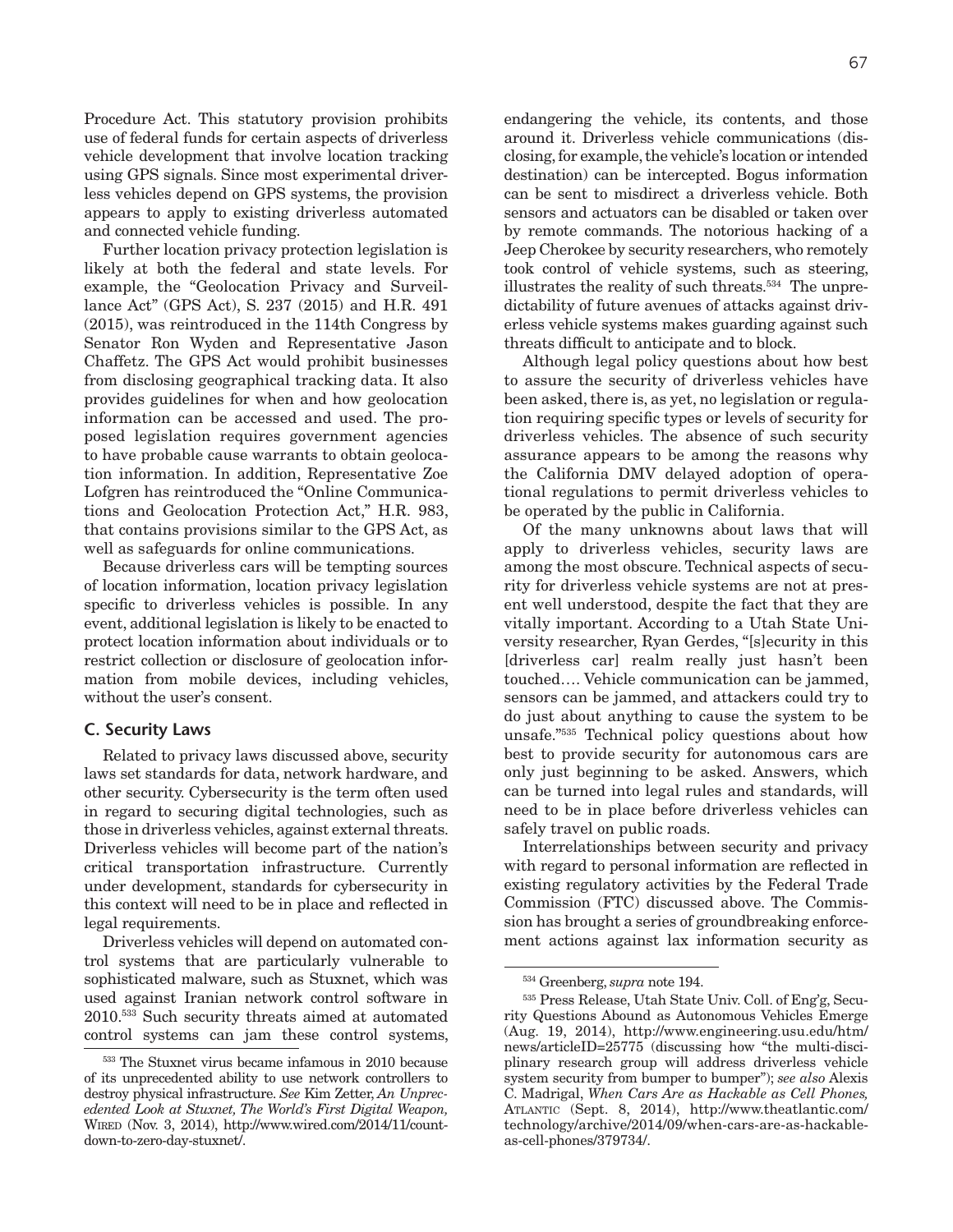Procedure Act. This statutory provision prohibits use of federal funds for certain aspects of driverless vehicle development that involve location tracking using GPS signals. Since most experimental driverless vehicles depend on GPS systems, the provision appears to apply to existing driverless automated and connected vehicle funding.

Further location privacy protection legislation is likely at both the federal and state levels. For example, the "Geolocation Privacy and Surveillance Act" (GPS Act), S. 237 (2015) and H.R. 491 (2015), was reintroduced in the 114th Congress by Senator Ron Wyden and Representative Jason Chaffetz. The GPS Act would prohibit businesses from disclosing geographical tracking data. It also provides guidelines for when and how geolocation information can be accessed and used. The proposed legislation requires government agencies to have probable cause warrants to obtain geolocation information. In addition, Representative Zoe Lofgren has reintroduced the "Online Communications and Geolocation Protection Act," H.R. 983, that contains provisions similar to the GPS Act, as well as safeguards for online communications.

Because driverless cars will be tempting sources of location information, location privacy legislation specific to driverless vehicles is possible. In any event, additional legislation is likely to be enacted to protect location information about individuals or to restrict collection or disclosure of geolocation information from mobile devices, including vehicles, without the user's consent.

### **C. Security Laws**

Related to privacy laws discussed above, security laws set standards for data, network hardware, and other security. Cybersecurity is the term often used in regard to securing digital technologies, such as those in driverless vehicles, against external threats. Driverless vehicles will become part of the nation's critical transportation infrastructure. Currently under development, standards for cybersecurity in this context will need to be in place and reflected in legal requirements.

Driverless vehicles will depend on automated control systems that are particularly vulnerable to sophisticated malware, such as Stuxnet, which was used against Iranian network control software in 2010.533 Such security threats aimed at automated control systems can jam these control systems, endangering the vehicle, its contents, and those around it. Driverless vehicle communications (disclosing, for example, the vehicle's location or intended destination) can be intercepted. Bogus information can be sent to misdirect a driverless vehicle. Both sensors and actuators can be disabled or taken over by remote commands. The notorious hacking of a Jeep Cherokee by security researchers, who remotely took control of vehicle systems, such as steering, illustrates the reality of such threats.534 The unpredictability of future avenues of attacks against driverless vehicle systems makes guarding against such threats difficult to anticipate and to block.

Although legal policy questions about how best to assure the security of driverless vehicles have been asked, there is, as yet, no legislation or regulation requiring specific types or levels of security for driverless vehicles. The absence of such security assurance appears to be among the reasons why the California DMV delayed adoption of operational regulations to permit driverless vehicles to be operated by the public in California.

Of the many unknowns about laws that will apply to driverless vehicles, security laws are among the most obscure. Technical aspects of security for driverless vehicle systems are not at present well understood, despite the fact that they are vitally important. According to a Utah State University researcher, Ryan Gerdes, "[s]ecurity in this [driverless car] realm really just hasn't been touched…. Vehicle communication can be jammed, sensors can be jammed, and attackers could try to do just about anything to cause the system to be unsafe."535 Technical policy questions about how best to provide security for autonomous cars are only just beginning to be asked. Answers, which can be turned into legal rules and standards, will need to be in place before driverless vehicles can safely travel on public roads.

Interrelationships between security and privacy with regard to personal information are reflected in existing regulatory activities by the Federal Trade Commission (FTC) discussed above. The Commission has brought a series of groundbreaking enforcement actions against lax information security as

<sup>533</sup> The Stuxnet virus became infamous in 2010 because of its unprecedented ability to use network controllers to destroy physical infrastructure. *See* Kim Zetter, *An Unprecedented Look at Stuxnet, The World's First Digital Weapon,*  Wired (Nov. 3, 2014), http://www.wired.com/2014/11/countdown-to-zero-day-stuxnet/.

<sup>534</sup> Greenberg, *supra* note 194.

<sup>535</sup> Press Release, Utah State Univ. Coll. of Eng'g, Security Questions Abound as Autonomous Vehicles Emerge (Aug. 19, 2014), http://www.engineering.usu.edu/htm/ news/articleID=25775 (discussing how "the multi-disciplinary research group will address driverless vehicle system security from bumper to bumper"); *see also* Alexis C. Madrigal, *When Cars Are as Hackable as Cell Phones,*  Atlantic (Sept. 8, 2014), http://www.theatlantic.com/ technology/archive/2014/09/when-cars-are-as-hackableas-cell-phones/379734/.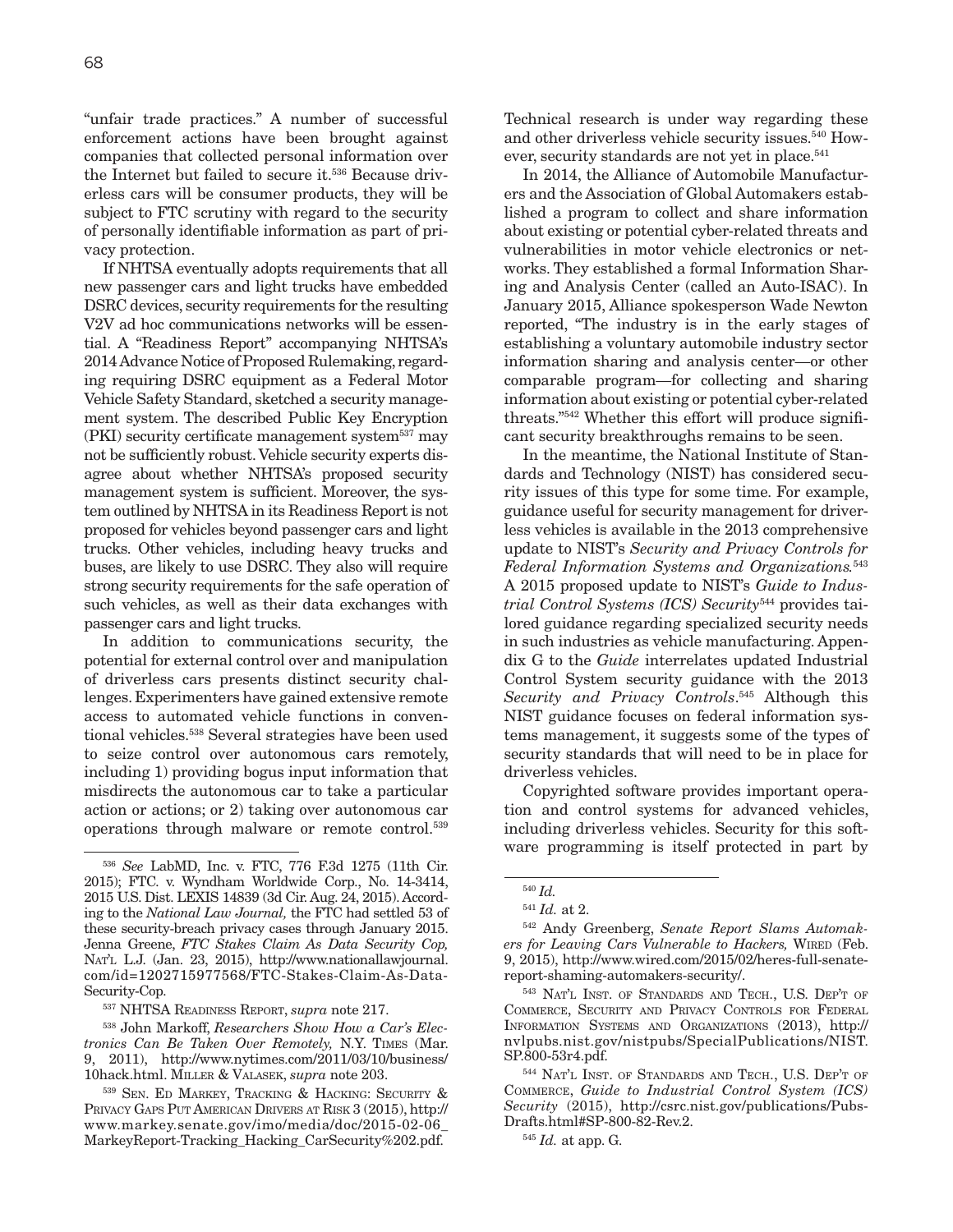"unfair trade practices." A number of successful enforcement actions have been brought against companies that collected personal information over the Internet but failed to secure it.<sup>536</sup> Because driverless cars will be consumer products, they will be subject to FTC scrutiny with regard to the security of personally identifiable information as part of privacy protection.

If NHTSA eventually adopts requirements that all new passenger cars and light trucks have embedded DSRC devices, security requirements for the resulting V2V ad hoc communications networks will be essential. A "Readiness Report" accompanying NHTSA's 2014 Advance Notice of Proposed Rulemaking, regarding requiring DSRC equipment as a Federal Motor Vehicle Safety Standard, sketched a security management system. The described Public Key Encryption (PKI) security certificate management system<sup>537</sup> may not be sufficiently robust. Vehicle security experts disagree about whether NHTSA's proposed security management system is sufficient. Moreover, the system outlined by NHTSA in its Readiness Report is not proposed for vehicles beyond passenger cars and light trucks. Other vehicles, including heavy trucks and buses, are likely to use DSRC. They also will require strong security requirements for the safe operation of such vehicles, as well as their data exchanges with passenger cars and light trucks.

In addition to communications security, the potential for external control over and manipulation of driverless cars presents distinct security challenges. Experimenters have gained extensive remote access to automated vehicle functions in conventional vehicles.538 Several strategies have been used to seize control over autonomous cars remotely, including 1) providing bogus input information that misdirects the autonomous car to take a particular action or actions; or 2) taking over autonomous car operations through malware or remote control.539 Technical research is under way regarding these and other driverless vehicle security issues.540 However, security standards are not yet in place.<sup>541</sup>

In 2014, the Alliance of Automobile Manufacturers and the Association of Global Automakers established a program to collect and share information about existing or potential cyber-related threats and vulnerabilities in motor vehicle electronics or networks. They established a formal Information Sharing and Analysis Center (called an Auto-ISAC). In January 2015, Alliance spokesperson Wade Newton reported, "The industry is in the early stages of establishing a voluntary automobile industry sector information sharing and analysis center—or other comparable program—for collecting and sharing information about existing or potential cyber-related threats."542 Whether this effort will produce significant security breakthroughs remains to be seen.

In the meantime, the National Institute of Standards and Technology (NIST) has considered security issues of this type for some time. For example, guidance useful for security management for driverless vehicles is available in the 2013 comprehensive update to NIST's *Security and Privacy Controls for Federal Information Systems and Organizations.*<sup>543</sup> A 2015 proposed update to NIST's *Guide to Industrial Control Systems (ICS) Security*544 provides tailored guidance regarding specialized security needs in such industries as vehicle manufacturing. Appendix G to the *Guide* interrelates updated Industrial Control System security guidance with the 2013 *Security and Privacy Controls*. 545 Although this NIST guidance focuses on federal information systems management, it suggests some of the types of security standards that will need to be in place for driverless vehicles.

Copyrighted software provides important operation and control systems for advanced vehicles, including driverless vehicles. Security for this software programming is itself protected in part by

<sup>536</sup> *See* LabMD, Inc. v. FTC, 776 F.3d 1275 (11th Cir. 2015); FTC. v. Wyndham Worldwide Corp., No. 14-3414, 2015 U.S. Dist. LEXIS 14839 (3d Cir. Aug. 24, 2015). According to the *National Law Journal,* the FTC had settled 53 of these security-breach privacy cases through January 2015. Jenna Greene, *FTC Stakes Claim As Data Security Cop,*  Nat'l L.J. (Jan. 23, 2015), http://www.nationallawjournal. com/id=1202715977568/FTC-Stakes-Claim-As-Data-Security-Cop.

<sup>537</sup> NHTSA Readiness Report, *supra* note 217.

<sup>538</sup> John Markoff, *Researchers Show How a Car's Electronics Can Be Taken Over Remotely,* N.Y. Times (Mar. 9, 2011), http://www.nytimes.com/2011/03/10/business/ 10hack.html. Miller & Valasek, *supra* note 203.

<sup>539</sup> Sen. Ed Markey, Tracking & Hacking: Security & Privacy Gaps Put American Drivers at Risk 3 (2015), http:// www.markey.senate.gov/imo/media/doc/2015-02-06\_ MarkeyReport-Tracking\_Hacking\_CarSecurity%202.pdf.

<sup>540</sup> *Id.* 

<sup>541</sup> *Id.* at 2.

<sup>542</sup> Andy Greenberg, *Senate Report Slams Automak*ers for Leaving Cars Vulnerable to Hackers, WIRED (Feb. 9, 2015), http://www.wired.com/2015/02/heres-full-senatereport-shaming-automakers-security/.

<sup>543</sup> Nat'l Inst. of Standards and Tech., U.S. Dep't of Commerce, Security and Privacy Controls for Federal Information Systems and Organizations (2013), http:// nvlpubs.nist.gov/nistpubs/SpecialPublications/NIST. SP.800-53r4.pdf.

<sup>544</sup> Nat'l Inst. of Standards and Tech., U.S. Dep't of Commerce, *Guide to Industrial Control System (ICS) Security* (2015), http://csrc.nist.gov/publications/Pubs-Drafts.html#SP-800-82-Rev.2.

<sup>545</sup> *Id.* at app. G.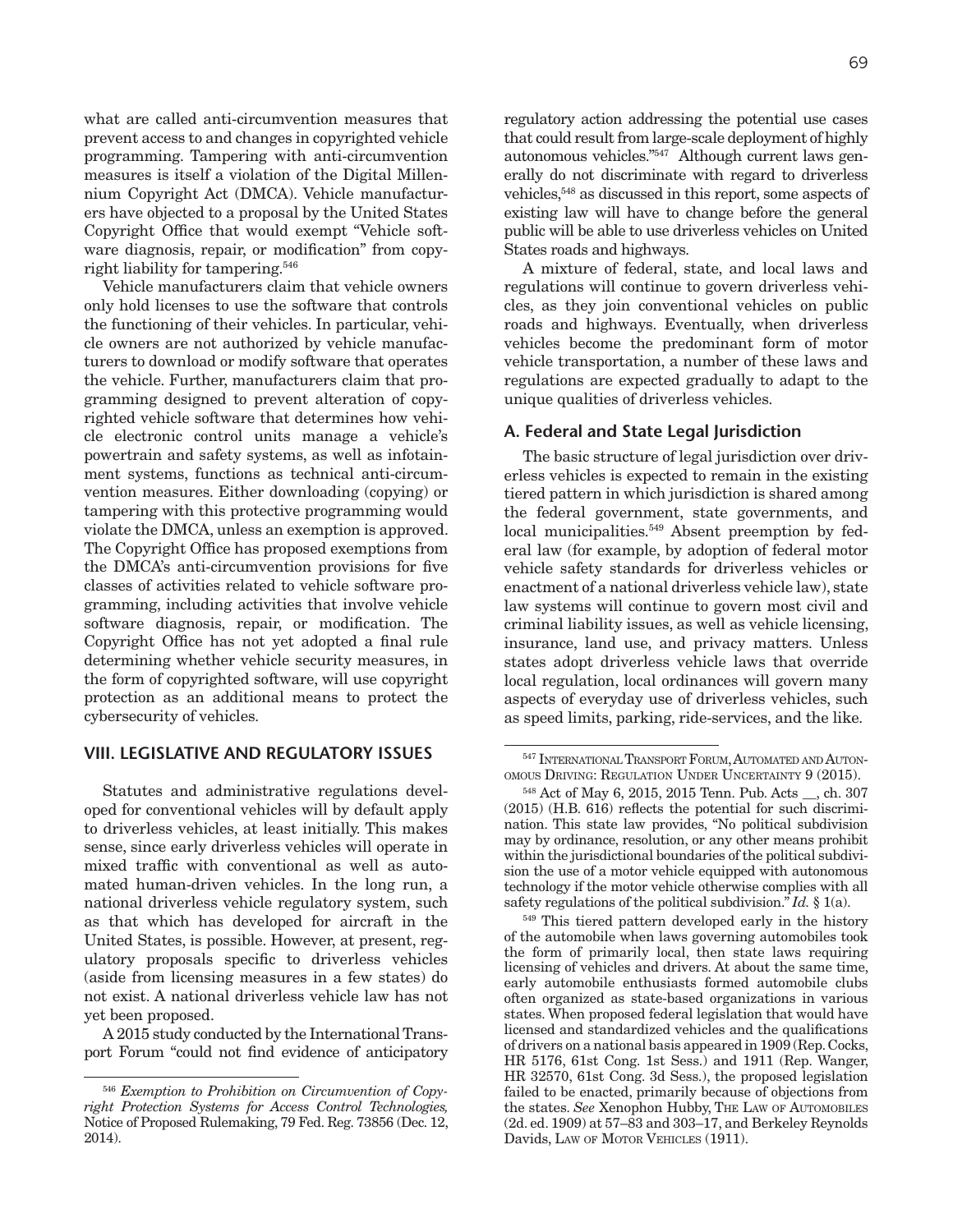what are called anti-circumvention measures that prevent access to and changes in copyrighted vehicle programming. Tampering with anti-circumvention measures is itself a violation of the Digital Millen-

nium Copyright Act (DMCA). Vehicle manufacturers have objected to a proposal by the United States Copyright Office that would exempt "Vehicle software diagnosis, repair, or modification" from copyright liability for tampering.546

Vehicle manufacturers claim that vehicle owners only hold licenses to use the software that controls the functioning of their vehicles. In particular, vehicle owners are not authorized by vehicle manufacturers to download or modify software that operates the vehicle. Further, manufacturers claim that programming designed to prevent alteration of copyrighted vehicle software that determines how vehicle electronic control units manage a vehicle's powertrain and safety systems, as well as infotainment systems, functions as technical anti-circumvention measures. Either downloading (copying) or tampering with this protective programming would violate the DMCA, unless an exemption is approved. The Copyright Office has proposed exemptions from the DMCA's anti-circumvention provisions for five classes of activities related to vehicle software programming, including activities that involve vehicle software diagnosis, repair, or modification. The Copyright Office has not yet adopted a final rule determining whether vehicle security measures, in the form of copyrighted software, will use copyright protection as an additional means to protect the cybersecurity of vehicles.

# **VIII. LEGISLATIVE AND REGULATORY ISSUES**

Statutes and administrative regulations developed for conventional vehicles will by default apply to driverless vehicles, at least initially. This makes sense, since early driverless vehicles will operate in mixed traffic with conventional as well as automated human-driven vehicles. In the long run, a national driverless vehicle regulatory system, such as that which has developed for aircraft in the United States, is possible. However, at present, regulatory proposals specific to driverless vehicles (aside from licensing measures in a few states) do not exist. A national driverless vehicle law has not yet been proposed.

A 2015 study conducted by the International Transport Forum "could not find evidence of anticipatory regulatory action addressing the potential use cases that could result from large-scale deployment of highly autonomous vehicles."547 Although current laws generally do not discriminate with regard to driverless vehicles,548 as discussed in this report, some aspects of existing law will have to change before the general public will be able to use driverless vehicles on United States roads and highways.

A mixture of federal, state, and local laws and regulations will continue to govern driverless vehicles, as they join conventional vehicles on public roads and highways. Eventually, when driverless vehicles become the predominant form of motor vehicle transportation, a number of these laws and regulations are expected gradually to adapt to the unique qualities of driverless vehicles.

# **A. Federal and State Legal Jurisdiction**

The basic structure of legal jurisdiction over driverless vehicles is expected to remain in the existing tiered pattern in which jurisdiction is shared among the federal government, state governments, and local municipalities.<sup>549</sup> Absent preemption by federal law (for example, by adoption of federal motor vehicle safety standards for driverless vehicles or enactment of a national driverless vehicle law), state law systems will continue to govern most civil and criminal liability issues, as well as vehicle licensing, insurance, land use, and privacy matters. Unless states adopt driverless vehicle laws that override local regulation, local ordinances will govern many aspects of everyday use of driverless vehicles, such as speed limits, parking, ride-services, and the like.

549 This tiered pattern developed early in the history of the automobile when laws governing automobiles took the form of primarily local, then state laws requiring licensing of vehicles and drivers. At about the same time, early automobile enthusiasts formed automobile clubs often organized as state-based organizations in various states. When proposed federal legislation that would have licensed and standardized vehicles and the qualifications of drivers on a national basis appeared in 1909 (Rep. Cocks, HR 5176, 61st Cong. 1st Sess.) and 1911 (Rep. Wanger, HR 32570, 61st Cong. 3d Sess.), the proposed legislation failed to be enacted, primarily because of objections from the states. *See* Xenophon Hubby, The Law of Automobiles (2d. ed. 1909) at 57–83 and 303–17, and Berkeley Reynolds Davids, LAW OF MOTOR VEHICLES (1911).

<sup>546</sup> *Exemption to Prohibition on Circumvention of Copyright Protection Systems for Access Control Technologies,*  Notice of Proposed Rulemaking, 79 Fed. Reg. 73856 (Dec. 12, 2014).

<sup>547</sup> International Transport Forum, Automated and Autonomous Driving: Regulation Under Uncertainty 9 (2015).

<sup>548</sup> Act of May 6, 2015, 2015 Tenn. Pub. Acts \_\_, ch. 307 (2015) (H.B. 616) reflects the potential for such discrimination. This state law provides, "No political subdivision may by ordinance, resolution, or any other means prohibit within the jurisdictional boundaries of the political subdivision the use of a motor vehicle equipped with autonomous technology if the motor vehicle otherwise complies with all safety regulations of the political subdivision." *Id.* § 1(a).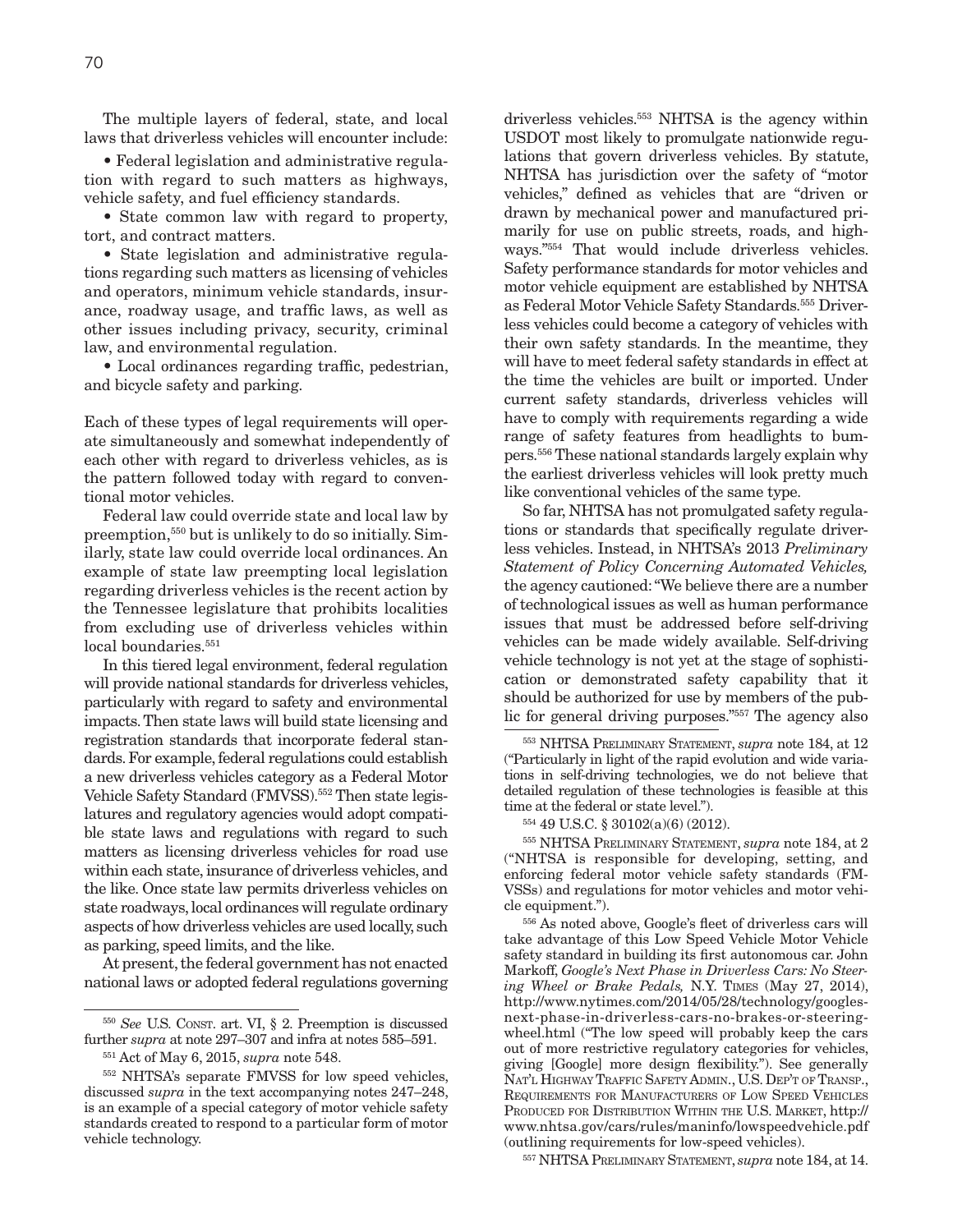The multiple layers of federal, state, and local laws that driverless vehicles will encounter include:

• Federal legislation and administrative regulation with regard to such matters as highways, vehicle safety, and fuel efficiency standards.

• State common law with regard to property, tort, and contract matters.

• State legislation and administrative regulations regarding such matters as licensing of vehicles and operators, minimum vehicle standards, insurance, roadway usage, and traffic laws, as well as other issues including privacy, security, criminal law, and environmental regulation.

• Local ordinances regarding traffic, pedestrian, and bicycle safety and parking.

Each of these types of legal requirements will operate simultaneously and somewhat independently of each other with regard to driverless vehicles, as is the pattern followed today with regard to conventional motor vehicles.

Federal law could override state and local law by preemption,550 but is unlikely to do so initially. Similarly, state law could override local ordinances. An example of state law preempting local legislation regarding driverless vehicles is the recent action by the Tennessee legislature that prohibits localities from excluding use of driverless vehicles within  $\rm local$  boundaries.  $\rm ^{551}$ 

In this tiered legal environment, federal regulation will provide national standards for driverless vehicles, particularly with regard to safety and environmental impacts. Then state laws will build state licensing and registration standards that incorporate federal standards. For example, federal regulations could establish a new driverless vehicles category as a Federal Motor Vehicle Safety Standard (FMVSS).552 Then state legislatures and regulatory agencies would adopt compatible state laws and regulations with regard to such matters as licensing driverless vehicles for road use within each state, insurance of driverless vehicles, and the like. Once state law permits driverless vehicles on state roadways, local ordinances will regulate ordinary aspects of how driverless vehicles are used locally, such as parking, speed limits, and the like.

At present, the federal government has not enacted national laws or adopted federal regulations governing driverless vehicles.<sup>553</sup> NHTSA is the agency within USDOT most likely to promulgate nationwide regulations that govern driverless vehicles. By statute, NHTSA has jurisdiction over the safety of "motor vehicles," defined as vehicles that are "driven or drawn by mechanical power and manufactured primarily for use on public streets, roads, and highways."554 That would include driverless vehicles. Safety performance standards for motor vehicles and motor vehicle equipment are established by NHTSA as Federal Motor Vehicle Safety Standards.555 Driverless vehicles could become a category of vehicles with their own safety standards. In the meantime, they will have to meet federal safety standards in effect at the time the vehicles are built or imported. Under current safety standards, driverless vehicles will have to comply with requirements regarding a wide range of safety features from headlights to bumpers.556 These national standards largely explain why the earliest driverless vehicles will look pretty much like conventional vehicles of the same type.

So far, NHTSA has not promulgated safety regulations or standards that specifically regulate driverless vehicles. Instead, in NHTSA's 2013 *Preliminary Statement of Policy Concerning Automated Vehicles,* the agency cautioned: "We believe there are a number of technological issues as well as human performance issues that must be addressed before self-driving vehicles can be made widely available. Self-driving vehicle technology is not yet at the stage of sophistication or demonstrated safety capability that it should be authorized for use by members of the public for general driving purposes."557 The agency also

553 NHTSA Preliminary Statement, *supra* note 184, at 12 ("Particularly in light of the rapid evolution and wide variations in self-driving technologies, we do not believe that detailed regulation of these technologies is feasible at this time at the federal or state level.").

554 49 U.S.C. § 30102(a)(6) (2012).

555 NHTSA Preliminary Statement, *supra* note 184, at 2 ("NHTSA is responsible for developing, setting, and enforcing federal motor vehicle safety standards (FM-VSSs) and regulations for motor vehicles and motor vehicle equipment.").

556 As noted above, Google's fleet of driverless cars will take advantage of this Low Speed Vehicle Motor Vehicle safety standard in building its first autonomous car. John Markoff, *Google's Next Phase in Driverless Cars: No Steering Wheel or Brake Pedals,* N.Y. Times (May 27, 2014), http://www.nytimes.com/2014/05/28/technology/googlesnext-phase-in-driverless-cars-no-brakes-or-steeringwheel.html ("The low speed will probably keep the cars out of more restrictive regulatory categories for vehicles, giving [Google] more design flexibility."). See generally Nat'l Highway Traffic Safety Admin., U.S. Dep't of Transp., Requirements for Manufacturers of Low Speed Vehicles PRODUCED FOR DISTRIBUTION WITHIN THE U.S. MARKET, http:// www.nhtsa.gov/cars/rules/maninfo/lowspeedvehicle.pdf (outlining requirements for low-speed vehicles).

557 NHTSA Preliminary Statement, *supra* note 184, at 14.

<sup>&</sup>lt;sup>550</sup> See U.S. CONST. art. VI, § 2. Preemption is discussed further *supra* at note 297–307 and infra at notes 585–591.

<sup>551</sup> Act of May 6, 2015, *supra* note 548.

<sup>552</sup> NHTSA's separate FMVSS for low speed vehicles, discussed *supra* in the text accompanying notes 247–248, is an example of a special category of motor vehicle safety standards created to respond to a particular form of motor vehicle technology.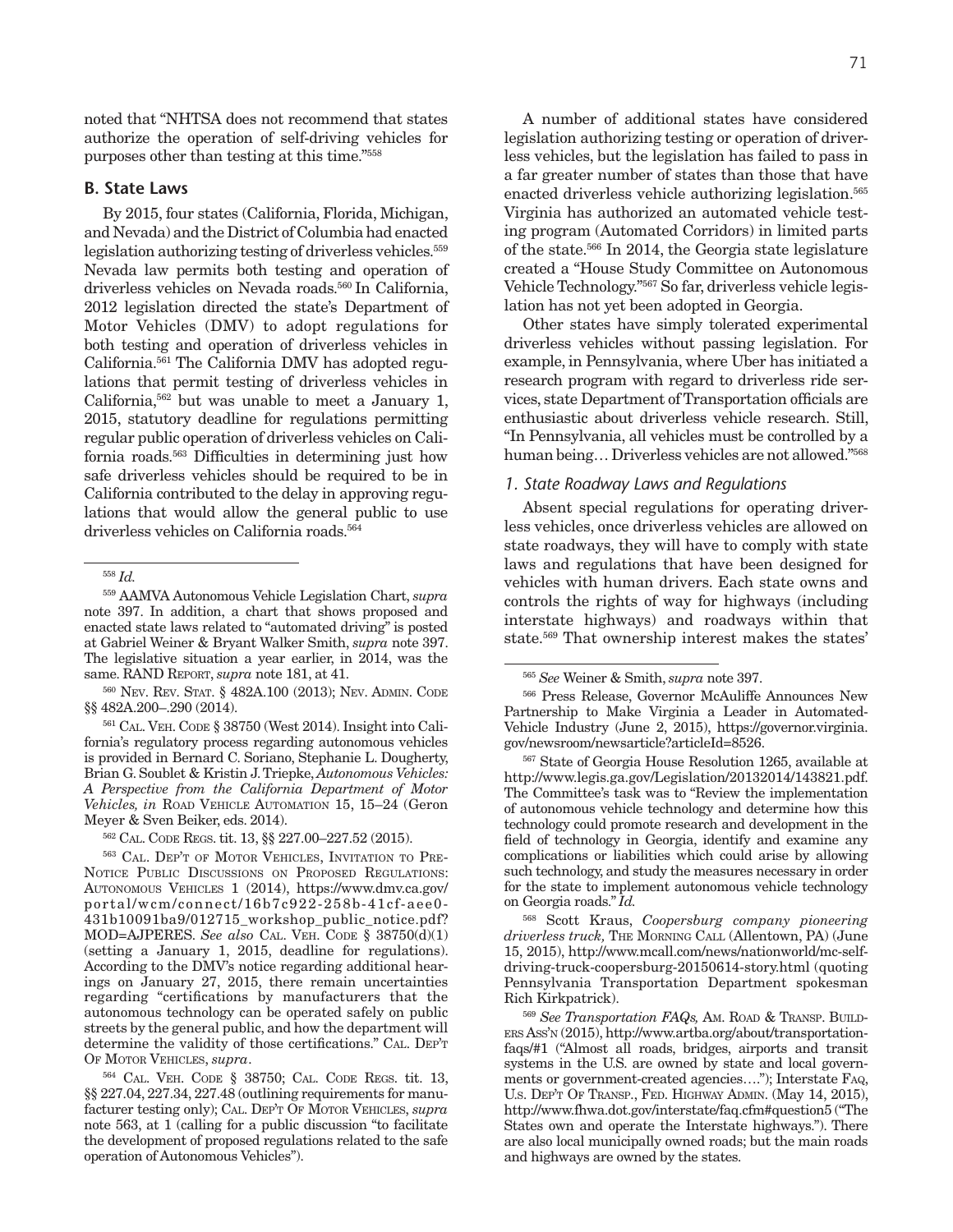noted that "NHTSA does not recommend that states authorize the operation of self-driving vehicles for purposes other than testing at this time."558

## **B. State Laws**

By 2015, four states (California, Florida, Michigan, and Nevada) and the District of Columbia had enacted legislation authorizing testing of driverless vehicles.<sup>559</sup> Nevada law permits both testing and operation of driverless vehicles on Nevada roads.<sup>560</sup> In California, 2012 legislation directed the state's Department of Motor Vehicles (DMV) to adopt regulations for both testing and operation of driverless vehicles in California.561 The California DMV has adopted regulations that permit testing of driverless vehicles in California,562 but was unable to meet a January 1, 2015, statutory deadline for regulations permitting regular public operation of driverless vehicles on California roads.563 Difficulties in determining just how safe driverless vehicles should be required to be in California contributed to the delay in approving regulations that would allow the general public to use driverless vehicles on California roads.<sup>564</sup>

<sup>558</sup> *Id.*

<sup>560</sup> Nev. Rev. Stat. § 482A.100 (2013); Nev. Admin. Code §§ 482A.200–.290 (2014).

A number of additional states have considered legislation authorizing testing or operation of driverless vehicles, but the legislation has failed to pass in a far greater number of states than those that have enacted driverless vehicle authorizing legislation.<sup>565</sup> Virginia has authorized an automated vehicle testing program (Automated Corridors) in limited parts of the state.566 In 2014, the Georgia state legislature created a "House Study Committee on Autonomous Vehicle Technology."567 So far, driverless vehicle legislation has not yet been adopted in Georgia.

Other states have simply tolerated experimental driverless vehicles without passing legislation. For example, in Pennsylvania, where Uber has initiated a research program with regard to driverless ride services, state Department of Transportation officials are enthusiastic about driverless vehicle research. Still, "In Pennsylvania, all vehicles must be controlled by a human being… Driverless vehicles are not allowed."568

## *1. State Roadway Laws and Regulations*

Absent special regulations for operating driverless vehicles, once driverless vehicles are allowed on state roadways, they will have to comply with state laws and regulations that have been designed for vehicles with human drivers. Each state owns and controls the rights of way for highways (including interstate highways) and roadways within that state.569 That ownership interest makes the states'

567 State of Georgia House Resolution 1265, available at http://www.legis.ga.gov/Legislation/20132014/143821.pdf. The Committee's task was to "Review the implementation of autonomous vehicle technology and determine how this technology could promote research and development in the field of technology in Georgia, identify and examine any complications or liabilities which could arise by allowing such technology, and study the measures necessary in order for the state to implement autonomous vehicle technology on Georgia roads." *Id.*

568 Scott Kraus, *Coopersburg company pioneering driverless truck,* The Morning Call (Allentown, PA) (June 15, 2015), http://www.mcall.com/news/nationworld/mc-selfdriving-truck-coopersburg-20150614-story.html (quoting Pennsylvania Transportation Department spokesman Rich Kirkpatrick).

<sup>569</sup> *See Transportation FAQs,* Am. Road & Transp. Builders Ass'n (2015), http://www.artba.org/about/transportationfaqs/#1 ("Almost all roads, bridges, airports and transit systems in the U.S. are owned by state and local governments or government-created agencies…."); Interstate Faq, U.s. Dep't Of Transp., Fed. Highway Admin. (May 14, 2015), http://www.fhwa.dot.gov/interstate/faq.cfm#question5 ("The States own and operate the Interstate highways."). There are also local municipally owned roads; but the main roads and highways are owned by the states.

<sup>559</sup> AAMVA Autonomous Vehicle Legislation Chart, *supra* note 397. In addition, a chart that shows proposed and enacted state laws related to "automated driving" is posted at Gabriel Weiner & Bryant Walker Smith, *supra* note 397. The legislative situation a year earlier, in 2014, was the same. RAND Report, *supra* note 181, at 41.

<sup>561</sup> Cal. Veh. Code § 38750 (West 2014). Insight into California's regulatory process regarding autonomous vehicles is provided in Bernard C. Soriano, Stephanie L. Dougherty, Brian G. Soublet & Kristin J. Triepke, *Autonomous Vehicles: A Perspective from the California Department of Motor Vehicles, in* Road Vehicle Automation 15, 15–24 (Geron Meyer & Sven Beiker, eds. 2014).

<sup>562</sup> Cal. Code Regs. tit. 13, §§ 227.00–227.52 (2015).

<sup>563</sup> Cal. Dep't of Motor Vehicles, Invitation to Pre-NOTICE PUBLIC DISCUSSIONS ON PROPOSED REGULATIONS: Autonomous Vehicles 1 (2014), https://www.dmv.ca.gov/ portal/wcm/connect/16b7c922-258b-41cf-aee0- 431b10091ba9/012715\_workshop\_public\_notice.pdf? MOD=AJPERES. *See also* CAL. VEH. CODE  $\S$  38750(d)(1) (setting a January 1, 2015, deadline for regulations). According to the DMV's notice regarding additional hearings on January 27, 2015, there remain uncertainties regarding "certifications by manufacturers that the autonomous technology can be operated safely on public streets by the general public, and how the department will determine the validity of those certifications." Cal. Dep't Of Motor Vehicles, *supra*.

<sup>564</sup> Cal. Veh. Code § 38750; Cal. Code Regs. tit. 13, §§ 227.04, 227.34, 227.48 (outlining requirements for manufacturer testing only); Cal. Dep't Of Motor Vehicles, *supra* note 563, at 1 (calling for a public discussion "to facilitate the development of proposed regulations related to the safe operation of Autonomous Vehicles").

<sup>565</sup> *See* Weiner & Smith, *supra* note 397.

<sup>566</sup> Press Release, Governor McAuliffe Announces New Partnership to Make Virginia a Leader in Automated-Vehicle Industry (June 2, 2015), https://governor.virginia. gov/newsroom/newsarticle?articleId=8526.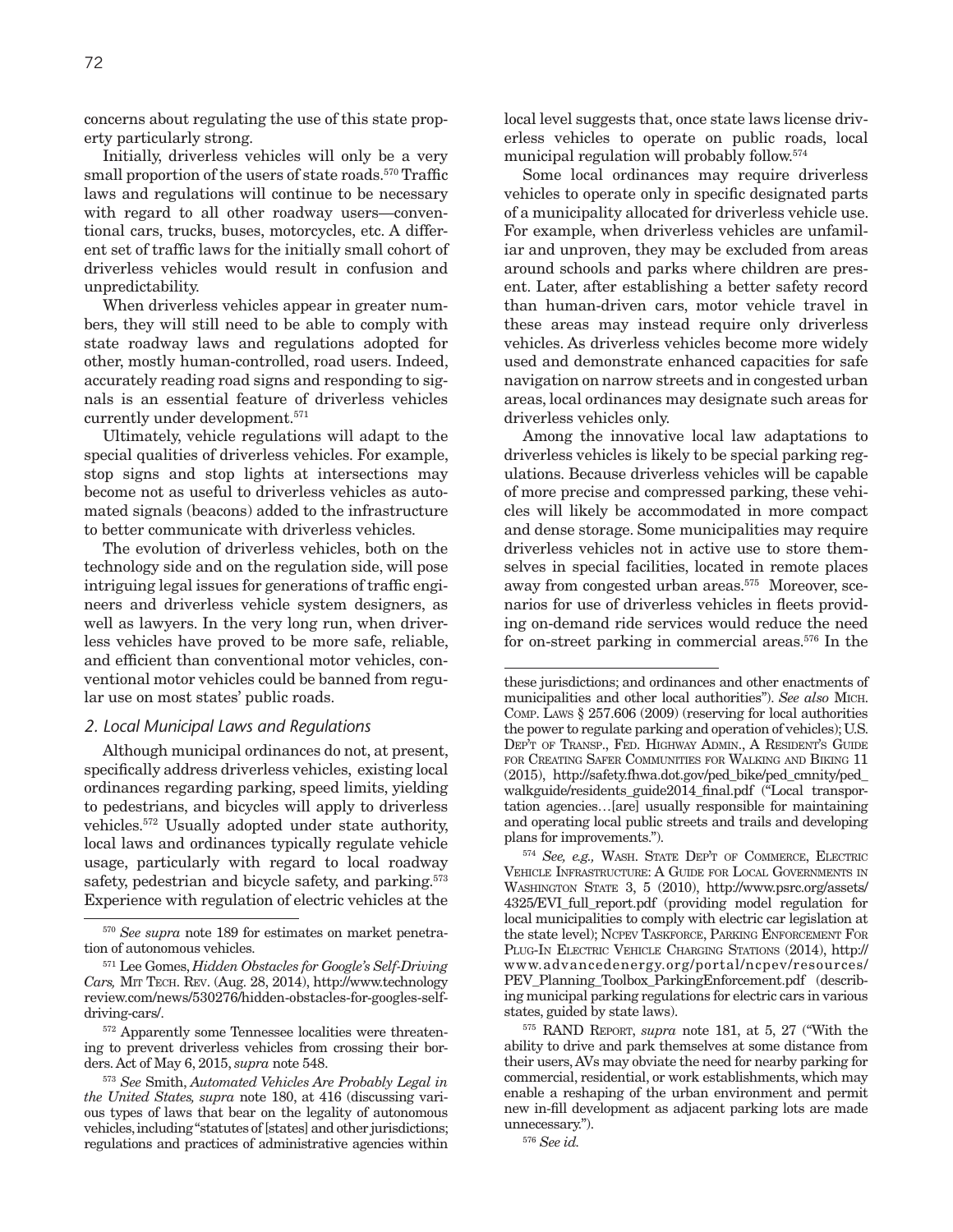concerns about regulating the use of this state property particularly strong.

Initially, driverless vehicles will only be a very small proportion of the users of state roads.570 Traffic laws and regulations will continue to be necessary with regard to all other roadway users—conventional cars, trucks, buses, motorcycles, etc. A different set of traffic laws for the initially small cohort of driverless vehicles would result in confusion and unpredictability.

When driverless vehicles appear in greater numbers, they will still need to be able to comply with state roadway laws and regulations adopted for other, mostly human-controlled, road users. Indeed, accurately reading road signs and responding to signals is an essential feature of driverless vehicles currently under development.571

Ultimately, vehicle regulations will adapt to the special qualities of driverless vehicles. For example, stop signs and stop lights at intersections may become not as useful to driverless vehicles as automated signals (beacons) added to the infrastructure to better communicate with driverless vehicles.

The evolution of driverless vehicles, both on the technology side and on the regulation side, will pose intriguing legal issues for generations of traffic engineers and driverless vehicle system designers, as well as lawyers. In the very long run, when driverless vehicles have proved to be more safe, reliable, and efficient than conventional motor vehicles, conventional motor vehicles could be banned from regular use on most states' public roads.

#### *2. Local Municipal Laws and Regulations*

Although municipal ordinances do not, at present, specifically address driverless vehicles, existing local ordinances regarding parking, speed limits, yielding to pedestrians, and bicycles will apply to driverless vehicles.572 Usually adopted under state authority, local laws and ordinances typically regulate vehicle usage, particularly with regard to local roadway safety, pedestrian and bicycle safety, and parking.<sup>573</sup> Experience with regulation of electric vehicles at the

572 Apparently some Tennessee localities were threatening to prevent driverless vehicles from crossing their borders. Act of May 6, 2015, *supra* note 548.

<sup>573</sup> *See* Smith, *Automated Vehicles Are Probably Legal in the United States, supra* note 180, at 416 (discussing various types of laws that bear on the legality of autonomous vehicles, including "statutes of [states] and other jurisdictions; regulations and practices of administrative agencies within

local level suggests that, once state laws license driverless vehicles to operate on public roads, local municipal regulation will probably follow.574

Some local ordinances may require driverless vehicles to operate only in specific designated parts of a municipality allocated for driverless vehicle use. For example, when driverless vehicles are unfamiliar and unproven, they may be excluded from areas around schools and parks where children are present. Later, after establishing a better safety record than human-driven cars, motor vehicle travel in these areas may instead require only driverless vehicles. As driverless vehicles become more widely used and demonstrate enhanced capacities for safe navigation on narrow streets and in congested urban areas, local ordinances may designate such areas for driverless vehicles only.

Among the innovative local law adaptations to driverless vehicles is likely to be special parking regulations. Because driverless vehicles will be capable of more precise and compressed parking, these vehicles will likely be accommodated in more compact and dense storage. Some municipalities may require driverless vehicles not in active use to store themselves in special facilities, located in remote places away from congested urban areas.575 Moreover, scenarios for use of driverless vehicles in fleets providing on-demand ride services would reduce the need for on-street parking in commercial areas.576 In the

<sup>574</sup> See, e.g., WASH. STATE DEP'T OF COMMERCE, ELECTRIC Vehicle Infrastructure: A Guide for Local Governments in Washington State 3, 5 (2010), http://www.psrc.org/assets/ 4325/EVI\_full\_report.pdf (providing model regulation for local municipalities to comply with electric car legislation at the state level); Ncpev Taskforce, Parking Enforcement For Plug-In Electric Vehicle Charging Stations (2014), http:// www.advancedenergy.org/portal/ncpev/resources/ PEV\_Planning\_Toolbox\_ParkingEnforcement.pdf (describing municipal parking regulations for electric cars in various states, guided by state laws).

575 RAND Report, *supra* note 181, at 5, 27 ("With the ability to drive and park themselves at some distance from their users, AVs may obviate the need for nearby parking for commercial, residential, or work establishments, which may enable a reshaping of the urban environment and permit new in-fill development as adjacent parking lots are made unnecessary.").

<sup>576</sup> *See id.*

<sup>570</sup> *See supra* note 189 for estimates on market penetration of autonomous vehicles.

<sup>571</sup> Lee Gomes, *Hidden Obstacles for Google's Self-Driving Cars,* Mit Tech. Rev. (Aug. 28, 2014), http://www.technology review.com/news/530276/hidden-obstacles-for-googles-selfdriving-cars/.

these jurisdictions; and ordinances and other enactments of municipalities and other local authorities"). *See also* Mich. Comp. Laws § 257.606 (2009) (reserving for local authorities the power to regulate parking and operation of vehicles); U.S. DEP'T OF TRANSP., FED. HIGHWAY ADMIN., A RESIDENT'S GUIDE for Creating Safer Communities for Walking and Biking 11 (2015), http://safety.fhwa.dot.gov/ped\_bike/ped\_cmnity/ped\_ walkguide/residents\_guide2014\_final.pdf ("Local transportation agencies…[are] usually responsible for maintaining and operating local public streets and trails and developing plans for improvements.").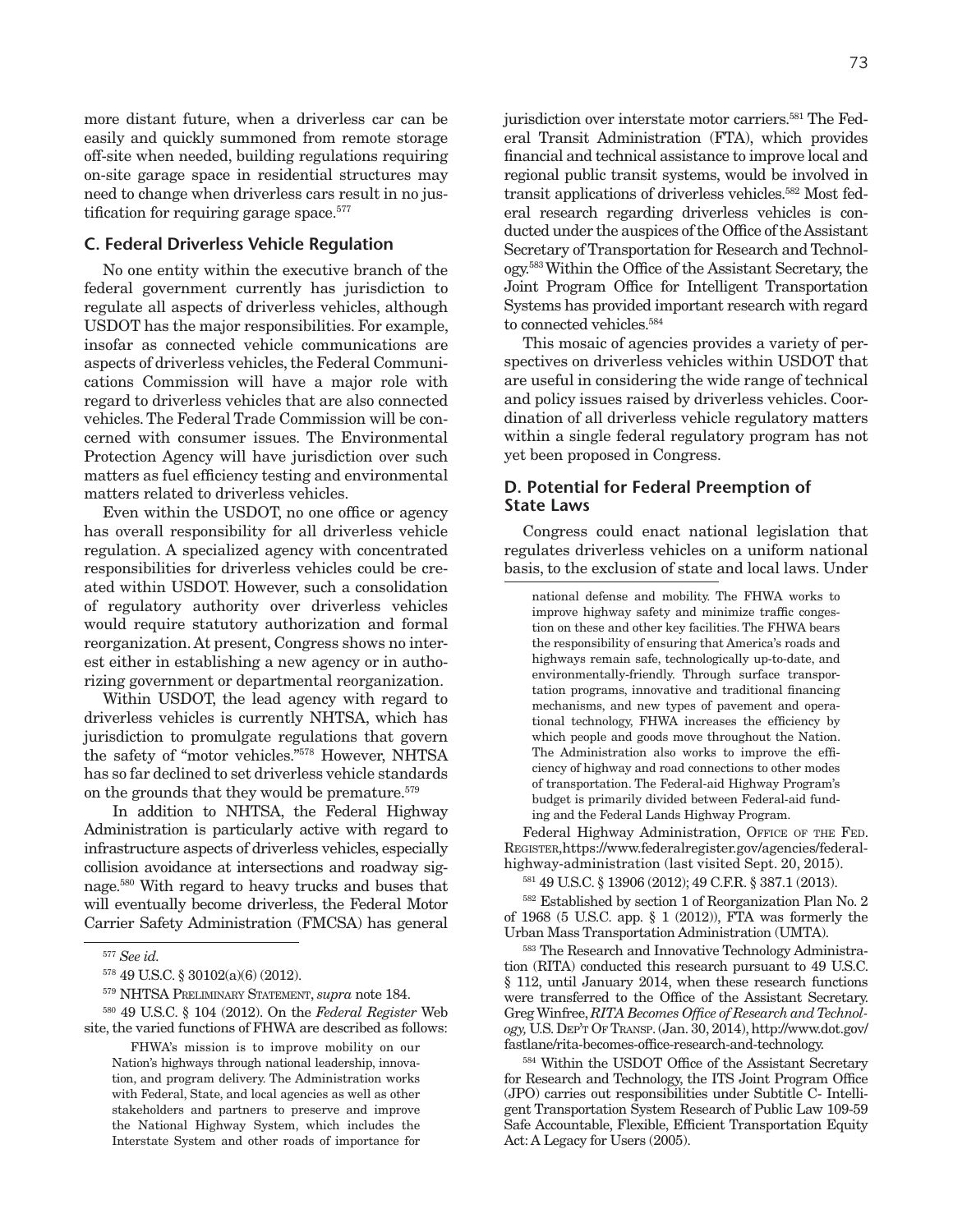more distant future, when a driverless car can be easily and quickly summoned from remote storage off-site when needed, building regulations requiring on-site garage space in residential structures may need to change when driverless cars result in no justification for requiring garage space.<sup>577</sup>

#### **C. Federal Driverless Vehicle Regulation**

No one entity within the executive branch of the federal government currently has jurisdiction to regulate all aspects of driverless vehicles, although USDOT has the major responsibilities. For example, insofar as connected vehicle communications are aspects of driverless vehicles, the Federal Communications Commission will have a major role with regard to driverless vehicles that are also connected vehicles. The Federal Trade Commission will be concerned with consumer issues. The Environmental Protection Agency will have jurisdiction over such matters as fuel efficiency testing and environmental matters related to driverless vehicles.

Even within the USDOT, no one office or agency has overall responsibility for all driverless vehicle regulation. A specialized agency with concentrated responsibilities for driverless vehicles could be created within USDOT. However, such a consolidation of regulatory authority over driverless vehicles would require statutory authorization and formal reorganization. At present, Congress shows no interest either in establishing a new agency or in authorizing government or departmental reorganization.

Within USDOT, the lead agency with regard to driverless vehicles is currently NHTSA, which has jurisdiction to promulgate regulations that govern the safety of "motor vehicles."578 However, NHTSA has so far declined to set driverless vehicle standards on the grounds that they would be premature.579

 In addition to NHTSA, the Federal Highway Administration is particularly active with regard to infrastructure aspects of driverless vehicles, especially collision avoidance at intersections and roadway signage.580 With regard to heavy trucks and buses that will eventually become driverless, the Federal Motor Carrier Safety Administration (FMCSA) has general

580 49 U.S.C. § 104 (2012). On the *Federal Register* Web site, the varied functions of FHWA are described as follows:

FHWA's mission is to improve mobility on our Nation's highways through national leadership, innovation, and program delivery. The Administration works with Federal, State, and local agencies as well as other stakeholders and partners to preserve and improve the National Highway System, which includes the Interstate System and other roads of importance for jurisdiction over interstate motor carriers.<sup>581</sup> The Federal Transit Administration (FTA), which provides financial and technical assistance to improve local and regional public transit systems, would be involved in transit applications of driverless vehicles.582 Most federal research regarding driverless vehicles is conducted under the auspices of the Office of the Assistant Secretary of Transportation for Research and Technology.583 Within the Office of the Assistant Secretary, the Joint Program Office for Intelligent Transportation Systems has provided important research with regard to connected vehicles.<sup>584</sup>

This mosaic of agencies provides a variety of perspectives on driverless vehicles within USDOT that are useful in considering the wide range of technical and policy issues raised by driverless vehicles. Coordination of all driverless vehicle regulatory matters within a single federal regulatory program has not yet been proposed in Congress.

# **D. Potential for Federal Preemption of State Laws**

Congress could enact national legislation that regulates driverless vehicles on a uniform national basis, to the exclusion of state and local laws. Under

national defense and mobility. The FHWA works to improve highway safety and minimize traffic congestion on these and other key facilities. The FHWA bears the responsibility of ensuring that America's roads and highways remain safe, technologically up-to-date, and environmentally-friendly. Through surface transportation programs, innovative and traditional financing mechanisms, and new types of pavement and operational technology, FHWA increases the efficiency by which people and goods move throughout the Nation. The Administration also works to improve the efficiency of highway and road connections to other modes of transportation. The Federal-aid Highway Program's budget is primarily divided between Federal-aid funding and the Federal Lands Highway Program.

Federal Highway Administration, OFFICE OF THE FED. Register, https://www.federalregister.gov/agencies/federalhighway-administration (last visited Sept. 20, 2015).

581 49 U.S.C. § 13906 (2012); 49 C.F.R. § 387.1 (2013).

582 Established by section 1 of Reorganization Plan No. 2 of 1968 (5 U.S.C. app. § 1 (2012)), FTA was formerly the Urban Mass Transportation Administration (UMTA).

583 The Research and Innovative Technology Administration (RITA) conducted this research pursuant to 49 U.S.C. § 112, until January 2014, when these research functions were transferred to the Office of the Assistant Secretary. Greg Winfree, *RITA Becomes Office of Research and Technology,* U.S. Dep't Of Transp. (Jan. 30, 2014), http://www.dot.gov/ fastlane/rita-becomes-office-research-and-technology.

584 Within the USDOT Office of the Assistant Secretary for Research and Technology, the ITS Joint Program Office (JPO) carries out responsibilities under Subtitle C- Intelligent Transportation System Research of Public Law 109-59 Safe Accountable, Flexible, Efficient Transportation Equity Act: A Legacy for Users (2005).

<sup>577</sup> *See id.*

<sup>578 49</sup> U.S.C. § 30102(a)(6) (2012).

<sup>579</sup> NHTSA Preliminary Statement, *supra* note 184.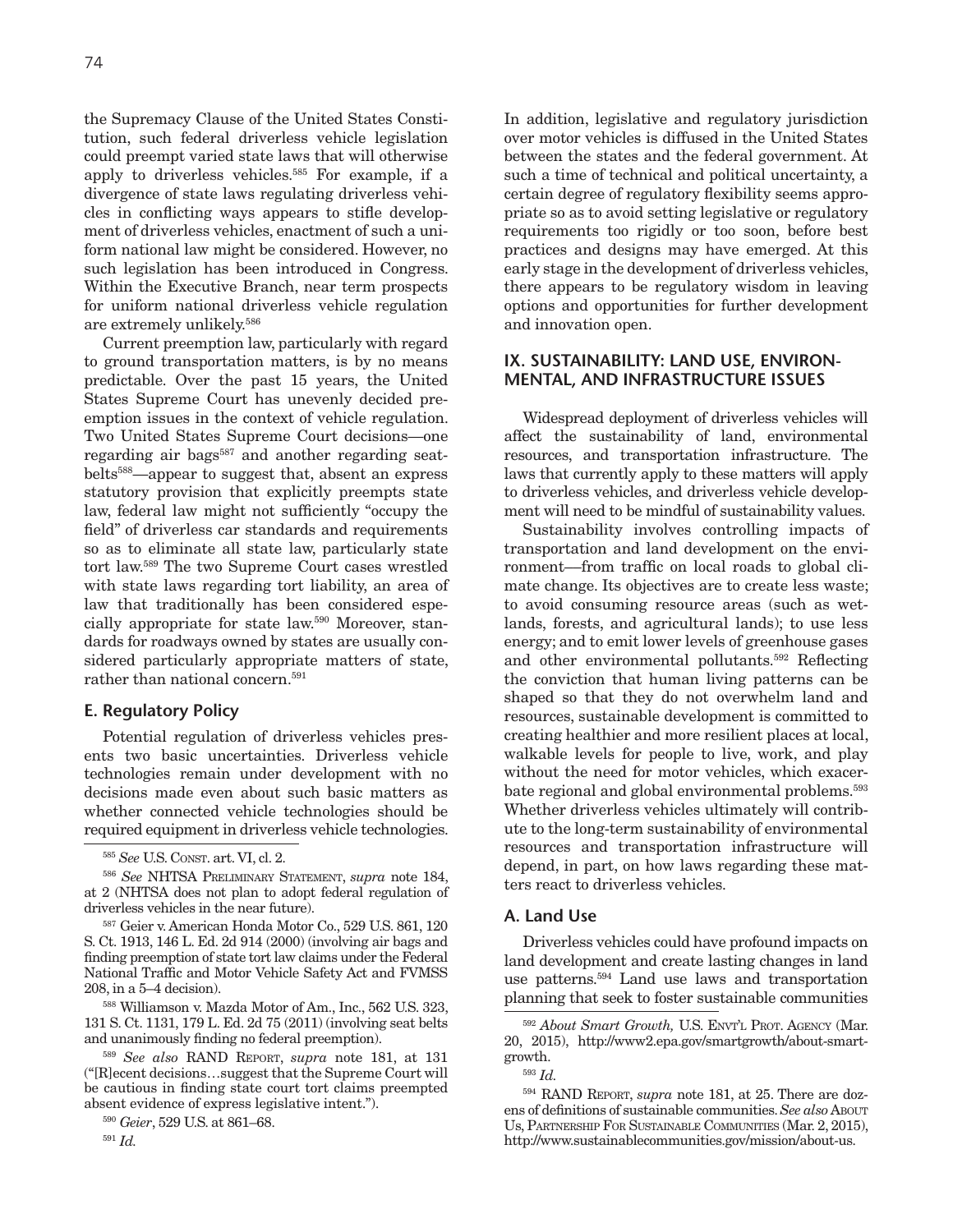the Supremacy Clause of the United States Constitution, such federal driverless vehicle legislation could preempt varied state laws that will otherwise apply to driverless vehicles.585 For example, if a divergence of state laws regulating driverless vehicles in conflicting ways appears to stifle development of driverless vehicles, enactment of such a uniform national law might be considered. However, no such legislation has been introduced in Congress. Within the Executive Branch, near term prospects for uniform national driverless vehicle regulation are extremely unlikely.586

Current preemption law, particularly with regard to ground transportation matters, is by no means predictable. Over the past 15 years, the United States Supreme Court has unevenly decided preemption issues in the context of vehicle regulation. Two United States Supreme Court decisions—one regarding air bags<sup> $587$ </sup> and another regarding seatbelts588—appear to suggest that, absent an express statutory provision that explicitly preempts state law, federal law might not sufficiently "occupy the field" of driverless car standards and requirements so as to eliminate all state law, particularly state tort law.589 The two Supreme Court cases wrestled with state laws regarding tort liability, an area of law that traditionally has been considered especially appropriate for state law.590 Moreover, standards for roadways owned by states are usually considered particularly appropriate matters of state, rather than national concern.591

# **E. Regulatory Policy**

Potential regulation of driverless vehicles presents two basic uncertainties. Driverless vehicle technologies remain under development with no decisions made even about such basic matters as whether connected vehicle technologies should be required equipment in driverless vehicle technologies.

587 Geier v. American Honda Motor Co., 529 U.S. 861, 120 S. Ct. 1913, 146 L. Ed. 2d 914 (2000) (involving air bags and finding preemption of state tort law claims under the Federal National Traffic and Motor Vehicle Safety Act and FVMSS 208, in a 5–4 decision).

588 Williamson v. Mazda Motor of Am., Inc., 562 U.S. 323, 131 S. Ct. 1131, 179 L. Ed. 2d 75 (2011) (involving seat belts and unanimously finding no federal preemption).

<sup>589</sup> *See also* RAND Report, *supra* note 181, at 131 ("[R]ecent decisions…suggest that the Supreme Court will be cautious in finding state court tort claims preempted absent evidence of express legislative intent.").

In addition, legislative and regulatory jurisdiction over motor vehicles is diffused in the United States between the states and the federal government. At such a time of technical and political uncertainty, a certain degree of regulatory flexibility seems appropriate so as to avoid setting legislative or regulatory requirements too rigidly or too soon, before best practices and designs may have emerged. At this early stage in the development of driverless vehicles, there appears to be regulatory wisdom in leaving options and opportunities for further development and innovation open.

# **IX. SUSTAINABILITY: LAND USE, ENVIRON-MENTAL, AND INFRASTRUCTURE ISSUES**

Widespread deployment of driverless vehicles will affect the sustainability of land, environmental resources, and transportation infrastructure. The laws that currently apply to these matters will apply to driverless vehicles, and driverless vehicle development will need to be mindful of sustainability values.

Sustainability involves controlling impacts of transportation and land development on the environment––from traffic on local roads to global climate change. Its objectives are to create less waste; to avoid consuming resource areas (such as wetlands, forests, and agricultural lands); to use less energy; and to emit lower levels of greenhouse gases and other environmental pollutants.592 Reflecting the conviction that human living patterns can be shaped so that they do not overwhelm land and resources, sustainable development is committed to creating healthier and more resilient places at local, walkable levels for people to live, work, and play without the need for motor vehicles, which exacerbate regional and global environmental problems.<sup>593</sup> Whether driverless vehicles ultimately will contribute to the long-term sustainability of environmental resources and transportation infrastructure will depend, in part, on how laws regarding these matters react to driverless vehicles.

## **A. Land Use**

Driverless vehicles could have profound impacts on land development and create lasting changes in land use patterns.594 Land use laws and transportation planning that seek to foster sustainable communities

<sup>585</sup> *See* U.S. Const. art. VI, cl. 2.

<sup>586</sup> *See* NHTSA Preliminary Statement, *supra* note 184, at 2 (NHTSA does not plan to adopt federal regulation of driverless vehicles in the near future).

<sup>590</sup> *Geier*, 529 U.S. at 861–68.

<sup>591</sup> *Id.*

<sup>&</sup>lt;sup>592</sup> About Smart Growth, U.S. ENVTL PROT. AGENCY (Mar. 20, 2015), http://www2.epa.gov/smartgrowth/about-smartgrowth.

<sup>593</sup> *Id.*

<sup>594</sup> RAND Report, *supra* note 181, at 25. There are dozens of definitions of sustainable communities. See also About Us, PARTNERSHIP FOR SUSTAINABLE COMMUNITIES (Mar. 2, 2015), http://www.sustainablecommunities.gov/mission/about-us.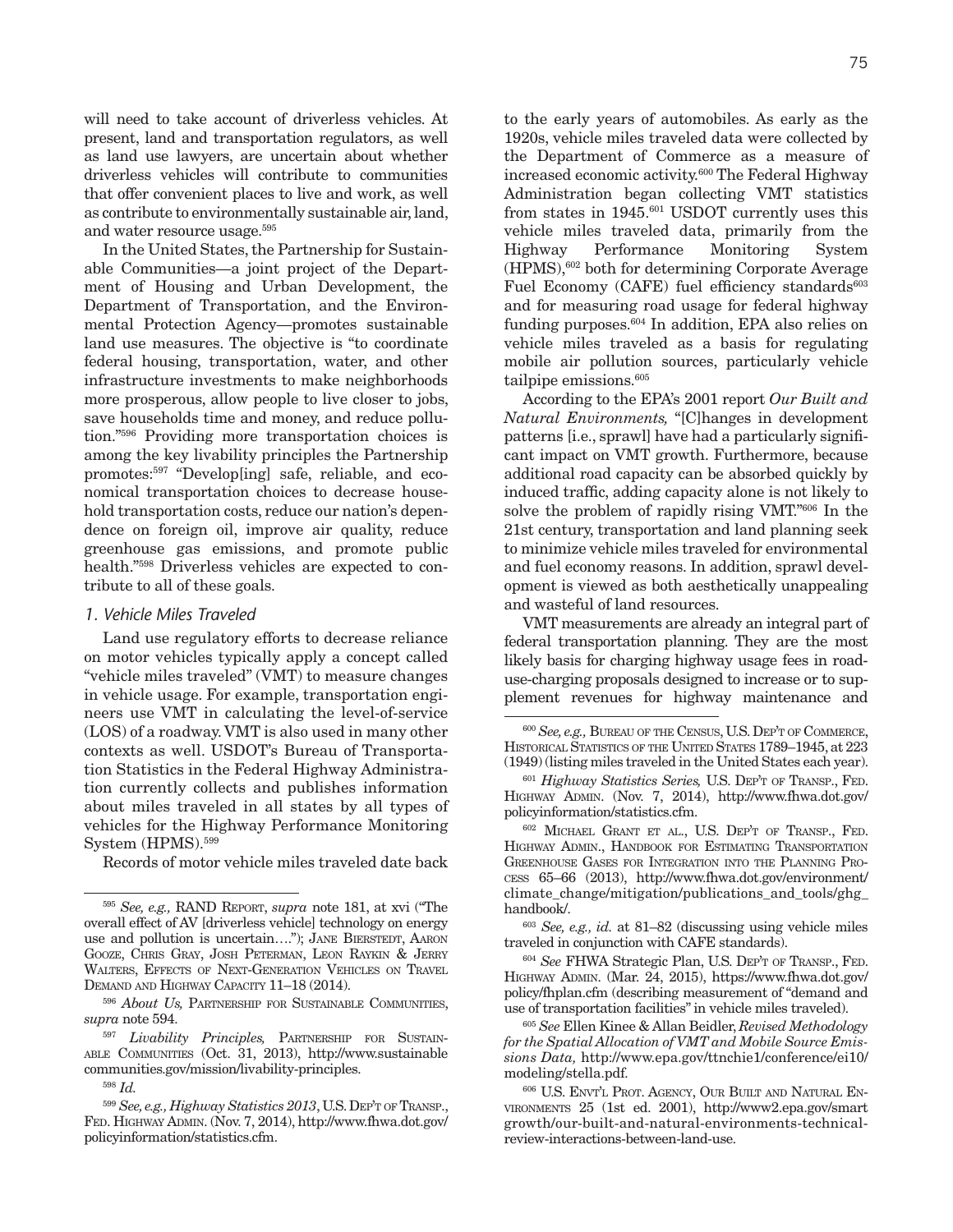75

will need to take account of driverless vehicles. At present, land and transportation regulators, as well as land use lawyers, are uncertain about whether driverless vehicles will contribute to communities that offer convenient places to live and work, as well as contribute to environmentally sustainable air, land, and water resource usage.<sup>595</sup>

In the United States, the Partnership for Sustainable Communities—a joint project of the Department of Housing and Urban Development, the Department of Transportation, and the Environmental Protection Agency—promotes sustainable land use measures. The objective is "to coordinate federal housing, transportation, water, and other infrastructure investments to make neighborhoods more prosperous, allow people to live closer to jobs, save households time and money, and reduce pollution."596 Providing more transportation choices is among the key livability principles the Partnership promotes:597 "Develop[ing] safe, reliable, and economical transportation choices to decrease household transportation costs, reduce our nation's dependence on foreign oil, improve air quality, reduce greenhouse gas emissions, and promote public health."598 Driverless vehicles are expected to contribute to all of these goals.

#### *1. Vehicle Miles Traveled*

Land use regulatory efforts to decrease reliance on motor vehicles typically apply a concept called "vehicle miles traveled" (VMT) to measure changes in vehicle usage. For example, transportation engineers use VMT in calculating the level-of-service (LOS) of a roadway. VMT is also used in many other contexts as well. USDOT's Bureau of Transportation Statistics in the Federal Highway Administration currently collects and publishes information about miles traveled in all states by all types of vehicles for the Highway Performance Monitoring System (HPMS).599

Records of motor vehicle miles traveled date back

to the early years of automobiles. As early as the 1920s, vehicle miles traveled data were collected by the Department of Commerce as a measure of increased economic activity.600 The Federal Highway Administration began collecting VMT statistics from states in 1945.<sup>601</sup> USDOT currently uses this vehicle miles traveled data, primarily from the Highway Performance Monitoring System (HPMS),602 both for determining Corporate Average Fuel Economy (CAFE) fuel efficiency standards<sup>603</sup> and for measuring road usage for federal highway funding purposes.604 In addition, EPA also relies on vehicle miles traveled as a basis for regulating mobile air pollution sources, particularly vehicle tailpipe emissions.<sup>605</sup>

According to the EPA's 2001 report *Our Built and Natural Environments,* "[C]hanges in development patterns [i.e., sprawl] have had a particularly significant impact on VMT growth. Furthermore, because additional road capacity can be absorbed quickly by induced traffic, adding capacity alone is not likely to solve the problem of rapidly rising VMT."606 In the 21st century, transportation and land planning seek to minimize vehicle miles traveled for environmental and fuel economy reasons. In addition, sprawl development is viewed as both aesthetically unappealing and wasteful of land resources.

VMT measurements are already an integral part of federal transportation planning. They are the most likely basis for charging highway usage fees in roaduse-charging proposals designed to increase or to supplement revenues for highway maintenance and

<sup>600</sup> *See, e.g.,* Bureau of the Census, U.S. Dep't of Commerce, HISTORICAL STATISTICS OF THE UNITED STATES  $1789-1945$ , at  $223$ (1949) (listing miles traveled in the United States each year).

<sup>603</sup> *See, e.g., id.* at 81–82 (discussing using vehicle miles traveled in conjunction with CAFE standards).

<sup>604</sup> *See* FHWA Strategic Plan, U.S. Dep't of Transp., Fed. Highway Admin. (Mar. 24, 2015), https://www.fhwa.dot.gov/ policy/fhplan.cfm (describing measurement of "demand and use of transportation facilities" in vehicle miles traveled).

<sup>605</sup> *See* Ellen Kinee & Allan Beidler, *Revised Methodology for the Spatial Allocation of VMT and Mobile Source Emissions Data,* http://www.epa.gov/ttnchie1/conference/ei10/ modeling/stella.pdf.

606 U.S. Envt'l Prot. Agency, Our Built and Natural Environments 25 (1st ed. 2001), http://www2.epa.gov/smart growth/our-built-and-natural-environments-technicalreview-interactions-between-land-use.

<sup>595</sup> *See, e.g.,* RAND Report, *supra* note 181, at xvi ("The overall effect of AV [driverless vehicle] technology on energy use and pollution is uncertain...."); JANE BIERSTEDT, AARON Gooze, Chris Gray, Josh Peterman, Leon Raykin & Jerry Walters, Effects of Next-Generation Vehicles on Travel Demand and Highway Capacity 11–18 (2014).

<sup>&</sup>lt;sup>596</sup> *About Us*, PARTNERSHIP FOR SUSTAINABLE COMMUNITIES, *supra* note 594.

<sup>597</sup> *Livability Principles,* Partnership for Sustainable Communities (Oct. 31, 2013), http://www.sustainable communities.gov/mission/livability-principles.

<sup>598</sup> *Id.*

<sup>599</sup> *See, e.g., Highway Statistics 2013*, U.S. Dep't of Transp., Fed. Highway Admin. (Nov. 7, 2014), http://www.fhwa.dot.gov/ policyinformation/statistics.cfm.

<sup>601</sup> *Highway Statistics Series,* U.S. Dep't of Transp., Fed. Highway Admin. (Nov. 7, 2014), http://www.fhwa.dot.gov/ policyinformation/statistics.cfm.

<sup>602</sup> Michael Grant et al., U.S. Dep't of Transp., Fed. Highway Admin., Handbook for Estimating Transportation Greenhouse Gases for Integration into the Planning Process 65–66 (2013), http://www.fhwa.dot.gov/environment/ climate\_change/mitigation/publications\_and\_tools/ghg\_ handbook/.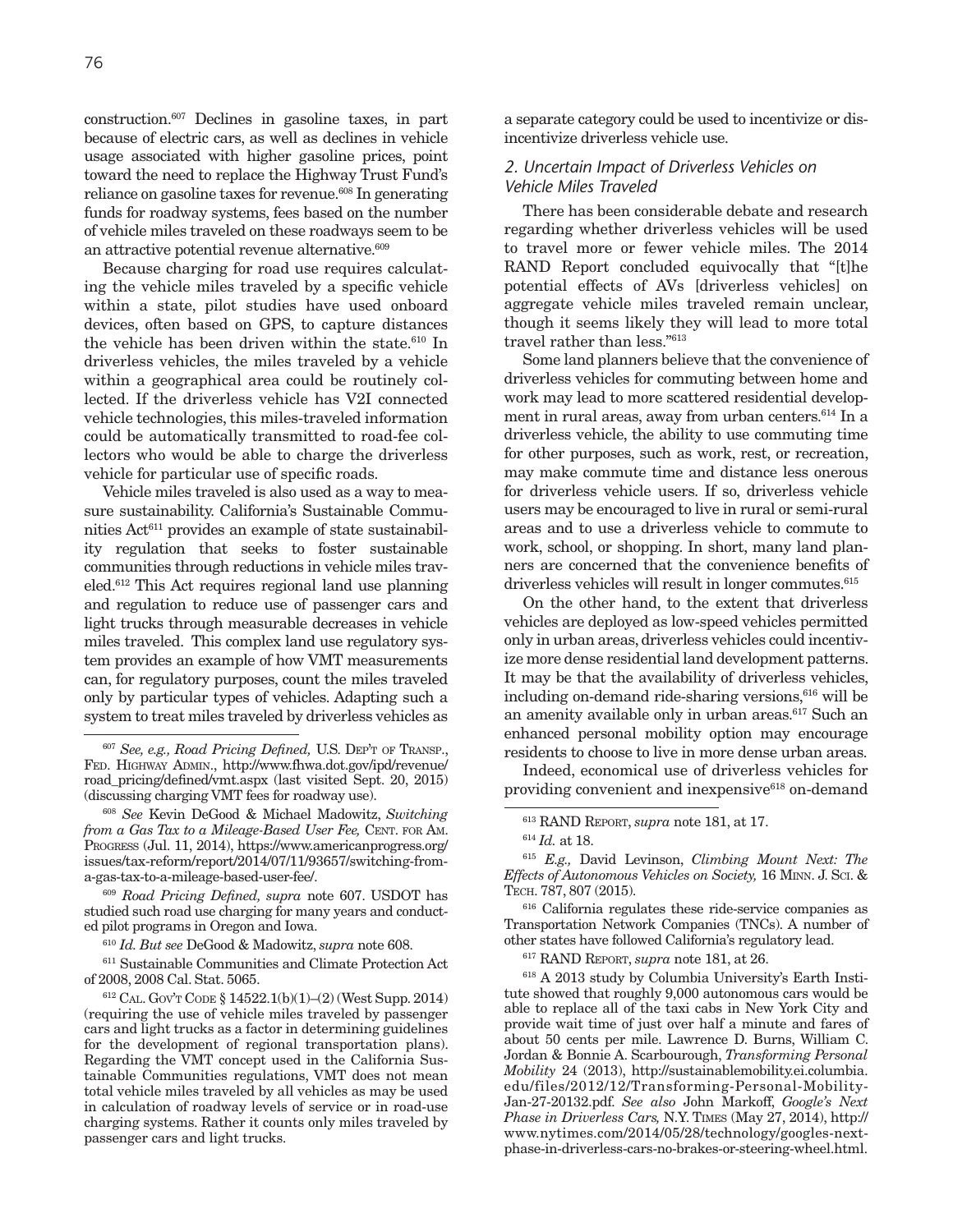construction.607 Declines in gasoline taxes, in part because of electric cars, as well as declines in vehicle usage associated with higher gasoline prices, point toward the need to replace the Highway Trust Fund's reliance on gasoline taxes for revenue.<sup>608</sup> In generating funds for roadway systems, fees based on the number of vehicle miles traveled on these roadways seem to be an attractive potential revenue alternative.<sup>609</sup>

Because charging for road use requires calculating the vehicle miles traveled by a specific vehicle within a state, pilot studies have used onboard devices, often based on GPS, to capture distances the vehicle has been driven within the state. $610$  In driverless vehicles, the miles traveled by a vehicle within a geographical area could be routinely collected. If the driverless vehicle has V2I connected vehicle technologies, this miles-traveled information could be automatically transmitted to road-fee collectors who would be able to charge the driverless vehicle for particular use of specific roads.

Vehicle miles traveled is also used as a way to measure sustainability. California's Sustainable Communities Act<sup>611</sup> provides an example of state sustainability regulation that seeks to foster sustainable communities through reductions in vehicle miles traveled.612 This Act requires regional land use planning and regulation to reduce use of passenger cars and light trucks through measurable decreases in vehicle miles traveled. This complex land use regulatory system provides an example of how VMT measurements can, for regulatory purposes, count the miles traveled only by particular types of vehicles. Adapting such a system to treat miles traveled by driverless vehicles as

<sup>609</sup> *Road Pricing Defined, supra* note 607. USDOT has studied such road use charging for many years and conducted pilot programs in Oregon and Iowa.

<sup>610</sup> *Id. But see* DeGood & Madowitz, *supra* note 608.

611 Sustainable Communities and Climate Protection Act of 2008, 2008 Cal. Stat. 5065.

 $612$  CAL. GOVT CODE § 14522.1(b)(1)–(2) (West Supp. 2014) (requiring the use of vehicle miles traveled by passenger cars and light trucks as a factor in determining guidelines for the development of regional transportation plans). Regarding the VMT concept used in the California Sustainable Communities regulations, VMT does not mean total vehicle miles traveled by all vehicles as may be used in calculation of roadway levels of service or in road-use charging systems. Rather it counts only miles traveled by passenger cars and light trucks.

a separate category could be used to incentivize or disincentivize driverless vehicle use.

# *2. Uncertain Impact of Driverless Vehicles on Vehicle Miles Traveled*

There has been considerable debate and research regarding whether driverless vehicles will be used to travel more or fewer vehicle miles. The 2014 RAND Report concluded equivocally that "[t]he potential effects of AVs [driverless vehicles] on aggregate vehicle miles traveled remain unclear, though it seems likely they will lead to more total travel rather than less."613

Some land planners believe that the convenience of driverless vehicles for commuting between home and work may lead to more scattered residential development in rural areas, away from urban centers.<sup>614</sup> In a driverless vehicle, the ability to use commuting time for other purposes, such as work, rest, or recreation, may make commute time and distance less onerous for driverless vehicle users. If so, driverless vehicle users may be encouraged to live in rural or semi-rural areas and to use a driverless vehicle to commute to work, school, or shopping. In short, many land planners are concerned that the convenience benefits of driverless vehicles will result in longer commutes.<sup>615</sup>

On the other hand, to the extent that driverless vehicles are deployed as low-speed vehicles permitted only in urban areas, driverless vehicles could incentivize more dense residential land development patterns. It may be that the availability of driverless vehicles, including on-demand ride-sharing versions,<sup>616</sup> will be an amenity available only in urban areas.<sup>617</sup> Such an enhanced personal mobility option may encourage residents to choose to live in more dense urban areas.

Indeed, economical use of driverless vehicles for providing convenient and inexpensive618 on-demand

617 RAND Report, *supra* note 181, at 26.

618 A 2013 study by Columbia University's Earth Institute showed that roughly 9,000 autonomous cars would be able to replace all of the taxi cabs in New York City and provide wait time of just over half a minute and fares of about 50 cents per mile. Lawrence D. Burns, William C. Jordan & Bonnie A. Scarbourough, *Transforming Personal Mobility* 24 (2013), http://sustainablemobility.ei.columbia. edu/files/2012/12/Transforming-Personal-Mobility-Jan-27-20132.pdf. *See also* John Markoff, *Google's Next Phase in Driverless Cars,* N.Y. Times (May 27, 2014), http:// www.nytimes.com/2014/05/28/technology/googles-nextphase-in-driverless-cars-no-brakes-or-steering-wheel.html.

<sup>607</sup> *See, e.g., Road Pricing Defined,* U.S. Dep't of Transp., Fed. Highway Admin., http://www.fhwa.dot.gov/ipd/revenue/ road\_pricing/defined/vmt.aspx (last visited Sept. 20, 2015) (discussing charging VMT fees for roadway use).

<sup>608</sup> *See* Kevin DeGood & Michael Madowitz, *Switching from a Gas Tax to a Mileage-Based User Fee, CENT. FOR AM.* Progress (Jul. 11, 2014), https://www.americanprogress.org/ issues/tax-reform/report/2014/07/11/93657/switching-froma-gas-tax-to-a-mileage-based-user-fee/.

<sup>613</sup> RAND Report, *supra* note 181, at 17.

<sup>614</sup> *Id.* at 18.

<sup>615</sup> *E.g.,* David Levinson, *Climbing Mount Next: The Effects of Autonomous Vehicles on Society,* 16 Minn. J. Sci. & Tech. 787, 807 (2015).

<sup>616</sup> California regulates these ride-service companies as Transportation Network Companies (TNCs). A number of other states have followed California's regulatory lead.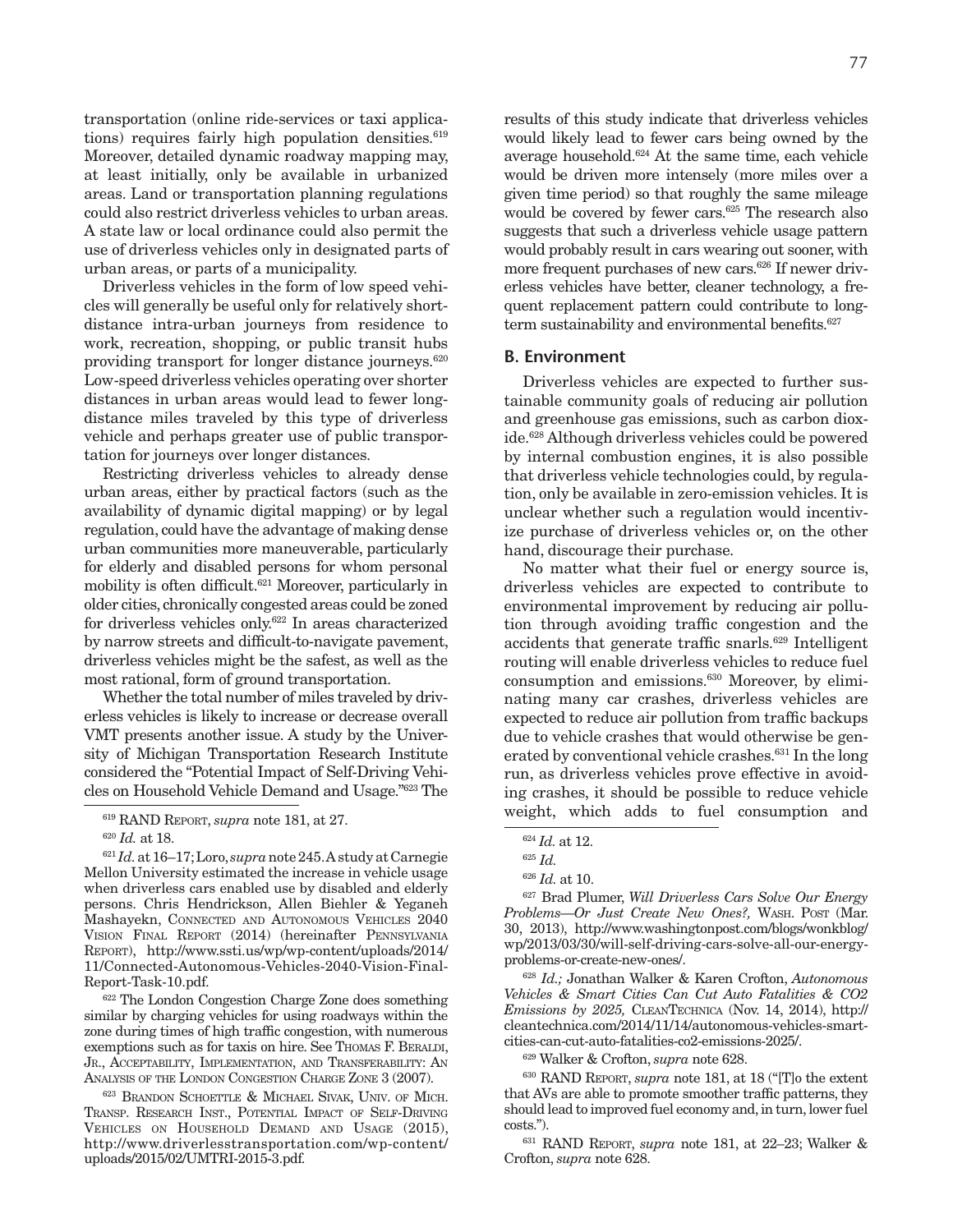transportation (online ride-services or taxi applications) requires fairly high population densities.<sup>619</sup> Moreover, detailed dynamic roadway mapping may, at least initially, only be available in urbanized areas. Land or transportation planning regulations could also restrict driverless vehicles to urban areas. A state law or local ordinance could also permit the use of driverless vehicles only in designated parts of urban areas, or parts of a municipality.

Driverless vehicles in the form of low speed vehicles will generally be useful only for relatively shortdistance intra-urban journeys from residence to work, recreation, shopping, or public transit hubs providing transport for longer distance journeys.<sup>620</sup> Low-speed driverless vehicles operating over shorter distances in urban areas would lead to fewer longdistance miles traveled by this type of driverless vehicle and perhaps greater use of public transportation for journeys over longer distances.

Restricting driverless vehicles to already dense urban areas, either by practical factors (such as the availability of dynamic digital mapping) or by legal regulation, could have the advantage of making dense urban communities more maneuverable, particularly for elderly and disabled persons for whom personal mobility is often difficult.621 Moreover, particularly in older cities, chronically congested areas could be zoned for driverless vehicles only.622 In areas characterized by narrow streets and difficult-to-navigate pavement, driverless vehicles might be the safest, as well as the most rational, form of ground transportation.

Whether the total number of miles traveled by driverless vehicles is likely to increase or decrease overall VMT presents another issue. A study by the University of Michigan Transportation Research Institute considered the "Potential Impact of Self-Driving Vehicles on Household Vehicle Demand and Usage."623 The

622 The London Congestion Charge Zone does something similar by charging vehicles for using roadways within the zone during times of high traffic congestion, with numerous exemptions such as for taxis on hire. See Thomas F. BERALDI, Jr., ACCEPTABILITY, IMPLEMENTATION, AND TRANSFERABILITY: AN Analysis of the London Congestion Charge Zone 3 (2007).

<sup>623</sup> Brandon Schoettle & Michael Sivak, Univ. of Mich. Transp. Research Inst., Potential Impact of Self-Driving Vehicles on Household Demand and Usage (2015), http://www.driverlesstransportation.com/wp-content/ uploads/2015/02/UMTRI-2015-3.pdf.

results of this study indicate that driverless vehicles would likely lead to fewer cars being owned by the average household.624 At the same time, each vehicle would be driven more intensely (more miles over a given time period) so that roughly the same mileage would be covered by fewer cars.625 The research also suggests that such a driverless vehicle usage pattern would probably result in cars wearing out sooner, with more frequent purchases of new cars.<sup>626</sup> If newer driverless vehicles have better, cleaner technology, a frequent replacement pattern could contribute to longterm sustainability and environmental benefits.<sup>627</sup>

#### **B. Environment**

Driverless vehicles are expected to further sustainable community goals of reducing air pollution and greenhouse gas emissions, such as carbon dioxide.628 Although driverless vehicles could be powered by internal combustion engines, it is also possible that driverless vehicle technologies could, by regulation, only be available in zero-emission vehicles. It is unclear whether such a regulation would incentivize purchase of driverless vehicles or, on the other hand, discourage their purchase.

No matter what their fuel or energy source is, driverless vehicles are expected to contribute to environmental improvement by reducing air pollution through avoiding traffic congestion and the accidents that generate traffic snarls.629 Intelligent routing will enable driverless vehicles to reduce fuel consumption and emissions.630 Moreover, by eliminating many car crashes, driverless vehicles are expected to reduce air pollution from traffic backups due to vehicle crashes that would otherwise be generated by conventional vehicle crashes.<sup>631</sup> In the long run, as driverless vehicles prove effective in avoiding crashes, it should be possible to reduce vehicle weight, which adds to fuel consumption and

627 Brad Plumer, *Will Driverless Cars Solve Our Energy Problems—Or Just Create New Ones?,* Wash. Post (Mar. 30, 2013), http://www.washingtonpost.com/blogs/wonkblog/ wp/2013/03/30/will-self-driving-cars-solve-all-our-energyproblems-or-create-new-ones/.

<sup>628</sup> *Id.;* Jonathan Walker & Karen Crofton, *Autonomous Vehicles & Smart Cities Can Cut Auto Fatalities & CO2 Emissions by 2025,* CleanTechnica (Nov. 14, 2014), http:// cleantechnica.com/2014/11/14/autonomous-vehicles-smartcities-can-cut-auto-fatalities-co2-emissions-2025/.

629 Walker & Crofton, *supra* note 628.

630 RAND Report, *supra* note 181, at 18 ("[T]o the extent that AVs are able to promote smoother traffic patterns, they should lead to improved fuel economy and, in turn, lower fuel costs.").

631 RAND Report, *supra* note 181, at 22–23; Walker & Crofton, *supra* note 628.

<sup>619</sup> RAND Report, *supra* note 181, at 27.

<sup>620</sup> *Id.* at 18.

<sup>621</sup> *Id.* at 16–17; Loro, *supra* note 245. A study at Carnegie Mellon University estimated the increase in vehicle usage when driverless cars enabled use by disabled and elderly persons. Chris Hendrickson, Allen Biehler & Yeganeh Mashayekn, Connected and Autonomous Vehicles 2040 Vision Final Report (2014) (hereinafter Pennsylvania Report), http://www.ssti.us/wp/wp-content/uploads/2014/ 11/Connected-Autonomous-Vehicles-2040-Vision-Final-Report-Task-10.pdf.

<sup>624</sup> *Id.* at 12.

<sup>625</sup> *Id.*

<sup>626</sup> *Id.* at 10.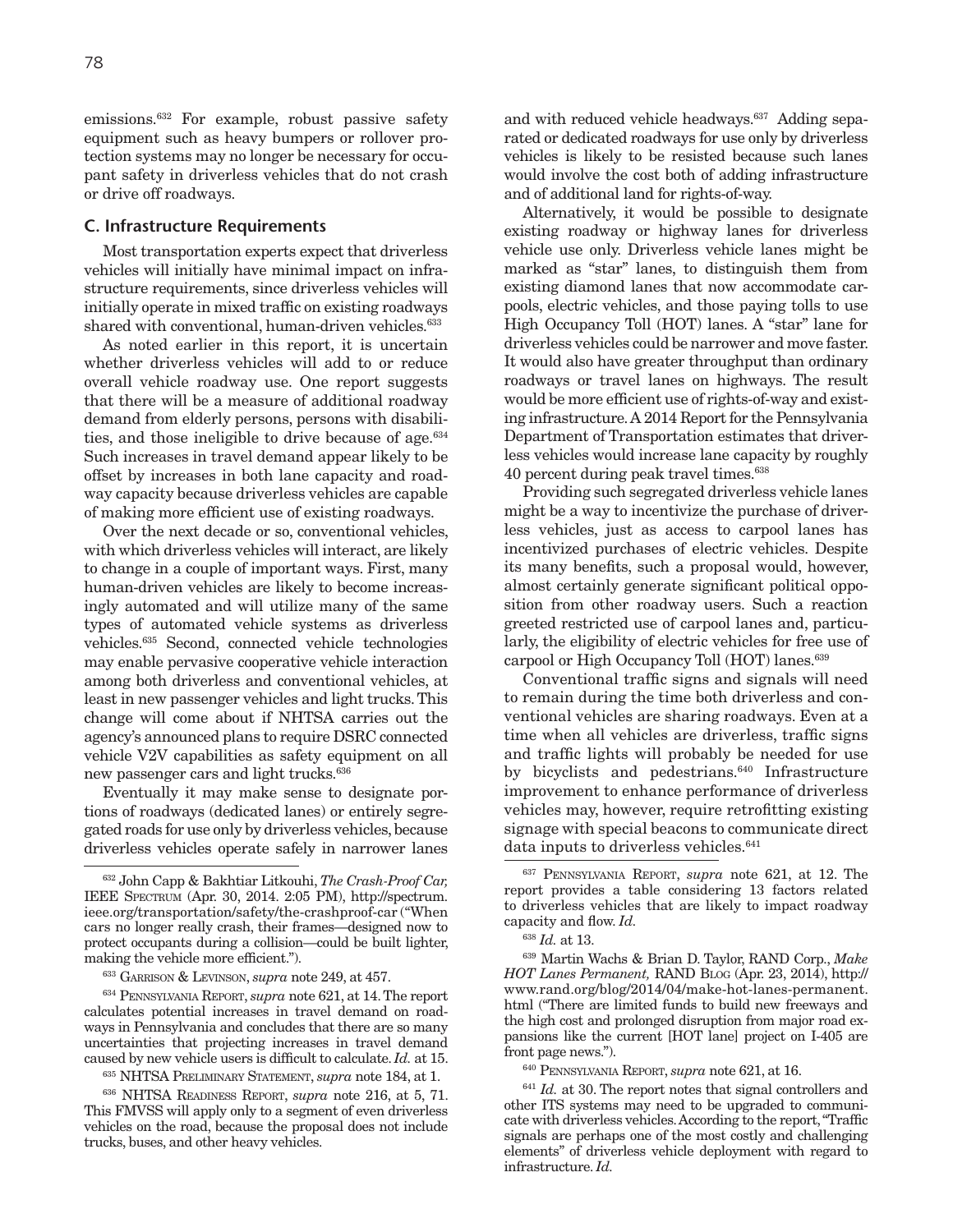emissions.632 For example, robust passive safety equipment such as heavy bumpers or rollover protection systems may no longer be necessary for occupant safety in driverless vehicles that do not crash or drive off roadways.

## **C. Infrastructure Requirements**

Most transportation experts expect that driverless vehicles will initially have minimal impact on infrastructure requirements, since driverless vehicles will initially operate in mixed traffic on existing roadways shared with conventional, human-driven vehicles.<sup>633</sup>

As noted earlier in this report, it is uncertain whether driverless vehicles will add to or reduce overall vehicle roadway use. One report suggests that there will be a measure of additional roadway demand from elderly persons, persons with disabilities, and those ineligible to drive because of age.634 Such increases in travel demand appear likely to be offset by increases in both lane capacity and roadway capacity because driverless vehicles are capable of making more efficient use of existing roadways.

Over the next decade or so, conventional vehicles, with which driverless vehicles will interact, are likely to change in a couple of important ways. First, many human-driven vehicles are likely to become increasingly automated and will utilize many of the same types of automated vehicle systems as driverless vehicles.635 Second, connected vehicle technologies may enable pervasive cooperative vehicle interaction among both driverless and conventional vehicles, at least in new passenger vehicles and light trucks. This change will come about if NHTSA carries out the agency's announced plans to require DSRC connected vehicle V2V capabilities as safety equipment on all new passenger cars and light trucks.636

Eventually it may make sense to designate portions of roadways (dedicated lanes) or entirely segregated roads for use only by driverless vehicles, because driverless vehicles operate safely in narrower lanes and with reduced vehicle headways.<sup>637</sup> Adding separated or dedicated roadways for use only by driverless vehicles is likely to be resisted because such lanes would involve the cost both of adding infrastructure and of additional land for rights-of-way.

Alternatively, it would be possible to designate existing roadway or highway lanes for driverless vehicle use only. Driverless vehicle lanes might be marked as "star" lanes, to distinguish them from existing diamond lanes that now accommodate carpools, electric vehicles, and those paying tolls to use High Occupancy Toll (HOT) lanes. A "star" lane for driverless vehicles could be narrower and move faster. It would also have greater throughput than ordinary roadways or travel lanes on highways. The result would be more efficient use of rights-of-way and existing infrastructure. A 2014 Report for the Pennsylvania Department of Transportation estimates that driverless vehicles would increase lane capacity by roughly 40 percent during peak travel times.638

Providing such segregated driverless vehicle lanes might be a way to incentivize the purchase of driverless vehicles, just as access to carpool lanes has incentivized purchases of electric vehicles. Despite its many benefits, such a proposal would, however, almost certainly generate significant political opposition from other roadway users. Such a reaction greeted restricted use of carpool lanes and, particularly, the eligibility of electric vehicles for free use of carpool or High Occupancy Toll (HOT) lanes.639

Conventional traffic signs and signals will need to remain during the time both driverless and conventional vehicles are sharing roadways. Even at a time when all vehicles are driverless, traffic signs and traffic lights will probably be needed for use by bicyclists and pedestrians.<sup>640</sup> Infrastructure improvement to enhance performance of driverless vehicles may, however, require retrofitting existing signage with special beacons to communicate direct data inputs to driverless vehicles.<sup>641</sup>

639 Martin Wachs & Brian D. Taylor, RAND Corp., *Make HOT Lanes Permanent,* RAND Blog (Apr. 23, 2014), http:// www.rand.org/blog/2014/04/make-hot-lanes-permanent. html ("There are limited funds to build new freeways and the high cost and prolonged disruption from major road expansions like the current [HOT lane] project on I-405 are front page news.").

<sup>640</sup> Pennsylvania Report, *supra* note 621, at 16.

<sup>632</sup> John Capp & Bakhtiar Litkouhi, *The Crash-Proof Car,*  IEEE Spectrum (Apr. 30, 2014. 2:05 PM), http://spectrum. ieee.org/transportation/safety/the-crashproof-car ("When cars no longer really crash, their frames—designed now to protect occupants during a collision—could be built lighter, making the vehicle more efficient.").

<sup>633</sup> Garrison & Levinson, *supra* note 249, at 457.

<sup>634</sup> Pennsylvania Report, *supra* note 621, at 14. The report calculates potential increases in travel demand on roadways in Pennsylvania and concludes that there are so many uncertainties that projecting increases in travel demand caused by new vehicle users is difficult to calculate. *Id.* at 15.

<sup>635</sup> NHTSA Preliminary Statement, *supra* note 184, at 1.

<sup>636</sup> NHTSA Readiness Report, *supra* note 216, at 5, 71. This FMVSS will apply only to a segment of even driverless vehicles on the road, because the proposal does not include trucks, buses, and other heavy vehicles.

<sup>637</sup> Pennsylvania Report, *supra* note 621, at 12. The report provides a table considering 13 factors related to driverless vehicles that are likely to impact roadway capacity and flow. *Id.*

<sup>638</sup> *Id.* at 13.

<sup>641</sup> *Id.* at 30. The report notes that signal controllers and other ITS systems may need to be upgraded to communicate with driverless vehicles. According to the report, "Traffic signals are perhaps one of the most costly and challenging elements" of driverless vehicle deployment with regard to infrastructure. *Id.*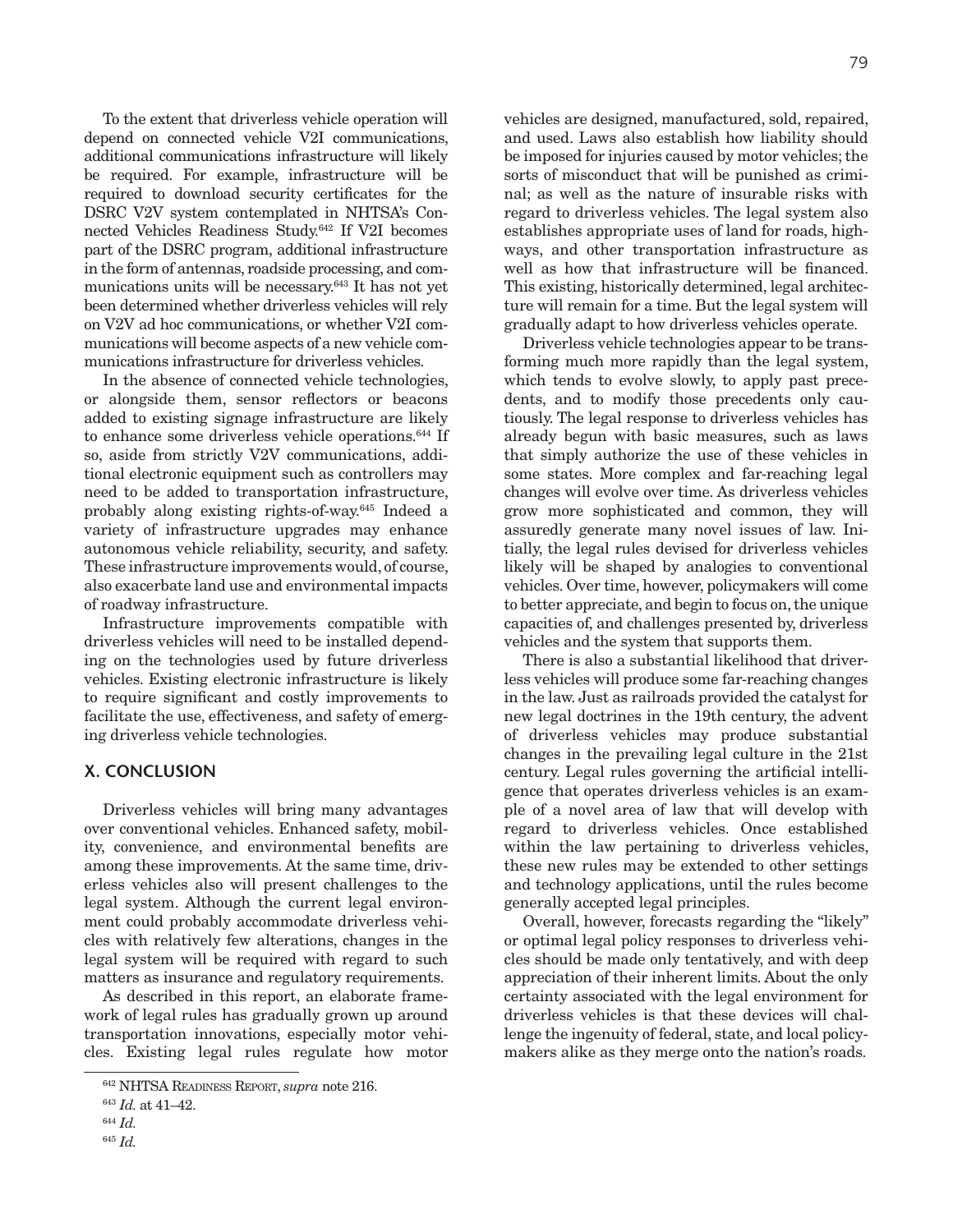To the extent that driverless vehicle operation will depend on connected vehicle V2I communications, additional communications infrastructure will likely be required. For example, infrastructure will be required to download security certificates for the DSRC V2V system contemplated in NHTSA's Connected Vehicles Readiness Study.642 If V2I becomes part of the DSRC program, additional infrastructure in the form of antennas, roadside processing, and communications units will be necessary.643 It has not yet been determined whether driverless vehicles will rely on V2V ad hoc communications, or whether V2I communications will become aspects of a new vehicle communications infrastructure for driverless vehicles.

In the absence of connected vehicle technologies, or alongside them, sensor reflectors or beacons added to existing signage infrastructure are likely to enhance some driverless vehicle operations.<sup>644</sup> If so, aside from strictly V2V communications, additional electronic equipment such as controllers may need to be added to transportation infrastructure, probably along existing rights-of-way.645 Indeed a variety of infrastructure upgrades may enhance autonomous vehicle reliability, security, and safety. These infrastructure improvements would, of course, also exacerbate land use and environmental impacts of roadway infrastructure.

Infrastructure improvements compatible with driverless vehicles will need to be installed depending on the technologies used by future driverless vehicles. Existing electronic infrastructure is likely to require significant and costly improvements to facilitate the use, effectiveness, and safety of emerging driverless vehicle technologies.

#### **X. CONCLUSION**

Driverless vehicles will bring many advantages over conventional vehicles. Enhanced safety, mobility, convenience, and environmental benefits are among these improvements. At the same time, driverless vehicles also will present challenges to the legal system. Although the current legal environment could probably accommodate driverless vehicles with relatively few alterations, changes in the legal system will be required with regard to such matters as insurance and regulatory requirements.

As described in this report, an elaborate framework of legal rules has gradually grown up around transportation innovations, especially motor vehicles. Existing legal rules regulate how motor vehicles are designed, manufactured, sold, repaired, and used. Laws also establish how liability should be imposed for injuries caused by motor vehicles; the sorts of misconduct that will be punished as criminal; as well as the nature of insurable risks with regard to driverless vehicles. The legal system also establishes appropriate uses of land for roads, highways, and other transportation infrastructure as well as how that infrastructure will be financed. This existing, historically determined, legal architecture will remain for a time. But the legal system will gradually adapt to how driverless vehicles operate.

Driverless vehicle technologies appear to be transforming much more rapidly than the legal system, which tends to evolve slowly, to apply past precedents, and to modify those precedents only cautiously. The legal response to driverless vehicles has already begun with basic measures, such as laws that simply authorize the use of these vehicles in some states. More complex and far-reaching legal changes will evolve over time. As driverless vehicles grow more sophisticated and common, they will assuredly generate many novel issues of law. Initially, the legal rules devised for driverless vehicles likely will be shaped by analogies to conventional vehicles. Over time, however, policymakers will come to better appreciate, and begin to focus on, the unique capacities of, and challenges presented by, driverless vehicles and the system that supports them.

There is also a substantial likelihood that driverless vehicles will produce some far-reaching changes in the law. Just as railroads provided the catalyst for new legal doctrines in the 19th century, the advent of driverless vehicles may produce substantial changes in the prevailing legal culture in the 21st century. Legal rules governing the artificial intelligence that operates driverless vehicles is an example of a novel area of law that will develop with regard to driverless vehicles. Once established within the law pertaining to driverless vehicles, these new rules may be extended to other settings and technology applications, until the rules become generally accepted legal principles.

Overall, however, forecasts regarding the "likely" or optimal legal policy responses to driverless vehicles should be made only tentatively, and with deep appreciation of their inherent limits. About the only certainty associated with the legal environment for driverless vehicles is that these devices will challenge the ingenuity of federal, state, and local policymakers alike as they merge onto the nation's roads.

<sup>642</sup> NHTSA Readiness Report, *supra* note 216.

<sup>643</sup> *Id.* at 41–42.

<sup>644</sup> *Id.*

<sup>645</sup> *Id.*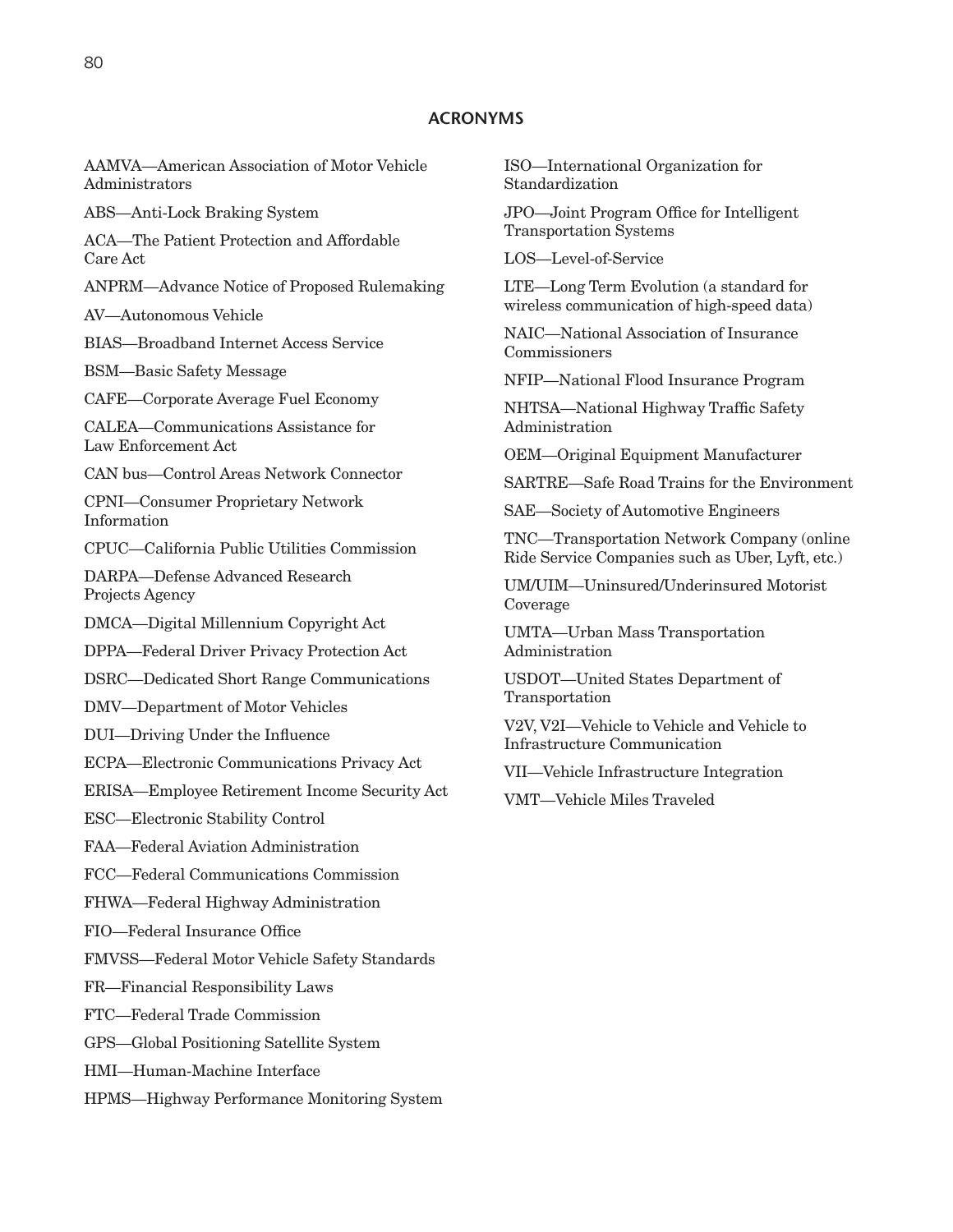# **ACRONYMS**

AAMVA—American Association of Motor Vehicle Administrators

ABS—Anti-Lock Braking System

ACA—The Patient Protection and Affordable Care Act

ANPRM—Advance Notice of Proposed Rulemaking

AV—Autonomous Vehicle

BIAS—Broadband Internet Access Service

BSM—Basic Safety Message

CAFE—Corporate Average Fuel Economy

CALEA—Communications Assistance for Law Enforcement Act

CAN bus—Control Areas Network Connector

CPNI—Consumer Proprietary Network Information

CPUC—California Public Utilities Commission

DARPA—Defense Advanced Research Projects Agency

DMCA—Digital Millennium Copyright Act

DPPA—Federal Driver Privacy Protection Act

DSRC—Dedicated Short Range Communications

DMV—Department of Motor Vehicles

DUI—Driving Under the Influence

ECPA—Electronic Communications Privacy Act

ERISA—Employee Retirement Income Security Act

ESC—Electronic Stability Control

FAA—Federal Aviation Administration

FCC—Federal Communications Commission

FHWA—Federal Highway Administration

FIO—Federal Insurance Office

FMVSS—Federal Motor Vehicle Safety Standards

FR—Financial Responsibility Laws

FTC—Federal Trade Commission

GPS—Global Positioning Satellite System

HMI—Human-Machine Interface

HPMS—Highway Performance Monitoring System

ISO—International Organization for Standardization

JPO—Joint Program Office for Intelligent Transportation Systems

LOS—Level-of-Service

LTE—Long Term Evolution (a standard for wireless communication of high-speed data)

NAIC—National Association of Insurance Commissioners

NFIP—National Flood Insurance Program

NHTSA—National Highway Traffic Safety Administration

OEM—Original Equipment Manufacturer

SARTRE—Safe Road Trains for the Environment

SAE—Society of Automotive Engineers

TNC—Transportation Network Company (online Ride Service Companies such as Uber, Lyft, etc.)

UM/UIM—Uninsured/Underinsured Motorist Coverage

UMTA—Urban Mass Transportation Administration

USDOT—United States Department of Transportation

V2V, V2I—Vehicle to Vehicle and Vehicle to Infrastructure Communication

VII—Vehicle Infrastructure Integration

VMT—Vehicle Miles Traveled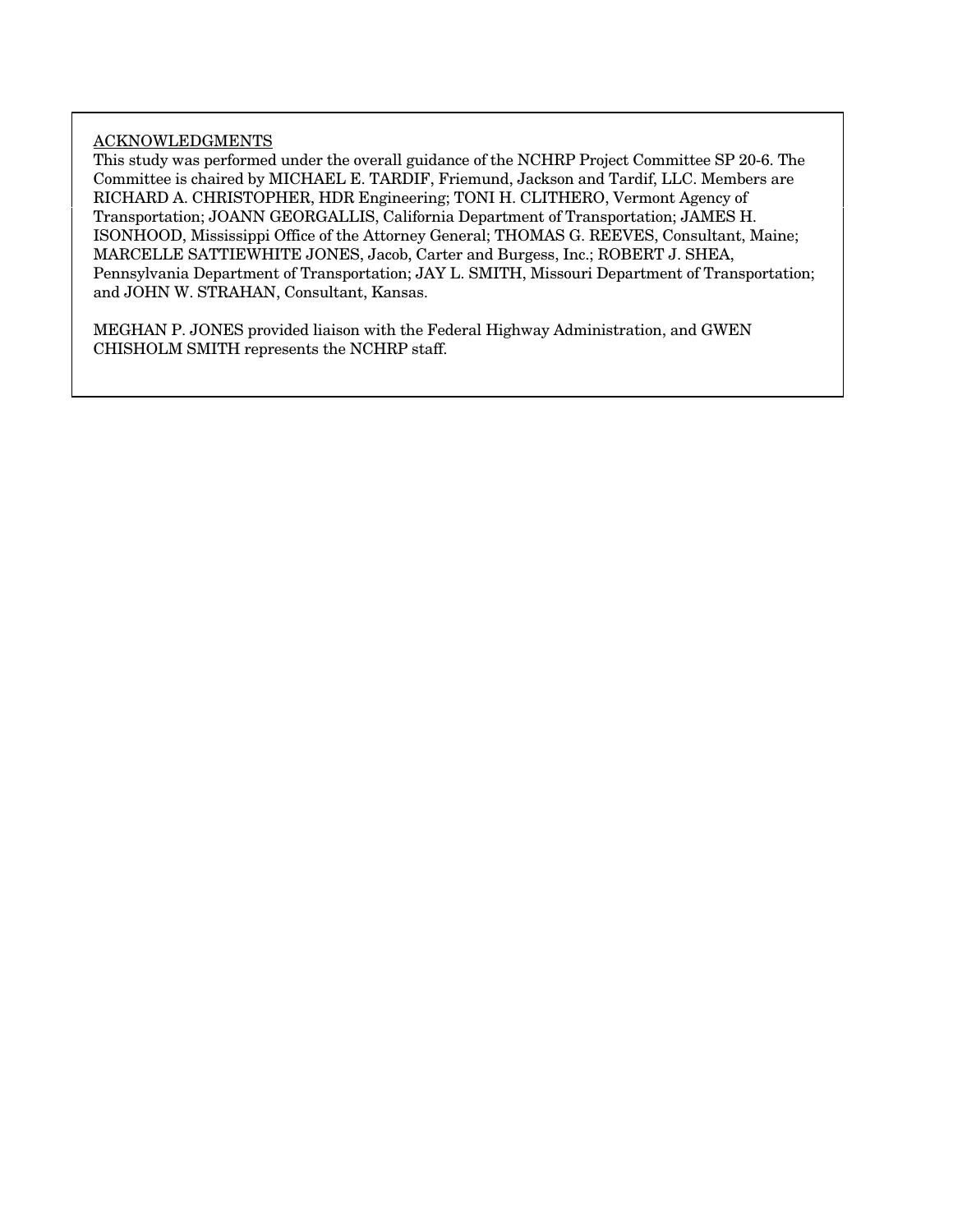# ACKNOWLEDGMENTS

This study was performed under the overall guidance of the NCHRP Project Committee SP 20-6. The Committee is chaired by MICHAEL E. TARDIF, Friemund, Jackson and Tardif, LLC. Members are RICHARD A. CHRISTOPHER, HDR Engineering; TONI H. CLITHERO, Vermont Agency of Transportation; JOANN GEORGALLIS, California Department of Transportation; JAMES H. ISONHOOD, Mississippi Office of the Attorney General; THOMAS G. REEVES, Consultant, Maine; MARCELLE SATTIEWHITE JONES, Jacob, Carter and Burgess, Inc.; ROBERT J. SHEA, Pennsylvania Department of Transportation; JAY L. SMITH, Missouri Department of Transportation; and JOHN W. STRAHAN, Consultant, Kansas.

MEGHAN P. JONES provided liaison with the Federal Highway Administration, and GWEN CHISHOLM SMITH represents the NCHRP staff.